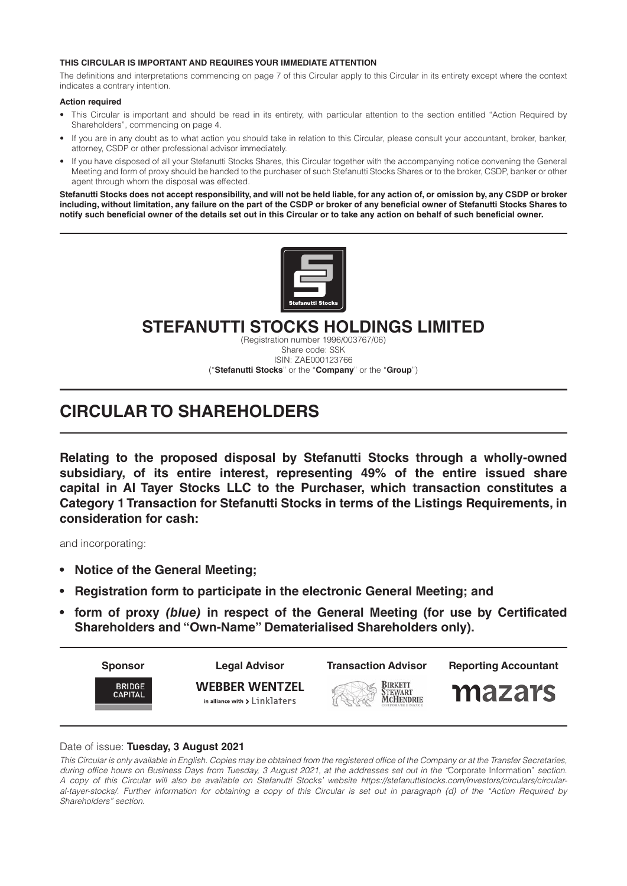#### **THIS CIRCULAR IS IMPORTANT AND REQUIRES YOUR IMMEDIATE ATTENTION**

The definitions and interpretations commencing on page 7 of this Circular apply to this Circular in its entirety except where the context indicates a contrary intention.

#### **Action required**

- This Circular is important and should be read in its entirety, with particular attention to the section entitled "Action Required by Shareholders", commencing on page 4.
- If you are in any doubt as to what action you should take in relation to this Circular, please consult your accountant, broker, banker, attorney, CSDP or other professional advisor immediately.
- If you have disposed of all your Stefanutti Stocks Shares, this Circular together with the accompanying notice convening the General Meeting and form of proxy should be handed to the purchaser of such Stefanutti Stocks Shares or to the broker, CSDP, banker or other agent through whom the disposal was effected.

**Stefanutti Stocks does not accept responsibility, and will not be held liable, for any action of, or omission by, any CSDP or broker including, without limitation, any failure on the part of the CSDP or broker of any beneficial owner of Stefanutti Stocks Shares to notify such beneficial owner of the details set out in this Circular or to take any action on behalf of such beneficial owner.**



# **STEFANUTTI STOCKS HOLDINGS LIMITED**

(Registration number 1996/003767/06) Share code: SSK ISIN: ZAE000123766 ("**Stefanutti Stocks**" or the "**Company**" or the "**Group**")

# **CIRCULAR TO SHAREHOLDERS**

**Relating to the proposed disposal by Stefanutti Stocks through a wholly-owned subsidiary, of its entire interest, representing 49% of the entire issued share capital in Al Tayer Stocks LLC to the Purchaser, which transaction constitutes a Category 1 Transaction for Stefanutti Stocks in terms of the Listings Requirements, in consideration for cash:**

and incorporating:

- **• Notice of the General Meeting;**
- **• Registration form to participate in the electronic General Meeting; and**
- **• form of proxy** *(blue)* **in respect of the General Meeting (for use by Certificated Shareholders and "Own-Name" Dematerialised Shareholders only).**



#### Date of issue: **Tuesday, 3 August 2021**

*This Circular is only available in English. Copies may be obtained from the registered office of the Company or at the Transfer Secretaries, during office hours on Business Days from Tuesday, 3 August 2021, at the addresses set out in the "*Corporate Information" *section. A copy of this Circular will also be available on Stefanutti Stocks' website https://stefanuttistocks.com/investors/circulars/circularal-tayer-stocks/. Further information for obtaining a copy of this Circular is set out in paragraph (d) of the "Action Required by Shareholders" section.*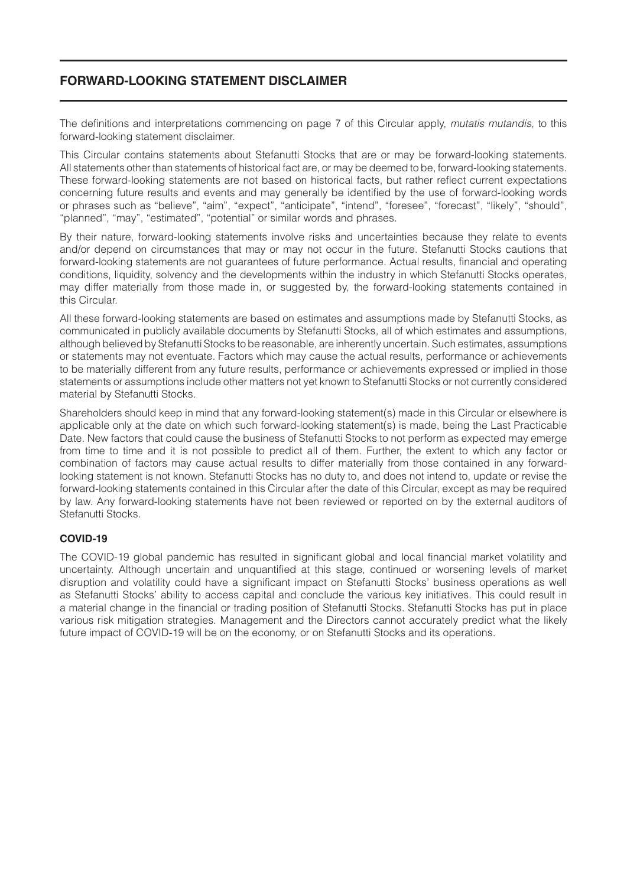# **FORWARD-LOOKING STATEMENT DISCLAIMER**

The definitions and interpretations commencing on page 7 of this Circular apply, *mutatis mutandis,* to this forward-looking statement disclaimer.

This Circular contains statements about Stefanutti Stocks that are or may be forward-looking statements. All statements other than statements of historical fact are, or may be deemed to be, forward-looking statements. These forward-looking statements are not based on historical facts, but rather reflect current expectations concerning future results and events and may generally be identified by the use of forward-looking words or phrases such as "believe", "aim", "expect", "anticipate", "intend", "foresee", "forecast", "likely", "should", "planned", "may", "estimated", "potential" or similar words and phrases.

By their nature, forward-looking statements involve risks and uncertainties because they relate to events and/or depend on circumstances that may or may not occur in the future. Stefanutti Stocks cautions that forward-looking statements are not guarantees of future performance. Actual results, financial and operating conditions, liquidity, solvency and the developments within the industry in which Stefanutti Stocks operates, may differ materially from those made in, or suggested by, the forward-looking statements contained in this Circular.

All these forward-looking statements are based on estimates and assumptions made by Stefanutti Stocks, as communicated in publicly available documents by Stefanutti Stocks, all of which estimates and assumptions, although believed by Stefanutti Stocks to be reasonable, are inherently uncertain. Such estimates, assumptions or statements may not eventuate. Factors which may cause the actual results, performance or achievements to be materially different from any future results, performance or achievements expressed or implied in those statements or assumptions include other matters not yet known to Stefanutti Stocks or not currently considered material by Stefanutti Stocks.

Shareholders should keep in mind that any forward-looking statement(s) made in this Circular or elsewhere is applicable only at the date on which such forward-looking statement(s) is made, being the Last Practicable Date. New factors that could cause the business of Stefanutti Stocks to not perform as expected may emerge from time to time and it is not possible to predict all of them. Further, the extent to which any factor or combination of factors may cause actual results to differ materially from those contained in any forwardlooking statement is not known. Stefanutti Stocks has no duty to, and does not intend to, update or revise the forward-looking statements contained in this Circular after the date of this Circular, except as may be required by law. Any forward-looking statements have not been reviewed or reported on by the external auditors of Stefanutti Stocks.

#### **COVID-19**

The COVID-19 global pandemic has resulted in significant global and local financial market volatility and uncertainty. Although uncertain and unquantified at this stage, continued or worsening levels of market disruption and volatility could have a significant impact on Stefanutti Stocks' business operations as well as Stefanutti Stocks' ability to access capital and conclude the various key initiatives. This could result in a material change in the financial or trading position of Stefanutti Stocks. Stefanutti Stocks has put in place various risk mitigation strategies. Management and the Directors cannot accurately predict what the likely future impact of COVID-19 will be on the economy, or on Stefanutti Stocks and its operations.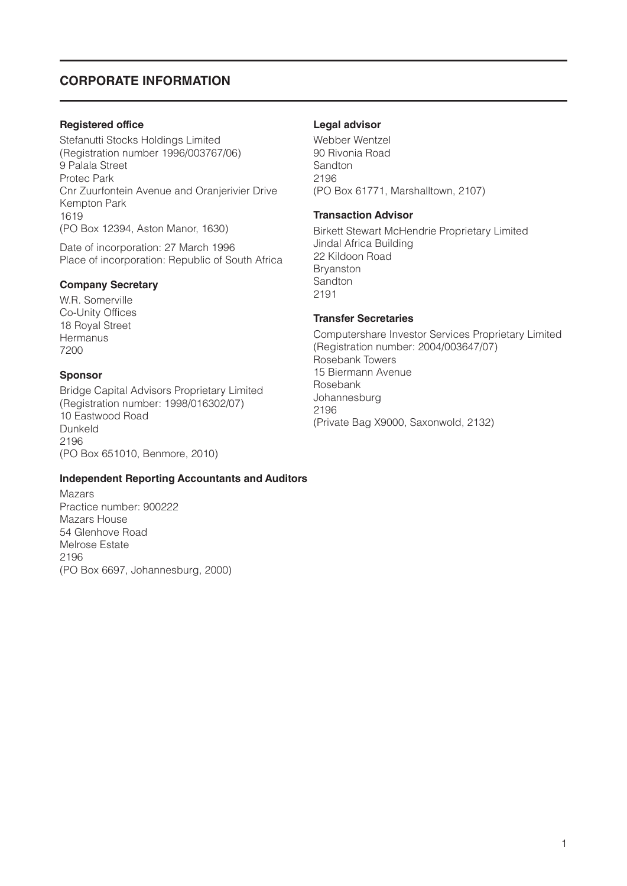# **CORPORATE INFORMATION**

#### **Registered office**

Stefanutti Stocks Holdings Limited (Registration number 1996/003767/06) 9 Palala Street Protec Park Cnr Zuurfontein Avenue and Oranjerivier Drive Kempton Park 1619 (PO Box 12394, Aston Manor, 1630)

Date of incorporation: 27 March 1996 Place of incorporation: Republic of South Africa

#### **Company Secretary**

W.R. Somerville Co-Unity Offices 18 Royal Street **Hermanus** 7200

#### **Sponsor**

Bridge Capital Advisors Proprietary Limited (Registration number: 1998/016302/07) 10 Eastwood Road Dunkeld 2196 (PO Box 651010, Benmore, 2010)

### **Independent Reporting Accountants and Auditors**

Mazars Practice number: 900222 Mazars House 54 Glenhove Road Melrose Estate 2196 (PO Box 6697, Johannesburg, 2000)

#### **Legal advisor**

Webber Wentzel 90 Rivonia Road Sandton 2196 (PO Box 61771, Marshalltown, 2107)

#### **Transaction Advisor**

Birkett Stewart McHendrie Proprietary Limited Jindal Africa Building 22 Kildoon Road Bryanston Sandton 2191

#### **Transfer Secretaries**

Computershare Investor Services Proprietary Limited (Registration number: 2004/003647/07) Rosebank Towers 15 Biermann Avenue Rosebank Johannesburg 2196 (Private Bag X9000, Saxonwold, 2132)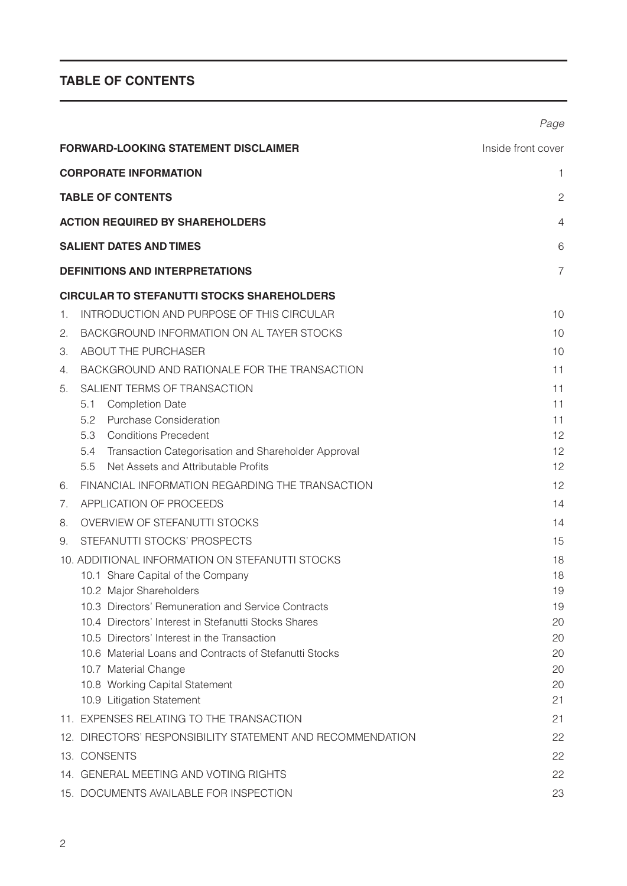# **TABLE OF CONTENTS**

|    |                                                                                                       | Page               |
|----|-------------------------------------------------------------------------------------------------------|--------------------|
|    | <b>FORWARD-LOOKING STATEMENT DISCLAIMER</b>                                                           | Inside front cover |
|    | <b>CORPORATE INFORMATION</b>                                                                          | 1                  |
|    | <b>TABLE OF CONTENTS</b>                                                                              | $\mathbf{2}$       |
|    | <b>ACTION REQUIRED BY SHAREHOLDERS</b>                                                                | 4                  |
|    | <b>SALIENT DATES AND TIMES</b>                                                                        | 6                  |
|    | <b>DEFINITIONS AND INTERPRETATIONS</b>                                                                | $\overline{7}$     |
|    | <b>CIRCULAR TO STEFANUTTI STOCKS SHAREHOLDERS</b>                                                     |                    |
| 1. | INTRODUCTION AND PURPOSE OF THIS CIRCULAR                                                             | 10                 |
| 2. | BACKGROUND INFORMATION ON AL TAYER STOCKS                                                             | 10                 |
| 3. | ABOUT THE PURCHASER                                                                                   | 10                 |
| 4. | BACKGROUND AND RATIONALE FOR THE TRANSACTION                                                          | 11                 |
| 5. | SALIENT TERMS OF TRANSACTION                                                                          | 11                 |
|    | 5.1<br><b>Completion Date</b>                                                                         | 11                 |
|    | <b>Purchase Consideration</b><br>5.2                                                                  | 11                 |
|    | <b>Conditions Precedent</b><br>5.3                                                                    | 12                 |
|    | 5.4 Transaction Categorisation and Shareholder Approval                                               | 12                 |
|    | 5.5<br>Net Assets and Attributable Profits                                                            | 12                 |
| 6. | FINANCIAL INFORMATION REGARDING THE TRANSACTION                                                       | 12                 |
| 7. | APPLICATION OF PROCEEDS                                                                               | 14                 |
| 8. | OVERVIEW OF STEFANUTTI STOCKS                                                                         | 14                 |
| 9. | STEFANUTTI STOCKS' PROSPECTS                                                                          | 15                 |
|    | 10. ADDITIONAL INFORMATION ON STEFANUTTI STOCKS                                                       | 18                 |
|    | 10.1 Share Capital of the Company                                                                     | 18                 |
|    | 10.2 Major Shareholders                                                                               | 19                 |
|    | 10.3 Directors' Remuneration and Service Contracts                                                    | 19                 |
|    | 10.4 Directors' Interest in Stefanutti Stocks Shares                                                  | 20                 |
|    | 10.5 Directors' Interest in the Transaction<br>10.6 Material Loans and Contracts of Stefanutti Stocks | 20                 |
|    | 10.7 Material Change                                                                                  | 20<br>20           |
|    | 10.8 Working Capital Statement                                                                        | 20                 |
|    | 10.9 Litigation Statement                                                                             | 21                 |
|    | 11. EXPENSES RELATING TO THE TRANSACTION                                                              | 21                 |
|    | 12. DIRECTORS' RESPONSIBILITY STATEMENT AND RECOMMENDATION                                            | 22                 |
|    | 13. CONSENTS                                                                                          | 22                 |
|    | 14. GENERAL MEETING AND VOTING RIGHTS                                                                 | 22                 |
|    | 15. DOCUMENTS AVAILABLE FOR INSPECTION                                                                | 23                 |
|    |                                                                                                       |                    |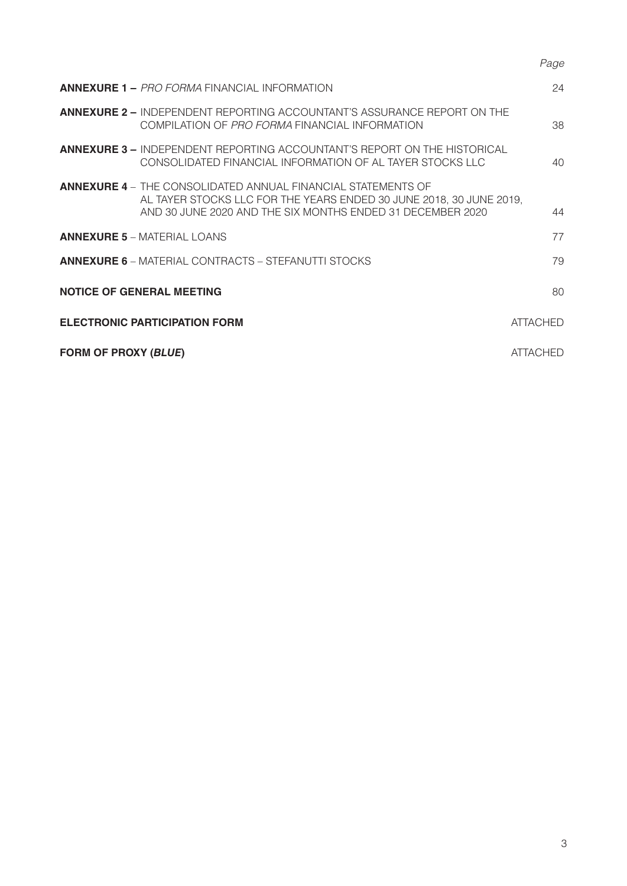|                                                                                                                                                                                                          | Page            |
|----------------------------------------------------------------------------------------------------------------------------------------------------------------------------------------------------------|-----------------|
| <b>ANNEXURE 1 – PRO FORMA FINANCIAL INFORMATION</b>                                                                                                                                                      | 24              |
| <b>ANNEXURE 2 - INDEPENDENT REPORTING ACCOUNTANT'S ASSURANCE REPORT ON THE</b><br>COMPILATION OF PRO FORMA FINANCIAL INFORMATION                                                                         | 38              |
| <b>ANNEXURE 3 - INDEPENDENT REPORTING ACCOUNTANT'S REPORT ON THE HISTORICAL</b><br>CONSOLIDATED FINANCIAL INFORMATION OF AL TAYER STOCKS LLC                                                             | 40              |
| <b>ANNEXURE 4</b> – THE CONSOLIDATED ANNUAL FINANCIAL STATEMENTS OF<br>AL TAYER STOCKS LLC FOR THE YEARS ENDED 30 JUNE 2018, 30 JUNE 2019,<br>AND 30 JUNE 2020 AND THE SIX MONTHS ENDED 31 DECEMBER 2020 | 44              |
| <b>ANNEXURE 5 - MATERIAL LOANS</b>                                                                                                                                                                       | 77              |
| <b>ANNEXURE 6</b> – MATERIAL CONTRACTS – STEFANUTTI STOCKS                                                                                                                                               | 79              |
| <b>NOTICE OF GENERAL MEETING</b>                                                                                                                                                                         | 80              |
| <b>ELECTRONIC PARTICIPATION FORM</b>                                                                                                                                                                     | <b>ATTACHED</b> |
| <b>FORM OF PROXY (BLUE)</b>                                                                                                                                                                              | <b>ATTACHED</b> |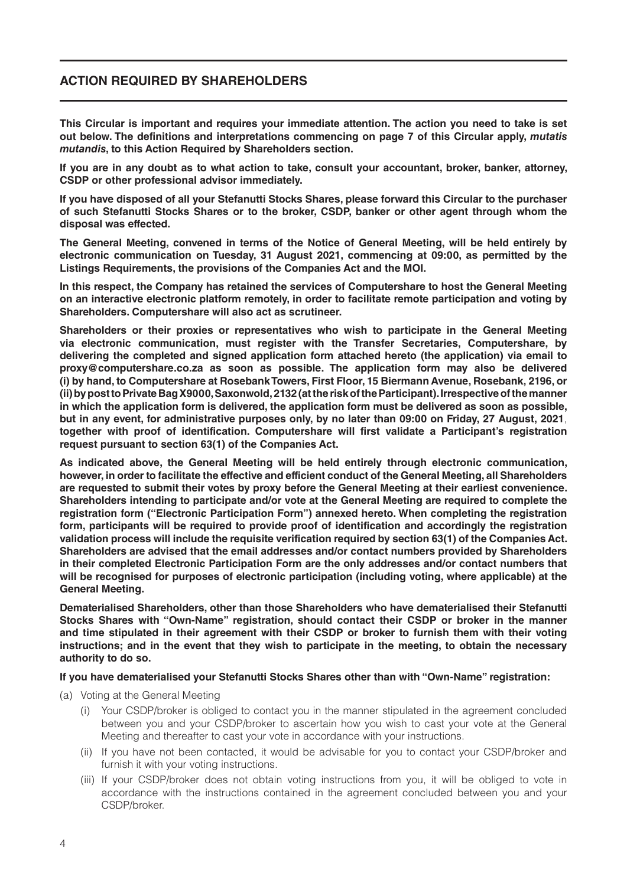## **ACTION REQUIRED BY SHAREHOLDERS**

**This Circular is important and requires your immediate attention. The action you need to take is set out below. The definitions and interpretations commencing on page 7 of this Circular apply,** *mutatis mutandis***, to this Action Required by Shareholders section.**

**If you are in any doubt as to what action to take, consult your accountant, broker, banker, attorney, CSDP or other professional advisor immediately.**

**If you have disposed of all your Stefanutti Stocks Shares, please forward this Circular to the purchaser of such Stefanutti Stocks Shares or to the broker, CSDP, banker or other agent through whom the disposal was effected.**

**The General Meeting, convened in terms of the Notice of General Meeting, will be held entirely by electronic communication on Tuesday, 31 August 2021, commencing at 09:00, as permitted by the Listings Requirements, the provisions of the Companies Act and the MOI.**

**In this respect, the Company has retained the services of Computershare to host the General Meeting on an interactive electronic platform remotely, in order to facilitate remote participation and voting by Shareholders. Computershare will also act as scrutineer.**

**Shareholders or their proxies or representatives who wish to participate in the General Meeting via electronic communication, must register with the Transfer Secretaries, Computershare, by delivering the completed and signed application form attached hereto (the application) via email to proxy@computershare.co.za as soon as possible. The application form may also be delivered (i) by hand, to Computershare at Rosebank Towers, First Floor, 15 Biermann Avenue, Rosebank, 2196, or (ii) by post to Private Bag X9000, Saxonwold, 2132 (at the risk of the Participant). Irrespective of the manner in which the application form is delivered, the application form must be delivered as soon as possible, but in any event, for administrative purposes only, by no later than 09:00 on Friday, 27 August, 2021**, **together with proof of identification. Computershare will first validate a Participant's registration request pursuant to section 63(1) of the Companies Act.**

**As indicated above, the General Meeting will be held entirely through electronic communication, however, in order to facilitate the effective and efficient conduct of the General Meeting, all Shareholders are requested to submit their votes by proxy before the General Meeting at their earliest convenience. Shareholders intending to participate and/or vote at the General Meeting are required to complete the registration form ("Electronic Participation Form") annexed hereto. When completing the registration form, participants will be required to provide proof of identification and accordingly the registration validation process will include the requisite verification required by section 63(1) of the Companies Act. Shareholders are advised that the email addresses and/or contact numbers provided by Shareholders in their completed Electronic Participation Form are the only addresses and/or contact numbers that will be recognised for purposes of electronic participation (including voting, where applicable) at the General Meeting.**

**Dematerialised Shareholders, other than those Shareholders who have dematerialised their Stefanutti Stocks Shares with "Own-Name" registration, should contact their CSDP or broker in the manner and time stipulated in their agreement with their CSDP or broker to furnish them with their voting instructions; and in the event that they wish to participate in the meeting, to obtain the necessary authority to do so.**

**If you have dematerialised your Stefanutti Stocks Shares other than with "Own-Name" registration:**

- (a) Voting at the General Meeting
	- (i) Your CSDP/broker is obliged to contact you in the manner stipulated in the agreement concluded between you and your CSDP/broker to ascertain how you wish to cast your vote at the General Meeting and thereafter to cast your vote in accordance with your instructions.
	- (ii) If you have not been contacted, it would be advisable for you to contact your CSDP/broker and furnish it with your voting instructions.
	- (iii) If your CSDP/broker does not obtain voting instructions from you, it will be obliged to vote in accordance with the instructions contained in the agreement concluded between you and your CSDP/broker.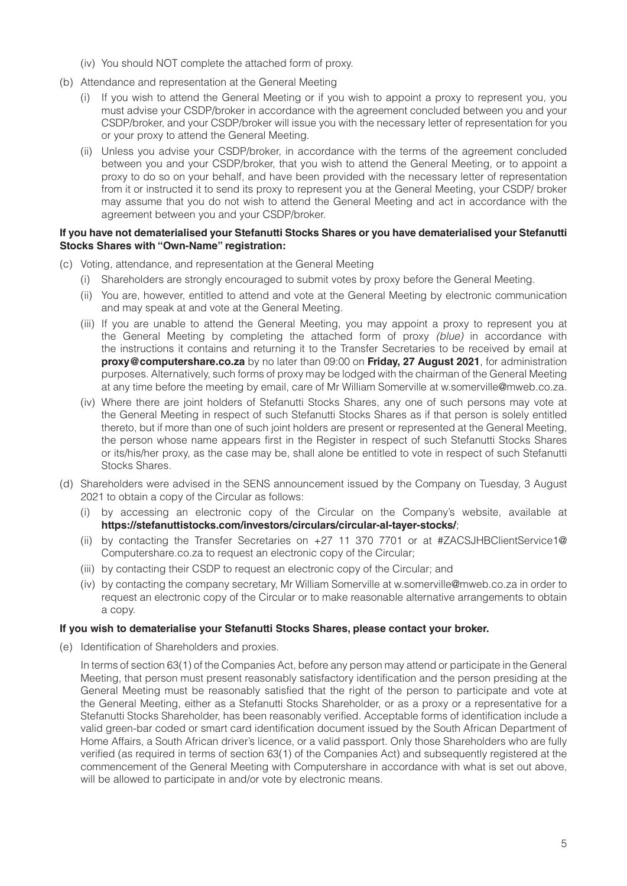- (iv) You should NOT complete the attached form of proxy.
- (b) Attendance and representation at the General Meeting
	- (i) If you wish to attend the General Meeting or if you wish to appoint a proxy to represent you, you must advise your CSDP/broker in accordance with the agreement concluded between you and your CSDP/broker, and your CSDP/broker will issue you with the necessary letter of representation for you or your proxy to attend the General Meeting.
	- (ii) Unless you advise your CSDP/broker, in accordance with the terms of the agreement concluded between you and your CSDP/broker, that you wish to attend the General Meeting, or to appoint a proxy to do so on your behalf, and have been provided with the necessary letter of representation from it or instructed it to send its proxy to represent you at the General Meeting, your CSDP/ broker may assume that you do not wish to attend the General Meeting and act in accordance with the agreement between you and your CSDP/broker.

#### **If you have not dematerialised your Stefanutti Stocks Shares or you have dematerialised your Stefanutti Stocks Shares with "Own-Name" registration:**

- (c) Voting, attendance, and representation at the General Meeting
	- (i) Shareholders are strongly encouraged to submit votes by proxy before the General Meeting.
	- (ii) You are, however, entitled to attend and vote at the General Meeting by electronic communication and may speak at and vote at the General Meeting.
	- (iii) If you are unable to attend the General Meeting, you may appoint a proxy to represent you at the General Meeting by completing the attached form of proxy *(blue)* in accordance with the instructions it contains and returning it to the Transfer Secretaries to be received by email at **proxy@computershare.co.za** by no later than 09:00 on **Friday, 27 August 2021**, for administration purposes. Alternatively, such forms of proxy may be lodged with the chairman of the General Meeting at any time before the meeting by email, care of Mr William Somerville at w.somerville@mweb.co.za.
	- (iv) Where there are joint holders of Stefanutti Stocks Shares, any one of such persons may vote at the General Meeting in respect of such Stefanutti Stocks Shares as if that person is solely entitled thereto, but if more than one of such joint holders are present or represented at the General Meeting, the person whose name appears first in the Register in respect of such Stefanutti Stocks Shares or its/his/her proxy, as the case may be, shall alone be entitled to vote in respect of such Stefanutti Stocks Shares.
- (d) Shareholders were advised in the SENS announcement issued by the Company on Tuesday, 3 August 2021 to obtain a copy of the Circular as follows:
	- (i) by accessing an electronic copy of the Circular on the Company's website, available at **https://stefanuttistocks.com/investors/circulars/circular-al-tayer-stocks/**;
	- (ii) by contacting the Transfer Secretaries on +27 11 370 7701 or at #ZACSJHBClientService1@ Computershare.co.za to request an electronic copy of the Circular;
	- (iii) by contacting their CSDP to request an electronic copy of the Circular; and
	- (iv) by contacting the company secretary, Mr William Somerville at w.somerville@mweb.co.za in order to request an electronic copy of the Circular or to make reasonable alternative arrangements to obtain a copy.

#### **If you wish to dematerialise your Stefanutti Stocks Shares, please contact your broker.**

(e) Identification of Shareholders and proxies.

In terms of section 63(1) of the Companies Act, before any person may attend or participate in the General Meeting, that person must present reasonably satisfactory identification and the person presiding at the General Meeting must be reasonably satisfied that the right of the person to participate and vote at the General Meeting, either as a Stefanutti Stocks Shareholder, or as a proxy or a representative for a Stefanutti Stocks Shareholder, has been reasonably verified. Acceptable forms of identification include a valid green-bar coded or smart card identification document issued by the South African Department of Home Affairs, a South African driver's licence, or a valid passport. Only those Shareholders who are fully verified (as required in terms of section 63(1) of the Companies Act) and subsequently registered at the commencement of the General Meeting with Computershare in accordance with what is set out above, will be allowed to participate in and/or vote by electronic means.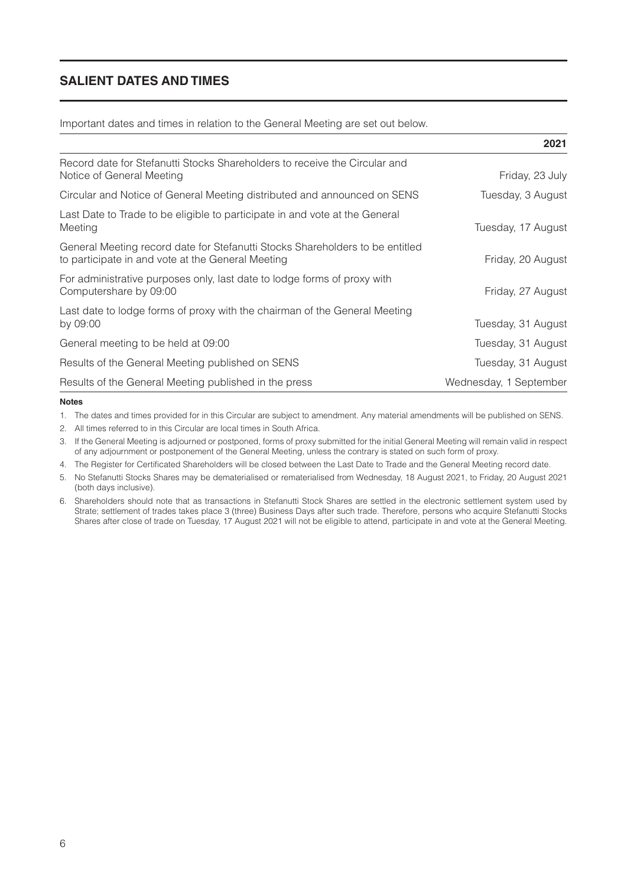## **SALIENT DATES AND TIMES**

Important dates and times in relation to the General Meeting are set out below.

|                                                                                                                                    | 2021                   |
|------------------------------------------------------------------------------------------------------------------------------------|------------------------|
| Record date for Stefanutti Stocks Shareholders to receive the Circular and<br>Notice of General Meeting                            | Friday, 23 July        |
| Circular and Notice of General Meeting distributed and announced on SENS                                                           | Tuesday, 3 August      |
| Last Date to Trade to be eligible to participate in and vote at the General<br>Meeting                                             | Tuesday, 17 August     |
| General Meeting record date for Stefanutti Stocks Shareholders to be entitled<br>to participate in and vote at the General Meeting | Friday, 20 August      |
| For administrative purposes only, last date to lodge forms of proxy with<br>Computershare by 09:00                                 | Friday, 27 August      |
| Last date to lodge forms of proxy with the chairman of the General Meeting<br>by 09:00                                             | Tuesday, 31 August     |
| General meeting to be held at 09:00                                                                                                | Tuesday, 31 August     |
| Results of the General Meeting published on SENS                                                                                   | Tuesday, 31 August     |
| Results of the General Meeting published in the press                                                                              | Wednesday, 1 September |

#### **Notes**

1. The dates and times provided for in this Circular are subject to amendment. Any material amendments will be published on SENS.

2. All times referred to in this Circular are local times in South Africa.

3. If the General Meeting is adjourned or postponed, forms of proxy submitted for the initial General Meeting will remain valid in respect of any adjournment or postponement of the General Meeting, unless the contrary is stated on such form of proxy.

4. The Register for Certificated Shareholders will be closed between the Last Date to Trade and the General Meeting record date.

5. No Stefanutti Stocks Shares may be dematerialised or rematerialised from Wednesday, 18 August 2021, to Friday, 20 August 2021 (both days inclusive).

6. Shareholders should note that as transactions in Stefanutti Stock Shares are settled in the electronic settlement system used by Strate; settlement of trades takes place 3 (three) Business Days after such trade. Therefore, persons who acquire Stefanutti Stocks Shares after close of trade on Tuesday, 17 August 2021 will not be eligible to attend, participate in and vote at the General Meeting.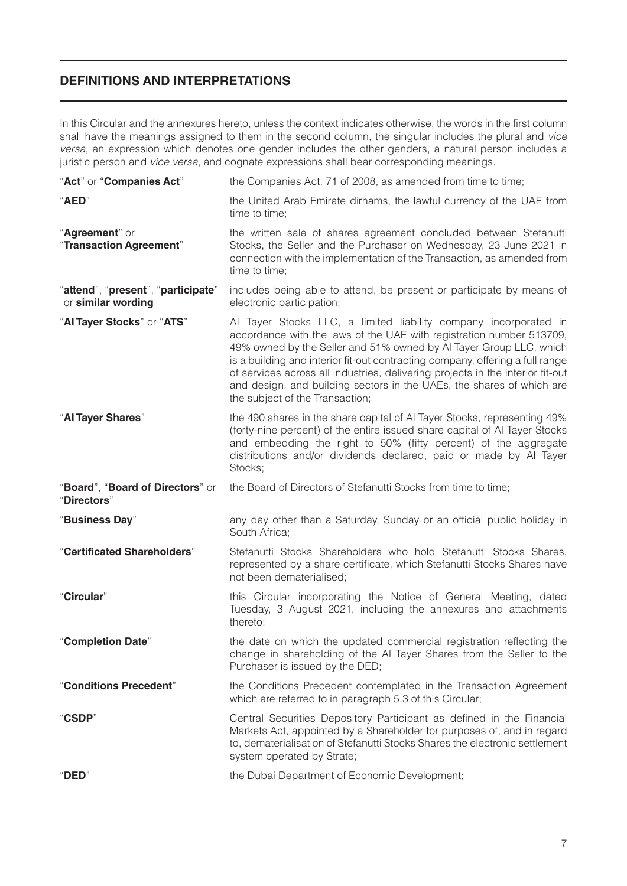# **DEFINITIONS AND INTERPRETATIONS**

In this Circular and the annexures hereto, unless the context indicates otherwise, the words in the first column shall have the meanings assigned to them in the second column, the singular includes the plural and *vice versa*, an expression which denotes one gender includes the other genders, a natural person includes a juristic person and *vice versa*, and cognate expressions shall bear corresponding meanings.

| "Act" or "Companies Act"                                 | the Companies Act, 71 of 2008, as amended from time to time;                                                                                                                                                                                                                                                                                                                                                                                                                                  |
|----------------------------------------------------------|-----------------------------------------------------------------------------------------------------------------------------------------------------------------------------------------------------------------------------------------------------------------------------------------------------------------------------------------------------------------------------------------------------------------------------------------------------------------------------------------------|
| "AED"                                                    | the United Arab Emirate dirhams, the lawful currency of the UAE from<br>time to time;                                                                                                                                                                                                                                                                                                                                                                                                         |
| "Agreement" or<br>"Transaction Agreement"                | the written sale of shares agreement concluded between Stefanutti<br>Stocks, the Seller and the Purchaser on Wednesday, 23 June 2021 in<br>connection with the implementation of the Transaction, as amended from<br>time to time;                                                                                                                                                                                                                                                            |
| "attend", "present", "participate"<br>or similar wording | includes being able to attend, be present or participate by means of<br>electronic participation;                                                                                                                                                                                                                                                                                                                                                                                             |
| "Al Tayer Stocks" or "ATS"                               | Al Tayer Stocks LLC, a limited liability company incorporated in<br>accordance with the laws of the UAE with registration number 513709,<br>49% owned by the Seller and 51% owned by Al Tayer Group LLC, which<br>is a building and interior fit-out contracting company, offering a full range<br>of services across all industries, delivering projects in the interior fit-out<br>and design, and building sectors in the UAEs, the shares of which are<br>the subject of the Transaction; |
| "Al Tayer Shares"                                        | the 490 shares in the share capital of Al Tayer Stocks, representing 49%<br>(forty-nine percent) of the entire issued share capital of AI Tayer Stocks<br>and embedding the right to 50% (fifty percent) of the aggregate<br>distributions and/or dividends declared, paid or made by Al Tayer<br>Stocks;                                                                                                                                                                                     |
| "Board", "Board of Directors" or<br>"Directors"          | the Board of Directors of Stefanutti Stocks from time to time;                                                                                                                                                                                                                                                                                                                                                                                                                                |
| "Business Day"                                           | any day other than a Saturday, Sunday or an official public holiday in<br>South Africa;                                                                                                                                                                                                                                                                                                                                                                                                       |
| "Certificated Shareholders"                              | Stefanutti Stocks Shareholders who hold Stefanutti Stocks Shares,<br>represented by a share certificate, which Stefanutti Stocks Shares have<br>not been dematerialised;                                                                                                                                                                                                                                                                                                                      |
| "Circular"                                               | this Circular incorporating the Notice of General Meeting, dated<br>Tuesday, 3 August 2021, including the annexures and attachments<br>thereto;                                                                                                                                                                                                                                                                                                                                               |
|                                                          |                                                                                                                                                                                                                                                                                                                                                                                                                                                                                               |
| "Completion Date"                                        | the date on which the updated commercial registration reflecting the<br>change in shareholding of the AI Tayer Shares from the Seller to the<br>Purchaser is issued by the DED;                                                                                                                                                                                                                                                                                                               |
| "Conditions Precedent"                                   | the Conditions Precedent contemplated in the Transaction Agreement<br>which are referred to in paragraph 5.3 of this Circular;                                                                                                                                                                                                                                                                                                                                                                |
| "CSDP"                                                   | Central Securities Depository Participant as defined in the Financial<br>Markets Act, appointed by a Shareholder for purposes of, and in regard<br>to, dematerialisation of Stefanutti Stocks Shares the electronic settlement<br>system operated by Strate;                                                                                                                                                                                                                                  |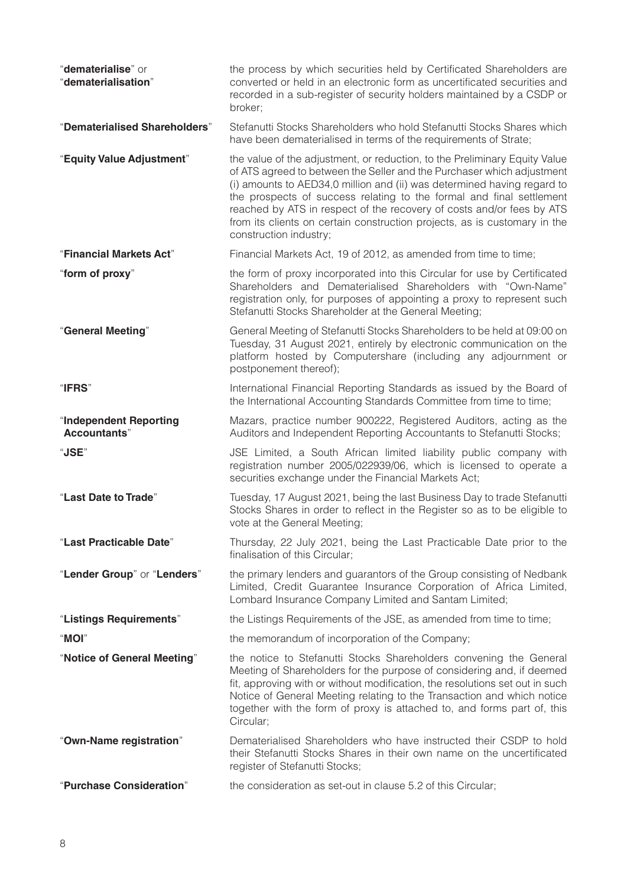| "dematerialise" or<br>"dematerialisation"     | the process by which securities held by Certificated Shareholders are<br>converted or held in an electronic form as uncertificated securities and<br>recorded in a sub-register of security holders maintained by a CSDP or<br>broker;                                                                                                                                                                                                                                                  |
|-----------------------------------------------|-----------------------------------------------------------------------------------------------------------------------------------------------------------------------------------------------------------------------------------------------------------------------------------------------------------------------------------------------------------------------------------------------------------------------------------------------------------------------------------------|
| "Dematerialised Shareholders"                 | Stefanutti Stocks Shareholders who hold Stefanutti Stocks Shares which<br>have been dematerialised in terms of the requirements of Strate;                                                                                                                                                                                                                                                                                                                                              |
| "Equity Value Adjustment"                     | the value of the adjustment, or reduction, to the Preliminary Equity Value<br>of ATS agreed to between the Seller and the Purchaser which adjustment<br>(i) amounts to AED34,0 million and (ii) was determined having regard to<br>the prospects of success relating to the formal and final settlement<br>reached by ATS in respect of the recovery of costs and/or fees by ATS<br>from its clients on certain construction projects, as is customary in the<br>construction industry; |
| "Financial Markets Act"                       | Financial Markets Act, 19 of 2012, as amended from time to time;                                                                                                                                                                                                                                                                                                                                                                                                                        |
| "form of proxy"                               | the form of proxy incorporated into this Circular for use by Certificated<br>Shareholders and Dematerialised Shareholders with "Own-Name"<br>registration only, for purposes of appointing a proxy to represent such<br>Stefanutti Stocks Shareholder at the General Meeting;                                                                                                                                                                                                           |
| "General Meeting"                             | General Meeting of Stefanutti Stocks Shareholders to be held at 09:00 on<br>Tuesday, 31 August 2021, entirely by electronic communication on the<br>platform hosted by Computershare (including any adjournment or<br>postponement thereof);                                                                                                                                                                                                                                            |
| "IFRS"                                        | International Financial Reporting Standards as issued by the Board of<br>the International Accounting Standards Committee from time to time;                                                                                                                                                                                                                                                                                                                                            |
| "Independent Reporting<br><b>Accountants"</b> | Mazars, practice number 900222, Registered Auditors, acting as the<br>Auditors and Independent Reporting Accountants to Stefanutti Stocks;                                                                                                                                                                                                                                                                                                                                              |
| "JSE"                                         | JSE Limited, a South African limited liability public company with<br>registration number 2005/022939/06, which is licensed to operate a<br>securities exchange under the Financial Markets Act;                                                                                                                                                                                                                                                                                        |
| "Last Date to Trade"                          | Tuesday, 17 August 2021, being the last Business Day to trade Stefanutti<br>Stocks Shares in order to reflect in the Register so as to be eligible to<br>vote at the General Meeting;                                                                                                                                                                                                                                                                                                   |
| "Last Practicable Date"                       | Thursday, 22 July 2021, being the Last Practicable Date prior to the<br>finalisation of this Circular;                                                                                                                                                                                                                                                                                                                                                                                  |
| "Lender Group" or "Lenders"                   | the primary lenders and guarantors of the Group consisting of Nedbank<br>Limited, Credit Guarantee Insurance Corporation of Africa Limited,<br>Lombard Insurance Company Limited and Santam Limited;                                                                                                                                                                                                                                                                                    |
| "Listings Requirements"                       | the Listings Requirements of the JSE, as amended from time to time;                                                                                                                                                                                                                                                                                                                                                                                                                     |
| "MOI"                                         | the memorandum of incorporation of the Company;                                                                                                                                                                                                                                                                                                                                                                                                                                         |
| "Notice of General Meeting"                   | the notice to Stefanutti Stocks Shareholders convening the General<br>Meeting of Shareholders for the purpose of considering and, if deemed<br>fit, approving with or without modification, the resolutions set out in such<br>Notice of General Meeting relating to the Transaction and which notice<br>together with the form of proxy is attached to, and forms part of, this<br>Circular;                                                                                           |
| "Own-Name registration"                       | Dematerialised Shareholders who have instructed their CSDP to hold<br>their Stefanutti Stocks Shares in their own name on the uncertificated<br>register of Stefanutti Stocks;                                                                                                                                                                                                                                                                                                          |
| "Purchase Consideration"                      | the consideration as set-out in clause 5.2 of this Circular;                                                                                                                                                                                                                                                                                                                                                                                                                            |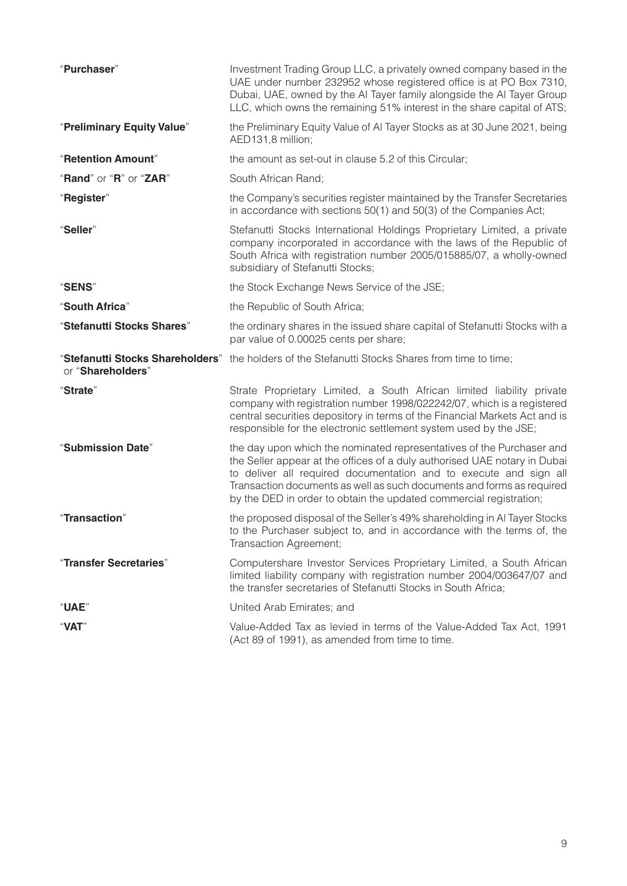| "Purchaser"                | Investment Trading Group LLC, a privately owned company based in the<br>UAE under number 232952 whose registered office is at PO Box 7310,<br>Dubai, UAE, owned by the AI Tayer family alongside the AI Tayer Group<br>LLC, which owns the remaining 51% interest in the share capital of ATS;                                                                         |
|----------------------------|------------------------------------------------------------------------------------------------------------------------------------------------------------------------------------------------------------------------------------------------------------------------------------------------------------------------------------------------------------------------|
| "Preliminary Equity Value" | the Preliminary Equity Value of Al Tayer Stocks as at 30 June 2021, being<br>AED131,8 million;                                                                                                                                                                                                                                                                         |
| "Retention Amount"         | the amount as set-out in clause 5.2 of this Circular;                                                                                                                                                                                                                                                                                                                  |
| "Rand" or "R" or "ZAR"     | South African Rand;                                                                                                                                                                                                                                                                                                                                                    |
| "Register"                 | the Company's securities register maintained by the Transfer Secretaries<br>in accordance with sections 50(1) and 50(3) of the Companies Act;                                                                                                                                                                                                                          |
| "Seller"                   | Stefanutti Stocks International Holdings Proprietary Limited, a private<br>company incorporated in accordance with the laws of the Republic of<br>South Africa with registration number 2005/015885/07, a wholly-owned<br>subsidiary of Stefanutti Stocks;                                                                                                             |
| "SENS"                     | the Stock Exchange News Service of the JSE;                                                                                                                                                                                                                                                                                                                            |
| "South Africa"             | the Republic of South Africa;                                                                                                                                                                                                                                                                                                                                          |
| "Stefanutti Stocks Shares" | the ordinary shares in the issued share capital of Stefanutti Stocks with a<br>par value of 0.00025 cents per share;                                                                                                                                                                                                                                                   |
| or "Shareholders"          | "Stefanutti Stocks Shareholders" the holders of the Stefanutti Stocks Shares from time to time;                                                                                                                                                                                                                                                                        |
| "Strate"                   | Strate Proprietary Limited, a South African limited liability private<br>company with registration number 1998/022242/07, which is a registered<br>central securities depository in terms of the Financial Markets Act and is<br>responsible for the electronic settlement system used by the JSE;                                                                     |
| "Submission Date"          | the day upon which the nominated representatives of the Purchaser and<br>the Seller appear at the offices of a duly authorised UAE notary in Dubai<br>to deliver all required documentation and to execute and sign all<br>Transaction documents as well as such documents and forms as required<br>by the DED in order to obtain the updated commercial registration; |
| "Transaction"              | the proposed disposal of the Seller's 49% shareholding in Al Tayer Stocks<br>to the Purchaser subject to, and in accordance with the terms of, the<br>Transaction Agreement;                                                                                                                                                                                           |
| "Transfer Secretaries"     | Computershare Investor Services Proprietary Limited, a South African<br>limited liability company with registration number 2004/003647/07 and<br>the transfer secretaries of Stefanutti Stocks in South Africa;                                                                                                                                                        |
| "UAE"                      | United Arab Emirates; and                                                                                                                                                                                                                                                                                                                                              |
| "VAT"                      | Value-Added Tax as levied in terms of the Value-Added Tax Act, 1991<br>(Act 89 of 1991), as amended from time to time.                                                                                                                                                                                                                                                 |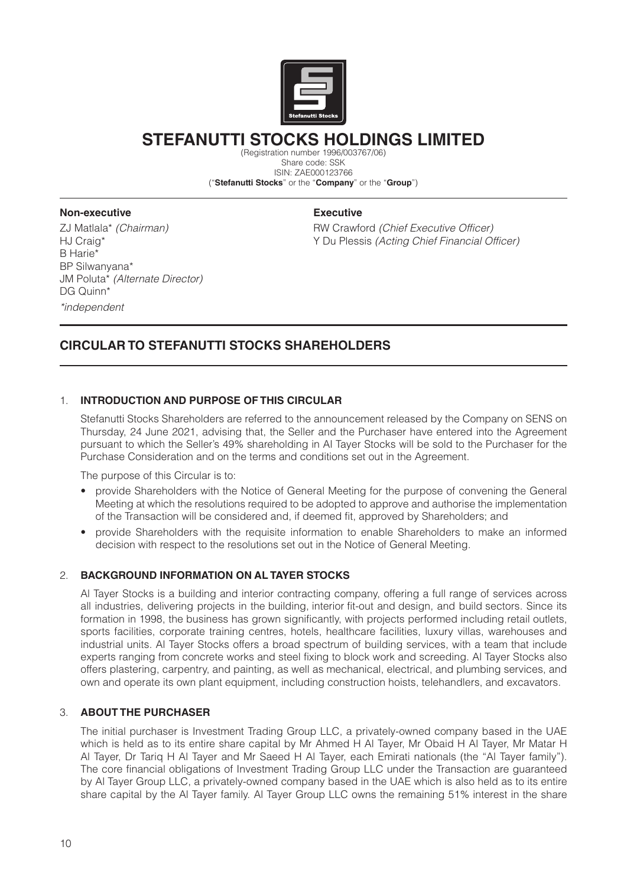

# **STEFANUTTI STOCKS HOLDINGS LIMITED**

(Registration number 1996/003767/06) Share code: SSK ISIN: ZAE000123766 ("**Stefanutti Stocks**" or the "**Company**" or the "**Group**")

#### **Non-executive Executive**

B Harie\* BP Silwanyana\* JM Poluta\* *(Alternate Director)* DG Quinn\* *\*independent*

ZJ Matlala\* *(Chairman)* RW Crawford *(Chief Executive Officer)* HJ Craig\* Y Du Plessis *(Acting Chief Financial Officer)*

# **CIRCULAR TO STEFANUTTI STOCKS SHAREHOLDERS**

#### 1. **INTRODUCTION AND PURPOSE OF THIS CIRCULAR**

Stefanutti Stocks Shareholders are referred to the announcement released by the Company on SENS on Thursday, 24 June 2021, advising that, the Seller and the Purchaser have entered into the Agreement pursuant to which the Seller's 49% shareholding in Al Tayer Stocks will be sold to the Purchaser for the Purchase Consideration and on the terms and conditions set out in the Agreement.

The purpose of this Circular is to:

- provide Shareholders with the Notice of General Meeting for the purpose of convening the General Meeting at which the resolutions required to be adopted to approve and authorise the implementation of the Transaction will be considered and, if deemed fit, approved by Shareholders; and
- provide Shareholders with the requisite information to enable Shareholders to make an informed decision with respect to the resolutions set out in the Notice of General Meeting.

#### 2. **BACKGROUND INFORMATION ON AL TAYER STOCKS**

Al Tayer Stocks is a building and interior contracting company, offering a full range of services across all industries, delivering projects in the building, interior fit-out and design, and build sectors. Since its formation in 1998, the business has grown significantly, with projects performed including retail outlets, sports facilities, corporate training centres, hotels, healthcare facilities, luxury villas, warehouses and industrial units. Al Tayer Stocks offers a broad spectrum of building services, with a team that include experts ranging from concrete works and steel fixing to block work and screeding. Al Tayer Stocks also offers plastering, carpentry, and painting, as well as mechanical, electrical, and plumbing services, and own and operate its own plant equipment, including construction hoists, telehandlers, and excavators.

#### 3. **ABOUT THE PURCHASER**

The initial purchaser is Investment Trading Group LLC, a privately-owned company based in the UAE which is held as to its entire share capital by Mr Ahmed H Al Tayer, Mr Obaid H Al Tayer, Mr Matar H Al Tayer, Dr Tariq H Al Tayer and Mr Saeed H Al Tayer, each Emirati nationals (the "Al Tayer family"). The core financial obligations of Investment Trading Group LLC under the Transaction are guaranteed by Al Tayer Group LLC, a privately-owned company based in the UAE which is also held as to its entire share capital by the Al Tayer family. Al Tayer Group LLC owns the remaining 51% interest in the share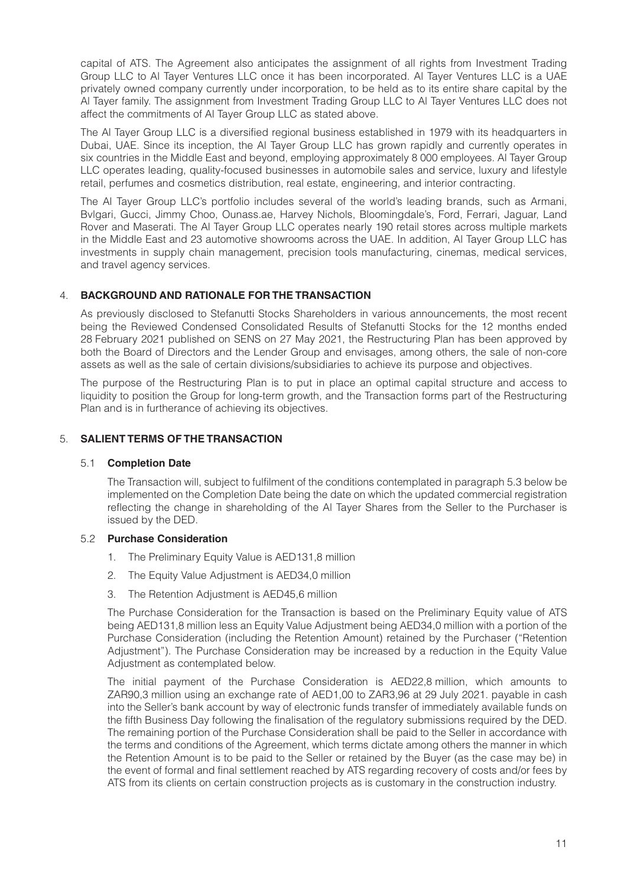capital of ATS. The Agreement also anticipates the assignment of all rights from Investment Trading Group LLC to Al Tayer Ventures LLC once it has been incorporated. Al Tayer Ventures LLC is a UAE privately owned company currently under incorporation, to be held as to its entire share capital by the Al Tayer family. The assignment from Investment Trading Group LLC to Al Tayer Ventures LLC does not affect the commitments of Al Tayer Group LLC as stated above.

The Al Tayer Group LLC is a diversified regional business established in 1979 with its headquarters in Dubai, UAE. Since its inception, the Al Tayer Group LLC has grown rapidly and currently operates in six countries in the Middle East and beyond, employing approximately 8 000 employees. Al Tayer Group LLC operates leading, quality-focused businesses in automobile sales and service, luxury and lifestyle retail, perfumes and cosmetics distribution, real estate, engineering, and interior contracting.

The Al Tayer Group LLC's portfolio includes several of the world's leading brands, such as Armani, Bvlgari, Gucci, Jimmy Choo, Ounass.ae, Harvey Nichols, Bloomingdale's, Ford, Ferrari, Jaguar, Land Rover and Maserati. The Al Tayer Group LLC operates nearly 190 retail stores across multiple markets in the Middle East and 23 automotive showrooms across the UAE. In addition, Al Tayer Group LLC has investments in supply chain management, precision tools manufacturing, cinemas, medical services, and travel agency services.

#### 4. **BACKGROUND AND RATIONALE FOR THE TRANSACTION**

As previously disclosed to Stefanutti Stocks Shareholders in various announcements, the most recent being the Reviewed Condensed Consolidated Results of Stefanutti Stocks for the 12 months ended 28 February 2021 published on SENS on 27 May 2021, the Restructuring Plan has been approved by both the Board of Directors and the Lender Group and envisages, among others*,* the sale of non-core assets as well as the sale of certain divisions/subsidiaries to achieve its purpose and objectives.

The purpose of the Restructuring Plan is to put in place an optimal capital structure and access to liquidity to position the Group for long-term growth, and the Transaction forms part of the Restructuring Plan and is in furtherance of achieving its objectives.

#### 5. **SALIENT TERMS OF THE TRANSACTION**

#### 5.1 **Completion Date**

The Transaction will, subject to fulfilment of the conditions contemplated in paragraph 5.3 below be implemented on the Completion Date being the date on which the updated commercial registration reflecting the change in shareholding of the Al Tayer Shares from the Seller to the Purchaser is issued by the DED.

#### 5.2 **Purchase Consideration**

- 1. The Preliminary Equity Value is AED131,8 million
- 2. The Equity Value Adjustment is AED34,0 million
- 3. The Retention Adjustment is AED45,6 million

The Purchase Consideration for the Transaction is based on the Preliminary Equity value of ATS being AED131,8 million less an Equity Value Adjustment being AED34,0 million with a portion of the Purchase Consideration (including the Retention Amount) retained by the Purchaser ("Retention Adjustment"). The Purchase Consideration may be increased by a reduction in the Equity Value Adjustment as contemplated below.

The initial payment of the Purchase Consideration is AED22,8 million, which amounts to ZAR90,3 million using an exchange rate of AED1,00 to ZAR3,96 at 29 July 2021. payable in cash into the Seller's bank account by way of electronic funds transfer of immediately available funds on the fifth Business Day following the finalisation of the regulatory submissions required by the DED. The remaining portion of the Purchase Consideration shall be paid to the Seller in accordance with the terms and conditions of the Agreement, which terms dictate among others the manner in which the Retention Amount is to be paid to the Seller or retained by the Buyer (as the case may be) in the event of formal and final settlement reached by ATS regarding recovery of costs and/or fees by ATS from its clients on certain construction projects as is customary in the construction industry.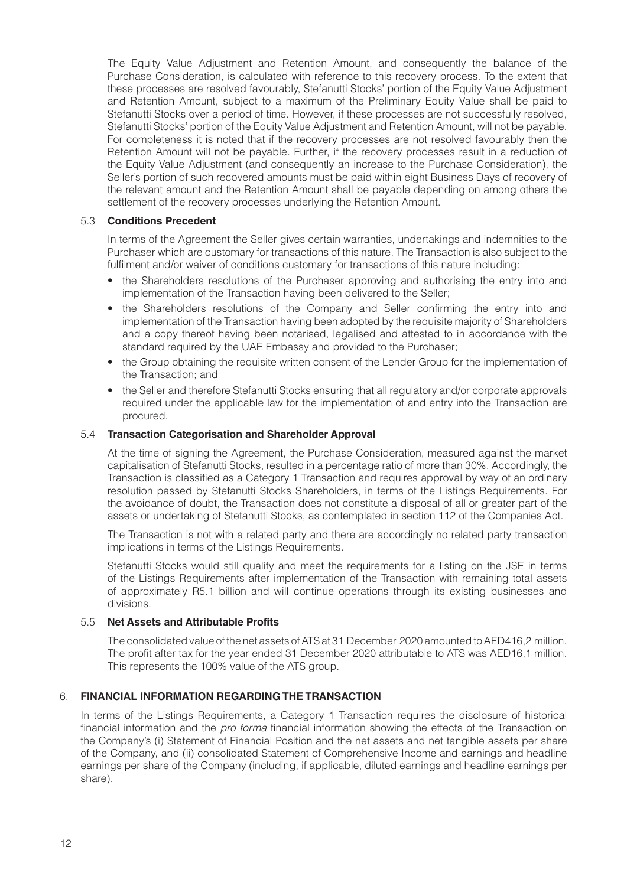The Equity Value Adjustment and Retention Amount, and consequently the balance of the Purchase Consideration, is calculated with reference to this recovery process. To the extent that these processes are resolved favourably, Stefanutti Stocks' portion of the Equity Value Adjustment and Retention Amount, subject to a maximum of the Preliminary Equity Value shall be paid to Stefanutti Stocks over a period of time. However, if these processes are not successfully resolved, Stefanutti Stocks' portion of the Equity Value Adjustment and Retention Amount, will not be payable. For completeness it is noted that if the recovery processes are not resolved favourably then the Retention Amount will not be payable. Further, if the recovery processes result in a reduction of the Equity Value Adjustment (and consequently an increase to the Purchase Consideration), the Seller's portion of such recovered amounts must be paid within eight Business Days of recovery of the relevant amount and the Retention Amount shall be payable depending on among others the settlement of the recovery processes underlying the Retention Amount.

#### 5.3 **Conditions Precedent**

In terms of the Agreement the Seller gives certain warranties, undertakings and indemnities to the Purchaser which are customary for transactions of this nature. The Transaction is also subject to the fulfilment and/or waiver of conditions customary for transactions of this nature including:

- the Shareholders resolutions of the Purchaser approving and authorising the entry into and implementation of the Transaction having been delivered to the Seller;
- the Shareholders resolutions of the Company and Seller confirming the entry into and implementation of the Transaction having been adopted by the requisite majority of Shareholders and a copy thereof having been notarised, legalised and attested to in accordance with the standard required by the UAE Embassy and provided to the Purchaser;
- the Group obtaining the requisite written consent of the Lender Group for the implementation of the Transaction; and
- the Seller and therefore Stefanutti Stocks ensuring that all regulatory and/or corporate approvals required under the applicable law for the implementation of and entry into the Transaction are procured.

#### 5.4 **Transaction Categorisation and Shareholder Approval**

At the time of signing the Agreement, the Purchase Consideration, measured against the market capitalisation of Stefanutti Stocks, resulted in a percentage ratio of more than 30%. Accordingly, the Transaction is classified as a Category 1 Transaction and requires approval by way of an ordinary resolution passed by Stefanutti Stocks Shareholders, in terms of the Listings Requirements. For the avoidance of doubt, the Transaction does not constitute a disposal of all or greater part of the assets or undertaking of Stefanutti Stocks, as contemplated in section 112 of the Companies Act.

The Transaction is not with a related party and there are accordingly no related party transaction implications in terms of the Listings Requirements.

Stefanutti Stocks would still qualify and meet the requirements for a listing on the JSE in terms of the Listings Requirements after implementation of the Transaction with remaining total assets of approximately R5.1 billion and will continue operations through its existing businesses and divisions.

#### 5.5 **Net Assets and Attributable Profits**

The consolidated value of the net assets of ATS at 31 December 2020 amounted to AED416,2 million. The profit after tax for the year ended 31 December 2020 attributable to ATS was AED16,1 million. This represents the 100% value of the ATS group.

#### 6. **FINANCIAL INFORMATION REGARDING THE TRANSACTION**

In terms of the Listings Requirements, a Category 1 Transaction requires the disclosure of historical financial information and the *pro forma* financial information showing the effects of the Transaction on the Company's (i) Statement of Financial Position and the net assets and net tangible assets per share of the Company, and (ii) consolidated Statement of Comprehensive Income and earnings and headline earnings per share of the Company (including, if applicable, diluted earnings and headline earnings per share).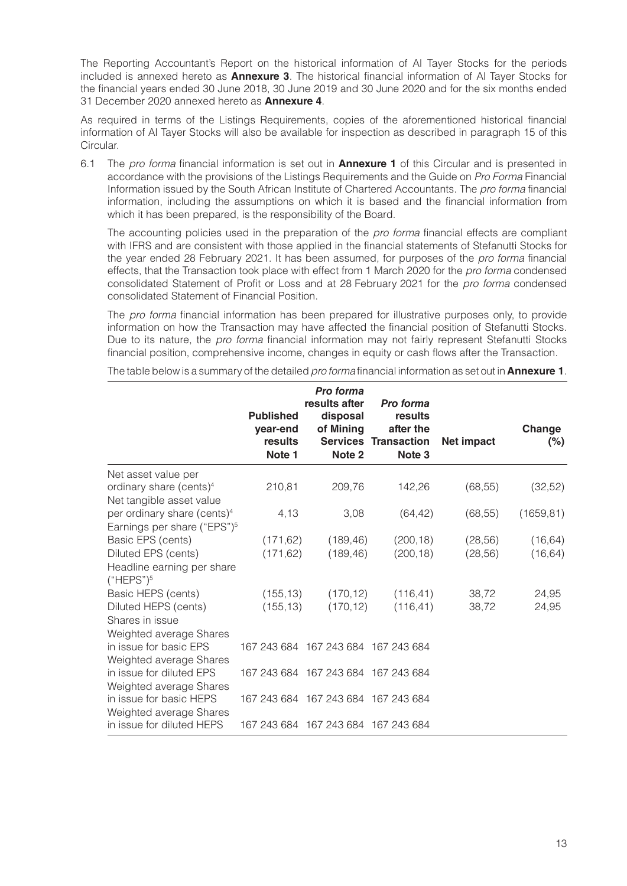The Reporting Accountant's Report on the historical information of Al Tayer Stocks for the periods included is annexed hereto as **Annexure 3**. The historical financial information of Al Tayer Stocks for the financial years ended 30 June 2018, 30 June 2019 and 30 June 2020 and for the six months ended 31 December 2020 annexed hereto as **Annexure 4**.

As required in terms of the Listings Requirements, copies of the aforementioned historical financial information of Al Tayer Stocks will also be available for inspection as described in paragraph 15 of this Circular.

6.1 The *pro forma* financial information is set out in **Annexure 1** of this Circular and is presented in accordance with the provisions of the Listings Requirements and the Guide on *Pro Forma* Financial Information issued by the South African Institute of Chartered Accountants. The *pro forma* financial information, including the assumptions on which it is based and the financial information from which it has been prepared, is the responsibility of the Board.

The accounting policies used in the preparation of the *pro forma* financial effects are compliant with IFRS and are consistent with those applied in the financial statements of Stefanutti Stocks for the year ended 28 February 2021. It has been assumed, for purposes of the *pro forma* financial effects, that the Transaction took place with effect from 1 March 2020 for the *pro forma* condensed consolidated Statement of Profit or Loss and at 28 February 2021 for the *pro forma* condensed consolidated Statement of Financial Position.

The *pro forma* financial information has been prepared for illustrative purposes only, to provide information on how the Transaction may have affected the financial position of Stefanutti Stocks. Due to its nature, the *pro forma* financial information may not fairly represent Stefanutti Stocks financial position, comprehensive income, changes in equity or cash flows after the Transaction.

|                                                      | <b>Published</b><br>year-end<br>results<br>Note 1 | Pro forma<br>results after<br>disposal<br>of Mining<br>Note 2 | Pro forma<br>results<br>after the<br><b>Services Transaction</b><br>Note <sub>3</sub> | Net impact | Change<br>$(\%)$ |
|------------------------------------------------------|---------------------------------------------------|---------------------------------------------------------------|---------------------------------------------------------------------------------------|------------|------------------|
| Net asset value per                                  |                                                   |                                                               |                                                                                       |            |                  |
| ordinary share (cents) <sup>4</sup>                  | 210,81                                            | 209,76                                                        | 142,26                                                                                | (68, 55)   | (32,52)          |
| Net tangible asset value                             |                                                   |                                                               |                                                                                       |            |                  |
| per ordinary share (cents) <sup>4</sup>              | 4,13                                              | 3,08                                                          | (64, 42)                                                                              | (68, 55)   | (1659, 81)       |
| Earnings per share ("EPS") <sup>5</sup>              |                                                   |                                                               |                                                                                       |            |                  |
| Basic EPS (cents)                                    | (171, 62)                                         | (189, 46)                                                     | (200, 18)                                                                             | (28, 56)   | (16, 64)         |
| Diluted EPS (cents)                                  | (171, 62)                                         | (189, 46)                                                     | (200, 18)                                                                             | (28, 56)   | (16, 64)         |
| Headline earning per share<br>$("HEPS")^5$           |                                                   |                                                               |                                                                                       |            |                  |
| Basic HEPS (cents)                                   | (155, 13)                                         | (170, 12)                                                     | (116, 41)                                                                             | 38,72      | 24,95            |
| Diluted HEPS (cents)                                 | (155, 13)                                         | (170, 12)                                                     | (116, 41)                                                                             | 38,72      | 24,95            |
| Shares in issue                                      |                                                   |                                                               |                                                                                       |            |                  |
| Weighted average Shares                              |                                                   |                                                               |                                                                                       |            |                  |
| in issue for basic EPS                               |                                                   | 167 243 684 167 243 684 167 243 684                           |                                                                                       |            |                  |
| Weighted average Shares                              |                                                   |                                                               |                                                                                       |            |                  |
| in issue for diluted EPS                             |                                                   | 167 243 684 167 243 684 167 243 684                           |                                                                                       |            |                  |
| Weighted average Shares                              |                                                   |                                                               |                                                                                       |            |                  |
| in issue for basic HEPS                              |                                                   | 167 243 684 167 243 684 167 243 684                           |                                                                                       |            |                  |
| Weighted average Shares<br>in issue for diluted HEPS |                                                   | 167 243 684 167 243 684 167 243 684                           |                                                                                       |            |                  |
|                                                      |                                                   |                                                               |                                                                                       |            |                  |

The table below is a summary of the detailed *pro forma* financial information as set out in **Annexure 1**.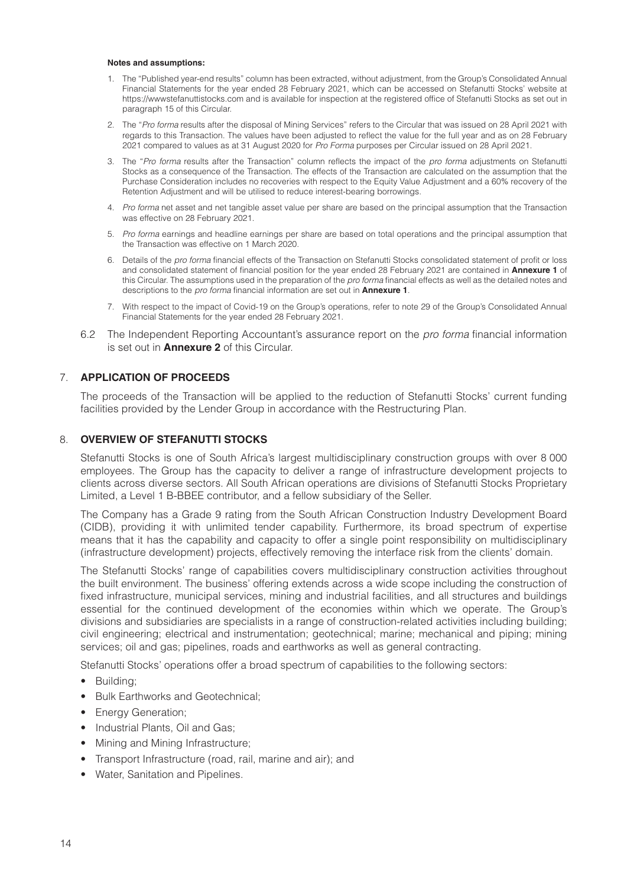#### **Notes and assumptions:**

- 1. The "Published year-end results" column has been extracted, without adjustment, from the Group's Consolidated Annual Financial Statements for the year ended 28 February 2021, which can be accessed on Stefanutti Stocks' website at https://wwwstefanuttistocks.com and is available for inspection at the registered office of Stefanutti Stocks as set out in paragraph 15 of this Circular.
- 2. The "*Pro forma* results after the disposal of Mining Services" refers to the Circular that was issued on 28 April 2021 with regards to this Transaction. The values have been adjusted to reflect the value for the full year and as on 28 February 2021 compared to values as at 31 August 2020 for *Pro Forma* purposes per Circular issued on 28 April 2021.
- 3. The "*Pro forma* results after the Transaction" column reflects the impact of the *pro forma* adjustments on Stefanutti Stocks as a consequence of the Transaction. The effects of the Transaction are calculated on the assumption that the Purchase Consideration includes no recoveries with respect to the Equity Value Adjustment and a 60% recovery of the Retention Adjustment and will be utilised to reduce interest-bearing borrowings.
- 4. *Pro forma* net asset and net tangible asset value per share are based on the principal assumption that the Transaction was effective on 28 February 2021.
- 5. *Pro forma* earnings and headline earnings per share are based on total operations and the principal assumption that the Transaction was effective on 1 March 2020.
- 6. Details of the *pro forma* financial effects of the Transaction on Stefanutti Stocks consolidated statement of profit or loss and consolidated statement of financial position for the year ended 28 February 2021 are contained in **Annexure 1** of this Circular. The assumptions used in the preparation of the *pro forma* financial effects as well as the detailed notes and descriptions to the *pro forma* financial information are set out in **Annexure 1**.
- 7. With respect to the impact of Covid-19 on the Group's operations, refer to note 29 of the Group's Consolidated Annual Financial Statements for the year ended 28 February 2021.
- 6.2 The Independent Reporting Accountant's assurance report on the *pro forma* financial information is set out in **Annexure 2** of this Circular.

#### 7. **APPLICATION OF PROCEEDS**

The proceeds of the Transaction will be applied to the reduction of Stefanutti Stocks' current funding facilities provided by the Lender Group in accordance with the Restructuring Plan.

#### 8. **OVERVIEW OF STEFANUTTI STOCKS**

Stefanutti Stocks is one of South Africa's largest multidisciplinary construction groups with over 8 000 employees. The Group has the capacity to deliver a range of infrastructure development projects to clients across diverse sectors. All South African operations are divisions of Stefanutti Stocks Proprietary Limited, a Level 1 B-BBEE contributor, and a fellow subsidiary of the Seller.

The Company has a Grade 9 rating from the South African Construction Industry Development Board (CIDB), providing it with unlimited tender capability. Furthermore, its broad spectrum of expertise means that it has the capability and capacity to offer a single point responsibility on multidisciplinary (infrastructure development) projects, effectively removing the interface risk from the clients' domain.

The Stefanutti Stocks' range of capabilities covers multidisciplinary construction activities throughout the built environment. The business' offering extends across a wide scope including the construction of fixed infrastructure, municipal services, mining and industrial facilities, and all structures and buildings essential for the continued development of the economies within which we operate. The Group's divisions and subsidiaries are specialists in a range of construction-related activities including building; civil engineering; electrical and instrumentation; geotechnical; marine; mechanical and piping; mining services; oil and gas; pipelines, roads and earthworks as well as general contracting.

Stefanutti Stocks' operations offer a broad spectrum of capabilities to the following sectors:

- Building;
- Bulk Earthworks and Geotechnical;
- **Energy Generation:**
- Industrial Plants, Oil and Gas;
- Mining and Mining Infrastructure;
- Transport Infrastructure (road, rail, marine and air); and
- Water, Sanitation and Pipelines.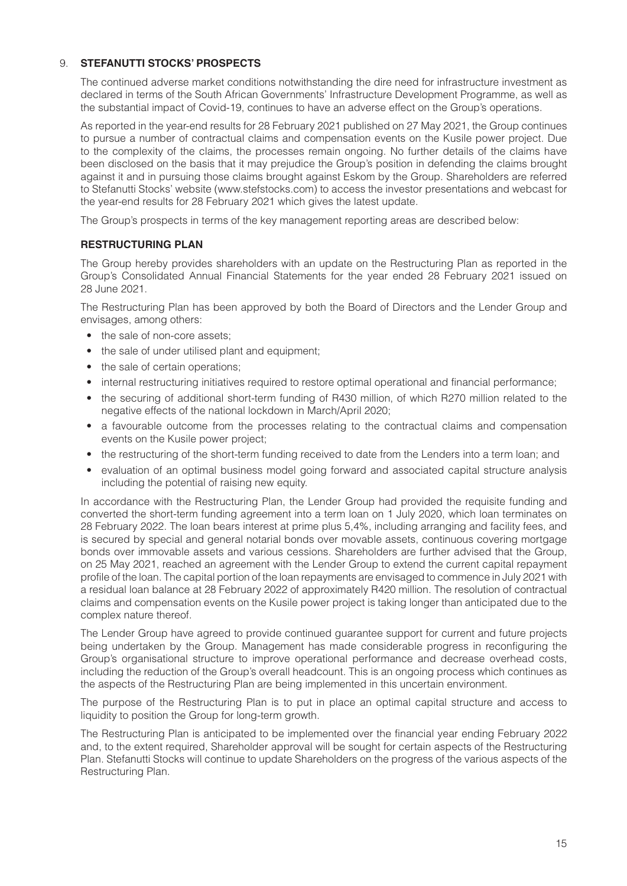#### 9. **STEFANUTTI STOCKS' PROSPECTS**

The continued adverse market conditions notwithstanding the dire need for infrastructure investment as declared in terms of the South African Governments' Infrastructure Development Programme, as well as the substantial impact of Covid-19, continues to have an adverse effect on the Group's operations.

As reported in the year-end results for 28 February 2021 published on 27 May 2021, the Group continues to pursue a number of contractual claims and compensation events on the Kusile power project. Due to the complexity of the claims, the processes remain ongoing. No further details of the claims have been disclosed on the basis that it may prejudice the Group's position in defending the claims brought against it and in pursuing those claims brought against Eskom by the Group. Shareholders are referred to Stefanutti Stocks' website (www.stefstocks.com) to access the investor presentations and webcast for the year-end results for 28 February 2021 which gives the latest update.

The Group's prospects in terms of the key management reporting areas are described below:

#### **RESTRUCTURING PLAN**

The Group hereby provides shareholders with an update on the Restructuring Plan as reported in the Group's Consolidated Annual Financial Statements for the year ended 28 February 2021 issued on 28 June 2021.

The Restructuring Plan has been approved by both the Board of Directors and the Lender Group and envisages, among others:

- the sale of non-core assets;
- the sale of under utilised plant and equipment;
- the sale of certain operations;
- internal restructuring initiatives required to restore optimal operational and financial performance;
- the securing of additional short-term funding of R430 million, of which R270 million related to the negative effects of the national lockdown in March/April 2020;
- a favourable outcome from the processes relating to the contractual claims and compensation events on the Kusile power project;
- the restructuring of the short-term funding received to date from the Lenders into a term loan; and
- evaluation of an optimal business model going forward and associated capital structure analysis including the potential of raising new equity.

In accordance with the Restructuring Plan, the Lender Group had provided the requisite funding and converted the short-term funding agreement into a term loan on 1 July 2020, which loan terminates on 28 February 2022. The loan bears interest at prime plus 5,4%, including arranging and facility fees, and is secured by special and general notarial bonds over movable assets, continuous covering mortgage bonds over immovable assets and various cessions. Shareholders are further advised that the Group, on 25 May 2021, reached an agreement with the Lender Group to extend the current capital repayment profile of the loan. The capital portion of the loan repayments are envisaged to commence in July 2021 with a residual loan balance at 28 February 2022 of approximately R420 million. The resolution of contractual claims and compensation events on the Kusile power project is taking longer than anticipated due to the complex nature thereof.

The Lender Group have agreed to provide continued guarantee support for current and future projects being undertaken by the Group. Management has made considerable progress in reconfiguring the Group's organisational structure to improve operational performance and decrease overhead costs, including the reduction of the Group's overall headcount. This is an ongoing process which continues as the aspects of the Restructuring Plan are being implemented in this uncertain environment.

The purpose of the Restructuring Plan is to put in place an optimal capital structure and access to liquidity to position the Group for long-term growth.

The Restructuring Plan is anticipated to be implemented over the financial year ending February 2022 and, to the extent required, Shareholder approval will be sought for certain aspects of the Restructuring Plan. Stefanutti Stocks will continue to update Shareholders on the progress of the various aspects of the Restructuring Plan.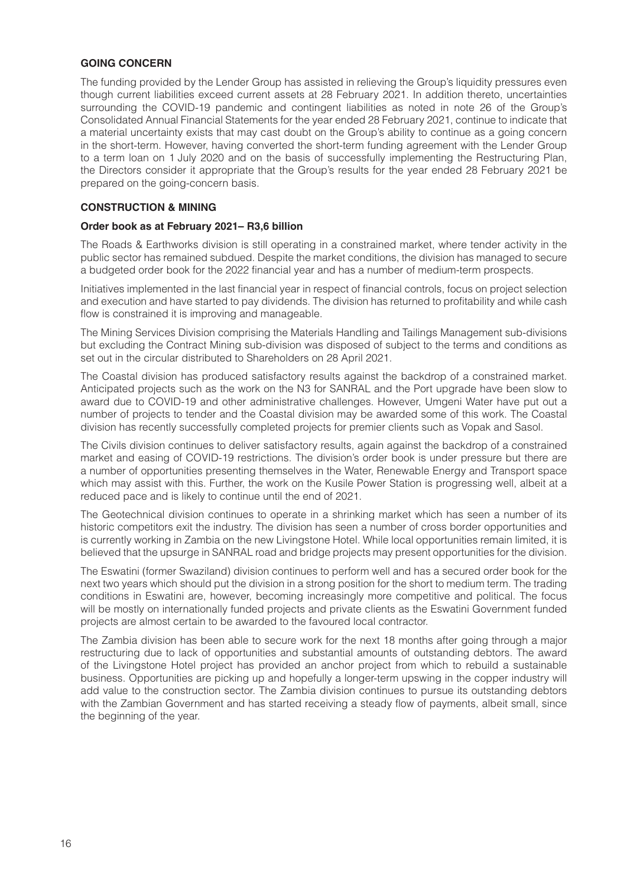#### **GOING CONCERN**

The funding provided by the Lender Group has assisted in relieving the Group's liquidity pressures even though current liabilities exceed current assets at 28 February 2021. In addition thereto, uncertainties surrounding the COVID-19 pandemic and contingent liabilities as noted in note 26 of the Group's Consolidated Annual Financial Statements for the year ended 28 February 2021, continue to indicate that a material uncertainty exists that may cast doubt on the Group's ability to continue as a going concern in the short-term. However, having converted the short-term funding agreement with the Lender Group to a term loan on 1 July 2020 and on the basis of successfully implementing the Restructuring Plan, the Directors consider it appropriate that the Group's results for the year ended 28 February 2021 be prepared on the going-concern basis.

#### **CONSTRUCTION & MINING**

#### **Order book as at February 2021– R3,6 billion**

The Roads & Earthworks division is still operating in a constrained market, where tender activity in the public sector has remained subdued. Despite the market conditions, the division has managed to secure a budgeted order book for the 2022 financial year and has a number of medium-term prospects.

Initiatives implemented in the last financial year in respect of financial controls, focus on project selection and execution and have started to pay dividends. The division has returned to profitability and while cash flow is constrained it is improving and manageable.

The Mining Services Division comprising the Materials Handling and Tailings Management sub-divisions but excluding the Contract Mining sub-division was disposed of subject to the terms and conditions as set out in the circular distributed to Shareholders on 28 April 2021.

The Coastal division has produced satisfactory results against the backdrop of a constrained market. Anticipated projects such as the work on the N3 for SANRAL and the Port upgrade have been slow to award due to COVID-19 and other administrative challenges. However, Umgeni Water have put out a number of projects to tender and the Coastal division may be awarded some of this work. The Coastal division has recently successfully completed projects for premier clients such as Vopak and Sasol.

The Civils division continues to deliver satisfactory results, again against the backdrop of a constrained market and easing of COVID-19 restrictions. The division's order book is under pressure but there are a number of opportunities presenting themselves in the Water, Renewable Energy and Transport space which may assist with this. Further, the work on the Kusile Power Station is progressing well, albeit at a reduced pace and is likely to continue until the end of 2021.

The Geotechnical division continues to operate in a shrinking market which has seen a number of its historic competitors exit the industry. The division has seen a number of cross border opportunities and is currently working in Zambia on the new Livingstone Hotel. While local opportunities remain limited, it is believed that the upsurge in SANRAL road and bridge projects may present opportunities for the division.

The Eswatini (former Swaziland) division continues to perform well and has a secured order book for the next two years which should put the division in a strong position for the short to medium term. The trading conditions in Eswatini are, however, becoming increasingly more competitive and political. The focus will be mostly on internationally funded projects and private clients as the Eswatini Government funded projects are almost certain to be awarded to the favoured local contractor.

The Zambia division has been able to secure work for the next 18 months after going through a major restructuring due to lack of opportunities and substantial amounts of outstanding debtors. The award of the Livingstone Hotel project has provided an anchor project from which to rebuild a sustainable business. Opportunities are picking up and hopefully a longer-term upswing in the copper industry will add value to the construction sector. The Zambia division continues to pursue its outstanding debtors with the Zambian Government and has started receiving a steady flow of payments, albeit small, since the beginning of the year.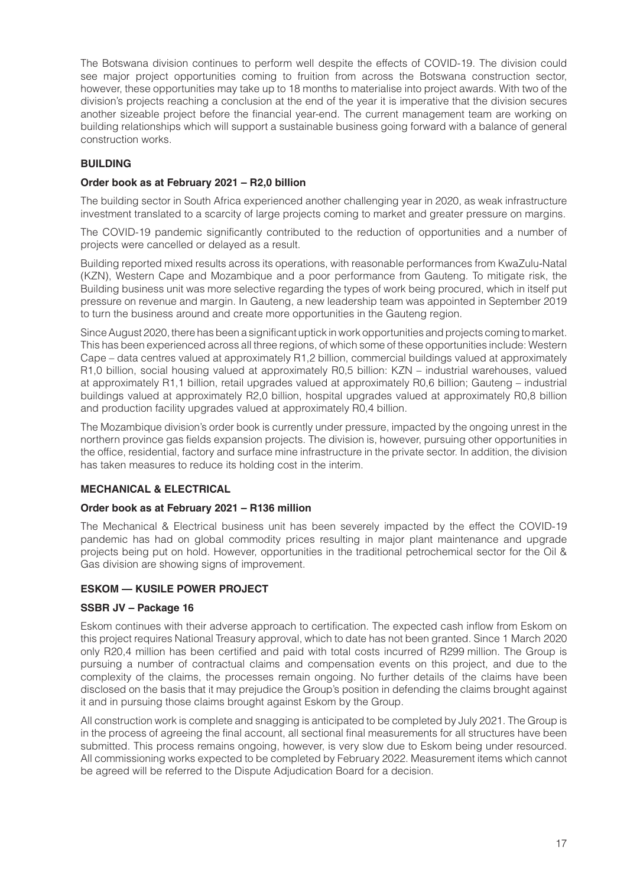The Botswana division continues to perform well despite the effects of COVID-19. The division could see major project opportunities coming to fruition from across the Botswana construction sector, however, these opportunities may take up to 18 months to materialise into project awards. With two of the division's projects reaching a conclusion at the end of the year it is imperative that the division secures another sizeable project before the financial year-end. The current management team are working on building relationships which will support a sustainable business going forward with a balance of general construction works.

### **BUILDING**

#### **Order book as at February 2021 – R2,0 billion**

The building sector in South Africa experienced another challenging year in 2020, as weak infrastructure investment translated to a scarcity of large projects coming to market and greater pressure on margins.

The COVID-19 pandemic significantly contributed to the reduction of opportunities and a number of projects were cancelled or delayed as a result.

Building reported mixed results across its operations, with reasonable performances from KwaZulu-Natal (KZN), Western Cape and Mozambique and a poor performance from Gauteng. To mitigate risk, the Building business unit was more selective regarding the types of work being procured, which in itself put pressure on revenue and margin. In Gauteng, a new leadership team was appointed in September 2019 to turn the business around and create more opportunities in the Gauteng region.

Since August 2020, there has been a significant uptick in work opportunities and projects coming to market. This has been experienced across all three regions, of which some of these opportunities include: Western Cape – data centres valued at approximately R1,2 billion, commercial buildings valued at approximately R1,0 billion, social housing valued at approximately R0,5 billion: KZN – industrial warehouses, valued at approximately R1,1 billion, retail upgrades valued at approximately R0,6 billion; Gauteng – industrial buildings valued at approximately R2,0 billion, hospital upgrades valued at approximately R0,8 billion and production facility upgrades valued at approximately R0,4 billion.

The Mozambique division's order book is currently under pressure, impacted by the ongoing unrest in the northern province gas fields expansion projects. The division is, however, pursuing other opportunities in the office, residential, factory and surface mine infrastructure in the private sector. In addition, the division has taken measures to reduce its holding cost in the interim.

#### **MECHANICAL & ELECTRICAL**

#### **Order book as at February 2021 – R136 million**

The Mechanical & Electrical business unit has been severely impacted by the effect the COVID-19 pandemic has had on global commodity prices resulting in major plant maintenance and upgrade projects being put on hold. However, opportunities in the traditional petrochemical sector for the Oil & Gas division are showing signs of improvement.

#### **ESKOM — KUSILE POWER PROJECT**

#### **SSBR JV – Package 16**

Eskom continues with their adverse approach to certification. The expected cash inflow from Eskom on this project requires National Treasury approval, which to date has not been granted. Since 1 March 2020 only R20,4 million has been certified and paid with total costs incurred of R299 million. The Group is pursuing a number of contractual claims and compensation events on this project, and due to the complexity of the claims, the processes remain ongoing. No further details of the claims have been disclosed on the basis that it may prejudice the Group's position in defending the claims brought against it and in pursuing those claims brought against Eskom by the Group.

All construction work is complete and snagging is anticipated to be completed by July 2021. The Group is in the process of agreeing the final account, all sectional final measurements for all structures have been submitted. This process remains ongoing, however, is very slow due to Eskom being under resourced. All commissioning works expected to be completed by February 2022. Measurement items which cannot be agreed will be referred to the Dispute Adjudication Board for a decision.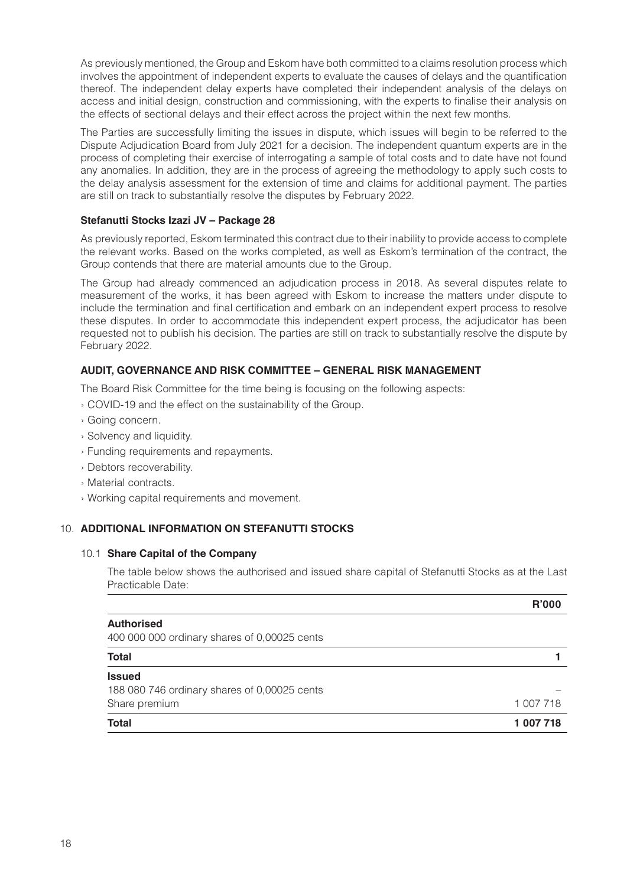As previously mentioned, the Group and Eskom have both committed to a claims resolution process which involves the appointment of independent experts to evaluate the causes of delays and the quantification thereof. The independent delay experts have completed their independent analysis of the delays on access and initial design, construction and commissioning, with the experts to finalise their analysis on the effects of sectional delays and their effect across the project within the next few months.

The Parties are successfully limiting the issues in dispute, which issues will begin to be referred to the Dispute Adjudication Board from July 2021 for a decision. The independent quantum experts are in the process of completing their exercise of interrogating a sample of total costs and to date have not found any anomalies. In addition, they are in the process of agreeing the methodology to apply such costs to the delay analysis assessment for the extension of time and claims for additional payment. The parties are still on track to substantially resolve the disputes by February 2022.

#### **Stefanutti Stocks Izazi JV – Package 28**

As previously reported, Eskom terminated this contract due to their inability to provide access to complete the relevant works. Based on the works completed, as well as Eskom's termination of the contract, the Group contends that there are material amounts due to the Group.

The Group had already commenced an adjudication process in 2018. As several disputes relate to measurement of the works, it has been agreed with Eskom to increase the matters under dispute to include the termination and final certification and embark on an independent expert process to resolve these disputes. In order to accommodate this independent expert process, the adjudicator has been requested not to publish his decision. The parties are still on track to substantially resolve the dispute by February 2022.

#### **AUDIT, GOVERNANCE AND RISK COMMITTEE – GENERAL RISK MANAGEMENT**

The Board Risk Committee for the time being is focusing on the following aspects:

- › COVID-19 and the effect on the sustainability of the Group.
- › Going concern.
- › Solvency and liquidity.
- › Funding requirements and repayments.
- › Debtors recoverability.
- › Material contracts.
- › Working capital requirements and movement.

#### 10. **ADDITIONAL INFORMATION ON STEFANUTTI STOCKS**

#### 10.1 **Share Capital of the Company**

The table below shows the authorised and issued share capital of Stefanutti Stocks as at the Last Practicable Date:

|                                              | R'000     |
|----------------------------------------------|-----------|
| <b>Authorised</b>                            |           |
| 400 000 000 ordinary shares of 0,00025 cents |           |
| <b>Total</b>                                 |           |
| <b>Issued</b>                                |           |
| 188 080 746 ordinary shares of 0,00025 cents |           |
| Share premium                                | 1 007 718 |
| <b>Total</b>                                 | 1 007 718 |
|                                              |           |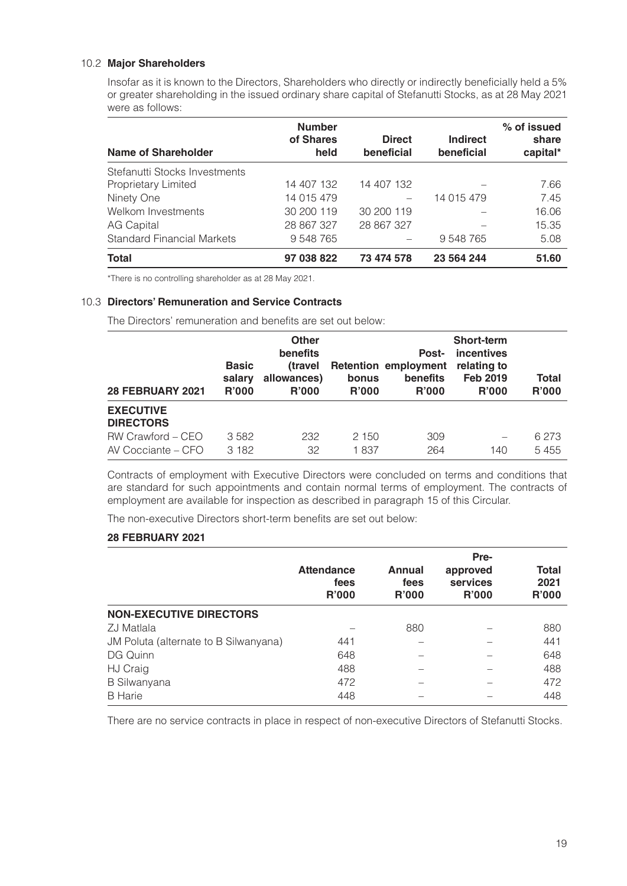#### 10.2 **Major Shareholders**

Insofar as it is known to the Directors, Shareholders who directly or indirectly beneficially held a 5% or greater shareholding in the issued ordinary share capital of Stefanutti Stocks, as at 28 May 2021 were as follows:

| <b>Name of Shareholder</b>        | <b>Number</b><br>of Shares<br>held | <b>Direct</b><br>beneficial | <b>Indirect</b><br>beneficial | % of issued<br>share<br>capital* |
|-----------------------------------|------------------------------------|-----------------------------|-------------------------------|----------------------------------|
| Stefanutti Stocks Investments     |                                    |                             |                               |                                  |
| Proprietary Limited               | 14 407 132                         | 14 407 132                  |                               | 7.66                             |
| Ninety One                        | 14 015 479                         |                             | 14 015 479                    | 7.45                             |
| Welkom Investments                | 30 200 119                         | 30 200 119                  |                               | 16.06                            |
| <b>AG Capital</b>                 | 28 867 327                         | 28 867 327                  |                               | 15.35                            |
| <b>Standard Financial Markets</b> | 9 548 765                          |                             | 9 548 765                     | 5.08                             |
| <b>Total</b>                      | 97 038 822                         | 73 474 578                  | 23 564 244                    | 51.60                            |

\*There is no controlling shareholder as at 28 May 2021.

#### 10.3 **Directors' Remuneration and Service Contracts**

The Directors' remuneration and benefits are set out below:

| <b>28 FEBRUARY 2021</b>                                                         | <b>Basic</b><br>salary<br><b>R'000</b> | <b>Other</b><br>benefits<br>(travel<br>allowances)<br><b>R'000</b> | bonus<br>R'000 | <b>Post-</b><br><b>Retention employment</b><br>benefits<br><b>R'000</b> | <b>Short-term</b><br>incentives<br>relating to<br><b>Feb 2019</b><br><b>R'000</b> | Total<br><b>R'000</b> |
|---------------------------------------------------------------------------------|----------------------------------------|--------------------------------------------------------------------|----------------|-------------------------------------------------------------------------|-----------------------------------------------------------------------------------|-----------------------|
| <b>EXECUTIVE</b><br><b>DIRECTORS</b><br>RW Crawford – CEO<br>AV Cocciante – CFO | 3582<br>3 1 8 2                        | 232<br>32                                                          | 2 150<br>1837  | 309<br>264                                                              | 140                                                                               | 6 273<br>5455         |

Contracts of employment with Executive Directors were concluded on terms and conditions that are standard for such appointments and contain normal terms of employment. The contracts of employment are available for inspection as described in paragraph 15 of this Circular.

The non-executive Directors short-term benefits are set out below:

#### **28 FEBRUARY 2021**

|                                       | <b>Attendance</b><br>fees<br><b>R'000</b> | <b>Annual</b><br>fees<br><b>R'000</b> | Pre-<br>approved<br>services<br><b>R'000</b> | <b>Total</b><br>2021<br>R'000 |
|---------------------------------------|-------------------------------------------|---------------------------------------|----------------------------------------------|-------------------------------|
| <b>NON-EXECUTIVE DIRECTORS</b>        |                                           |                                       |                                              |                               |
| ZJ Matlala                            |                                           | 880                                   |                                              | 880                           |
| JM Poluta (alternate to B Silwanyana) | 441                                       |                                       |                                              | 441                           |
| DG Quinn                              | 648                                       |                                       |                                              | 648                           |
| HJ Craig                              | 488                                       |                                       |                                              | 488                           |
| <b>B</b> Silwanyana                   | 472                                       |                                       |                                              | 472                           |
| <b>B</b> Harie                        | 448                                       |                                       |                                              | 448                           |

There are no service contracts in place in respect of non-executive Directors of Stefanutti Stocks.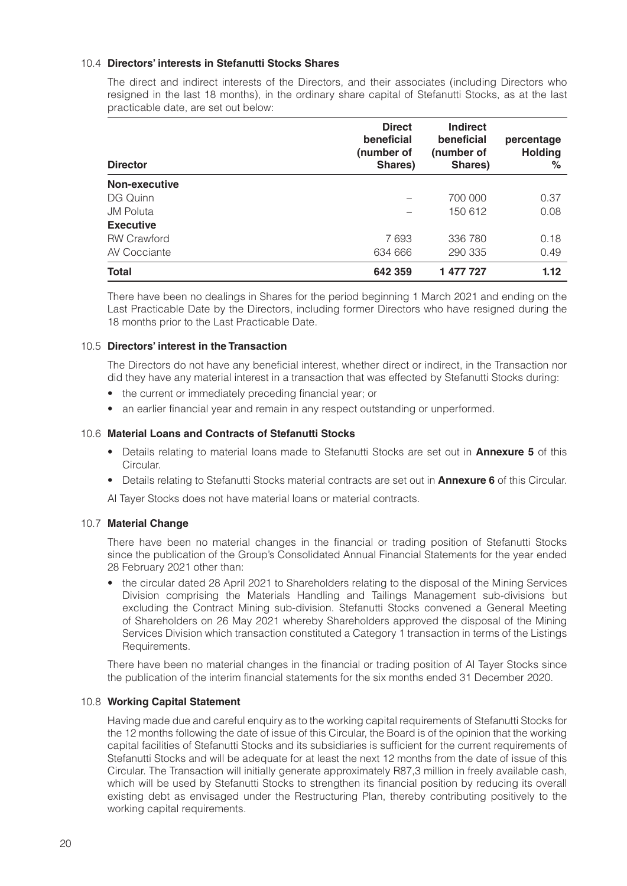#### 10.4 **Directors' interests in Stefanutti Stocks Shares**

The direct and indirect interests of the Directors, and their associates (including Directors who resigned in the last 18 months), in the ordinary share capital of Stefanutti Stocks, as at the last practicable date, are set out below:

| <b>Director</b>    | <b>Direct</b><br>beneficial<br>(number of<br>Shares) | <b>Indirect</b><br>beneficial<br>(number of<br>Shares) | percentage<br><b>Holding</b><br>% |
|--------------------|------------------------------------------------------|--------------------------------------------------------|-----------------------------------|
| Non-executive      |                                                      |                                                        |                                   |
| DG Quinn           |                                                      | 700 000                                                | 0.37                              |
| <b>JM Poluta</b>   |                                                      | 150 612                                                | 0.08                              |
| <b>Executive</b>   |                                                      |                                                        |                                   |
| <b>RW Crawford</b> | 7693                                                 | 336 780                                                | 0.18                              |
| AV Cocciante       | 634 666                                              | 290 335                                                | 0.49                              |
| <b>Total</b>       | 642 359                                              | 1 477 727                                              | 1.12                              |

There have been no dealings in Shares for the period beginning 1 March 2021 and ending on the Last Practicable Date by the Directors, including former Directors who have resigned during the 18 months prior to the Last Practicable Date.

#### 10.5 **Directors' interest in the Transaction**

The Directors do not have any beneficial interest, whether direct or indirect, in the Transaction nor did they have any material interest in a transaction that was effected by Stefanutti Stocks during:

- the current or immediately preceding financial year; or
- an earlier financial year and remain in any respect outstanding or unperformed.

#### 10.6 **Material Loans and Contracts of Stefanutti Stocks**

- Details relating to material loans made to Stefanutti Stocks are set out in **Annexure 5** of this Circular.
- Details relating to Stefanutti Stocks material contracts are set out in **Annexure 6** of this Circular.

Al Tayer Stocks does not have material loans or material contracts.

#### 10.7 **Material Change**

There have been no material changes in the financial or trading position of Stefanutti Stocks since the publication of the Group's Consolidated Annual Financial Statements for the year ended 28 February 2021 other than:

• the circular dated 28 April 2021 to Shareholders relating to the disposal of the Mining Services Division comprising the Materials Handling and Tailings Management sub-divisions but excluding the Contract Mining sub-division. Stefanutti Stocks convened a General Meeting of Shareholders on 26 May 2021 whereby Shareholders approved the disposal of the Mining Services Division which transaction constituted a Category 1 transaction in terms of the Listings Requirements.

There have been no material changes in the financial or trading position of Al Tayer Stocks since the publication of the interim financial statements for the six months ended 31 December 2020.

#### 10.8 **Working Capital Statement**

Having made due and careful enquiry as to the working capital requirements of Stefanutti Stocks for the 12 months following the date of issue of this Circular, the Board is of the opinion that the working capital facilities of Stefanutti Stocks and its subsidiaries is sufficient for the current requirements of Stefanutti Stocks and will be adequate for at least the next 12 months from the date of issue of this Circular. The Transaction will initially generate approximately R87,3 million in freely available cash, which will be used by Stefanutti Stocks to strengthen its financial position by reducing its overall existing debt as envisaged under the Restructuring Plan, thereby contributing positively to the working capital requirements.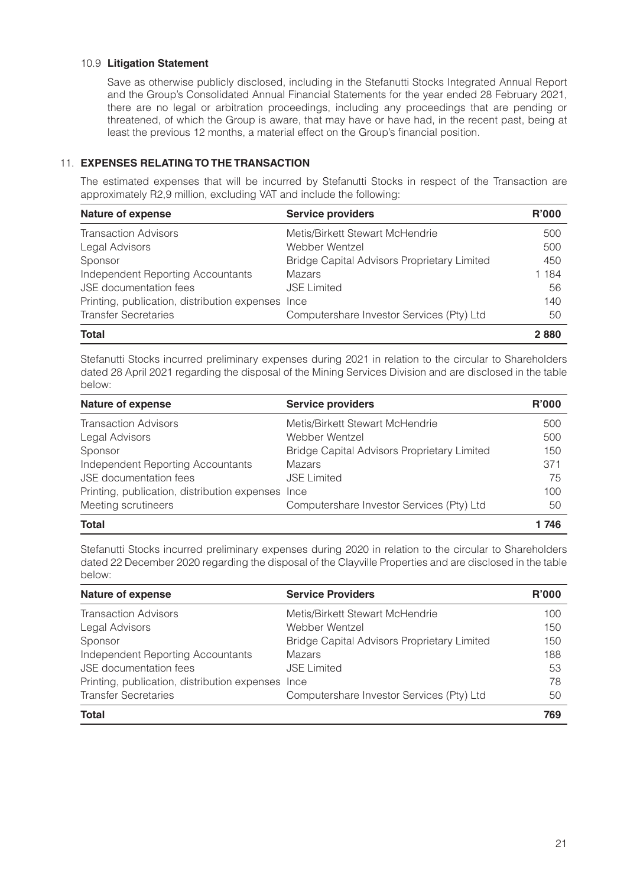#### 10.9 **Litigation Statement**

Save as otherwise publicly disclosed, including in the Stefanutti Stocks Integrated Annual Report and the Group's Consolidated Annual Financial Statements for the year ended 28 February 2021, there are no legal or arbitration proceedings, including any proceedings that are pending or threatened, of which the Group is aware, that may have or have had, in the recent past, being at least the previous 12 months, a material effect on the Group's financial position.

#### 11. **EXPENSES RELATING TO THE TRANSACTION**

The estimated expenses that will be incurred by Stefanutti Stocks in respect of the Transaction are approximately R2,9 million, excluding VAT and include the following:

| <b>Nature of expense</b>                          | <b>Service providers</b>                    | R'000 |
|---------------------------------------------------|---------------------------------------------|-------|
| <b>Transaction Advisors</b>                       | Metis/Birkett Stewart McHendrie             | 500   |
| Legal Advisors                                    | Webber Wentzel                              | 500   |
| Sponsor                                           | Bridge Capital Advisors Proprietary Limited | 450   |
| Independent Reporting Accountants                 | <b>Mazars</b>                               | 1 184 |
| JSE documentation fees                            | <b>JSE Limited</b>                          | 56    |
| Printing, publication, distribution expenses Ince |                                             | 140   |
| <b>Transfer Secretaries</b>                       | Computershare Investor Services (Pty) Ltd   | 50    |
| <b>Total</b>                                      |                                             | 2880  |

Stefanutti Stocks incurred preliminary expenses during 2021 in relation to the circular to Shareholders dated 28 April 2021 regarding the disposal of the Mining Services Division and are disclosed in the table below:

| <b>Nature of expense</b>                          | <b>Service providers</b>                    | R'000 |
|---------------------------------------------------|---------------------------------------------|-------|
| <b>Transaction Advisors</b>                       | Metis/Birkett Stewart McHendrie             | 500   |
| Legal Advisors                                    | Webber Wentzel                              | 500   |
| Sponsor                                           | Bridge Capital Advisors Proprietary Limited | 150   |
| Independent Reporting Accountants                 | <b>Mazars</b>                               | 371   |
| JSE documentation fees                            | <b>JSE Limited</b>                          | 75    |
| Printing, publication, distribution expenses Ince |                                             | 100   |
| Meeting scrutineers                               | Computershare Investor Services (Pty) Ltd   | 50    |
| <b>Total</b>                                      |                                             | -746  |

Stefanutti Stocks incurred preliminary expenses during 2020 in relation to the circular to Shareholders dated 22 December 2020 regarding the disposal of the Clayville Properties and are disclosed in the table below:

| <b>Nature of expense</b>                          | <b>Service Providers</b>                    | R'000 |
|---------------------------------------------------|---------------------------------------------|-------|
| <b>Transaction Advisors</b>                       | Metis/Birkett Stewart McHendrie             | 100   |
| Legal Advisors                                    | Webber Wentzel                              | 150   |
| Sponsor                                           | Bridge Capital Advisors Proprietary Limited | 150   |
| Independent Reporting Accountants                 | <b>Mazars</b>                               | 188   |
| <b>JSE</b> documentation fees                     | <b>JSE Limited</b>                          | 53    |
| Printing, publication, distribution expenses Ince |                                             | 78    |
| <b>Transfer Secretaries</b>                       | Computershare Investor Services (Pty) Ltd   | 50    |
| <b>Total</b>                                      |                                             | 769   |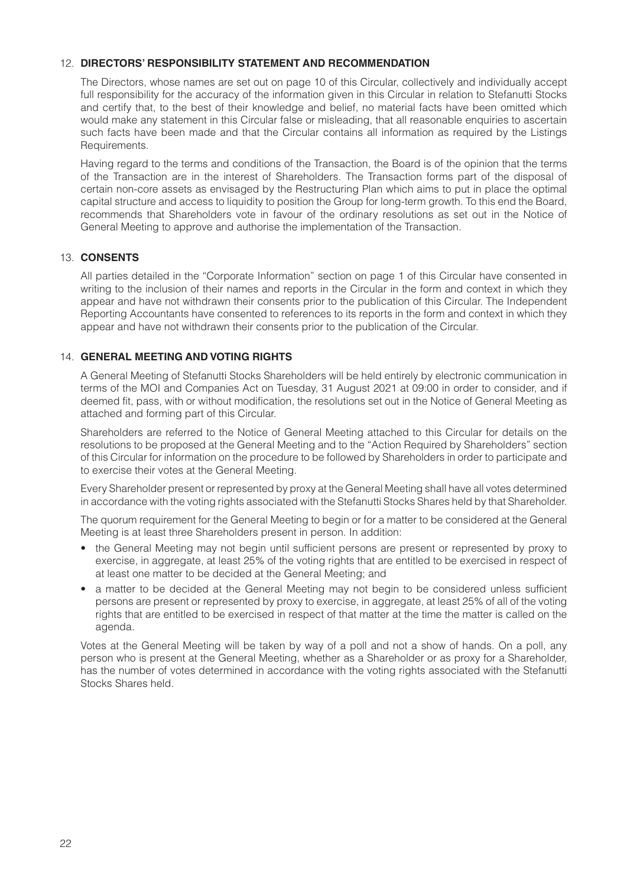#### 12. **DIRECTORS' RESPONSIBILITY STATEMENT AND RECOMMENDATION**

The Directors, whose names are set out on page 10 of this Circular, collectively and individually accept full responsibility for the accuracy of the information given in this Circular in relation to Stefanutti Stocks and certify that, to the best of their knowledge and belief, no material facts have been omitted which would make any statement in this Circular false or misleading, that all reasonable enquiries to ascertain such facts have been made and that the Circular contains all information as required by the Listings Requirements.

Having regard to the terms and conditions of the Transaction, the Board is of the opinion that the terms of the Transaction are in the interest of Shareholders. The Transaction forms part of the disposal of certain non-core assets as envisaged by the Restructuring Plan which aims to put in place the optimal capital structure and access to liquidity to position the Group for long-term growth. To this end the Board, recommends that Shareholders vote in favour of the ordinary resolutions as set out in the Notice of General Meeting to approve and authorise the implementation of the Transaction.

#### 13. **CONSENTS**

All parties detailed in the "Corporate Information" section on page 1 of this Circular have consented in writing to the inclusion of their names and reports in the Circular in the form and context in which they appear and have not withdrawn their consents prior to the publication of this Circular. The Independent Reporting Accountants have consented to references to its reports in the form and context in which they appear and have not withdrawn their consents prior to the publication of the Circular.

#### 14. **GENERAL MEETING AND VOTING RIGHTS**

A General Meeting of Stefanutti Stocks Shareholders will be held entirely by electronic communication in terms of the MOI and Companies Act on Tuesday, 31 August 2021 at 09:00 in order to consider, and if deemed fit, pass, with or without modification, the resolutions set out in the Notice of General Meeting as attached and forming part of this Circular.

Shareholders are referred to the Notice of General Meeting attached to this Circular for details on the resolutions to be proposed at the General Meeting and to the "Action Required by Shareholders" section of this Circular for information on the procedure to be followed by Shareholders in order to participate and to exercise their votes at the General Meeting.

Every Shareholder present or represented by proxy at the General Meeting shall have all votes determined in accordance with the voting rights associated with the Stefanutti Stocks Shares held by that Shareholder.

The quorum requirement for the General Meeting to begin or for a matter to be considered at the General Meeting is at least three Shareholders present in person. In addition:

- the General Meeting may not begin until sufficient persons are present or represented by proxy to exercise, in aggregate, at least 25% of the voting rights that are entitled to be exercised in respect of at least one matter to be decided at the General Meeting; and
- a matter to be decided at the General Meeting may not begin to be considered unless sufficient persons are present or represented by proxy to exercise, in aggregate, at least 25% of all of the voting rights that are entitled to be exercised in respect of that matter at the time the matter is called on the agenda.

Votes at the General Meeting will be taken by way of a poll and not a show of hands. On a poll, any person who is present at the General Meeting, whether as a Shareholder or as proxy for a Shareholder, has the number of votes determined in accordance with the voting rights associated with the Stefanutti Stocks Shares held.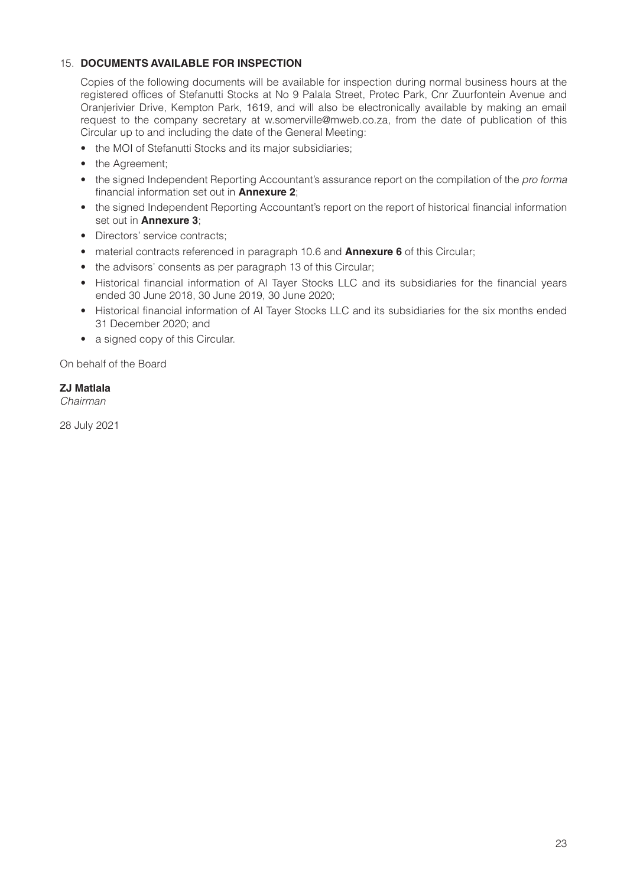#### 15. **DOCUMENTS AVAILABLE FOR INSPECTION**

Copies of the following documents will be available for inspection during normal business hours at the registered offices of Stefanutti Stocks at No 9 Palala Street, Protec Park, Cnr Zuurfontein Avenue and Oranjerivier Drive, Kempton Park, 1619, and will also be electronically available by making an email request to the company secretary at w.somerville@mweb.co.za, from the date of publication of this Circular up to and including the date of the General Meeting:

- the MOI of Stefanutti Stocks and its major subsidiaries;
- the Agreement;
- the signed Independent Reporting Accountant's assurance report on the compilation of the *pro forma*  financial information set out in **Annexure 2**;
- the signed Independent Reporting Accountant's report on the report of historical financial information set out in **Annexure 3**;
- Directors' service contracts;
- material contracts referenced in paragraph 10.6 and **Annexure 6** of this Circular;
- the advisors' consents as per paragraph 13 of this Circular;
- Historical financial information of Al Tayer Stocks LLC and its subsidiaries for the financial years ended 30 June 2018, 30 June 2019, 30 June 2020;
- Historical financial information of Al Tayer Stocks LLC and its subsidiaries for the six months ended 31 December 2020; and
- a signed copy of this Circular.

On behalf of the Board

#### **ZJ Matlala**

*Chairman*

28 July 2021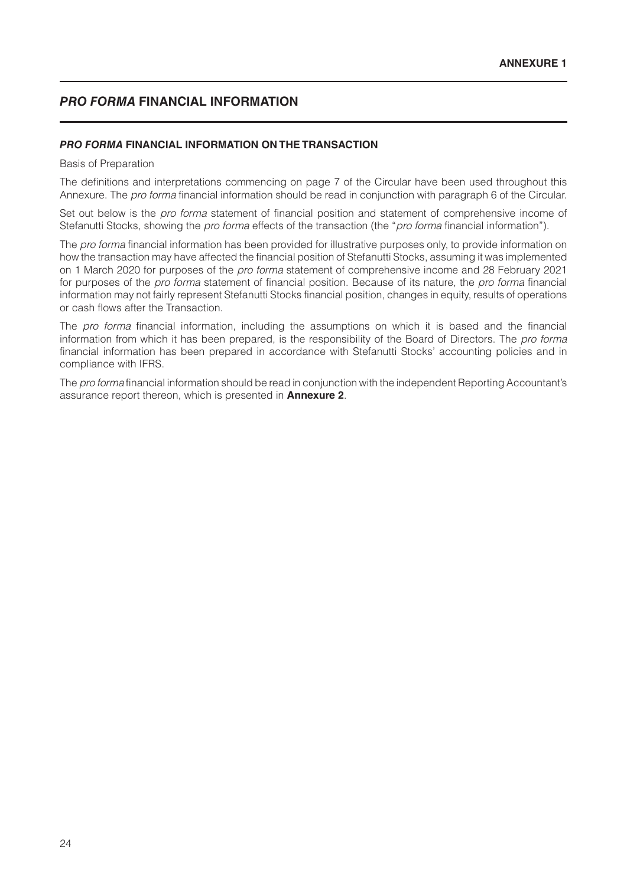## *PRO FORMA* **FINANCIAL INFORMATION**

#### *PRO FORMA* **FINANCIAL INFORMATION ON THE TRANSACTION**

Basis of Preparation

The definitions and interpretations commencing on page 7 of the Circular have been used throughout this Annexure. The *pro forma* financial information should be read in conjunction with paragraph 6 of the Circular.

Set out below is the *pro forma* statement of financial position and statement of comprehensive income of Stefanutti Stocks, showing the *pro forma* effects of the transaction (the "*pro forma* financial information").

The *pro forma* financial information has been provided for illustrative purposes only, to provide information on how the transaction may have affected the financial position of Stefanutti Stocks, assuming it was implemented on 1 March 2020 for purposes of the *pro forma* statement of comprehensive income and 28 February 2021 for purposes of the *pro forma* statement of financial position. Because of its nature, the *pro forma* financial information may not fairly represent Stefanutti Stocks financial position, changes in equity, results of operations or cash flows after the Transaction.

The *pro forma* financial information, including the assumptions on which it is based and the financial information from which it has been prepared, is the responsibility of the Board of Directors. The *pro forma* financial information has been prepared in accordance with Stefanutti Stocks' accounting policies and in compliance with IFRS.

The *pro forma* financial information should be read in conjunction with the independent Reporting Accountant's assurance report thereon, which is presented in **Annexure 2**.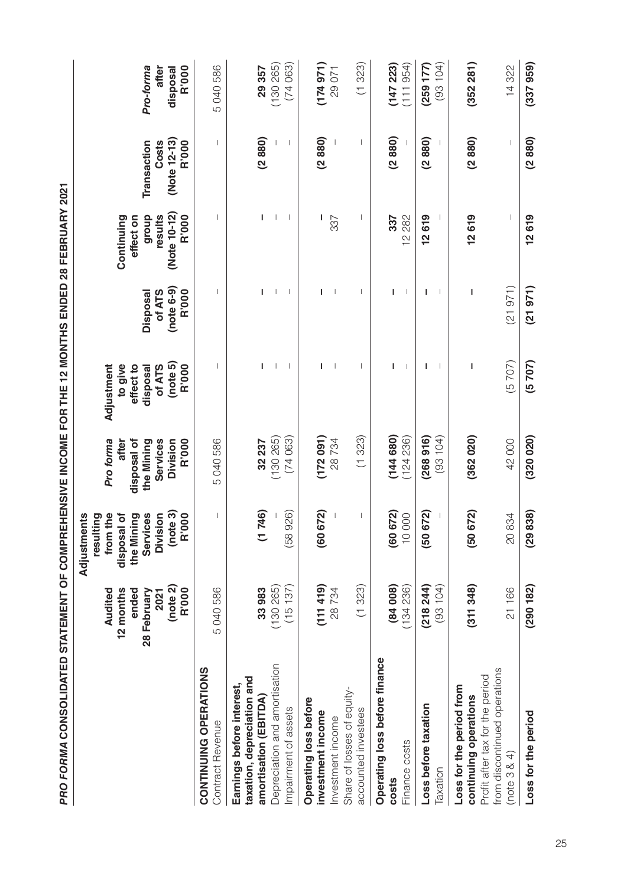|                  | <br> <br>     |
|------------------|---------------|
|                  |               |
|                  |               |
|                  |               |
|                  |               |
|                  |               |
|                  |               |
|                  |               |
|                  |               |
| idan tahun 2001. |               |
|                  |               |
|                  |               |
|                  |               |
|                  |               |
|                  |               |
|                  |               |
|                  |               |
|                  |               |
| <b>CARCITECT</b> |               |
|                  | J             |
|                  |               |
|                  |               |
|                  |               |
|                  |               |
|                  |               |
|                  | $\frac{1}{2}$ |
|                  |               |
|                  |               |
|                  |               |
|                  |               |
|                  |               |
|                  |               |
|                  |               |
|                  |               |
|                  |               |
|                  |               |
|                  |               |
|                  |               |
| こここくしく しくし<br>l  |               |
|                  |               |
|                  |               |
|                  |               |
|                  |               |
| L                |               |
|                  | ĺ             |
| ו<br>ו           | ı             |
|                  | ١             |
|                  |               |
|                  |               |
|                  |               |
|                  | i             |
|                  |               |
|                  |               |
| insidente is an  |               |
|                  |               |
|                  |               |
|                  |               |
|                  |               |
|                  |               |
| <b>COCHOCA</b>   |               |
| Ì                |               |
|                  |               |

|                                                                                                                                          | (note 2)<br><b>R'000</b><br>Audited<br>12 months<br>ended<br>28 February<br>2021 | (note 3)<br><b>R'000</b><br>Division<br>ហ្គ<br>from the<br>disposal of<br>the Mining<br>Ŵ<br>ರಾ<br>Adjustment<br>resultin<br>Service | Pro forma<br><b>R'000</b><br>Services<br><b>Division</b><br>after<br>disposal of<br>the Mining | (note 5)<br>Adjustment<br><b>R'000</b><br>to give<br>effect to<br>of ATS<br>disposal | $(note 6-9)$<br><b>R'000</b><br><b>Disposal</b><br>of ATS | (Note 10-12)<br><b>R'000</b><br>results<br>Continuing<br>group<br>effect on | (Note 12-13)<br><b>R'000</b><br>Transaction<br>Costs | <b>R'000</b><br>Pro-forma<br>after<br>disposal |
|------------------------------------------------------------------------------------------------------------------------------------------|----------------------------------------------------------------------------------|--------------------------------------------------------------------------------------------------------------------------------------|------------------------------------------------------------------------------------------------|--------------------------------------------------------------------------------------|-----------------------------------------------------------|-----------------------------------------------------------------------------|------------------------------------------------------|------------------------------------------------|
| CONTINUING OPERATIONS<br>Contract Revenue                                                                                                | 5040586                                                                          |                                                                                                                                      | 5040586                                                                                        |                                                                                      |                                                           |                                                                             |                                                      | 5040586                                        |
| Depreciation and amortisation<br>taxation, depreciation and<br>Earnings before interest,<br>amortisation (EBITDA)<br>mpairment of assets | (130265)<br>(15137)<br>33983                                                     | (1746)<br>(58926)                                                                                                                    | (130265)<br>(74063)<br>32 237                                                                  | ı                                                                                    | ı                                                         | ı                                                                           | (2880)                                               | (74063)<br>(130265)<br>29357                   |
| Operating loss before<br>investment income<br>nvestment income                                                                           | (111419)<br>28734                                                                | (60672)                                                                                                                              | (172091)<br>28734                                                                              | T                                                                                    | $\overline{\phantom{a}}$<br>T                             | I<br>337                                                                    | (2880)                                               | (174971)<br>29 071                             |
| Share of losses of equity-<br>accounted investees                                                                                        | (1323)                                                                           |                                                                                                                                      | (1323)                                                                                         |                                                                                      | $\overline{\phantom{a}}$                                  |                                                                             | $\overline{\phantom{a}}$                             | (1323)                                         |
| Operating loss before finance<br>Finance costs<br>costs                                                                                  | (84008)<br>(134 236)                                                             | (60672)<br>10000                                                                                                                     | (144680)<br>(124236)                                                                           | T<br>$\overline{\phantom{a}}$                                                        | L<br>1                                                    | 12 282<br>337                                                               | (2880)                                               | (147223)<br>(111 954)                          |
| Loss before taxation<br>axation                                                                                                          | (93104)<br>(218244)                                                              | ୕୍ବ<br>(5067)                                                                                                                        | (93104)<br>(268916)                                                                            | т                                                                                    | T<br>$\overline{\phantom{a}}$                             | 12619                                                                       | (2880)                                               | (259 177)<br>(93104)                           |
| from discontinued operations<br>Profit after tax for the period<br>Loss for the period from<br>continuing operations                     | (311348)                                                                         | $\widehat{S}$<br>(5067)                                                                                                              | (362020)                                                                                       | ı                                                                                    | I                                                         | 12619                                                                       | (2880)                                               | (352 281)                                      |
| note $3 & 4$                                                                                                                             | 21 166                                                                           | 20834                                                                                                                                | 42000                                                                                          | (5707)                                                                               | (21971)                                                   |                                                                             |                                                      | 14 322                                         |
| Loss for the period                                                                                                                      | (290 182)                                                                        | (2989)                                                                                                                               | (320020)                                                                                       | (5707)                                                                               | (21971)                                                   | 12619                                                                       | (2880)                                               | (337959)                                       |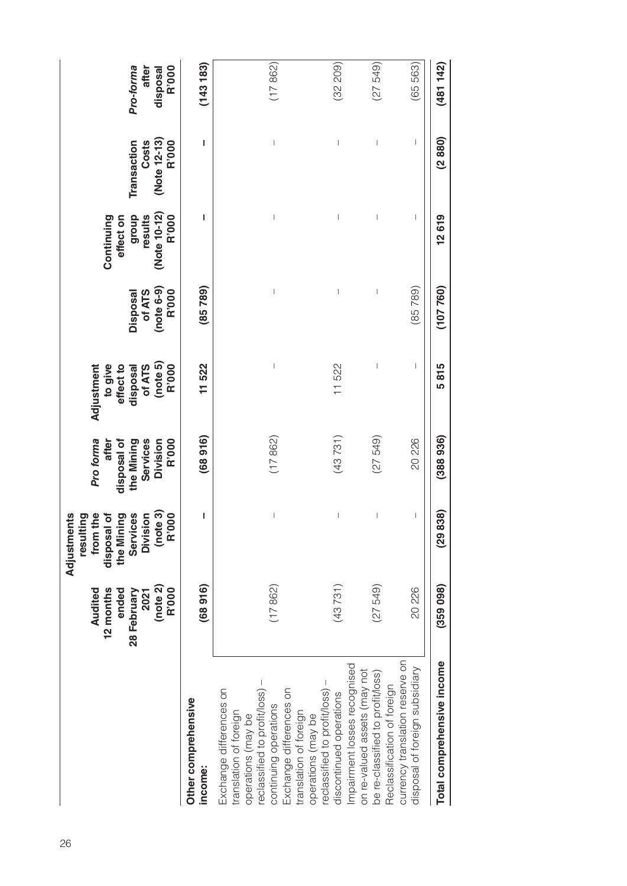|                                                                                                                                   | (note 2)<br><b>R'000</b><br>Audited<br>ended<br>12 months<br>28 February<br>2021 | (note 3)<br>resulting<br>from the<br>ð<br><b>Division</b><br>500<br>the Mining<br>Services<br>Adjustments<br>disposal<br>ăς | Pro forma<br><b>R'000</b><br>Services<br>Division<br>after<br>disposal of<br>the Mining | (note $5$ )<br>Adjustment<br><b>R'000</b><br>effect to<br>of ATS<br>to give<br>disposal | (note 6-9)<br><b>R'000</b><br>of ATS<br><b>Disposal</b> | (Note 10-12)<br>results<br>dronb<br><b>R'000</b><br>effect on<br>Continuing | (Note 12-13)<br>Costs<br><b>R'000</b><br>Transaction | R'000<br>Pro-forma<br>disposal<br>after |
|-----------------------------------------------------------------------------------------------------------------------------------|----------------------------------------------------------------------------------|-----------------------------------------------------------------------------------------------------------------------------|-----------------------------------------------------------------------------------------|-----------------------------------------------------------------------------------------|---------------------------------------------------------|-----------------------------------------------------------------------------|------------------------------------------------------|-----------------------------------------|
| Other comprehensive<br>income:                                                                                                    | (68916)                                                                          | I                                                                                                                           | (68916)                                                                                 | 11522                                                                                   | (85789)                                                 | ı                                                                           | I                                                    | (143183)                                |
| eclassified to profit/loss) -<br>Exchange differences on<br>continuing operations<br>ranslation of foreign<br>operations (may be  | (17862)                                                                          |                                                                                                                             | (17862)                                                                                 |                                                                                         | $\overline{\phantom{a}}$                                |                                                                             | $\overline{\phantom{a}}$                             | (17862)                                 |
| eclassified to profit/loss) -<br>xchange differences on<br>discontinued operations<br>ranslation of foreign<br>operations (may be | (43731)                                                                          |                                                                                                                             | (43731)                                                                                 | 11522                                                                                   |                                                         |                                                                             |                                                      | (32 209)                                |
| mpairment losses recognised<br>on re-valued assets (may not<br>be re-classified to profit/loss)                                   | (27549)                                                                          | $\overline{\phantom{a}}$                                                                                                    | (27549)                                                                                 |                                                                                         | $\begin{array}{c} \end{array}$                          | $\overline{\phantom{a}}$                                                    | $\overline{\phantom{a}}$                             | (27549)                                 |
| currency translation reserve on<br>disposal of foreign subsidiary<br>Reclassification of foreign                                  | 20 226                                                                           |                                                                                                                             | 20 226                                                                                  |                                                                                         | (85789)                                                 |                                                                             |                                                      | (65563)                                 |
| Total comprehensive income                                                                                                        | (359098)                                                                         | 838)<br>$\frac{1}{2}$                                                                                                       | (388936)                                                                                | 5815                                                                                    | (107760)                                                | 12619                                                                       | (2880)                                               | (481142)                                |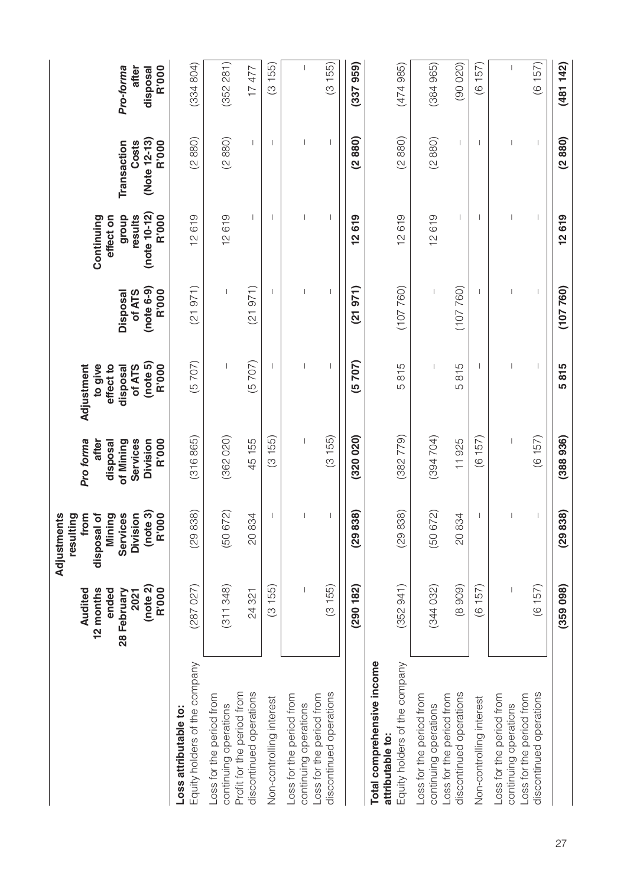|                                                                                 | (note 2)<br><b>R'000</b><br>Audited<br>12 months<br>ended<br>28 February<br>2021 | (note 3)<br>from<br>disposal of<br>Mining<br>Services<br>Division<br><b>R'000</b><br>Adjustments<br>resulting | <b>R'000</b><br>Services<br>Division<br>Pro forma<br>of Mining<br>after<br>disposal | (note 5)<br>Adjustment<br><b>R'000</b><br>to give<br>effect to<br>of ATS<br>disposal | (note 6-9)<br><b>R'000</b><br>of ATS<br><b>Disposal</b> | $(note 10-12)$<br><b>R'000</b><br>d <sub>no</sub> n6<br>results<br>Continuing<br>effect on | (Note 12-13)<br>Transaction<br>Costs<br><b>R'000</b> | <b>R'000</b><br>Pro-forma<br>disposal<br>after |
|---------------------------------------------------------------------------------|----------------------------------------------------------------------------------|---------------------------------------------------------------------------------------------------------------|-------------------------------------------------------------------------------------|--------------------------------------------------------------------------------------|---------------------------------------------------------|--------------------------------------------------------------------------------------------|------------------------------------------------------|------------------------------------------------|
| Equity holders of the company<br>Loss attributable to:                          | (287027)                                                                         | (29836)                                                                                                       | (316865)                                                                            | (5707)                                                                               | (21971)                                                 | 12619                                                                                      | (2880)                                               | (334804)                                       |
| Loss for the period from<br>continuing operations                               | (311348)                                                                         | 672)<br>(506)                                                                                                 | (362020)                                                                            |                                                                                      |                                                         | 12619                                                                                      | (2880)                                               | (352 281)                                      |
| discontinued operations<br>Profit for the period from                           | 24 321                                                                           | 834<br>$\overline{5}$                                                                                         | 45 155                                                                              | (5707)                                                                               | (21971)                                                 |                                                                                            |                                                      | 17477                                          |
| Non-controlling interest                                                        | (3155)                                                                           |                                                                                                               | (3155)                                                                              |                                                                                      |                                                         |                                                                                            |                                                      | (3155)                                         |
| Loss for the period from<br>continuing operations                               |                                                                                  |                                                                                                               |                                                                                     |                                                                                      |                                                         |                                                                                            |                                                      |                                                |
| discontinued operations<br>Loss for the period from                             | (3155)                                                                           |                                                                                                               | (3155)                                                                              |                                                                                      |                                                         |                                                                                            |                                                      | (3155)                                         |
|                                                                                 | (290 182)                                                                        | 838)<br>$\frac{29}{2}$                                                                                        | (320020)                                                                            | (5707)                                                                               | (21971)                                                 | 12 619                                                                                     | (2880)                                               | (337959)                                       |
| Total comprehensive income<br>Equity holders of the company<br>attributable to: | (352941)                                                                         | (29838)                                                                                                       | (382 779)                                                                           | 5815                                                                                 | (107760)                                                | 12619                                                                                      | (2880)                                               | (474985)                                       |
| -oss for the period from<br>continuing operations                               | (344032)                                                                         | 672)<br>(50)                                                                                                  | (394704)                                                                            |                                                                                      |                                                         | 12619                                                                                      | (2880)                                               | (384965)                                       |
| discontinued operations<br>-oss for the period from                             | (8909)                                                                           | 20834                                                                                                         | 11925                                                                               | 815<br>Ю                                                                             | (107760)                                                |                                                                                            |                                                      | (90020)                                        |
| Non-controlling interest                                                        | (6157)                                                                           |                                                                                                               | (6157)                                                                              |                                                                                      |                                                         |                                                                                            |                                                      | (6157)                                         |
| Loss for the period from<br>continuing operations                               |                                                                                  |                                                                                                               |                                                                                     |                                                                                      |                                                         |                                                                                            |                                                      |                                                |
| discontinued operations<br>Loss for the period from                             | (6157)                                                                           |                                                                                                               | (6157)                                                                              |                                                                                      |                                                         |                                                                                            |                                                      | (6157)                                         |
|                                                                                 | (359098)                                                                         | (29838)                                                                                                       | (388936)                                                                            | 5815                                                                                 | (107760)                                                | 12619                                                                                      | (2880)                                               | (481142)                                       |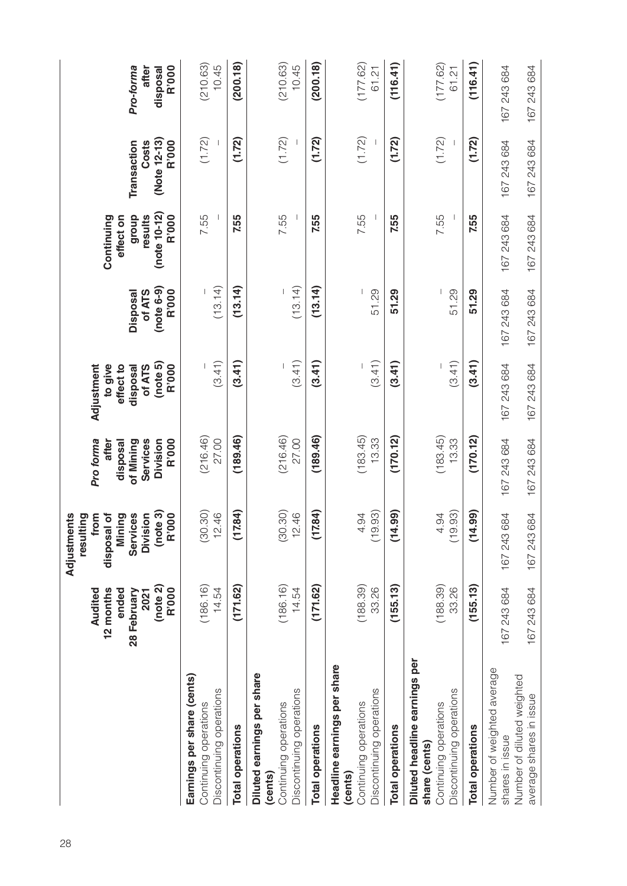|                                                                                                        | (note $2$ )<br>12 months<br>ended<br><b>R'000</b><br>Audited<br>28 February<br>2021 | (note 3)<br>Division<br>from<br>disposal of<br>Mining<br>Services<br><b>R'000</b><br>Adjustments<br>resulting | Services<br><b>R'000</b><br>Pro forma<br>Division<br>of Mining<br>disposal<br>after | (note 5)<br>R'000<br>Adjustment<br>to give<br>effect to<br>of ATS<br>disposal | $(note 6-9)$<br>R'000<br>Disposal<br>of ATS | $(note 10-12)$<br>R'000<br>dhonb<br>results<br>Continuing<br>effect on | (Note 12-13)<br>Costs<br><b>R'000</b><br>Transaction | Pro-forma<br><b>R'000</b><br>after<br>disposal |
|--------------------------------------------------------------------------------------------------------|-------------------------------------------------------------------------------------|---------------------------------------------------------------------------------------------------------------|-------------------------------------------------------------------------------------|-------------------------------------------------------------------------------|---------------------------------------------|------------------------------------------------------------------------|------------------------------------------------------|------------------------------------------------|
| Earnings per share (cents)<br>Discontinuing operations<br>Continuing operations                        | (186.16)<br>14.54                                                                   | 0.30<br>12.46<br>$\odot$                                                                                      | (216.46)<br>27.00                                                                   | (3.41)                                                                        | (13.14)                                     | 7.55                                                                   | (1.72)                                               | (210.63)<br>10.45                              |
| <b>Total operations</b>                                                                                | (171.62)                                                                            | (17.84)                                                                                                       | (189.46)                                                                            | (3.41)                                                                        | (13.14)                                     | 7.55                                                                   | (1.72)                                               | (200.18)                                       |
| Diluted earnings per share<br>Discontinuing operations<br>Continuing operations<br>(cents)             | (186.16)<br>14.54                                                                   | (30.30)<br>12.46                                                                                              | (216.46)<br>27.00                                                                   | (3.41)                                                                        | (13.14)                                     | 7.55                                                                   | (1.72)                                               | (210.63)<br>10.45                              |
| <b>Total operations</b>                                                                                | (171.62)                                                                            | (17.84)                                                                                                       | (189.46)                                                                            | (3.41)                                                                        | (13.14)                                     | 7.55                                                                   | (1.72)                                               | (200.18)                                       |
| Headline earnings per share<br>Discontinuing operations<br>Continuing operations<br>(cents)            | (188.39)<br>33.26                                                                   | 93)<br>$-94$<br>$\frac{6}{10}$                                                                                | (183.45)<br>13.33                                                                   | (3.41)                                                                        | 51.29                                       | 7.55                                                                   | (1.72)                                               | (177.62)<br>61.21                              |
| <b>Total operations</b>                                                                                | (155.13)                                                                            | .99)<br>$\overline{1}$                                                                                        | (170.12)                                                                            | (3.41)                                                                        | 51.29                                       | 755                                                                    | (1.72)                                               | (116.41)                                       |
| Diluted headline earnings per<br>Discontinuing operations<br>Continuing operations<br>share (cents)    | (188.39)<br>33.26                                                                   | (69)<br>$-94$<br>4<br>$\frac{9}{5}$                                                                           | (183.45)<br>13.33                                                                   | (3.41)                                                                        | 51.29                                       | 7.55                                                                   | (1.72)                                               | (177.62)<br>61.21                              |
| <b>Total operations</b>                                                                                | (155.13)                                                                            | .99<br>$\overline{1}$                                                                                         | (170.12)                                                                            | (3.41)                                                                        | 51.29                                       | 7.55                                                                   | (1.72)                                               | (116.41)                                       |
| Number of weighted average<br>Number of diluted weighted<br>average shares in issue<br>shares in issue | 167 243 684<br>167 243 684                                                          | 684<br>684<br>167243<br>167243                                                                                | 167 243 684<br>167 243 684                                                          | 167 243 684<br>167 243 684                                                    | 167 243 684<br>167 243 684                  | 167 243 684<br>167 243 684                                             | 167 243 684<br>167 243 684                           | 167 243 684<br>167 243 684                     |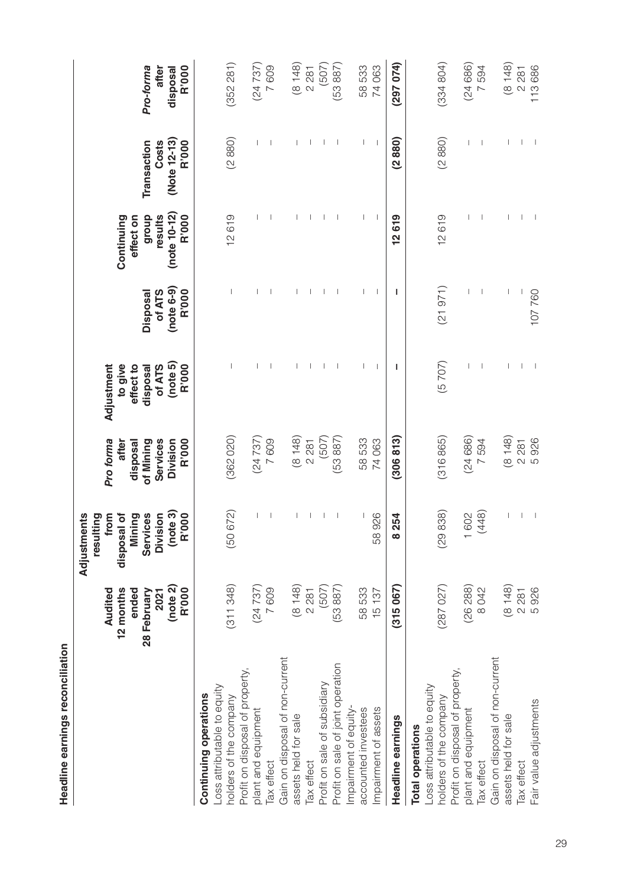|                                                                                                 | (note 2)<br><b>R'000</b><br>Audited<br>12 months<br>ended<br>28 February<br>2021 | (note 3)<br><b>R'000</b><br>from<br>disposal of<br>Services<br><b>Division</b><br>Adjustments<br>resulting<br>Mining | Pro forma<br>Services<br>Division<br><b>R'000</b><br>of Mining<br>after<br>disposal | (note 5)<br>Adjustment<br><b>R'000</b><br>to give<br>effect to<br>of ATS<br>disposal | $(note 6-9)$<br><b>R'000</b><br>of ATS<br><b>Disposal</b> | $(note 10-12)$<br><b>R'000</b><br>d <sub>ronb</sub><br>results<br>Continuing<br>effect on | (Note 12-13)<br><b>R'000</b><br>Transaction<br>Costs | Pro-forma<br>R'000<br>after<br>disposal |
|-------------------------------------------------------------------------------------------------|----------------------------------------------------------------------------------|----------------------------------------------------------------------------------------------------------------------|-------------------------------------------------------------------------------------|--------------------------------------------------------------------------------------|-----------------------------------------------------------|-------------------------------------------------------------------------------------------|------------------------------------------------------|-----------------------------------------|
| -oss attributable to equity<br><b>Continuing operations</b><br>nolders of the company           | (311348)                                                                         | 672)<br>(50)                                                                                                         | (362020)                                                                            |                                                                                      |                                                           | 12619                                                                                     | (2880)                                               | (352 281)                               |
| Profit on disposal of property,<br>plant and equipment<br>ax effect                             | (24737)<br>7609                                                                  |                                                                                                                      | (24737)<br>7609                                                                     |                                                                                      |                                                           |                                                                                           |                                                      | (24737)<br>7609                         |
| Gain on disposal of non-current<br>assets held for sale<br>Tax effect                           | (8148)<br>2 2 8 1                                                                |                                                                                                                      | (81148)<br>2 2 8 1                                                                  |                                                                                      |                                                           |                                                                                           |                                                      | (81148)<br>2 2 8 1                      |
| Profit on sale of joint operation<br>Profit on sale of subsidiary                               | (53887)<br>(507)                                                                 |                                                                                                                      | (507)<br>(53887)                                                                    |                                                                                      |                                                           |                                                                                           |                                                      | (507)<br>(53887)                        |
| Impairment of equity-<br>Impairment of assets<br>accounted investees                            | 58533<br>15137                                                                   | 926<br>$\overline{\phantom{a}}$<br>58                                                                                | 58 533<br>74063                                                                     |                                                                                      | $\overline{\phantom{a}}$                                  |                                                                                           | $\begin{array}{c} \end{array}$                       | 58533<br>74 063                         |
| Headline earnings                                                                               | (315067)                                                                         | 254<br>$\infty$                                                                                                      | (306813)                                                                            | т                                                                                    | т                                                         | 12619                                                                                     | (2880)                                               | (297074)                                |
| oss attributable to equity<br>holders of the company<br><b>Total operations</b>                 | (287027)                                                                         | 838)<br>(29)                                                                                                         | (316865)                                                                            | (5707)                                                                               | (21971)                                                   | 12619                                                                                     | (2880)                                               | (334804)                                |
| Profit on disposal of property,<br>plant and equipment<br>ax effect                             | (26 288)<br>8042                                                                 | (448)<br>602<br>$\overline{ }$                                                                                       | (24686)<br>594<br>$\overline{a}$                                                    |                                                                                      |                                                           |                                                                                           |                                                      | (24686)<br>7594                         |
| Gain on disposal of non-current<br>Fair value adjustments<br>assets held for sale<br>Tax effect | (8148)<br>5926<br>2 2 8 1                                                        |                                                                                                                      | (81148)<br>5926<br>2 2 8 1                                                          |                                                                                      | L<br>107760                                               |                                                                                           |                                                      | (81148)<br>113 686<br>2 2 8 1           |

Headline earnings reconciliation **Headline earnings reconciliation**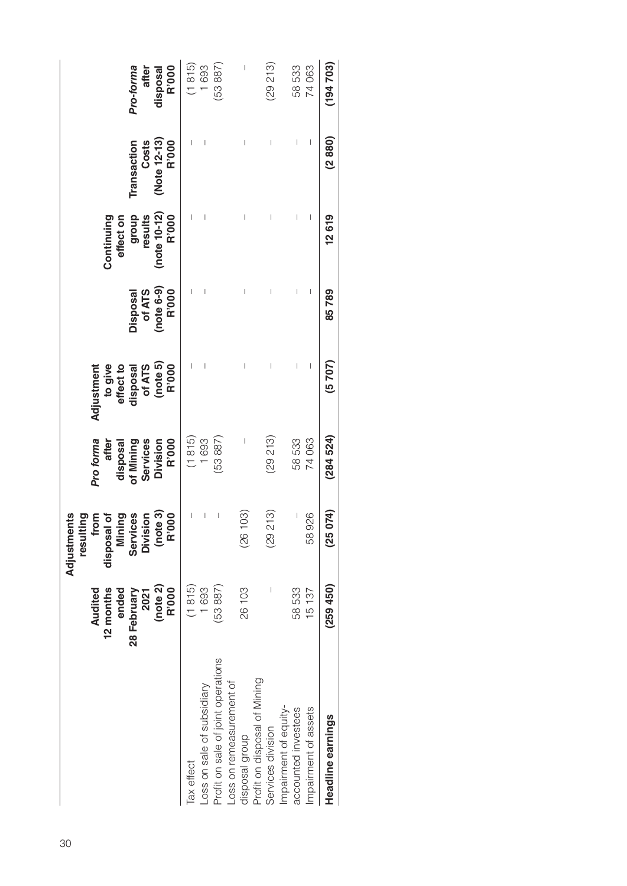|                                    | (note 2)<br>Audited<br>ended<br><b>R'000</b><br>12 months<br>28 February<br>2021 | $(note 3)$<br>$R'000$<br>Services<br>Division<br>Mining<br>rom<br>disposal of<br>tting<br>Adjustments<br>resull | Pro forma<br><b>R'000</b><br>Services<br><b>Division</b><br>of Mining<br>after<br>disposal | disposal<br>of ATS<br>(note 5)<br>R'000<br>to give<br>effect to<br>Adjustment | $(note 6-9)$<br><b>R'000</b><br>of ATS<br>Disposal | $(note 10-12)$<br>R $2000$<br>group<br>results<br>Continuing<br>effect on | (Note 12-13)<br>R'000<br>Transaction<br>Costs | <b>R'000</b><br>Pro-forma<br>disposal<br>after |
|------------------------------------|----------------------------------------------------------------------------------|-----------------------------------------------------------------------------------------------------------------|--------------------------------------------------------------------------------------------|-------------------------------------------------------------------------------|----------------------------------------------------|---------------------------------------------------------------------------|-----------------------------------------------|------------------------------------------------|
| Tax effect                         | (1815)                                                                           | $\begin{array}{c} \end{array}$                                                                                  | (1815)                                                                                     |                                                                               | $\bigg $                                           | $\overline{\phantom{a}}$                                                  |                                               | (1815)                                         |
| Loss on sale of subsidiary         | 1693                                                                             | $\bigg $                                                                                                        | 1693                                                                                       | $\begin{array}{c} \end{array}$                                                | $\begin{array}{c} \end{array}$                     | $\overline{\phantom{a}}$                                                  |                                               | 1693                                           |
| Profit on sale of joint operations | (53 887)                                                                         |                                                                                                                 | 53887                                                                                      |                                                                               |                                                    |                                                                           |                                               | (53887)                                        |
| -oss on remeasurement of           |                                                                                  |                                                                                                                 |                                                                                            |                                                                               |                                                    |                                                                           |                                               |                                                |
| disposal group                     | 26 103                                                                           | 103<br>(26)                                                                                                     | I                                                                                          | I                                                                             | I                                                  | I                                                                         | I                                             | I                                              |
| Profit on disposal of Mining       |                                                                                  |                                                                                                                 |                                                                                            |                                                                               |                                                    |                                                                           |                                               |                                                |
| Services division                  |                                                                                  | 213)<br>(29)                                                                                                    | (29213)                                                                                    | $\bigg $                                                                      | $\bigg $                                           | $\bigg $                                                                  | $\bigg $                                      | (29213)                                        |
| Impairment of equity-              |                                                                                  |                                                                                                                 |                                                                                            |                                                                               |                                                    |                                                                           |                                               |                                                |
| accounted investees                | 58533                                                                            |                                                                                                                 | 58533                                                                                      | $\mid$                                                                        | $\begin{array}{c} \end{array}$                     | $\begin{array}{c} \end{array}$                                            | I                                             | 58 533                                         |
| Impairment of assets               | 15137                                                                            | 926<br>58                                                                                                       | 74063                                                                                      | I                                                                             |                                                    | I                                                                         |                                               | 74 063                                         |
| Headline earnings                  | $(259\;450)$                                                                     | 074)<br>(25                                                                                                     | (284524)                                                                                   | (5707)                                                                        | 85789                                              | 12 619                                                                    | (2880)                                        | (194703)                                       |
|                                    |                                                                                  |                                                                                                                 |                                                                                            |                                                                               |                                                    |                                                                           |                                               |                                                |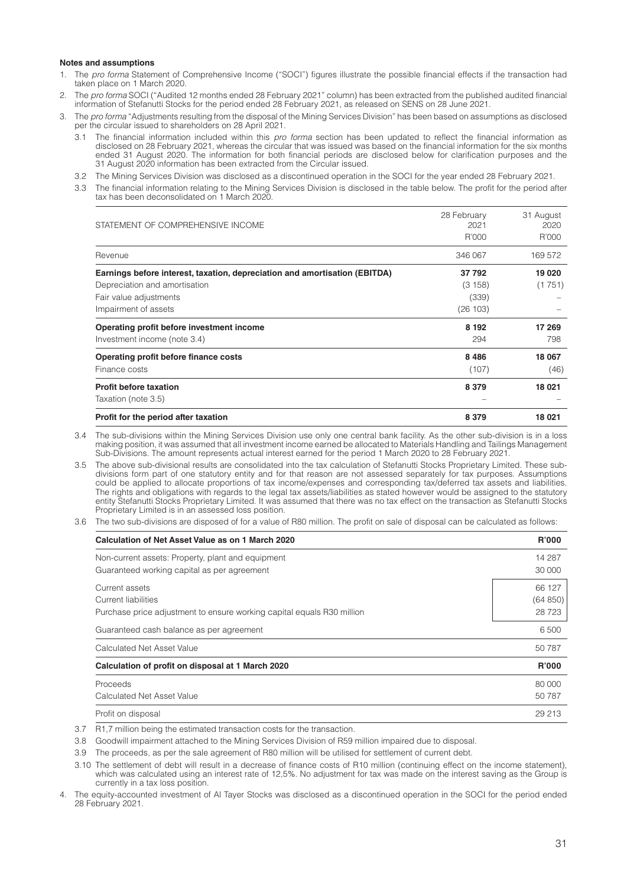#### **Notes and assumptions**

- 1. The *pro forma* Statement of Comprehensive Income ("SOCI") figures illustrate the possible financial effects if the transaction had taken place on 1 March 2020.
- 2. The *pro forma* SOCI ("Audited 12 months ended 28 February 2021" column) has been extracted from the published audited financial information of Stefanutti Stocks for the period ended 28 February 2021, as released on SENS on 28 June 2021.
- 3. The *pro forma* "Adjustments resulting from the disposal of the Mining Services Division" has been based on assumptions as disclosed per the circular issued to shareholders on 28 April 2021.
	- 3.1 The financial information included within this *pro forma* section has been updated to reflect the financial information as disclosed on 28 February 2021, whereas the circular that was issued was based on the financial information for the six months ended 31 August 2020. The information for both financial periods are disclosed below for clarification purposes and the 31 August 2020 information has been extracted from the Circular issued.
	- 3.2 The Mining Services Division was disclosed as a discontinued operation in the SOCI for the year ended 28 February 2021.
	- 3.3 The financial information relating to the Mining Services Division is disclosed in the table below. The profit for the period after tax has been deconsolidated on 1 March 2020.

|                                                                            | 28 February | 31 August |
|----------------------------------------------------------------------------|-------------|-----------|
| STATEMENT OF COMPREHENSIVE INCOME                                          | 2021        | 2020      |
|                                                                            | R'000       | R'000     |
| Revenue                                                                    | 346 067     | 169 572   |
| Earnings before interest, taxation, depreciation and amortisation (EBITDA) | 37 792      | 19 0 20   |
| Depreciation and amortisation                                              | (3158)      | (1751)    |
| Fair value adjustments                                                     | (339)       |           |
| Impairment of assets                                                       | (26 103)    |           |
| Operating profit before investment income                                  | 8 1 9 2     | 17 269    |
| Investment income (note 3.4)                                               | 294         | 798       |
| Operating profit before finance costs                                      | 8 4 8 6     | 18 067    |
| Finance costs                                                              | (107)       | (46)      |
| <b>Profit before taxation</b>                                              | 8 3 7 9     | 18 0 21   |
| Taxation (note 3.5)                                                        |             |           |
| Profit for the period after taxation                                       | 8 3 7 9     | 18 021    |

3.4 The sub-divisions within the Mining Services Division use only one central bank facility. As the other sub-division is in a loss making position, it was assumed that all investment income earned be allocated to Materials Handling and Tailings Management Sub-Divisions. The amount represents actual interest earned for the period 1 March 2020 to 28 February 2021.

3.5 The above sub-divisional results are consolidated into the tax calculation of Stefanutti Stocks Proprietary Limited. These subdivisions form part of one statutory entity and for that reason are not assessed separately for tax purposes. Assumptions could be applied to allocate proportions of tax income/expenses and corresponding tax/deferred tax assets and liabilities. The rights and obligations with regards to the legal tax assets/liabilities as stated however would be assigned to the statutory entity Stefanutti Stocks Proprietary Limited. It was assumed that there was no tax effect on the transaction as Stefanutti Stocks Proprietary Limited is in an assessed loss position.

<sup>3.6</sup> The two sub-divisions are disposed of for a value of R80 million. The profit on sale of disposal can be calculated as follows:

| Calculation of Net Asset Value as on 1 March 2020                      | R'000    |
|------------------------------------------------------------------------|----------|
| Non-current assets: Property, plant and equipment                      | 14 287   |
| Guaranteed working capital as per agreement                            | 30 000   |
| Current assets                                                         | 66 127   |
| Current liabilities                                                    | (64 850) |
| Purchase price adjustment to ensure working capital equals R30 million | 28 7 23  |
| Guaranteed cash balance as per agreement                               | 6 500    |
| Calculated Net Asset Value                                             | 50 787   |
| Calculation of profit on disposal at 1 March 2020                      | R'000    |
| Proceeds                                                               | 80 000   |
| Calculated Net Asset Value                                             | 50 787   |
| Profit on disposal                                                     | 29 213   |

3.7 R1,7 million being the estimated transaction costs for the transaction.

3.8 Goodwill impairment attached to the Mining Services Division of R59 million impaired due to disposal.

3.9 The proceeds, as per the sale agreement of R80 million will be utilised for settlement of current debt.

3.10 The settlement of debt will result in a decrease of finance costs of R10 million (continuing effect on the income statement), which was calculated using an interest rate of 12,5%. No adjustment for tax was made on the interest saving as the Group is currently in a tax loss position.

4. The equity-accounted investment of Al Tayer Stocks was disclosed as a discontinued operation in the SOCI for the period ended 28 February 2021.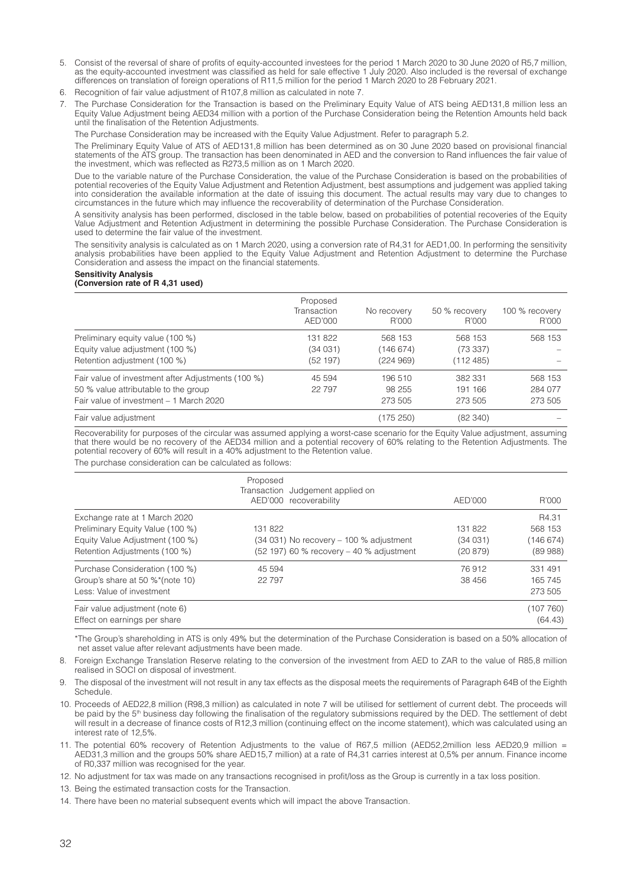- 5. Consist of the reversal of share of profits of equity-accounted investees for the period 1 March 2020 to 30 June 2020 of R5,7 million, as the equity-accounted investment was classified as held for sale effective 1 July 2020. Also included is the reversal of exchange differences on translation of foreign operations of R11,5 million for the period 1 March 2020 to 28 February 2021.
- 6. Recognition of fair value adjustment of R107,8 million as calculated in note 7.
- 7. The Purchase Consideration for the Transaction is based on the Preliminary Equity Value of ATS being AED131,8 million less an Equity Value Adjustment being AED34 million with a portion of the Purchase Consideration being the Retention Amounts held back until the finalisation of the Retention Adjustments.

The Purchase Consideration may be increased with the Equity Value Adjustment. Refer to paragraph 5.2.

The Preliminary Equity Value of ATS of AED131,8 million has been determined as on 30 June 2020 based on provisional financial statements of the ATS group. The transaction has been denominated in AED and the conversion to Rand influences the fair value of the investment, which was reflected as R273,5 million as on 1 March 2020.

Due to the variable nature of the Purchase Consideration, the value of the Purchase Consideration is based on the probabilities of potential recoveries of the Equity Value Adjustment and Retention Adjustment, best assumptions and judgement was applied taking into consideration the available information at the date of issuing this document. The actual results may vary due to changes to circumstances in the future which may influence the recoverability of determination of the Purchase Consideration.

A sensitivity analysis has been performed, disclosed in the table below, based on probabilities of potential recoveries of the Equity Value Adjustment and Retention Adjustment in determining the possible Purchase Consideration. The Purchase Consideration is used to determine the fair value of the investment.

The sensitivity analysis is calculated as on 1 March 2020, using a conversion rate of R4,31 for AED1,00. In performing the sensitivity analysis probabilities have been applied to the Equity Value Adjustment and Retention Adjustment to determine the Purchase Consideration and assess the impact on the financial statements.

#### **Sensitivity Analysis**

#### **(Conversion rate of R 4,31 used)**

|                                                    | Proposed<br>Transaction<br>AED'000 | No recovery<br>R'000 | 50 % recovery<br>R'000 | 100 % recovery<br>R'000 |
|----------------------------------------------------|------------------------------------|----------------------|------------------------|-------------------------|
| Preliminary equity value (100 %)                   | 131 822                            | 568 153              | 568 153                | 568 153                 |
| Equity value adjustment (100 %)                    | (34 031)                           | (146 674)            | (73337)                |                         |
| Retention adjustment (100 %)                       | (52 197)                           | (224969)             | (112 485)              |                         |
| Fair value of investment after Adjustments (100 %) | 45 594                             | 196 510              | 382 331                | 568 153                 |
| 50 % value attributable to the group               | 22 797                             | 98 255               | 191 166                | 284 077                 |
| Fair value of investment - 1 March 2020            |                                    | 273 505              | 273 505                | 273 505                 |
| Fair value adjustment                              |                                    | (175 250)            | (82 340)               |                         |

Recoverability for purposes of the circular was assumed applying a worst-case scenario for the Equity Value adjustment, assuming that there would be no recovery of the AED34 million and a potential recovery of 60% relating to the Retention Adjustments. The potential recovery of 60% will result in a 40% adjustment to the Retention value.

The purchase consideration can be calculated as follows:

|                                  | Proposed<br>Transaction Judgement applied on<br>AED'000<br>recoverability | AED'000 | R'000    |
|----------------------------------|---------------------------------------------------------------------------|---------|----------|
| Exchange rate at 1 March 2020    |                                                                           |         | R4.31    |
| Preliminary Equity Value (100 %) | 131 822                                                                   | 131822  | 568 153  |
| Equity Value Adjustment (100 %)  | (34 031) No recovery - 100 % adjustment                                   | (34031) | (146674) |
| Retention Adjustments (100 %)    | (52 197) 60 % recovery – 40 % adjustment                                  | (20879) | (89988)  |
| Purchase Consideration (100 %)   | 45 594                                                                    | 76912   | 331 491  |
| Group's share at 50 %*(note 10)  | 22 797                                                                    | 38 456  | 165 745  |
| Less: Value of investment        |                                                                           |         | 273 505  |
| Fair value adjustment (note 6)   |                                                                           |         | (107760) |
| Effect on earnings per share     |                                                                           |         | (64.43)  |

\*The Group's shareholding in ATS is only 49% but the determination of the Purchase Consideration is based on a 50% allocation of net asset value after relevant adjustments have been made.

8. Foreign Exchange Translation Reserve relating to the conversion of the investment from AED to ZAR to the value of R85,8 million realised in SOCI on disposal of investment.

9. The disposal of the investment will not result in any tax effects as the disposal meets the requirements of Paragraph 64B of the Eighth Schedule.

10. Proceeds of AED22,8 million (R98,3 million) as calculated in note 7 will be utilised for settlement of current debt. The proceeds will be paid by the 5<sup>th</sup> business day following the finalisation of the regulatory submissions required by the DED. The settlement of debt will result in a decrease of finance costs of R12,3 million (continuing effect on the income statement), which was calculated using an interest rate of 12,5%.

11. The potential 60% recovery of Retention Adjustments to the value of R67,5 million (AED52,2million less AED20,9 million = AED31,3 million and the groups 50% share AED15,7 million) at a rate of R4,31 carries interest at 0,5% per annum. Finance income of R0,337 million was recognised for the year.

12. No adjustment for tax was made on any transactions recognised in profit/loss as the Group is currently in a tax loss position.

13. Being the estimated transaction costs for the Transaction.

14. There have been no material subsequent events which will impact the above Transaction.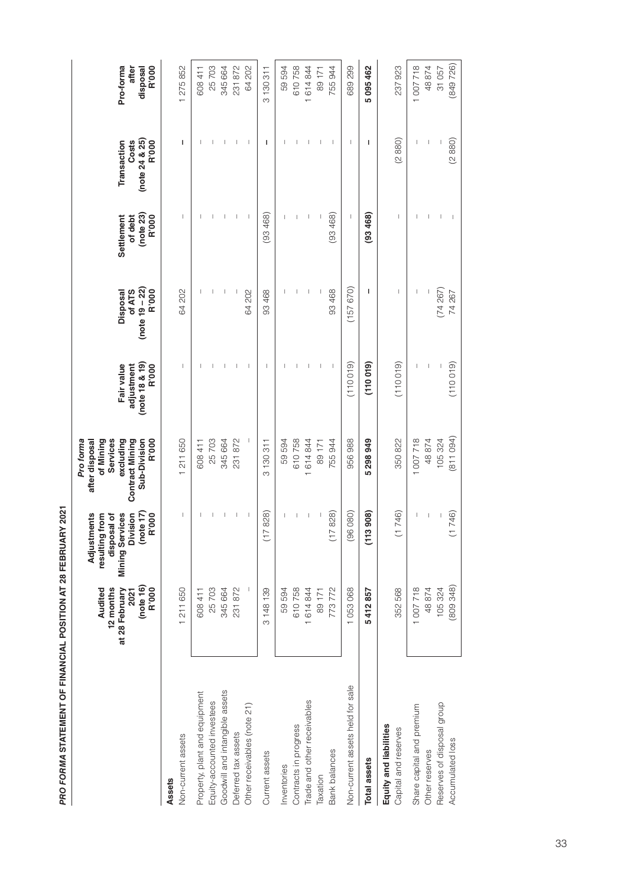|                                                | Audited                                                   | Adjustments<br>resulting from                                                    | of Mining<br>Pro forma<br>after disposal                                 |                                                     |                                                        |                                             |                                                        |                                         |
|------------------------------------------------|-----------------------------------------------------------|----------------------------------------------------------------------------------|--------------------------------------------------------------------------|-----------------------------------------------------|--------------------------------------------------------|---------------------------------------------|--------------------------------------------------------|-----------------------------------------|
|                                                | (note 16)<br>R'000<br>12 months<br>at 28 February<br>2021 | (note 17)<br><b>Division</b><br>R'000<br>৳<br><b>Mining Services</b><br>disposal | Sub-Division<br>R'000<br>excluding<br><b>Contract Mining</b><br>Services | (note 18 & 19)<br>Fair value<br>R'000<br>adjustment | $(note 19 - 22)$<br><b>R'000</b><br>of ATS<br>Disposal | (note 23)<br>R'000<br>Settlement<br>of debt | (note 24 & 25)<br><b>R'000</b><br>Transaction<br>Costs | Pro-forma<br>R'000<br>disposal<br>after |
| Non-current assets<br>Assets                   | 1211650                                                   | $\overline{\phantom{a}}$                                                         | 1211650                                                                  | I                                                   | 64 202                                                 | I                                           | T                                                      | 1275852                                 |
| Property, plant and equipment                  | 608 411                                                   |                                                                                  | 608411                                                                   |                                                     |                                                        |                                             |                                                        | 608411                                  |
| Equity-accounted investees                     | 25703                                                     |                                                                                  | 25703                                                                    |                                                     |                                                        |                                             |                                                        | 25703                                   |
| Goodwill and intangible assets                 | 345 664                                                   |                                                                                  | 345 664                                                                  |                                                     | I                                                      | $\overline{\phantom{a}}$                    |                                                        | 345 664                                 |
| Deferred tax assets                            | 231872                                                    |                                                                                  | 231872                                                                   |                                                     | I                                                      | $\overline{\phantom{a}}$                    |                                                        | 231872                                  |
| Other receivables (note 21)                    |                                                           |                                                                                  |                                                                          | $\overline{\phantom{a}}$                            | 64 202                                                 | $\mid$                                      | $\overline{\phantom{a}}$                               | 64 202                                  |
| Current assets                                 | 3 148 139                                                 | (17828)                                                                          | 3 130 311                                                                | ı                                                   | 93 468                                                 | (93468)                                     | ı                                                      | 3 130 311                               |
| Inventories                                    | 59594                                                     |                                                                                  | 59594                                                                    |                                                     |                                                        |                                             |                                                        | 59594                                   |
| Contracts in progress                          | 610758                                                    |                                                                                  | 610758                                                                   |                                                     |                                                        | I                                           |                                                        | 610758                                  |
| Trade and other receivables                    | 1614844                                                   |                                                                                  | 1614844                                                                  |                                                     | ı                                                      | $\mid$                                      |                                                        | 1614844                                 |
| Taxation                                       | 89 171                                                    |                                                                                  | 89 171                                                                   |                                                     | 1                                                      | $\overline{\phantom{a}}$                    |                                                        | 89 171                                  |
| Bank balances                                  | 773772                                                    | (17828)                                                                          | 755 944                                                                  | $\overline{\phantom{a}}$                            | 93 468                                                 | (93468)                                     | $\begin{array}{c} \end{array}$                         | 755 944                                 |
| Non-current assets held for sale               | 1053068                                                   | (96 080)                                                                         | 956 988                                                                  | (110 019)                                           | (157670)                                               | T                                           | $\overline{\phantom{a}}$                               | 689 299                                 |
| <b>Total assets</b>                            | 5412857                                                   | (113908)                                                                         | 5 298 949                                                                | (11001)                                             | ı                                                      | (93468)                                     | I                                                      | 5095462                                 |
| Equity and liabilities<br>Capital and reserves | 352568                                                    | (1746)                                                                           | 350 822                                                                  | (110019)                                            | I                                                      | $\overline{\phantom{a}}$                    | (2880)                                                 | 237 923                                 |
| Share capital and premium                      | 1007718                                                   | ı                                                                                | 1007718                                                                  |                                                     | I                                                      | ı                                           |                                                        | 1007718                                 |
| Other reserves                                 | 48874                                                     | $\overline{\phantom{a}}$                                                         | 48874                                                                    | $\overline{\phantom{a}}$                            |                                                        | I                                           | $\overline{\phantom{a}}$                               | 48 874                                  |
| Reserves of disposal group                     | 105324                                                    |                                                                                  | 105324                                                                   |                                                     | (74 267)                                               | I                                           | I                                                      | 31057                                   |
| Accumulated loss                               | (809 348)                                                 | (1746)                                                                           | (811094)                                                                 | (110019)                                            | 74 267                                                 |                                             | (2880)                                                 | (849 726)                               |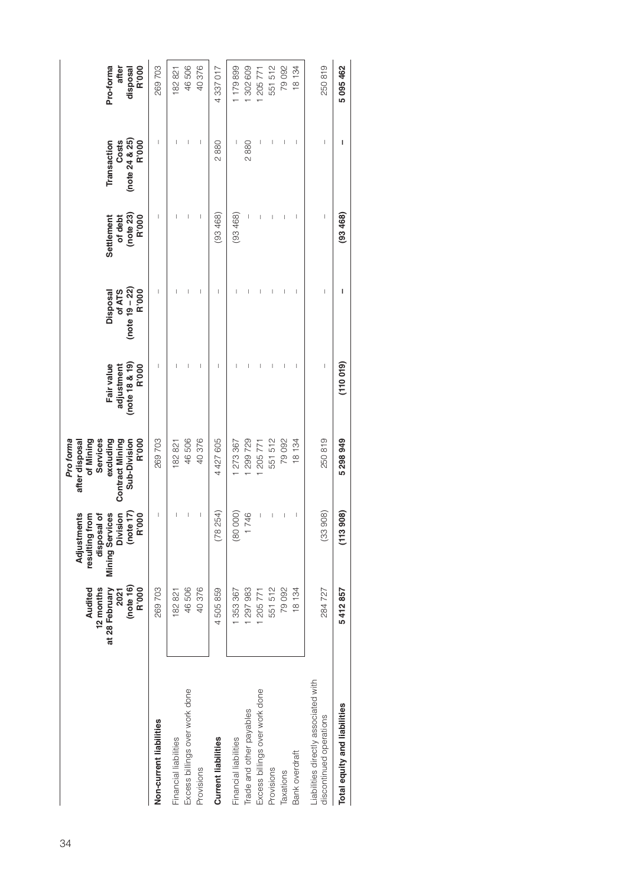|                                                                 | (note 16)<br><b>R'000</b><br>Audited<br>12 months<br>at 28 February<br>2021 | (note 17)<br><b>Mining Services</b><br><b>Division</b><br>R'000<br>Adjustments<br>resulting from<br>disposal of                                                                                                                                                                                                                                                                  | Sub-Division<br><b>R'000</b><br>of Mining<br>excluding<br><b>Contract Mining</b><br>Pro forma<br>after disposal<br>Services | (note 18 & 19)<br>Fair value<br><b>R'000</b><br>adjustment | $(note 19 - 22)$<br><b>R'000</b><br>of ATS<br>Disposal | (note 23)<br>R'000<br>Settlement<br>of debt | (note 24 & 25)<br>Costs<br><b>R'000</b><br>Transaction | Pro-forma<br><b>R'000</b><br>after<br>disposal |
|-----------------------------------------------------------------|-----------------------------------------------------------------------------|----------------------------------------------------------------------------------------------------------------------------------------------------------------------------------------------------------------------------------------------------------------------------------------------------------------------------------------------------------------------------------|-----------------------------------------------------------------------------------------------------------------------------|------------------------------------------------------------|--------------------------------------------------------|---------------------------------------------|--------------------------------------------------------|------------------------------------------------|
| Non-current liabilities                                         | 269703                                                                      | $\begin{array}{c} \end{array}$                                                                                                                                                                                                                                                                                                                                                   | 269703                                                                                                                      | Ī                                                          | $\overline{1}$                                         | I                                           | Ī                                                      | 269703                                         |
| Financial liabilities                                           | 182821                                                                      |                                                                                                                                                                                                                                                                                                                                                                                  | 182821                                                                                                                      |                                                            |                                                        |                                             |                                                        | 182821                                         |
| Excess billings over work done                                  | 46506                                                                       | $\overline{\phantom{a}}$                                                                                                                                                                                                                                                                                                                                                         | 46506                                                                                                                       | I                                                          | $\begin{array}{c} \end{array}$                         | $\begin{array}{c} \end{array}$              | I                                                      | 46506                                          |
| Provisions                                                      | 40376                                                                       | $\begin{array}{c} \rule{0pt}{2.5ex} \rule{0pt}{2.5ex} \rule{0pt}{2.5ex} \rule{0pt}{2.5ex} \rule{0pt}{2.5ex} \rule{0pt}{2.5ex} \rule{0pt}{2.5ex} \rule{0pt}{2.5ex} \rule{0pt}{2.5ex} \rule{0pt}{2.5ex} \rule{0pt}{2.5ex} \rule{0pt}{2.5ex} \rule{0pt}{2.5ex} \rule{0pt}{2.5ex} \rule{0pt}{2.5ex} \rule{0pt}{2.5ex} \rule{0pt}{2.5ex} \rule{0pt}{2.5ex} \rule{0pt}{2.5ex} \rule{0$ | 40376                                                                                                                       | I                                                          | I                                                      | I                                           | I                                                      | 40376                                          |
| <b>Current liabilities</b>                                      | 4505859                                                                     | (78254)                                                                                                                                                                                                                                                                                                                                                                          | 4 427 605                                                                                                                   | $\overline{\phantom{a}}$                                   | $\begin{array}{c} \end{array}$                         | (93468)                                     | 2880                                                   | 4337017                                        |
| Financial liabilities                                           | 353 367                                                                     | (80000)                                                                                                                                                                                                                                                                                                                                                                          | 273367                                                                                                                      |                                                            |                                                        | (93468)                                     |                                                        | 1179899                                        |
| Trade and other payables                                        | 297 983                                                                     | 746                                                                                                                                                                                                                                                                                                                                                                              | 299729                                                                                                                      |                                                            | I                                                      |                                             | 2880                                                   | 302 609                                        |
| Excess billings over work done                                  | 1 205 771                                                                   | I                                                                                                                                                                                                                                                                                                                                                                                | 205771                                                                                                                      |                                                            | I                                                      | Ī                                           | I                                                      | 1 205 771                                      |
| Provisions                                                      | 551512                                                                      | Ï                                                                                                                                                                                                                                                                                                                                                                                | 551512                                                                                                                      |                                                            | I                                                      |                                             |                                                        | 551 512                                        |
| Taxations                                                       | 79092                                                                       | Ï                                                                                                                                                                                                                                                                                                                                                                                | 79092                                                                                                                       | Ī                                                          | $\overline{\phantom{a}}$                               | I                                           | I                                                      | 79092                                          |
| Bank overdraft                                                  | 18 134                                                                      | $\begin{array}{c} \end{array}$                                                                                                                                                                                                                                                                                                                                                   | 18 134                                                                                                                      |                                                            | I                                                      |                                             |                                                        | 18 134                                         |
| Liabilities directly associated with<br>discontinued operations | 284727                                                                      | 908)<br>(33)                                                                                                                                                                                                                                                                                                                                                                     | 250819                                                                                                                      | I                                                          | I                                                      | I                                           | I                                                      | 250819                                         |
| Total equity and liabilities                                    | 5412857                                                                     | (113908)                                                                                                                                                                                                                                                                                                                                                                         | 5 298 949                                                                                                                   | (110019)                                                   | I                                                      | (93468)                                     | I                                                      | 5095462                                        |
|                                                                 |                                                                             |                                                                                                                                                                                                                                                                                                                                                                                  |                                                                                                                             |                                                            |                                                        |                                             |                                                        |                                                |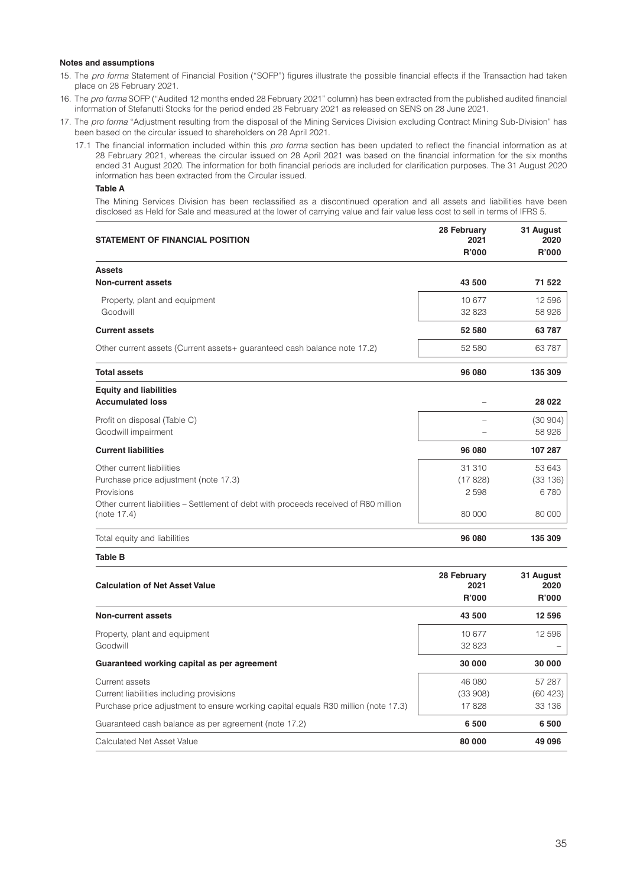#### **Notes and assumptions**

- 15. The *pro forma* Statement of Financial Position ("SOFP") figures illustrate the possible financial effects if the Transaction had taken place on 28 February 2021.
- 16. The *pro forma* SOFP ("Audited 12 months ended 28 February 2021" column) has been extracted from the published audited financial information of Stefanutti Stocks for the period ended 28 February 2021 as released on SENS on 28 June 2021.
- 17. The *pro forma* "Adjustment resulting from the disposal of the Mining Services Division excluding Contract Mining Sub-Division" has been based on the circular issued to shareholders on 28 April 2021.
	- 17.1 The financial information included within this *pro forma* section has been updated to reflect the financial information as at 28 February 2021, whereas the circular issued on 28 April 2021 was based on the financial information for the six months ended 31 August 2020. The information for both financial periods are included for clarification purposes. The 31 August 2020 information has been extracted from the Circular issued.

#### **Table A**

The Mining Services Division has been reclassified as a discontinued operation and all assets and liabilities have been disclosed as Held for Sale and measured at the lower of carrying value and fair value less cost to sell in terms of IFRS 5.

| <b>STATEMENT OF FINANCIAL POSITION</b>                                                              | 28 February<br>2021<br>R'000 | 31 August<br>2020<br>R'000 |
|-----------------------------------------------------------------------------------------------------|------------------------------|----------------------------|
| <b>Assets</b>                                                                                       |                              |                            |
| <b>Non-current assets</b>                                                                           | 43 500                       | 71 522                     |
| Property, plant and equipment                                                                       | 10 677                       | 12 5 9 6                   |
| Goodwill                                                                                            | 32 823                       | 58 926                     |
| <b>Current assets</b>                                                                               | 52 580                       | 63787                      |
| Other current assets (Current assets+ guaranteed cash balance note 17.2)                            | 52 580                       | 63787                      |
| <b>Total assets</b>                                                                                 | 96 080                       | 135 309                    |
| <b>Equity and liabilities</b><br><b>Accumulated loss</b>                                            |                              | 28 0 22                    |
| Profit on disposal (Table C)                                                                        |                              | (30904)                    |
| Goodwill impairment                                                                                 |                              | 58 926                     |
| <b>Current liabilities</b>                                                                          | 96 080                       | 107 287                    |
| Other current liabilities                                                                           | 31 310                       | 53 643                     |
| Purchase price adjustment (note 17.3)                                                               | (17828)                      | (33 136)                   |
| Provisions                                                                                          | 2598                         | 6780                       |
| Other current liabilities – Settlement of debt with proceeds received of R80 million<br>(note 17.4) | 80 000                       | 80 000                     |
| Total equity and liabilities                                                                        | 96 080                       | 135 309                    |
| <b>Table B</b>                                                                                      |                              |                            |
| <b>Calculation of Net Asset Value</b>                                                               | 28 February<br>2021<br>R'000 | 31 August<br>2020<br>R'000 |
| <b>Non-current assets</b>                                                                           | 43 500                       | 12 596                     |
| Property, plant and equipment                                                                       | 10 677                       | 12 5 9 6                   |
| Goodwill                                                                                            | 32 823                       |                            |

| Guaranteed working capital as per agreement                                        | 30 000  | 30 000  |
|------------------------------------------------------------------------------------|---------|---------|
| Current assets                                                                     | 46 080  | 57 287  |
| Current liabilities including provisions                                           | (33908) | (60423) |
| Purchase price adjustment to ensure working capital equals R30 million (note 17.3) | 17828   | 33 136  |
| Guaranteed cash balance as per agreement (note 17.2)                               | 6 500   | 6 500   |
| Calculated Net Asset Value                                                         | 80 000  | 49 096  |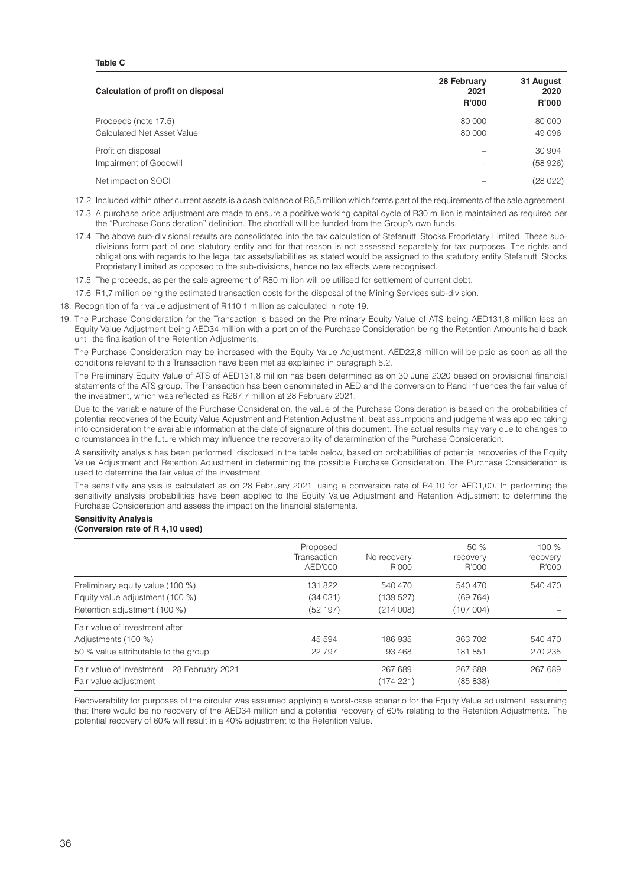| Calculation of profit on disposal | 28 February<br>2021 | 31 August<br>2020 |  |
|-----------------------------------|---------------------|-------------------|--|
|                                   | R'000               | R'000             |  |
| Proceeds (note 17.5)              | 80 000              | 80 000            |  |
| Calculated Net Asset Value        | 80 000              | 49 0 96           |  |
| Profit on disposal                |                     | 30 904            |  |
| Impairment of Goodwill            | -                   | (58926)           |  |
| Net impact on SOCI                |                     | (28 022)          |  |

17.2 Included within other current assets is a cash balance of R6,5 million which forms part of the requirements of the sale agreement.

- 17.3 A purchase price adjustment are made to ensure a positive working capital cycle of R30 million is maintained as required per the "Purchase Consideration" definition. The shortfall will be funded from the Group's own funds.
- 17.4 The above sub-divisional results are consolidated into the tax calculation of Stefanutti Stocks Proprietary Limited. These subdivisions form part of one statutory entity and for that reason is not assessed separately for tax purposes. The rights and obligations with regards to the legal tax assets/liabilities as stated would be assigned to the statutory entity Stefanutti Stocks Proprietary Limited as opposed to the sub-divisions, hence no tax effects were recognised.
- 17.5 The proceeds, as per the sale agreement of R80 million will be utilised for settlement of current debt.

17.6 R1,7 million being the estimated transaction costs for the disposal of the Mining Services sub-division.

- 18. Recognition of fair value adjustment of R110,1 million as calculated in note 19.
- 19. The Purchase Consideration for the Transaction is based on the Preliminary Equity Value of ATS being AED131,8 million less an Equity Value Adjustment being AED34 million with a portion of the Purchase Consideration being the Retention Amounts held back until the finalisation of the Retention Adjustments.

The Purchase Consideration may be increased with the Equity Value Adjustment. AED22,8 million will be paid as soon as all the conditions relevant to this Transaction have been met as explained in paragraph 5.2.

The Preliminary Equity Value of ATS of AED131,8 million has been determined as on 30 June 2020 based on provisional financial statements of the ATS group. The Transaction has been denominated in AED and the conversion to Rand influences the fair value of the investment, which was reflected as R267,7 million at 28 February 2021.

Due to the variable nature of the Purchase Consideration, the value of the Purchase Consideration is based on the probabilities of potential recoveries of the Equity Value Adjustment and Retention Adjustment, best assumptions and judgement was applied taking into consideration the available information at the date of signature of this document. The actual results may vary due to changes to circumstances in the future which may influence the recoverability of determination of the Purchase Consideration.

A sensitivity analysis has been performed, disclosed in the table below, based on probabilities of potential recoveries of the Equity Value Adjustment and Retention Adjustment in determining the possible Purchase Consideration. The Purchase Consideration is used to determine the fair value of the investment.

The sensitivity analysis is calculated as on 28 February 2021, using a conversion rate of R4,10 for AED1,00. In performing the sensitivity analysis probabilities have been applied to the Equity Value Adjustment and Retention Adjustment to determine the Purchase Consideration and assess the impact on the financial statements.

#### **Sensitivity Analysis (Conversion rate of R 4,10 used)**

|                                             | Proposed<br>Transaction<br>AED'000 | No recovery<br>R'000 | 50 %<br>recovery<br>R'000 | 100 %<br>recovery<br>R'000 |
|---------------------------------------------|------------------------------------|----------------------|---------------------------|----------------------------|
| Preliminary equity value (100 %)            | 131 822                            | 540 470              | 540 470                   | 540 470                    |
| Equity value adjustment (100 %)             | (34031)                            | (139527)             | (69764)                   |                            |
| Retention adjustment (100 %)                | (52197)                            | (214008)             | (107 004)                 |                            |
| Fair value of investment after              |                                    |                      |                           |                            |
| Adjustments (100 %)                         | 45 594                             | 186935               | 363 702                   | 540 470                    |
| 50 % value attributable to the group        | 22797                              | 93468                | 181851                    | 270 235                    |
| Fair value of investment - 28 February 2021 |                                    | 267 689              | 267 689                   | 267 689                    |
| Fair value adjustment                       |                                    | (174221)             | (85 838)                  |                            |

Recoverability for purposes of the circular was assumed applying a worst-case scenario for the Equity Value adjustment, assuming that there would be no recovery of the AED34 million and a potential recovery of 60% relating to the Retention Adjustments. The potential recovery of 60% will result in a 40% adjustment to the Retention value.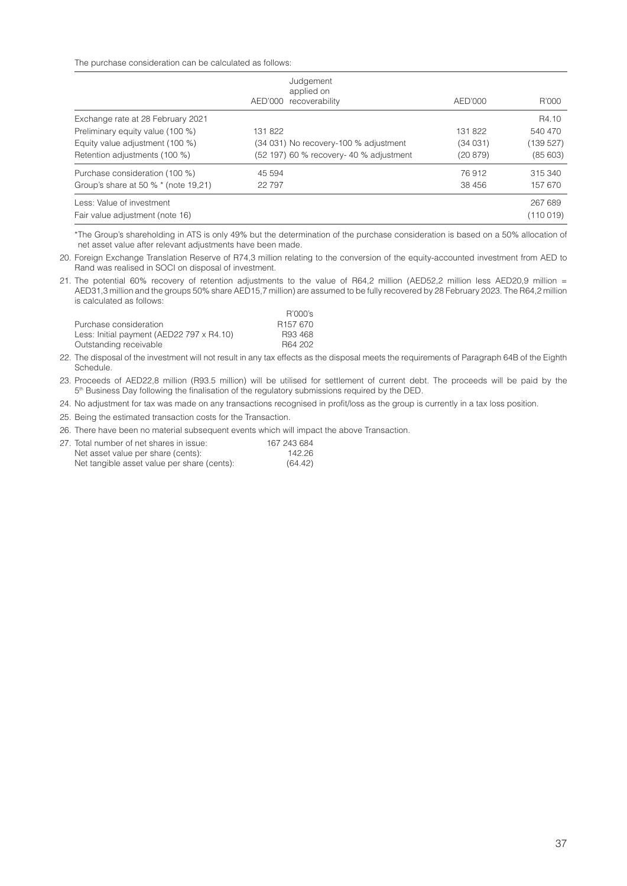The purchase consideration can be calculated as follows:

| Less: Value of investment<br>Fair value adjustment (note 16)                                                                              |                                                                                             |                              | 267 689<br>(110019)                     |
|-------------------------------------------------------------------------------------------------------------------------------------------|---------------------------------------------------------------------------------------------|------------------------------|-----------------------------------------|
| Purchase consideration (100 %)<br>Group's share at 50 % * (note 19,21)                                                                    | 45 594<br>22797                                                                             | 76912<br>38 456              | 315 340<br>157 670                      |
| Exchange rate at 28 February 2021<br>Preliminary equity value (100 %)<br>Equity value adjustment (100 %)<br>Retention adjustments (100 %) | 131 822<br>(34 031) No recovery-100 % adjustment<br>(52 197) 60 % recovery- 40 % adjustment | 131822<br>(34031)<br>(20879) | R4.10<br>540 470<br>(139527)<br>(85603) |
|                                                                                                                                           | Judgement<br>applied on<br>recoverability<br>AED'000                                        | AED'000                      | R'000                                   |

\*The Group's shareholding in ATS is only 49% but the determination of the purchase consideration is based on a 50% allocation of net asset value after relevant adjustments have been made.

20. Foreign Exchange Translation Reserve of R74,3 million relating to the conversion of the equity-accounted investment from AED to Rand was realised in SOCI on disposal of investment.

21. The potential 60% recovery of retention adjustments to the value of R64,2 million (AED52,2 million less AED20,9 million = AED31,3 million and the groups 50% share AED15,7 million) are assumed to be fully recovered by 28 February 2023. The R64,2 million is calculated as follows:

|                                           | R'000's              |
|-------------------------------------------|----------------------|
| Purchase consideration                    | R <sub>157</sub> 670 |
| Less: Initial payment (AED22 797 x R4.10) | R93 468              |
| Outstanding receivable                    | R64 202              |

22. The disposal of the investment will not result in any tax effects as the disposal meets the requirements of Paragraph 64B of the Eighth Schedule.

23. Proceeds of AED22,8 million (R93.5 million) will be utilised for settlement of current debt. The proceeds will be paid by the 5th Business Day following the finalisation of the regulatory submissions required by the DED.

24. No adjustment for tax was made on any transactions recognised in profit/loss as the group is currently in a tax loss position.

25. Being the estimated transaction costs for the Transaction.

26. There have been no material subsequent events which will impact the above Transaction.

| 27. Total number of net shares in issue:    | 167 243 684 |
|---------------------------------------------|-------------|
| Net asset value per share (cents):          | 142.26      |
| Net tangible asset value per share (cents): | (64.42)     |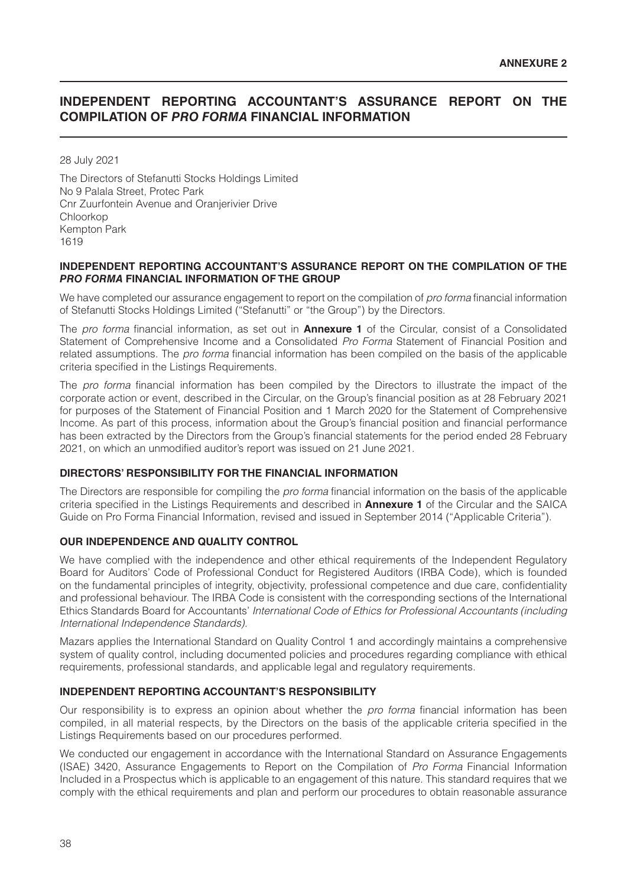# **INDEPENDENT REPORTING ACCOUNTANT'S ASSURANCE REPORT ON THE COMPILATION OF** *PRO FORMA* **FINANCIAL INFORMATION**

28 July 2021

The Directors of Stefanutti Stocks Holdings Limited No 9 Palala Street, Protec Park Cnr Zuurfontein Avenue and Oranjerivier Drive Chloorkop Kempton Park 1619

### **INDEPENDENT REPORTING ACCOUNTANT'S ASSURANCE REPORT ON THE COMPILATION OF THE**  *PRO FORMA* **FINANCIAL INFORMATION OF THE GROUP**

We have completed our assurance engagement to report on the compilation of *pro forma* financial information of Stefanutti Stocks Holdings Limited ("Stefanutti" or "the Group") by the Directors.

The *pro forma* financial information, as set out in **Annexure 1** of the Circular, consist of a Consolidated Statement of Comprehensive Income and a Consolidated *Pro Forma* Statement of Financial Position and related assumptions. The *pro forma* financial information has been compiled on the basis of the applicable criteria specified in the Listings Requirements.

The *pro forma* financial information has been compiled by the Directors to illustrate the impact of the corporate action or event, described in the Circular, on the Group's financial position as at 28 February 2021 for purposes of the Statement of Financial Position and 1 March 2020 for the Statement of Comprehensive Income. As part of this process, information about the Group's financial position and financial performance has been extracted by the Directors from the Group's financial statements for the period ended 28 February 2021, on which an unmodified auditor's report was issued on 21 June 2021.

### **DIRECTORS' RESPONSIBILITY FOR THE FINANCIAL INFORMATION**

The Directors are responsible for compiling the *pro forma* financial information on the basis of the applicable criteria specified in the Listings Requirements and described in **Annexure 1** of the Circular and the SAICA Guide on Pro Forma Financial Information, revised and issued in September 2014 ("Applicable Criteria").

### **OUR INDEPENDENCE AND QUALITY CONTROL**

We have complied with the independence and other ethical requirements of the Independent Regulatory Board for Auditors' Code of Professional Conduct for Registered Auditors (IRBA Code), which is founded on the fundamental principles of integrity, objectivity, professional competence and due care, confidentiality and professional behaviour. The IRBA Code is consistent with the corresponding sections of the International Ethics Standards Board for Accountants' *International Code of Ethics for Professional Accountants (including International Independence Standards).*

Mazars applies the International Standard on Quality Control 1 and accordingly maintains a comprehensive system of quality control, including documented policies and procedures regarding compliance with ethical requirements, professional standards, and applicable legal and regulatory requirements.

### **INDEPENDENT REPORTING ACCOUNTANT'S RESPONSIBILITY**

Our responsibility is to express an opinion about whether the *pro forma* financial information has been compiled, in all material respects, by the Directors on the basis of the applicable criteria specified in the Listings Requirements based on our procedures performed.

We conducted our engagement in accordance with the International Standard on Assurance Engagements (ISAE) 3420, Assurance Engagements to Report on the Compilation of *Pro Forma* Financial Information Included in a Prospectus which is applicable to an engagement of this nature. This standard requires that we comply with the ethical requirements and plan and perform our procedures to obtain reasonable assurance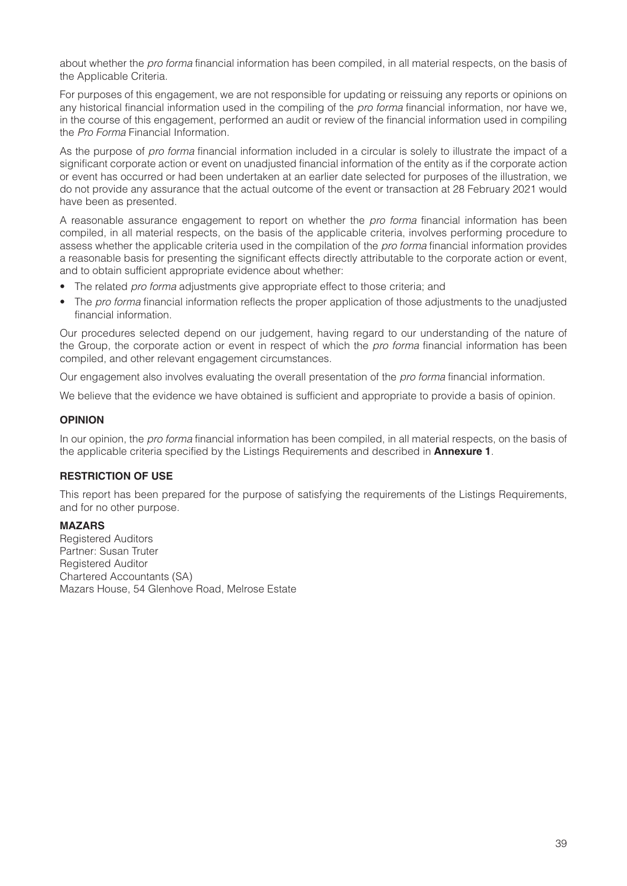about whether the *pro forma* financial information has been compiled, in all material respects, on the basis of the Applicable Criteria.

For purposes of this engagement, we are not responsible for updating or reissuing any reports or opinions on any historical financial information used in the compiling of the *pro forma* financial information, nor have we, in the course of this engagement, performed an audit or review of the financial information used in compiling the *Pro Forma* Financial Information.

As the purpose of *pro forma* financial information included in a circular is solely to illustrate the impact of a significant corporate action or event on unadjusted financial information of the entity as if the corporate action or event has occurred or had been undertaken at an earlier date selected for purposes of the illustration, we do not provide any assurance that the actual outcome of the event or transaction at 28 February 2021 would have been as presented.

A reasonable assurance engagement to report on whether the *pro forma* financial information has been compiled, in all material respects, on the basis of the applicable criteria, involves performing procedure to assess whether the applicable criteria used in the compilation of the *pro forma* financial information provides a reasonable basis for presenting the significant effects directly attributable to the corporate action or event, and to obtain sufficient appropriate evidence about whether:

- The related *pro forma* adjustments give appropriate effect to those criteria; and
- The *pro forma* financial information reflects the proper application of those adjustments to the unadjusted financial information.

Our procedures selected depend on our judgement, having regard to our understanding of the nature of the Group, the corporate action or event in respect of which the *pro forma* financial information has been compiled, and other relevant engagement circumstances.

Our engagement also involves evaluating the overall presentation of the *pro forma* financial information.

We believe that the evidence we have obtained is sufficient and appropriate to provide a basis of opinion.

### **OPINION**

In our opinion, the *pro forma* financial information has been compiled, in all material respects, on the basis of the applicable criteria specified by the Listings Requirements and described in **Annexure 1**.

### **RESTRICTION OF USE**

This report has been prepared for the purpose of satisfying the requirements of the Listings Requirements, and for no other purpose.

### **MAZARS**

Registered Auditors Partner: Susan Truter Registered Auditor Chartered Accountants (SA) Mazars House, 54 Glenhove Road, Melrose Estate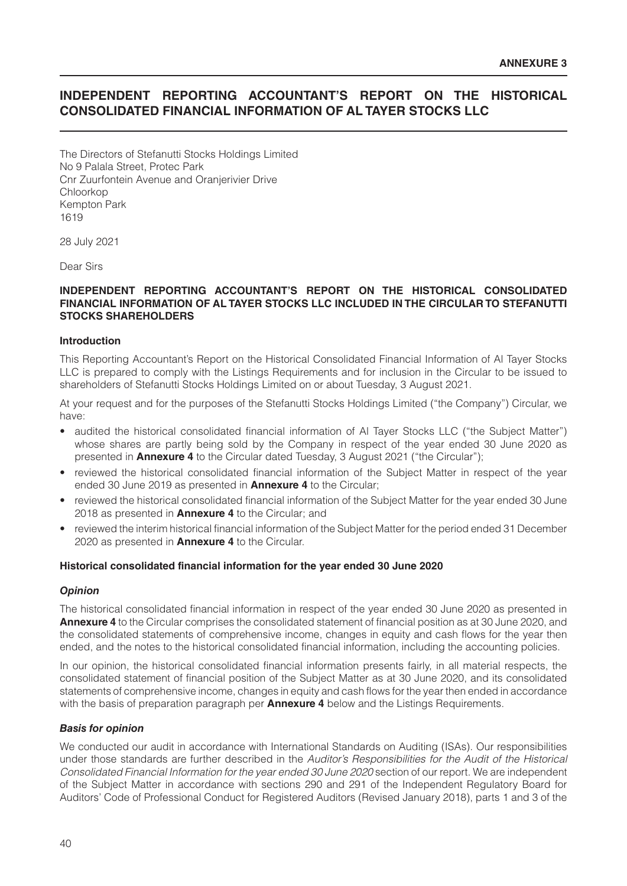# **INDEPENDENT REPORTING ACCOUNTANT'S REPORT ON THE HISTORICAL CONSOLIDATED FINANCIAL INFORMATION OF AL TAYER STOCKS LLC**

The Directors of Stefanutti Stocks Holdings Limited No 9 Palala Street, Protec Park Cnr Zuurfontein Avenue and Oranjerivier Drive Chloorkop Kempton Park 1619

28 July 2021

Dear Sirs

#### **INDEPENDENT REPORTING ACCOUNTANT'S REPORT ON THE HISTORICAL CONSOLIDATED FINANCIAL INFORMATION OF AL TAYER STOCKS LLC INCLUDED IN THE CIRCULAR TO STEFANUTTI STOCKS SHAREHOLDERS**

#### **Introduction**

This Reporting Accountant's Report on the Historical Consolidated Financial Information of Al Tayer Stocks LLC is prepared to comply with the Listings Requirements and for inclusion in the Circular to be issued to shareholders of Stefanutti Stocks Holdings Limited on or about Tuesday, 3 August 2021.

At your request and for the purposes of the Stefanutti Stocks Holdings Limited ("the Company") Circular, we have:

- audited the historical consolidated financial information of Al Tayer Stocks LLC ("the Subject Matter") whose shares are partly being sold by the Company in respect of the year ended 30 June 2020 as presented in **Annexure 4** to the Circular dated Tuesday, 3 August 2021 ("the Circular");
- reviewed the historical consolidated financial information of the Subject Matter in respect of the vear ended 30 June 2019 as presented in **Annexure 4** to the Circular;
- reviewed the historical consolidated financial information of the Subject Matter for the year ended 30 June 2018 as presented in **Annexure 4** to the Circular; and
- reviewed the interim historical financial information of the Subject Matter for the period ended 31 December 2020 as presented in **Annexure 4** to the Circular.

### **Historical consolidated financial information for the year ended 30 June 2020**

#### *Opinion*

The historical consolidated financial information in respect of the year ended 30 June 2020 as presented in **Annexure 4** to the Circular comprises the consolidated statement of financial position as at 30 June 2020, and the consolidated statements of comprehensive income, changes in equity and cash flows for the year then ended, and the notes to the historical consolidated financial information, including the accounting policies.

In our opinion, the historical consolidated financial information presents fairly, in all material respects, the consolidated statement of financial position of the Subject Matter as at 30 June 2020, and its consolidated statements of comprehensive income, changes in equity and cash flows for the year then ended in accordance with the basis of preparation paragraph per **Annexure 4** below and the Listings Requirements.

#### *Basis for opinion*

We conducted our audit in accordance with International Standards on Auditing (ISAs). Our responsibilities under those standards are further described in the *Auditor's Responsibilities for the Audit of the Historical Consolidated Financial Information for the year ended 30 June 2020* section of our report. We are independent of the Subject Matter in accordance with sections 290 and 291 of the Independent Regulatory Board for Auditors' Code of Professional Conduct for Registered Auditors (Revised January 2018), parts 1 and 3 of the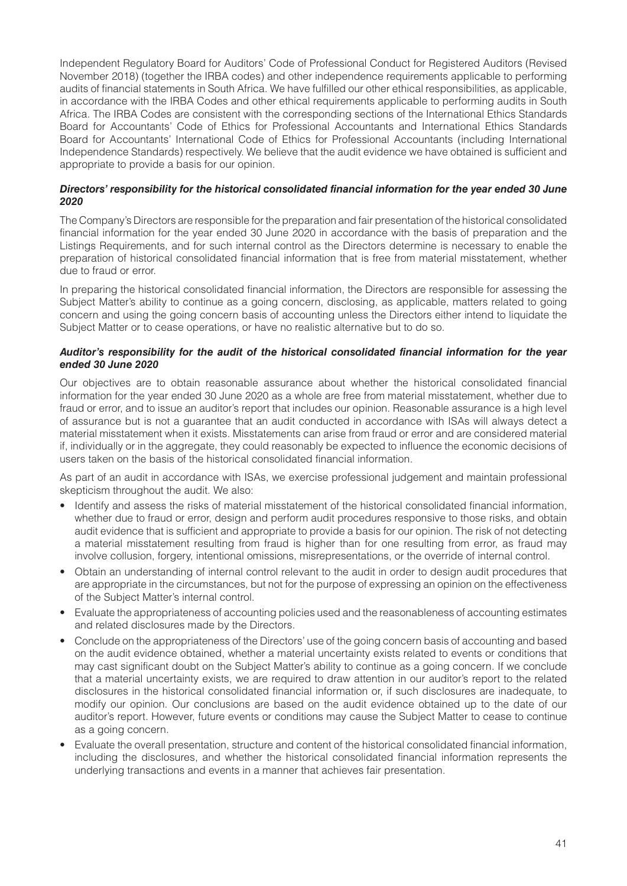Independent Regulatory Board for Auditors' Code of Professional Conduct for Registered Auditors (Revised November 2018) (together the IRBA codes) and other independence requirements applicable to performing audits of financial statements in South Africa. We have fulfilled our other ethical responsibilities, as applicable, in accordance with the IRBA Codes and other ethical requirements applicable to performing audits in South Africa. The IRBA Codes are consistent with the corresponding sections of the International Ethics Standards Board for Accountants' Code of Ethics for Professional Accountants and International Ethics Standards Board for Accountants' International Code of Ethics for Professional Accountants (including International Independence Standards) respectively. We believe that the audit evidence we have obtained is sufficient and appropriate to provide a basis for our opinion.

### *Directors' responsibility for the historical consolidated financial information for the year ended 30 June 2020*

The Company's Directors are responsible for the preparation and fair presentation of the historical consolidated financial information for the year ended 30 June 2020 in accordance with the basis of preparation and the Listings Requirements, and for such internal control as the Directors determine is necessary to enable the preparation of historical consolidated financial information that is free from material misstatement, whether due to fraud or error.

In preparing the historical consolidated financial information, the Directors are responsible for assessing the Subject Matter's ability to continue as a going concern, disclosing, as applicable, matters related to going concern and using the going concern basis of accounting unless the Directors either intend to liquidate the Subject Matter or to cease operations, or have no realistic alternative but to do so.

#### *Auditor's responsibility for the audit of the historical consolidated financial information for the year ended 30 June 2020*

Our objectives are to obtain reasonable assurance about whether the historical consolidated financial information for the year ended 30 June 2020 as a whole are free from material misstatement, whether due to fraud or error, and to issue an auditor's report that includes our opinion. Reasonable assurance is a high level of assurance but is not a guarantee that an audit conducted in accordance with ISAs will always detect a material misstatement when it exists. Misstatements can arise from fraud or error and are considered material if, individually or in the aggregate, they could reasonably be expected to influence the economic decisions of users taken on the basis of the historical consolidated financial information.

As part of an audit in accordance with ISAs, we exercise professional judgement and maintain professional skepticism throughout the audit. We also:

- Identify and assess the risks of material misstatement of the historical consolidated financial information, whether due to fraud or error, design and perform audit procedures responsive to those risks, and obtain audit evidence that is sufficient and appropriate to provide a basis for our opinion. The risk of not detecting a material misstatement resulting from fraud is higher than for one resulting from error, as fraud may involve collusion, forgery, intentional omissions, misrepresentations, or the override of internal control.
- Obtain an understanding of internal control relevant to the audit in order to design audit procedures that are appropriate in the circumstances, but not for the purpose of expressing an opinion on the effectiveness of the Subject Matter's internal control.
- Evaluate the appropriateness of accounting policies used and the reasonableness of accounting estimates and related disclosures made by the Directors.
- Conclude on the appropriateness of the Directors' use of the going concern basis of accounting and based on the audit evidence obtained, whether a material uncertainty exists related to events or conditions that may cast significant doubt on the Subject Matter's ability to continue as a going concern. If we conclude that a material uncertainty exists, we are required to draw attention in our auditor's report to the related disclosures in the historical consolidated financial information or, if such disclosures are inadequate, to modify our opinion. Our conclusions are based on the audit evidence obtained up to the date of our auditor's report. However, future events or conditions may cause the Subject Matter to cease to continue as a going concern.
- Evaluate the overall presentation, structure and content of the historical consolidated financial information, including the disclosures, and whether the historical consolidated financial information represents the underlying transactions and events in a manner that achieves fair presentation.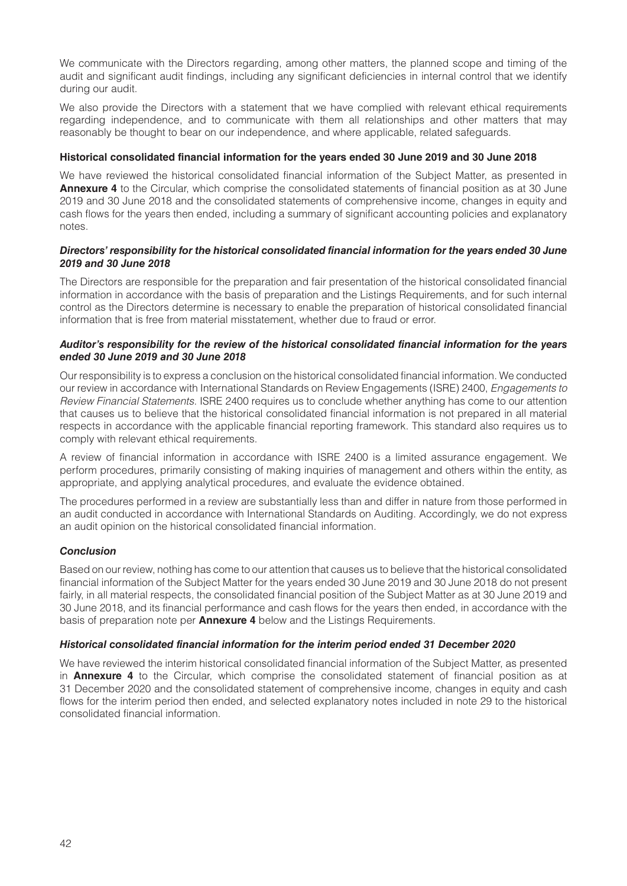We communicate with the Directors regarding, among other matters, the planned scope and timing of the audit and significant audit findings, including any significant deficiencies in internal control that we identify during our audit.

We also provide the Directors with a statement that we have complied with relevant ethical requirements regarding independence, and to communicate with them all relationships and other matters that may reasonably be thought to bear on our independence, and where applicable, related safeguards.

### **Historical consolidated financial information for the years ended 30 June 2019 and 30 June 2018**

We have reviewed the historical consolidated financial information of the Subject Matter, as presented in **Annexure 4** to the Circular, which comprise the consolidated statements of financial position as at 30 June 2019 and 30 June 2018 and the consolidated statements of comprehensive income, changes in equity and cash flows for the years then ended, including a summary of significant accounting policies and explanatory notes.

### *Directors' responsibility for the historical consolidated financial information for the years ended 30 June 2019 and 30 June 2018*

The Directors are responsible for the preparation and fair presentation of the historical consolidated financial information in accordance with the basis of preparation and the Listings Requirements, and for such internal control as the Directors determine is necessary to enable the preparation of historical consolidated financial information that is free from material misstatement, whether due to fraud or error.

### *Auditor's responsibility for the review of the historical consolidated financial information for the years ended 30 June 2019 and 30 June 2018*

Our responsibility is to express a conclusion on the historical consolidated financial information. We conducted our review in accordance with International Standards on Review Engagements (ISRE) 2400, *Engagements to Review Financial Statements*. ISRE 2400 requires us to conclude whether anything has come to our attention that causes us to believe that the historical consolidated financial information is not prepared in all material respects in accordance with the applicable financial reporting framework. This standard also requires us to comply with relevant ethical requirements.

A review of financial information in accordance with ISRE 2400 is a limited assurance engagement. We perform procedures, primarily consisting of making inquiries of management and others within the entity, as appropriate, and applying analytical procedures, and evaluate the evidence obtained.

The procedures performed in a review are substantially less than and differ in nature from those performed in an audit conducted in accordance with International Standards on Auditing. Accordingly, we do not express an audit opinion on the historical consolidated financial information.

### *Conclusion*

Based on our review, nothing has come to our attention that causes us to believe that the historical consolidated financial information of the Subject Matter for the years ended 30 June 2019 and 30 June 2018 do not present fairly, in all material respects, the consolidated financial position of the Subject Matter as at 30 June 2019 and 30 June 2018, and its financial performance and cash flows for the years then ended, in accordance with the basis of preparation note per **Annexure 4** below and the Listings Requirements.

### *Historical consolidated financial information for the interim period ended 31 December 2020*

We have reviewed the interim historical consolidated financial information of the Subject Matter, as presented in **Annexure 4** to the Circular, which comprise the consolidated statement of financial position as at 31 December 2020 and the consolidated statement of comprehensive income, changes in equity and cash flows for the interim period then ended, and selected explanatory notes included in note 29 to the historical consolidated financial information.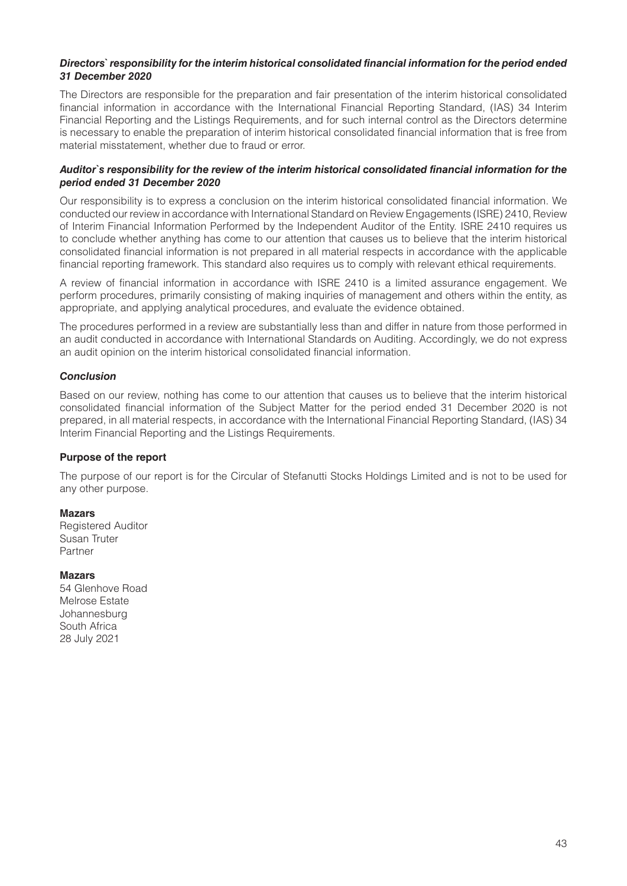### *Directors` responsibility for the interim historical consolidated financial information for the period ended 31 December 2020*

The Directors are responsible for the preparation and fair presentation of the interim historical consolidated financial information in accordance with the International Financial Reporting Standard, (IAS) 34 Interim Financial Reporting and the Listings Requirements, and for such internal control as the Directors determine is necessary to enable the preparation of interim historical consolidated financial information that is free from material misstatement, whether due to fraud or error.

### *Auditor`s responsibility for the review of the interim historical consolidated financial information for the period ended 31 December 2020*

Our responsibility is to express a conclusion on the interim historical consolidated financial information. We conducted our review in accordance with International Standard on Review Engagements (ISRE) 2410, Review of Interim Financial Information Performed by the Independent Auditor of the Entity. ISRE 2410 requires us to conclude whether anything has come to our attention that causes us to believe that the interim historical consolidated financial information is not prepared in all material respects in accordance with the applicable financial reporting framework. This standard also requires us to comply with relevant ethical requirements.

A review of financial information in accordance with ISRE 2410 is a limited assurance engagement. We perform procedures, primarily consisting of making inquiries of management and others within the entity, as appropriate, and applying analytical procedures, and evaluate the evidence obtained.

The procedures performed in a review are substantially less than and differ in nature from those performed in an audit conducted in accordance with International Standards on Auditing. Accordingly, we do not express an audit opinion on the interim historical consolidated financial information.

### *Conclusion*

Based on our review, nothing has come to our attention that causes us to believe that the interim historical consolidated financial information of the Subject Matter for the period ended 31 December 2020 is not prepared, in all material respects, in accordance with the International Financial Reporting Standard, (IAS) 34 Interim Financial Reporting and the Listings Requirements.

### **Purpose of the report**

The purpose of our report is for the Circular of Stefanutti Stocks Holdings Limited and is not to be used for any other purpose.

### **Mazars**

Registered Auditor Susan Truter Partner

#### **Mazars**

54 Glenhove Road Melrose Estate Johannesburg South Africa 28 July 2021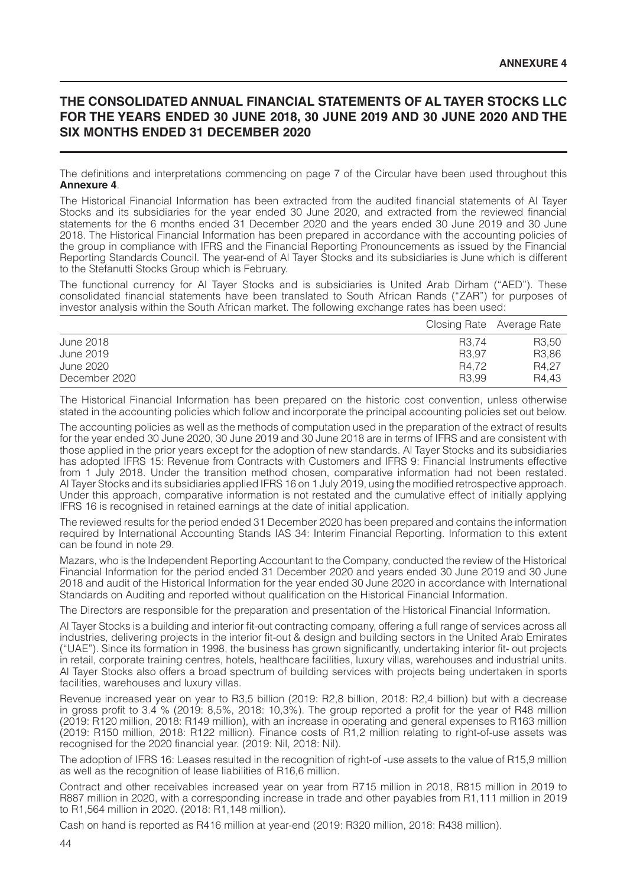# **THE CONSOLIDATED ANNUAL FINANCIAL STATEMENTS OF AL TAYER STOCKS LLC FOR THE YEARS ENDED 30 JUNE 2018, 30 JUNE 2019 AND 30 JUNE 2020 AND THE SIX MONTHS ENDED 31 DECEMBER 2020**

The definitions and interpretations commencing on page 7 of the Circular have been used throughout this **Annexure 4**.

The Historical Financial Information has been extracted from the audited financial statements of Al Tayer Stocks and its subsidiaries for the year ended 30 June 2020, and extracted from the reviewed financial statements for the 6 months ended 31 December 2020 and the years ended 30 June 2019 and 30 June 2018. The Historical Financial Information has been prepared in accordance with the accounting policies of the group in compliance with IFRS and the Financial Reporting Pronouncements as issued by the Financial Reporting Standards Council. The year-end of Al Tayer Stocks and its subsidiaries is June which is different to the Stefanutti Stocks Group which is February.

The functional currency for Al Tayer Stocks and is subsidiaries is United Arab Dirham ("AED"). These consolidated financial statements have been translated to South African Rands ("ZAR") for purposes of investor analysis within the South African market. The following exchange rates has been used:

|               |                   | Closing Rate Average Rate |
|---------------|-------------------|---------------------------|
| June 2018     | R <sub>3.74</sub> | R <sub>3.50</sub>         |
| June 2019     | R <sub>3.97</sub> | R <sub>3.86</sub>         |
| June 2020     | R4.72             | R4.27                     |
| December 2020 | R <sub>3.99</sub> | R4.43                     |

The Historical Financial Information has been prepared on the historic cost convention, unless otherwise stated in the accounting policies which follow and incorporate the principal accounting policies set out below.

The accounting policies as well as the methods of computation used in the preparation of the extract of results for the year ended 30 June 2020, 30 June 2019 and 30 June 2018 are in terms of IFRS and are consistent with those applied in the prior years except for the adoption of new standards. Al Tayer Stocks and its subsidiaries has adopted IFRS 15: Revenue from Contracts with Customers and IFRS 9: Financial Instruments effective from 1 July 2018. Under the transition method chosen, comparative information had not been restated. Al Tayer Stocks and its subsidiaries applied IFRS 16 on 1 July 2019, using the modified retrospective approach. Under this approach, comparative information is not restated and the cumulative effect of initially applying IFRS 16 is recognised in retained earnings at the date of initial application.

The reviewed results for the period ended 31 December 2020 has been prepared and contains the information required by International Accounting Stands IAS 34: Interim Financial Reporting. Information to this extent can be found in note 29.

Mazars, who is the Independent Reporting Accountant to the Company, conducted the review of the Historical Financial Information for the period ended 31 December 2020 and years ended 30 June 2019 and 30 June 2018 and audit of the Historical Information for the year ended 30 June 2020 in accordance with International Standards on Auditing and reported without qualification on the Historical Financial Information.

The Directors are responsible for the preparation and presentation of the Historical Financial Information.

Al Tayer Stocks is a building and interior fit-out contracting company, offering a full range of services across all industries, delivering projects in the interior fit-out & design and building sectors in the United Arab Emirates ("UAE"). Since its formation in 1998, the business has grown significantly, undertaking interior fit- out projects in retail, corporate training centres, hotels, healthcare facilities, luxury villas, warehouses and industrial units. Al Tayer Stocks also offers a broad spectrum of building services with projects being undertaken in sports facilities, warehouses and luxury villas.

Revenue increased year on year to R3,5 billion (2019: R2,8 billion, 2018: R2,4 billion) but with a decrease in gross profit to 3.4 % (2019: 8,5%, 2018: 10,3%). The group reported a profit for the year of R48 million (2019: R120 million, 2018: R149 million), with an increase in operating and general expenses to R163 million (2019: R150 million, 2018: R122 million). Finance costs of R1,2 million relating to right-of-use assets was recognised for the 2020 financial year. (2019: Nil, 2018: Nil).

The adoption of IFRS 16: Leases resulted in the recognition of right-of -use assets to the value of R15,9 million as well as the recognition of lease liabilities of R16,6 million.

Contract and other receivables increased year on year from R715 million in 2018, R815 million in 2019 to R887 million in 2020, with a corresponding increase in trade and other payables from R1,111 million in 2019 to R1,564 million in 2020. (2018: R1,148 million).

Cash on hand is reported as R416 million at year-end (2019: R320 million, 2018: R438 million).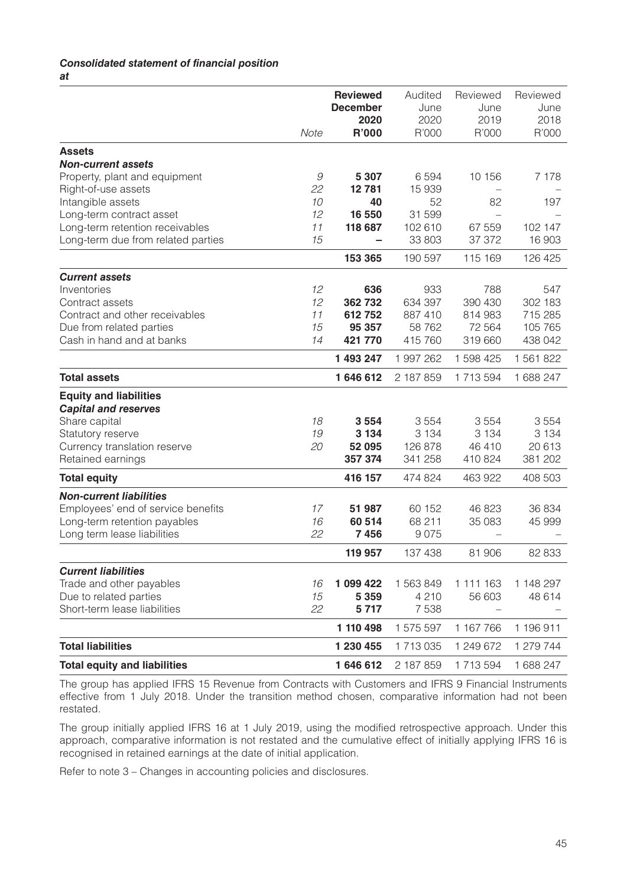# *Consolidated statement of financial position*

*at*

|                                     |              | <b>Reviewed</b>          | Audited       | Reviewed                 | Reviewed  |
|-------------------------------------|--------------|--------------------------|---------------|--------------------------|-----------|
|                                     |              | <b>December</b>          | June          | June                     | June      |
|                                     |              | 2020                     | 2020          | 2019                     | 2018      |
|                                     | Note         | R'000                    | R'000         | R'000                    | R'000     |
|                                     |              |                          |               |                          |           |
| <b>Assets</b>                       |              |                          |               |                          |           |
| <b>Non-current assets</b>           |              |                          |               |                          |           |
| Property, plant and equipment       | $\mathcal G$ | 5 3 0 7                  | 6594          | 10 156                   | 7 1 7 8   |
| Right-of-use assets                 | 22           | 12781                    | 15 939        |                          |           |
| Intangible assets                   | 10           | 40                       | 52            | 82                       | 197       |
| Long-term contract asset            | 12           | 16 550                   | 31 599        | $\overline{\phantom{0}}$ |           |
| Long-term retention receivables     | 11           | 118 687                  | 102 610       | 67 559                   | 102 147   |
| Long-term due from related parties  | 15           | $\overline{\phantom{0}}$ | 33 803        | 37 37 2                  | 16 903    |
|                                     |              | 153 365                  | 190 597       | 115 169                  | 126 425   |
| <b>Current assets</b>               |              |                          |               |                          |           |
| Inventories                         | 12           | 636                      | 933           | 788                      | 547       |
| Contract assets                     | 12           | 362732                   | 634 397       | 390 430                  | 302 183   |
| Contract and other receivables      | 11           | 612752                   | 887 410       | 814 983                  | 715 285   |
| Due from related parties            | 15           | 95 357                   | 58 762        | 72 5 64                  | 105 765   |
| Cash in hand and at banks           | 14           | 421 770                  | 415 760       | 319 660                  | 438 042   |
|                                     |              | 1 493 247                | 1 997 262     | 1 598 425                | 1561822   |
| <b>Total assets</b>                 |              | 1 646 612                | 2 187 859     | 1713594                  | 1 688 247 |
| <b>Equity and liabilities</b>       |              |                          |               |                          |           |
| <b>Capital and reserves</b>         |              |                          |               |                          |           |
| Share capital                       | 18           | 3 5 5 4                  | 3554          | 3554                     | 3554      |
| Statutory reserve                   | 19           | 3 1 3 4                  | 3 1 3 4       | 3 1 3 4                  | 3 1 3 4   |
| Currency translation reserve        | 20           | 52 095                   | 126 878       | 46 410                   | 20 613    |
| Retained earnings                   |              | 357 374                  | 341 258       | 410 824                  | 381 202   |
| <b>Total equity</b>                 |              | 416 157                  | 474 824       | 463 922                  | 408 503   |
| <b>Non-current liabilities</b>      |              |                          |               |                          |           |
| Employees' end of service benefits  | 17           | 51 987                   | 60 152        | 46 823                   | 36 834    |
| Long-term retention payables        | 16           | 60 514                   | 68 211        | 35 083                   | 45 999    |
| Long term lease liabilities         | 22           | 7456                     | 9075          |                          |           |
|                                     |              | 119 957                  | 137 438       | 81 906                   | 82 833    |
|                                     |              |                          |               |                          |           |
| <b>Current liabilities</b>          |              |                          |               |                          |           |
| Trade and other payables            | 16           | 1 099 422                | 1 563 849     | 1 111 163                | 1 148 297 |
| Due to related parties              | 15           | 5 3 5 9                  | 4 2 1 0       | 56 603                   | 48 614    |
| Short-term lease liabilities        | 22           | 5717                     | 7 5 3 8       | $\overline{\phantom{m}}$ |           |
|                                     |              | 1 110 498                | 1 575 597     | 1 167 766                | 1 196 911 |
| <b>Total liabilities</b>            |              | 1 230 455                | 1 7 1 3 0 3 5 | 1 249 672                | 1 279 744 |
| <b>Total equity and liabilities</b> |              | 1 646 612                | 2 187 859     | 1713594                  | 1688 247  |

The group has applied IFRS 15 Revenue from Contracts with Customers and IFRS 9 Financial Instruments effective from 1 July 2018. Under the transition method chosen, comparative information had not been restated.

The group initially applied IFRS 16 at 1 July 2019, using the modified retrospective approach. Under this approach, comparative information is not restated and the cumulative effect of initially applying IFRS 16 is recognised in retained earnings at the date of initial application.

Refer to note 3 – Changes in accounting policies and disclosures.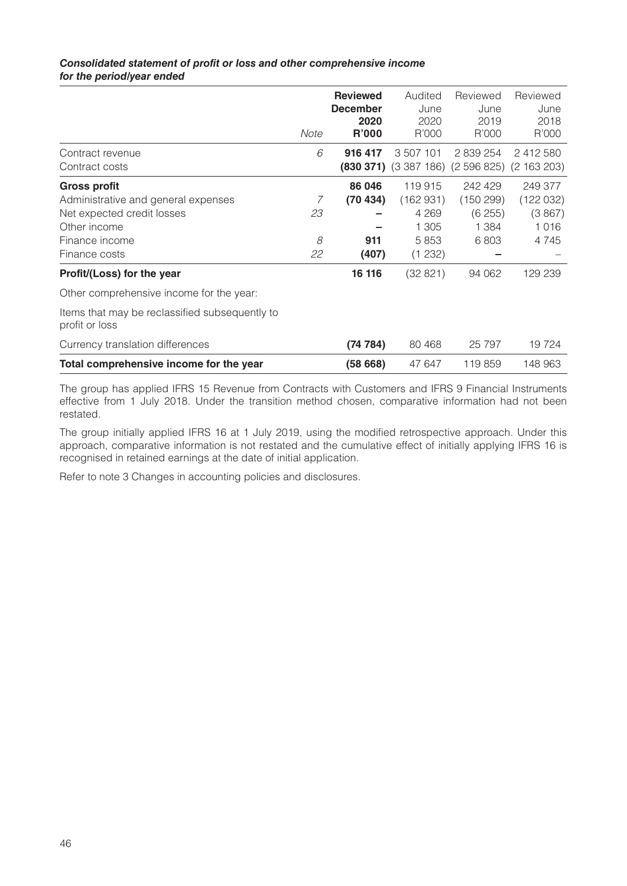| Consolidated statement of profit or loss and other comprehensive income |  |
|-------------------------------------------------------------------------|--|
| for the period/year ended                                               |  |

|                                                                  |      | <b>Reviewed</b> | Audited                                  | Reviewed  | Reviewed    |
|------------------------------------------------------------------|------|-----------------|------------------------------------------|-----------|-------------|
|                                                                  |      | <b>December</b> | June                                     | June      | June        |
|                                                                  |      | 2020            | 2020                                     | 2019      | 2018        |
|                                                                  | Note | <b>R'000</b>    | R'000                                    | R'000     | R'000       |
| Contract revenue                                                 | 6    | 916 417         | 3 507 101                                | 2 839 254 | 2412580     |
| Contract costs                                                   |      |                 | <b>(830 371)</b> (3 387 186) (2 596 825) |           | (2 163 203) |
| <b>Gross profit</b>                                              |      | 86 046          | 119 915                                  | 242 429   | 249 377     |
| Administrative and general expenses                              | 7    | (70434)         | (162931)                                 | (150 299) | (122032)    |
| Net expected credit losses                                       | 23   |                 | 4 2 6 9                                  | (6255)    | (3867)      |
| Other income                                                     |      |                 | 1 3 0 5                                  | 1 3 8 4   | 1016        |
| Finance income                                                   | 8    | 911             | 5853                                     | 6803      | 4 7 4 5     |
| Finance costs                                                    | 22   | (407)           | (1 232)                                  |           |             |
| Profit/(Loss) for the year                                       |      | 16 116          | (32821)                                  | 94 062    | 129 239     |
| Other comprehensive income for the year:                         |      |                 |                                          |           |             |
| Items that may be reclassified subsequently to<br>profit or loss |      |                 |                                          |           |             |
| Currency translation differences                                 |      | (74784)         | 80 468                                   | 25 7 9 7  | 19724       |
| Total comprehensive income for the year                          |      | (58668)         | 47 647                                   | 119 859   | 148 963     |

The group has applied IFRS 15 Revenue from Contracts with Customers and IFRS 9 Financial Instruments effective from 1 July 2018. Under the transition method chosen, comparative information had not been restated.

The group initially applied IFRS 16 at 1 July 2019, using the modified retrospective approach. Under this approach, comparative information is not restated and the cumulative effect of initially applying IFRS 16 is recognised in retained earnings at the date of initial application.

Refer to note 3 Changes in accounting policies and disclosures.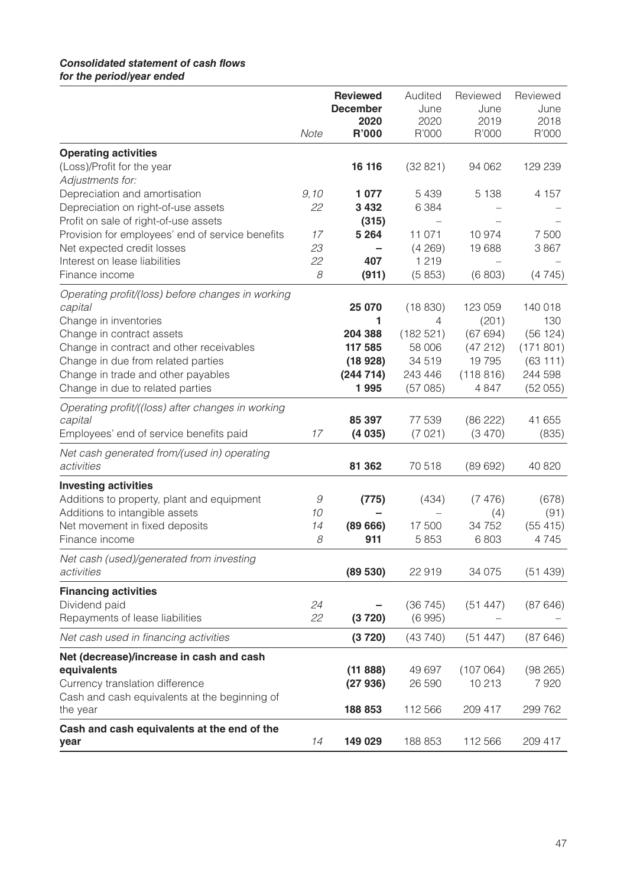# *Consolidated statement of cash flows*

*for the period/year ended*

|                                                           | <b>Reviewed</b> |                 | Audited        | Reviewed      | Reviewed      |
|-----------------------------------------------------------|-----------------|-----------------|----------------|---------------|---------------|
|                                                           |                 | <b>December</b> | June           | June          | June          |
|                                                           | Note            | 2020<br>R'000   | 2020<br>R'000  | 2019<br>R'000 | 2018<br>R'000 |
|                                                           |                 |                 |                |               |               |
| <b>Operating activities</b>                               |                 |                 |                |               |               |
| (Loss)/Profit for the year                                |                 | 16 116          | (32821)        | 94 062        | 129 239       |
| Adjustments for:                                          |                 |                 |                |               |               |
| Depreciation and amortisation                             | 9,10            | 1 077           | 5 4 3 9        | 5 1 3 8       | 4 1 5 7       |
| Depreciation on right-of-use assets                       | 22              | 3 4 3 2         | 6 3 8 4        |               |               |
| Profit on sale of right-of-use assets                     |                 | (315)           |                |               |               |
| Provision for employees' end of service benefits          | 17              | 5 2 6 4         | 11 0 71        | 10 974        | 7500          |
| Net expected credit losses                                | 23              | -               | (4269)         | 19 688        | 3867          |
| Interest on lease liabilities                             | 22              | 407             | 1 2 1 9        |               |               |
| Finance income                                            | 8               | (911)           | (5853)         | (6803)        | (4745)        |
| Operating profit/(loss) before changes in working         |                 |                 |                |               |               |
| capital                                                   |                 | 25 070          | (18830)        | 123 059       | 140 018       |
| Change in inventories                                     |                 | 1               | $\overline{4}$ | (201)         | 130           |
| Change in contract assets                                 |                 | 204 388         | (182521)       | (67694)       | (56 124)      |
| Change in contract and other receivables                  |                 | 117 585         | 58 006         | (47212)       | (171801)      |
| Change in due from related parties                        |                 | (18928)         | 34519          | 19 7 9 5      | (63111)       |
| Change in trade and other payables                        |                 | (244 714)       | 243 446        | (118816)      | 244 598       |
| Change in due to related parties                          |                 | 1995            | (57085)        | 4847          | (52055)       |
| Operating profit/((loss) after changes in working         |                 |                 |                |               |               |
| capital                                                   |                 | 85 397          | 77 539         | (86 222)      | 41 655        |
| Employees' end of service benefits paid                   | 17              | (4035)          | (7021)         | (3470)        | (835)         |
|                                                           |                 |                 |                |               |               |
| Net cash generated from/(used in) operating<br>activities |                 | 81 362          | 70518          | (89692)       | 40 820        |
|                                                           |                 |                 |                |               |               |
| <b>Investing activities</b>                               |                 |                 |                |               |               |
| Additions to property, plant and equipment                | 9               | (775)           | (434)          | (7476)        | (678)         |
| Additions to intangible assets                            | 10              |                 |                | (4)           | (91)          |
| Net movement in fixed deposits                            | 14              | (8966)          | 17 500         | 34 752        | (55415)       |
| Finance income                                            | 8               | 911             | 5853           | 6 803         | 4745          |
| Net cash (used)/generated from investing                  |                 |                 |                |               |               |
| activities                                                |                 | (89530)         | 22919          | 34 075        | (51439)       |
| <b>Financing activities</b>                               |                 |                 |                |               |               |
| Dividend paid                                             | 24              |                 | (36745)        | (51447)       | (87646)       |
| Repayments of lease liabilities                           | 22              | (3720)          | (6995)         |               |               |
|                                                           |                 |                 |                |               |               |
| Net cash used in financing activities                     |                 | (3720)          | (43740)        | (51447)       | (87646)       |
| Net (decrease)/increase in cash and cash                  |                 |                 |                |               |               |
| equivalents                                               |                 | (11888)         | 49 697         | (107064)      | (98 265)      |
| Currency translation difference                           |                 | (27936)         | 26 590         | 10 213        | 7920          |
| Cash and cash equivalents at the beginning of             |                 |                 |                |               |               |
| the year                                                  |                 | 188 853         | 112 566        | 209 417       | 299 762       |
| Cash and cash equivalents at the end of the               |                 |                 |                |               |               |
| year                                                      | 14              | 149 029         | 188 853        | 112 566       | 209 417       |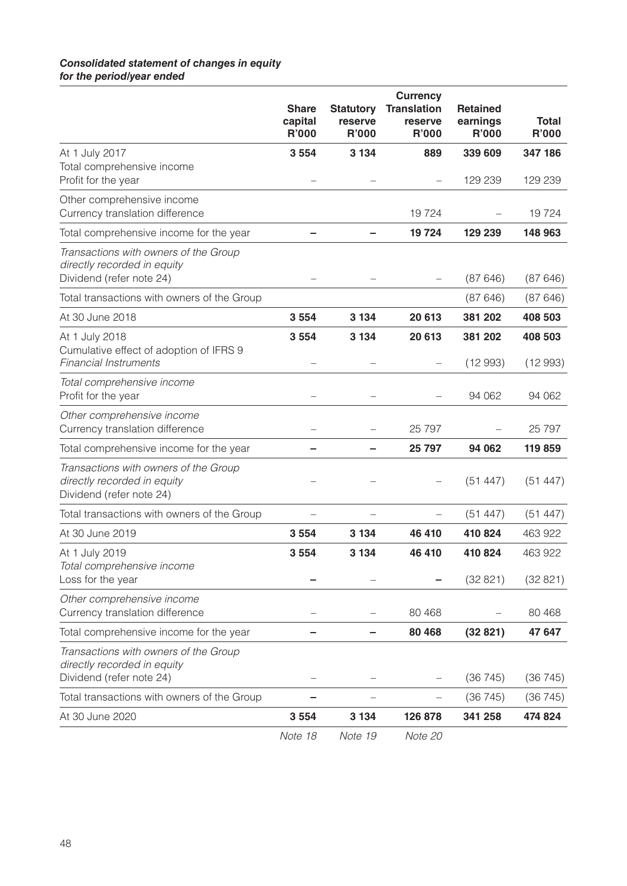#### *Consolidated statement of changes in equity for the period/year ended*

|                                                                                                  | <b>Share</b><br>capital<br>R'000 | <b>Statutory</b><br>reserve<br>R'000 | <b>Currency</b><br><b>Translation</b><br>reserve<br>R'000 | <b>Retained</b><br>earnings<br>R'000 | <b>Total</b><br>R'000 |
|--------------------------------------------------------------------------------------------------|----------------------------------|--------------------------------------|-----------------------------------------------------------|--------------------------------------|-----------------------|
| At 1 July 2017<br>Total comprehensive income<br>Profit for the year                              | 3 5 5 4                          | 3 1 3 4                              | 889                                                       | 339 609<br>129 239                   | 347 186<br>129 239    |
| Other comprehensive income<br>Currency translation difference                                    |                                  |                                      | 19724                                                     |                                      | 19724                 |
| Total comprehensive income for the year                                                          |                                  |                                      | 19 724                                                    | 129 239                              | 148 963               |
| Transactions with owners of the Group<br>directly recorded in equity<br>Dividend (refer note 24) |                                  |                                      |                                                           | (87646)                              | (87646)               |
| Total transactions with owners of the Group                                                      |                                  |                                      |                                                           | (87646)                              | (87646)               |
| At 30 June 2018                                                                                  | 3 5 5 4                          | 3 1 3 4                              | 20 613                                                    | 381 202                              | 408 503               |
| At 1 July 2018<br>Cumulative effect of adoption of IFRS 9<br><b>Financial Instruments</b>        | 3 5 5 4                          | 3 1 3 4                              | 20 613                                                    | 381 202<br>(12993)                   | 408 503<br>(12993)    |
| Total comprehensive income<br>Profit for the year                                                |                                  |                                      |                                                           | 94 062                               | 94 062                |
| Other comprehensive income<br>Currency translation difference                                    |                                  |                                      | 25 7 9 7                                                  |                                      | 25 7 9 7              |
| Total comprehensive income for the year                                                          |                                  |                                      | 25 797                                                    | 94 062                               | 119 859               |
| Transactions with owners of the Group<br>directly recorded in equity<br>Dividend (refer note 24) |                                  |                                      |                                                           | (51447)                              | (51447)               |
| Total transactions with owners of the Group                                                      |                                  |                                      |                                                           | (51447)                              | (51447)               |
| At 30 June 2019                                                                                  | 3 5 5 4                          | 3 1 3 4                              | 46 410                                                    | 410 824                              | 463 922               |
| At 1 July 2019<br>Total comprehensive income<br>Loss for the year                                | 3554                             | 3 1 3 4                              | 46 410                                                    | 410 824<br>(32821)                   | 463 922<br>(32821)    |
| Other comprehensive income<br>Currency translation difference                                    |                                  |                                      | 80 4 68                                                   |                                      | 80 4 68               |
| Total comprehensive income for the year                                                          |                                  |                                      | 80 468                                                    | (32821)                              | 47 647                |
| Transactions with owners of the Group<br>directly recorded in equity<br>Dividend (refer note 24) |                                  |                                      |                                                           | (36745)                              | (36745)               |
| Total transactions with owners of the Group                                                      |                                  |                                      |                                                           | (36745)                              | (36745)               |
| At 30 June 2020                                                                                  | 3 5 5 4                          | 3 1 3 4                              | 126 878                                                   | 341 258                              | 474 824               |
|                                                                                                  | Note 18                          | Note 19                              | Note 20                                                   |                                      |                       |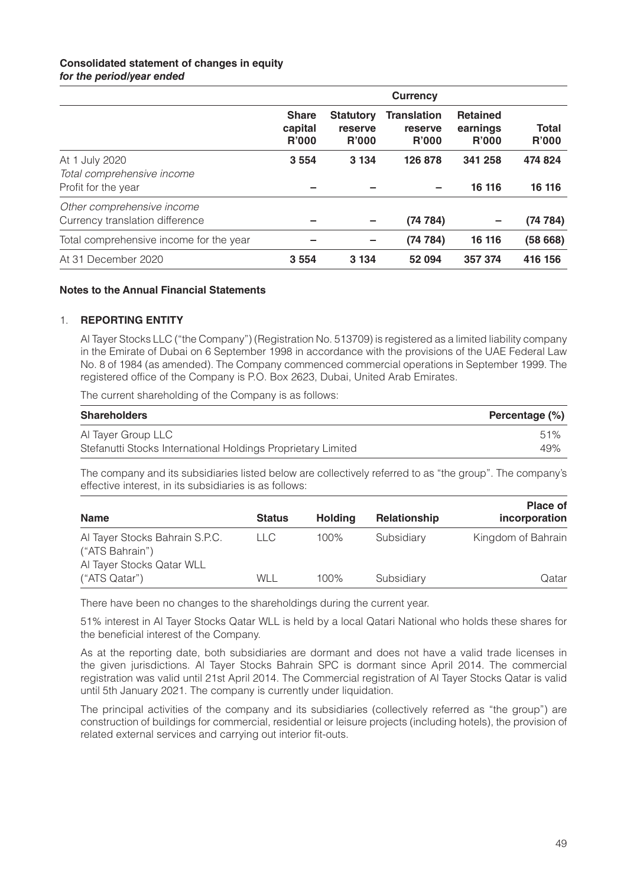#### **Consolidated statement of changes in equity** *for the period/year ended*

|                                                   | <b>Currency</b>                         |                                             |                                        |                                             |                              |
|---------------------------------------------------|-----------------------------------------|---------------------------------------------|----------------------------------------|---------------------------------------------|------------------------------|
|                                                   | <b>Share</b><br>capital<br><b>R'000</b> | <b>Statutory</b><br>reserve<br><b>R'000</b> | Translation<br>reserve<br><b>R'000</b> | <b>Retained</b><br>earnings<br><b>R'000</b> | <b>Total</b><br><b>R'000</b> |
| At 1 July 2020<br>Total comprehensive income      | 3 5 5 4                                 | 3 1 3 4                                     | 126 878                                | 341 258                                     | 474 824                      |
| Profit for the year<br>Other comprehensive income |                                         |                                             |                                        | 16 116                                      | 16 116                       |
| Currency translation difference                   |                                         |                                             | (74784)                                |                                             | (74 784)                     |
| Total comprehensive income for the year           |                                         |                                             | (74784)                                | 16 116                                      | (58668)                      |
| At 31 December 2020                               | 3 5 5 4                                 | 3 1 3 4                                     | 52 094                                 | 357 374                                     | 416 156                      |

#### **Notes to the Annual Financial Statements**

#### 1. **REPORTING ENTITY**

Al Tayer Stocks LLC ("the Company") (Registration No. 513709) is registered as a limited liability company in the Emirate of Dubai on 6 September 1998 in accordance with the provisions of the UAE Federal Law No. 8 of 1984 (as amended). The Company commenced commercial operations in September 1999. The registered office of the Company is P.O. Box 2623, Dubai, United Arab Emirates.

The current shareholding of the Company is as follows:

| <b>Shareholders</b>                                          | Percentage (%) |
|--------------------------------------------------------------|----------------|
| Al Tayer Group LLC                                           | .51%           |
| Stefanutti Stocks International Holdings Proprietary Limited | 49%            |

The company and its subsidiaries listed below are collectively referred to as "the group". The company's effective interest, in its subsidiaries is as follows:

| <b>Name</b>                                                                    | <b>Status</b> | <b>Holding</b> | Relationship | <b>Place of</b><br>incorporation |
|--------------------------------------------------------------------------------|---------------|----------------|--------------|----------------------------------|
| Al Tayer Stocks Bahrain S.P.C.<br>("ATS Bahrain")<br>Al Tayer Stocks Qatar WLL | II C          | 100%           | Subsidiary   | Kingdom of Bahrain               |
| ("ATS Qatar")                                                                  | WLL           | 100%           | Subsidiary   | Qatar                            |

There have been no changes to the shareholdings during the current year.

51% interest in Al Tayer Stocks Qatar WLL is held by a local Qatari National who holds these shares for the beneficial interest of the Company.

As at the reporting date, both subsidiaries are dormant and does not have a valid trade licenses in the given jurisdictions. Al Tayer Stocks Bahrain SPC is dormant since April 2014. The commercial registration was valid until 21st April 2014. The Commercial registration of Al Tayer Stocks Qatar is valid until 5th January 2021. The company is currently under liquidation.

The principal activities of the company and its subsidiaries (collectively referred as "the group") are construction of buildings for commercial, residential or leisure projects (including hotels), the provision of related external services and carrying out interior fit-outs.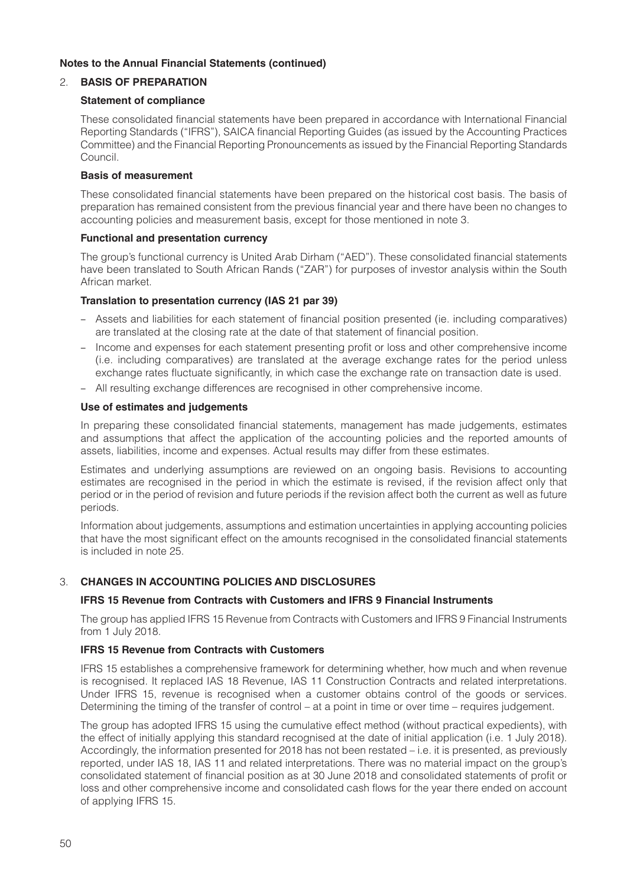### 2. **BASIS OF PREPARATION**

### **Statement of compliance**

These consolidated financial statements have been prepared in accordance with International Financial Reporting Standards ("IFRS"), SAICA financial Reporting Guides (as issued by the Accounting Practices Committee) and the Financial Reporting Pronouncements as issued by the Financial Reporting Standards Council.

#### **Basis of measurement**

These consolidated financial statements have been prepared on the historical cost basis. The basis of preparation has remained consistent from the previous financial year and there have been no changes to accounting policies and measurement basis, except for those mentioned in note 3.

#### **Functional and presentation currency**

The group's functional currency is United Arab Dirham ("AED"). These consolidated financial statements have been translated to South African Rands ("ZAR") for purposes of investor analysis within the South African market.

### **Translation to presentation currency (IAS 21 par 39)**

- Assets and liabilities for each statement of financial position presented (ie. including comparatives) are translated at the closing rate at the date of that statement of financial position.
- Income and expenses for each statement presenting profit or loss and other comprehensive income (i.e. including comparatives) are translated at the average exchange rates for the period unless exchange rates fluctuate significantly, in which case the exchange rate on transaction date is used.
- All resulting exchange differences are recognised in other comprehensive income.

#### **Use of estimates and judgements**

In preparing these consolidated financial statements, management has made judgements, estimates and assumptions that affect the application of the accounting policies and the reported amounts of assets, liabilities, income and expenses. Actual results may differ from these estimates.

Estimates and underlying assumptions are reviewed on an ongoing basis. Revisions to accounting estimates are recognised in the period in which the estimate is revised, if the revision affect only that period or in the period of revision and future periods if the revision affect both the current as well as future periods.

Information about judgements, assumptions and estimation uncertainties in applying accounting policies that have the most significant effect on the amounts recognised in the consolidated financial statements is included in note 25.

### 3. **CHANGES IN ACCOUNTING POLICIES AND DISCLOSURES**

### **IFRS 15 Revenue from Contracts with Customers and IFRS 9 Financial Instruments**

The group has applied IFRS 15 Revenue from Contracts with Customers and IFRS 9 Financial Instruments from 1 July 2018.

#### **IFRS 15 Revenue from Contracts with Customers**

IFRS 15 establishes a comprehensive framework for determining whether, how much and when revenue is recognised. It replaced IAS 18 Revenue, IAS 11 Construction Contracts and related interpretations. Under IFRS 15, revenue is recognised when a customer obtains control of the goods or services. Determining the timing of the transfer of control – at a point in time or over time – requires judgement.

The group has adopted IFRS 15 using the cumulative effect method (without practical expedients), with the effect of initially applying this standard recognised at the date of initial application (i.e. 1 July 2018). Accordingly, the information presented for 2018 has not been restated – i.e. it is presented, as previously reported, under IAS 18, IAS 11 and related interpretations. There was no material impact on the group's consolidated statement of financial position as at 30 June 2018 and consolidated statements of profit or loss and other comprehensive income and consolidated cash flows for the year there ended on account of applying IFRS 15.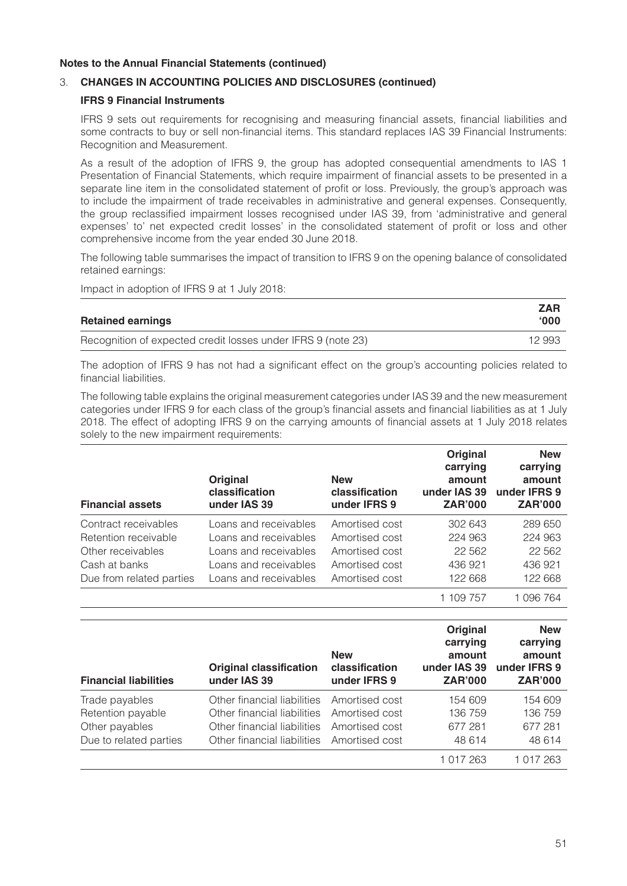### 3. **CHANGES IN ACCOUNTING POLICIES AND DISCLOSURES (continued)**

### **IFRS 9 Financial Instruments**

IFRS 9 sets out requirements for recognising and measuring financial assets, financial liabilities and some contracts to buy or sell non-financial items. This standard replaces IAS 39 Financial Instruments: Recognition and Measurement.

As a result of the adoption of IFRS 9, the group has adopted consequential amendments to IAS 1 Presentation of Financial Statements, which require impairment of financial assets to be presented in a separate line item in the consolidated statement of profit or loss. Previously, the group's approach was to include the impairment of trade receivables in administrative and general expenses. Consequently, the group reclassified impairment losses recognised under IAS 39, from 'administrative and general expenses' to' net expected credit losses' in the consolidated statement of profit or loss and other comprehensive income from the year ended 30 June 2018.

The following table summarises the impact of transition to IFRS 9 on the opening balance of consolidated retained earnings:

Impact in adoption of IFRS 9 at 1 July 2018:

| <b>Retained earnings</b>                                     | <b>ZAR</b><br>$000^{\circ}$ |
|--------------------------------------------------------------|-----------------------------|
| Recognition of expected credit losses under IFRS 9 (note 23) | 12 993                      |

The adoption of IFRS 9 has not had a significant effect on the group's accounting policies related to financial liabilities.

The following table explains the original measurement categories under IAS 39 and the new measurement categories under IFRS 9 for each class of the group's financial assets and financial liabilities as at 1 July 2018. The effect of adopting IFRS 9 on the carrying amounts of financial assets at 1 July 2018 relates solely to the new impairment requirements:

| <b>Financial assets</b>  | Original<br>classification<br>under IAS 39 | <b>New</b><br>classification<br>under IFRS 9 | Original<br>carrying<br>amount<br>under IAS 39<br><b>ZAR'000</b> | <b>New</b><br>carrying<br>amount<br>under IFRS 9<br><b>ZAR'000</b> |
|--------------------------|--------------------------------------------|----------------------------------------------|------------------------------------------------------------------|--------------------------------------------------------------------|
| Contract receivables     | Loans and receivables                      | Amortised cost                               | 302 643                                                          | 289 650                                                            |
| Retention receivable     | Loans and receivables                      | Amortised cost                               | 224 963                                                          | 224 963                                                            |
| Other receivables        | Loans and receivables                      | Amortised cost                               | 22 5 62                                                          | 22 5 62                                                            |
| Cash at banks            | Loans and receivables                      | Amortised cost                               | 436 921                                                          | 436 921                                                            |
| Due from related parties | Loans and receivables                      | Amortised cost                               | 122 668                                                          | 122 668                                                            |
|                          |                                            |                                              | 1 109 757                                                        | 1096764                                                            |

| <b>Financial liabilities</b> | <b>Original classification</b><br>under IAS 39 | <b>New</b><br>classification<br>under IFRS 9 | Original<br>carrying<br>amount<br>under IAS 39<br><b>ZAR'000</b> | <b>New</b><br>carrying<br>amount<br>under IFRS 9<br><b>ZAR'000</b> |
|------------------------------|------------------------------------------------|----------------------------------------------|------------------------------------------------------------------|--------------------------------------------------------------------|
| Trade payables               | Other financial liabilities                    | Amortised cost                               | 154 609                                                          | 154 609                                                            |
| Retention payable            | Other financial liabilities                    | Amortised cost                               | 136 759                                                          | 136 759                                                            |
| Other payables               | Other financial liabilities                    | Amortised cost                               | 677 281                                                          | 677 281                                                            |
| Due to related parties       | Other financial liabilities                    | Amortised cost                               | 48 614                                                           | 48 614                                                             |
|                              |                                                |                                              | 1 017 263                                                        | 1 0 1 7 2 6 3                                                      |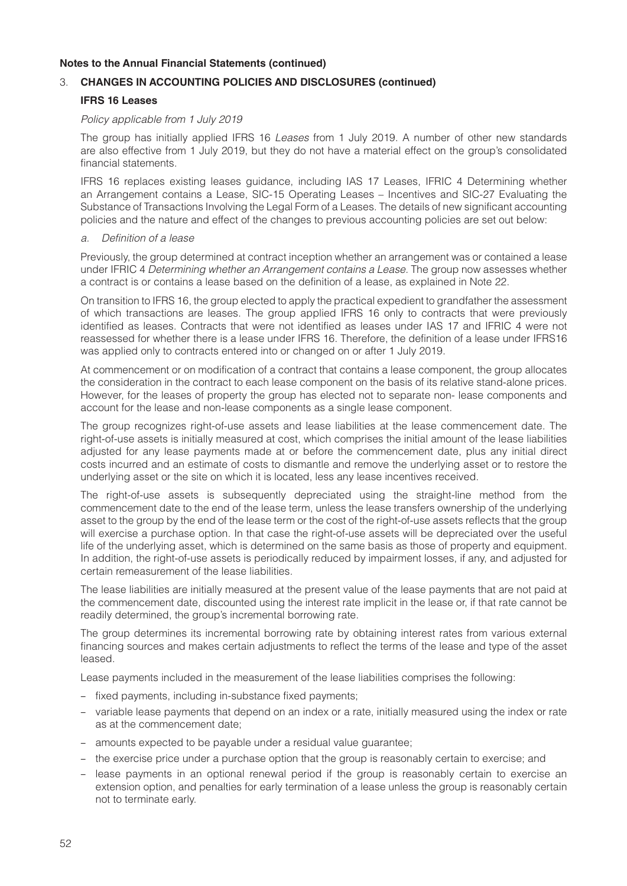### 3. **CHANGES IN ACCOUNTING POLICIES AND DISCLOSURES (continued)**

### **IFRS 16 Leases**

### *Policy applicable from 1 July 2019*

The group has initially applied IFRS 16 *Leases* from 1 July 2019. A number of other new standards are also effective from 1 July 2019, but they do not have a material effect on the group's consolidated financial statements.

IFRS 16 replaces existing leases guidance, including IAS 17 Leases, IFRIC 4 Determining whether an Arrangement contains a Lease, SIC-15 Operating Leases – Incentives and SIC-27 Evaluating the Substance of Transactions Involving the Legal Form of a Leases. The details of new significant accounting policies and the nature and effect of the changes to previous accounting policies are set out below:

#### *a. Definition of a lease*

Previously, the group determined at contract inception whether an arrangement was or contained a lease under IFRIC 4 *Determining whether an Arrangement contains a Lease.* The group now assesses whether a contract is or contains a lease based on the definition of a lease, as explained in Note 22.

On transition to IFRS 16, the group elected to apply the practical expedient to grandfather the assessment of which transactions are leases. The group applied IFRS 16 only to contracts that were previously identified as leases. Contracts that were not identified as leases under IAS 17 and IFRIC 4 were not reassessed for whether there is a lease under IFRS 16. Therefore, the definition of a lease under IFRS16 was applied only to contracts entered into or changed on or after 1 July 2019.

At commencement or on modification of a contract that contains a lease component, the group allocates the consideration in the contract to each lease component on the basis of its relative stand-alone prices. However, for the leases of property the group has elected not to separate non- lease components and account for the lease and non-lease components as a single lease component.

The group recognizes right-of-use assets and lease liabilities at the lease commencement date. The right-of-use assets is initially measured at cost, which comprises the initial amount of the lease liabilities adjusted for any lease payments made at or before the commencement date, plus any initial direct costs incurred and an estimate of costs to dismantle and remove the underlying asset or to restore the underlying asset or the site on which it is located, less any lease incentives received.

The right-of-use assets is subsequently depreciated using the straight-line method from the commencement date to the end of the lease term, unless the lease transfers ownership of the underlying asset to the group by the end of the lease term or the cost of the right-of-use assets reflects that the group will exercise a purchase option. In that case the right-of-use assets will be depreciated over the useful life of the underlying asset, which is determined on the same basis as those of property and equipment. In addition, the right-of-use assets is periodically reduced by impairment losses, if any, and adjusted for certain remeasurement of the lease liabilities.

The lease liabilities are initially measured at the present value of the lease payments that are not paid at the commencement date, discounted using the interest rate implicit in the lease or, if that rate cannot be readily determined, the group's incremental borrowing rate.

The group determines its incremental borrowing rate by obtaining interest rates from various external financing sources and makes certain adjustments to reflect the terms of the lease and type of the asset leased.

Lease payments included in the measurement of the lease liabilities comprises the following:

- fixed payments, including in-substance fixed payments;
- variable lease payments that depend on an index or a rate, initially measured using the index or rate as at the commencement date;
- amounts expected to be payable under a residual value guarantee;
- the exercise price under a purchase option that the group is reasonably certain to exercise; and
- lease payments in an optional renewal period if the group is reasonably certain to exercise an extension option, and penalties for early termination of a lease unless the group is reasonably certain not to terminate early.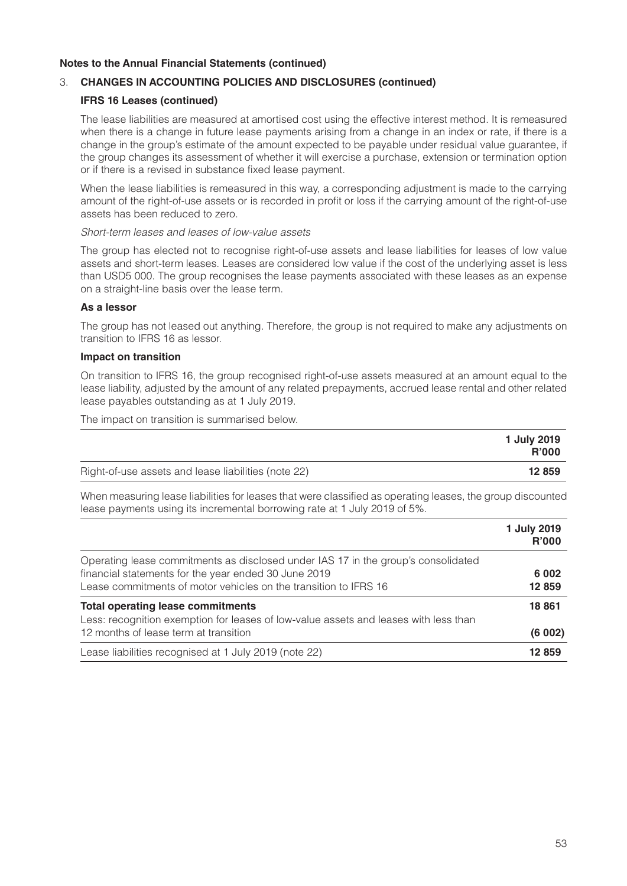### 3. **CHANGES IN ACCOUNTING POLICIES AND DISCLOSURES (continued)**

### **IFRS 16 Leases (continued)**

The lease liabilities are measured at amortised cost using the effective interest method. It is remeasured when there is a change in future lease payments arising from a change in an index or rate, if there is a change in the group's estimate of the amount expected to be payable under residual value guarantee, if the group changes its assessment of whether it will exercise a purchase, extension or termination option or if there is a revised in substance fixed lease payment.

When the lease liabilities is remeasured in this way, a corresponding adjustment is made to the carrying amount of the right-of-use assets or is recorded in profit or loss if the carrying amount of the right-of-use assets has been reduced to zero.

#### *Short-term leases and leases of low-value assets*

The group has elected not to recognise right-of-use assets and lease liabilities for leases of low value assets and short-term leases. Leases are considered low value if the cost of the underlying asset is less than USD5 000. The group recognises the lease payments associated with these leases as an expense on a straight-line basis over the lease term.

#### **As a lessor**

The group has not leased out anything. Therefore, the group is not required to make any adjustments on transition to IFRS 16 as lessor.

#### **Impact on transition**

On transition to IFRS 16, the group recognised right-of-use assets measured at an amount equal to the lease liability, adjusted by the amount of any related prepayments, accrued lease rental and other related lease payables outstanding as at 1 July 2019.

The impact on transition is summarised below.

|                                                     | 1 July 2019<br><b>R'000</b> |
|-----------------------------------------------------|-----------------------------|
| Right-of-use assets and lease liabilities (note 22) | 12859                       |

When measuring lease liabilities for leases that were classified as operating leases, the group discounted lease payments using its incremental borrowing rate at 1 July 2019 of 5%.

|                                                                                                                                                                                                               | 1 July 2019<br><b>R'000</b> |
|---------------------------------------------------------------------------------------------------------------------------------------------------------------------------------------------------------------|-----------------------------|
| Operating lease commitments as disclosed under IAS 17 in the group's consolidated<br>financial statements for the year ended 30 June 2019<br>Lease commitments of motor vehicles on the transition to IFRS 16 | 6 0 0 2<br>12 859           |
| <b>Total operating lease commitments</b><br>Less: recognition exemption for leases of low-value assets and leases with less than<br>12 months of lease term at transition                                     | 18 861<br>(6002)            |
| Lease liabilities recognised at 1 July 2019 (note 22)                                                                                                                                                         | 12859                       |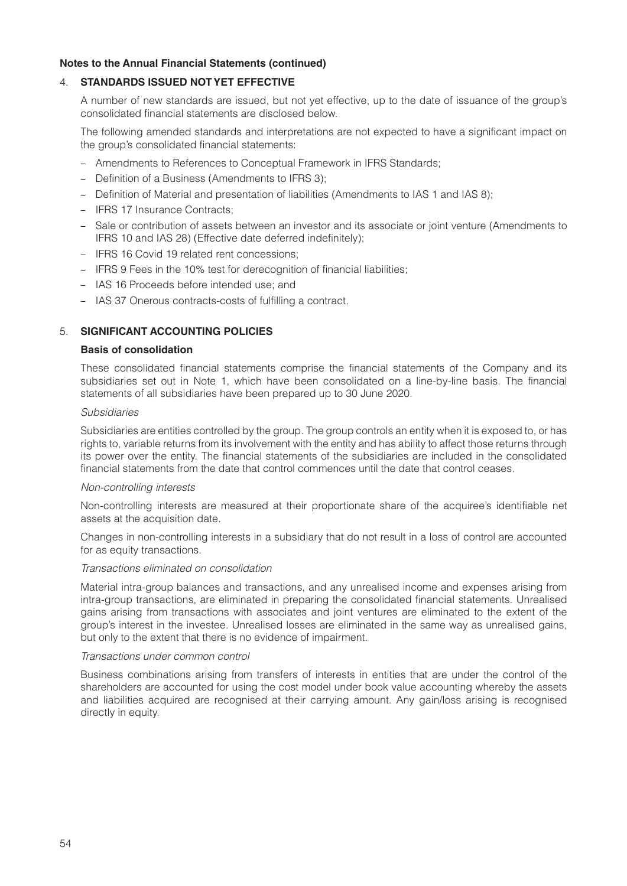### 4. **STANDARDS ISSUED NOT YET EFFECTIVE**

A number of new standards are issued, but not yet effective, up to the date of issuance of the group's consolidated financial statements are disclosed below.

The following amended standards and interpretations are not expected to have a significant impact on the group's consolidated financial statements:

- Amendments to References to Conceptual Framework in IFRS Standards;
- Definition of a Business (Amendments to IFRS 3);
- Definition of Material and presentation of liabilities (Amendments to IAS 1 and IAS 8);
- IFRS 17 Insurance Contracts;
- Sale or contribution of assets between an investor and its associate or joint venture (Amendments to IFRS 10 and IAS 28) (Effective date deferred indefinitely);
- IFRS 16 Covid 19 related rent concessions;
- IFRS 9 Fees in the 10% test for derecognition of financial liabilities;
- IAS 16 Proceeds before intended use; and
- IAS 37 Onerous contracts-costs of fulfilling a contract.

### 5. **SIGNIFICANT ACCOUNTING POLICIES**

#### **Basis of consolidation**

These consolidated financial statements comprise the financial statements of the Company and its subsidiaries set out in Note 1, which have been consolidated on a line-by-line basis. The financial statements of all subsidiaries have been prepared up to 30 June 2020.

#### *Subsidiaries*

Subsidiaries are entities controlled by the group. The group controls an entity when it is exposed to, or has rights to, variable returns from its involvement with the entity and has ability to affect those returns through its power over the entity. The financial statements of the subsidiaries are included in the consolidated financial statements from the date that control commences until the date that control ceases.

#### *Non-controlling interests*

Non-controlling interests are measured at their proportionate share of the acquiree's identifiable net assets at the acquisition date.

Changes in non-controlling interests in a subsidiary that do not result in a loss of control are accounted for as equity transactions.

#### *Transactions eliminated on consolidation*

Material intra-group balances and transactions, and any unrealised income and expenses arising from intra-group transactions, are eliminated in preparing the consolidated financial statements. Unrealised gains arising from transactions with associates and joint ventures are eliminated to the extent of the group's interest in the investee. Unrealised losses are eliminated in the same way as unrealised gains, but only to the extent that there is no evidence of impairment.

#### *Transactions under common control*

Business combinations arising from transfers of interests in entities that are under the control of the shareholders are accounted for using the cost model under book value accounting whereby the assets and liabilities acquired are recognised at their carrying amount. Any gain/loss arising is recognised directly in equity.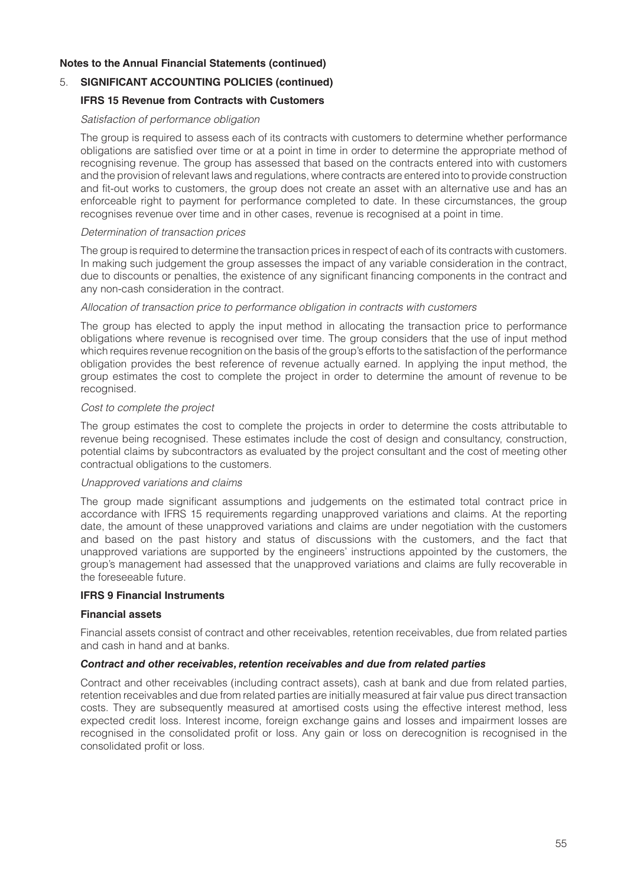### 5. **SIGNIFICANT ACCOUNTING POLICIES (continued)**

### **IFRS 15 Revenue from Contracts with Customers**

#### *Satisfaction of performance obligation*

The group is required to assess each of its contracts with customers to determine whether performance obligations are satisfied over time or at a point in time in order to determine the appropriate method of recognising revenue. The group has assessed that based on the contracts entered into with customers and the provision of relevant laws and regulations, where contracts are entered into to provide construction and fit-out works to customers, the group does not create an asset with an alternative use and has an enforceable right to payment for performance completed to date. In these circumstances, the group recognises revenue over time and in other cases, revenue is recognised at a point in time.

#### *Determination of transaction prices*

The group is required to determine the transaction prices in respect of each of its contracts with customers. In making such judgement the group assesses the impact of any variable consideration in the contract, due to discounts or penalties, the existence of any significant financing components in the contract and any non-cash consideration in the contract.

#### *Allocation of transaction price to performance obligation in contracts with customers*

The group has elected to apply the input method in allocating the transaction price to performance obligations where revenue is recognised over time. The group considers that the use of input method which requires revenue recognition on the basis of the group's efforts to the satisfaction of the performance obligation provides the best reference of revenue actually earned. In applying the input method, the group estimates the cost to complete the project in order to determine the amount of revenue to be recognised.

#### *Cost to complete the project*

The group estimates the cost to complete the projects in order to determine the costs attributable to revenue being recognised. These estimates include the cost of design and consultancy, construction, potential claims by subcontractors as evaluated by the project consultant and the cost of meeting other contractual obligations to the customers.

#### *Unapproved variations and claims*

The group made significant assumptions and judgements on the estimated total contract price in accordance with IFRS 15 requirements regarding unapproved variations and claims. At the reporting date, the amount of these unapproved variations and claims are under negotiation with the customers and based on the past history and status of discussions with the customers, and the fact that unapproved variations are supported by the engineers' instructions appointed by the customers, the group's management had assessed that the unapproved variations and claims are fully recoverable in the foreseeable future.

### **IFRS 9 Financial Instruments**

#### **Financial assets**

Financial assets consist of contract and other receivables, retention receivables, due from related parties and cash in hand and at banks.

### *Contract and other receivables, retention receivables and due from related parties*

Contract and other receivables (including contract assets), cash at bank and due from related parties, retention receivables and due from related parties are initially measured at fair value pus direct transaction costs. They are subsequently measured at amortised costs using the effective interest method, less expected credit loss. Interest income, foreign exchange gains and losses and impairment losses are recognised in the consolidated profit or loss. Any gain or loss on derecognition is recognised in the consolidated profit or loss.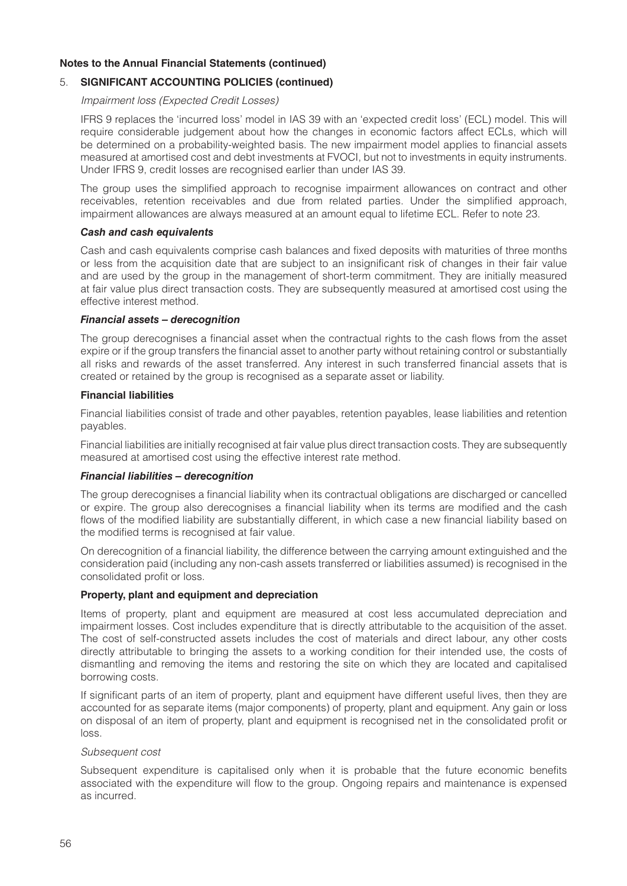### 5. **SIGNIFICANT ACCOUNTING POLICIES (continued)**

#### *Impairment loss (Expected Credit Losses)*

IFRS 9 replaces the 'incurred loss' model in IAS 39 with an 'expected credit loss' (ECL) model. This will require considerable judgement about how the changes in economic factors affect ECLs, which will be determined on a probability-weighted basis. The new impairment model applies to financial assets measured at amortised cost and debt investments at FVOCI, but not to investments in equity instruments. Under IFRS 9, credit losses are recognised earlier than under IAS 39.

The group uses the simplified approach to recognise impairment allowances on contract and other receivables, retention receivables and due from related parties. Under the simplified approach, impairment allowances are always measured at an amount equal to lifetime ECL. Refer to note 23.

#### *Cash and cash equivalents*

Cash and cash equivalents comprise cash balances and fixed deposits with maturities of three months or less from the acquisition date that are subject to an insignificant risk of changes in their fair value and are used by the group in the management of short-term commitment. They are initially measured at fair value plus direct transaction costs. They are subsequently measured at amortised cost using the effective interest method.

#### *Financial assets – derecognition*

The group derecognises a financial asset when the contractual rights to the cash flows from the asset expire or if the group transfers the financial asset to another party without retaining control or substantially all risks and rewards of the asset transferred. Any interest in such transferred financial assets that is created or retained by the group is recognised as a separate asset or liability.

#### **Financial liabilities**

Financial liabilities consist of trade and other payables, retention payables, lease liabilities and retention payables.

Financial liabilities are initially recognised at fair value plus direct transaction costs. They are subsequently measured at amortised cost using the effective interest rate method.

#### *Financial liabilities – derecognition*

The group derecognises a financial liability when its contractual obligations are discharged or cancelled or expire. The group also derecognises a financial liability when its terms are modified and the cash flows of the modified liability are substantially different, in which case a new financial liability based on the modified terms is recognised at fair value.

On derecognition of a financial liability, the difference between the carrying amount extinguished and the consideration paid (including any non-cash assets transferred or liabilities assumed) is recognised in the consolidated profit or loss.

#### **Property, plant and equipment and depreciation**

Items of property, plant and equipment are measured at cost less accumulated depreciation and impairment losses. Cost includes expenditure that is directly attributable to the acquisition of the asset. The cost of self-constructed assets includes the cost of materials and direct labour, any other costs directly attributable to bringing the assets to a working condition for their intended use, the costs of dismantling and removing the items and restoring the site on which they are located and capitalised borrowing costs.

If significant parts of an item of property, plant and equipment have different useful lives, then they are accounted for as separate items (major components) of property, plant and equipment. Any gain or loss on disposal of an item of property, plant and equipment is recognised net in the consolidated profit or loss.

#### *Subsequent cost*

Subsequent expenditure is capitalised only when it is probable that the future economic benefits associated with the expenditure will flow to the group. Ongoing repairs and maintenance is expensed as incurred.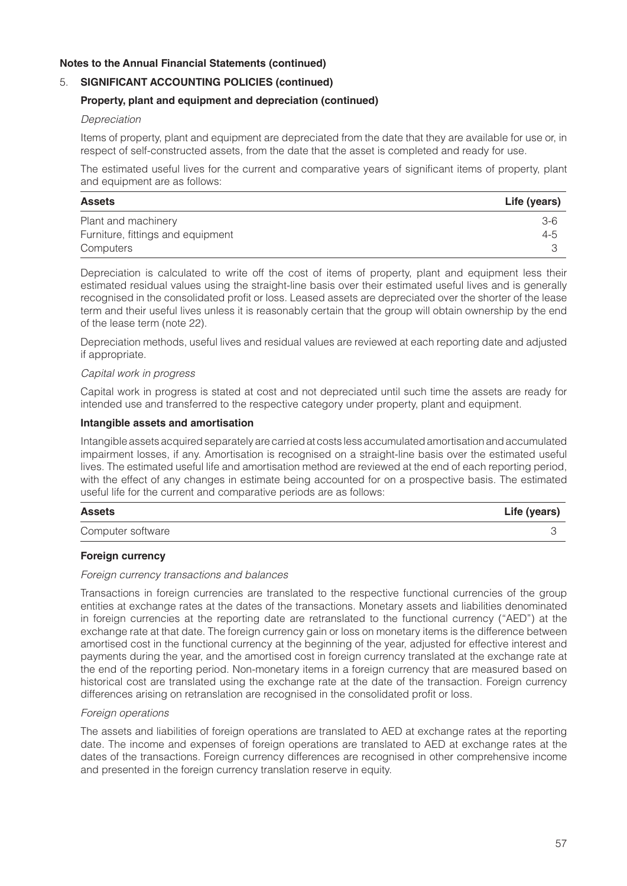### 5. **SIGNIFICANT ACCOUNTING POLICIES (continued)**

### **Property, plant and equipment and depreciation (continued)**

#### *Depreciation*

Items of property, plant and equipment are depreciated from the date that they are available for use or, in respect of self-constructed assets, from the date that the asset is completed and ready for use.

The estimated useful lives for the current and comparative years of significant items of property, plant and equipment are as follows:

| <b>Assets</b>                     | Life (years) |
|-----------------------------------|--------------|
| Plant and machinery               | $3-6$        |
| Furniture, fittings and equipment | 4-5          |
| Computers                         |              |

Depreciation is calculated to write off the cost of items of property, plant and equipment less their estimated residual values using the straight-line basis over their estimated useful lives and is generally recognised in the consolidated profit or loss. Leased assets are depreciated over the shorter of the lease term and their useful lives unless it is reasonably certain that the group will obtain ownership by the end of the lease term (note 22).

Depreciation methods, useful lives and residual values are reviewed at each reporting date and adjusted if appropriate.

#### *Capital work in progress*

Capital work in progress is stated at cost and not depreciated until such time the assets are ready for intended use and transferred to the respective category under property, plant and equipment.

#### **Intangible assets and amortisation**

Intangible assets acquired separately are carried at costs less accumulated amortisation and accumulated impairment losses, if any. Amortisation is recognised on a straight-line basis over the estimated useful lives. The estimated useful life and amortisation method are reviewed at the end of each reporting period, with the effect of any changes in estimate being accounted for on a prospective basis. The estimated useful life for the current and comparative periods are as follows:

| <b>Assets</b>     | Life (years) |
|-------------------|--------------|
| Computer software |              |

### **Foreign currency**

#### *Foreign currency transactions and balances*

Transactions in foreign currencies are translated to the respective functional currencies of the group entities at exchange rates at the dates of the transactions. Monetary assets and liabilities denominated in foreign currencies at the reporting date are retranslated to the functional currency ("AED") at the exchange rate at that date. The foreign currency gain or loss on monetary items is the difference between amortised cost in the functional currency at the beginning of the year, adjusted for effective interest and payments during the year, and the amortised cost in foreign currency translated at the exchange rate at the end of the reporting period. Non-monetary items in a foreign currency that are measured based on historical cost are translated using the exchange rate at the date of the transaction. Foreign currency differences arising on retranslation are recognised in the consolidated profit or loss.

### *Foreign operations*

The assets and liabilities of foreign operations are translated to AED at exchange rates at the reporting date. The income and expenses of foreign operations are translated to AED at exchange rates at the dates of the transactions. Foreign currency differences are recognised in other comprehensive income and presented in the foreign currency translation reserve in equity.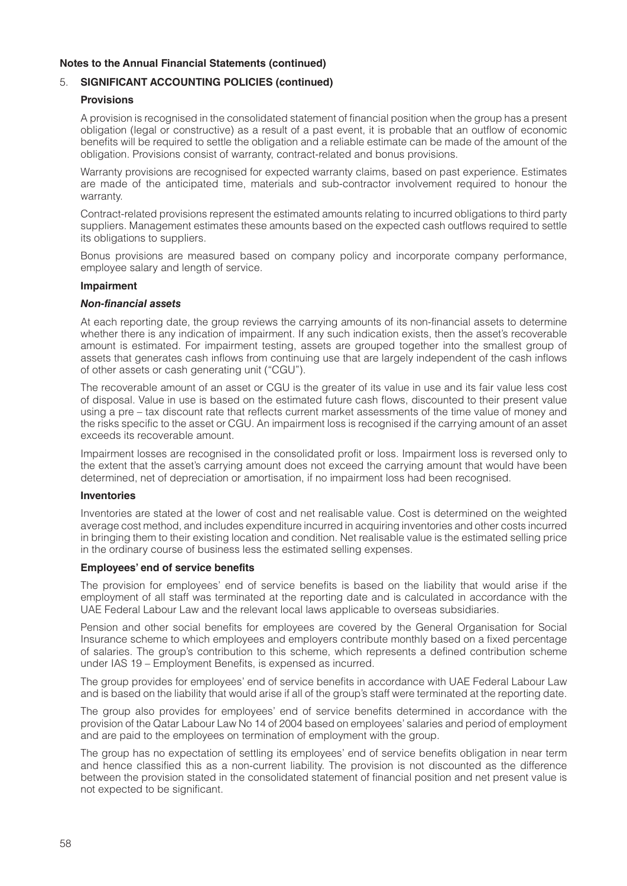### 5. **SIGNIFICANT ACCOUNTING POLICIES (continued)**

### **Provisions**

A provision is recognised in the consolidated statement of financial position when the group has a present obligation (legal or constructive) as a result of a past event, it is probable that an outflow of economic benefits will be required to settle the obligation and a reliable estimate can be made of the amount of the obligation. Provisions consist of warranty, contract-related and bonus provisions.

Warranty provisions are recognised for expected warranty claims, based on past experience. Estimates are made of the anticipated time, materials and sub-contractor involvement required to honour the warranty.

Contract-related provisions represent the estimated amounts relating to incurred obligations to third party suppliers. Management estimates these amounts based on the expected cash outflows required to settle its obligations to suppliers.

Bonus provisions are measured based on company policy and incorporate company performance, employee salary and length of service.

#### **Impairment**

#### *Non-financial assets*

At each reporting date, the group reviews the carrying amounts of its non-financial assets to determine whether there is any indication of impairment. If any such indication exists, then the asset's recoverable amount is estimated. For impairment testing, assets are grouped together into the smallest group of assets that generates cash inflows from continuing use that are largely independent of the cash inflows of other assets or cash generating unit ("CGU").

The recoverable amount of an asset or CGU is the greater of its value in use and its fair value less cost of disposal. Value in use is based on the estimated future cash flows, discounted to their present value using a pre – tax discount rate that reflects current market assessments of the time value of money and the risks specific to the asset or CGU. An impairment loss is recognised if the carrying amount of an asset exceeds its recoverable amount.

Impairment losses are recognised in the consolidated profit or loss. Impairment loss is reversed only to the extent that the asset's carrying amount does not exceed the carrying amount that would have been determined, net of depreciation or amortisation, if no impairment loss had been recognised.

#### **Inventories**

Inventories are stated at the lower of cost and net realisable value. Cost is determined on the weighted average cost method, and includes expenditure incurred in acquiring inventories and other costs incurred in bringing them to their existing location and condition. Net realisable value is the estimated selling price in the ordinary course of business less the estimated selling expenses.

#### **Employees' end of service benefits**

The provision for employees' end of service benefits is based on the liability that would arise if the employment of all staff was terminated at the reporting date and is calculated in accordance with the UAE Federal Labour Law and the relevant local laws applicable to overseas subsidiaries.

Pension and other social benefits for employees are covered by the General Organisation for Social Insurance scheme to which employees and employers contribute monthly based on a fixed percentage of salaries. The group's contribution to this scheme, which represents a defined contribution scheme under IAS 19 – Employment Benefits, is expensed as incurred.

The group provides for employees' end of service benefits in accordance with UAE Federal Labour Law and is based on the liability that would arise if all of the group's staff were terminated at the reporting date.

The group also provides for employees' end of service benefits determined in accordance with the provision of the Qatar Labour Law No 14 of 2004 based on employees' salaries and period of employment and are paid to the employees on termination of employment with the group.

The group has no expectation of settling its employees' end of service benefits obligation in near term and hence classified this as a non-current liability. The provision is not discounted as the difference between the provision stated in the consolidated statement of financial position and net present value is not expected to be significant.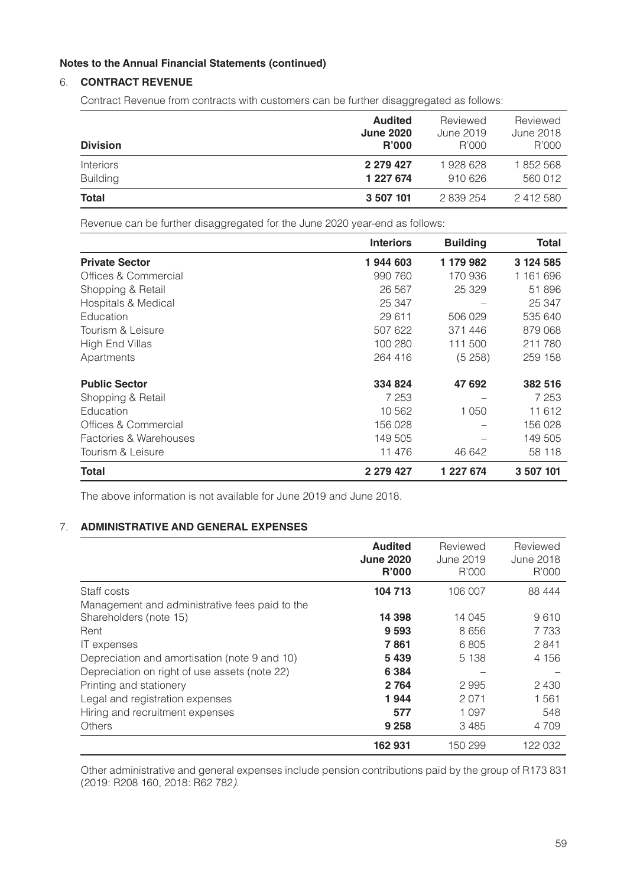### 6. **CONTRACT REVENUE**

Contract Revenue from contracts with customers can be further disaggregated as follows:

| <b>Division</b> | <b>Audited</b>   | Reviewed  | Reviewed  |
|-----------------|------------------|-----------|-----------|
|                 | <b>June 2020</b> | June 2019 | June 2018 |
|                 | <b>R'000</b>     | R'000     | R'000     |
| Interiors       | 2 279 427        | 1928628   | 1852568   |
| <b>Building</b> | 1 227 674        | 910626    | 560 012   |
| <b>Total</b>    | 3 507 101        | 2 839 254 | 2412580   |

Revenue can be further disaggregated for the June 2020 year-end as follows:

|                        | <b>Interiors</b> | <b>Building</b> | Total     |
|------------------------|------------------|-----------------|-----------|
| <b>Private Sector</b>  | 1944603          | 1 179 982       | 3 124 585 |
| Offices & Commercial   | 990 760          | 170 936         | 1 161 696 |
| Shopping & Retail      | 26 567           | 25 3 29         | 51896     |
| Hospitals & Medical    | 25 347           |                 | 25 347    |
| Education              | 29 611           | 506 029         | 535 640   |
| Tourism & Leisure      | 507 622          | 371446          | 879 068   |
| High End Villas        | 100 280          | 111 500         | 211780    |
| Apartments             | 264 416          | (5258)          | 259 158   |
| <b>Public Sector</b>   | 334 824          | 47 692          | 382 516   |
| Shopping & Retail      | 7 2 5 3          |                 | 7 2 5 3   |
| Education              | 10 562           | 1 0 5 0         | 11 612    |
| Offices & Commercial   | 156 028          |                 | 156 028   |
| Factories & Warehouses | 149 505          |                 | 149 505   |
| Tourism & Leisure      | 11 476           | 46 642          | 58 118    |
| Total                  | 2 279 427        | 1 227 674       | 3 507 101 |

The above information is not available for June 2019 and June 2018.

### 7. **ADMINISTRATIVE AND GENERAL EXPENSES**

|                                                | <b>Audited</b><br><b>June 2020</b><br><b>R'000</b> | Reviewed<br>June 2019<br>R'000 | Reviewed<br><b>June 2018</b><br>R'000 |
|------------------------------------------------|----------------------------------------------------|--------------------------------|---------------------------------------|
| Staff costs                                    | 104 713                                            | 106 007                        | 88 444                                |
| Management and administrative fees paid to the |                                                    |                                |                                       |
| Shareholders (note 15)                         | 14 3 98                                            | 14 045                         | 9610                                  |
| Rent                                           | 9 5 9 3                                            | 8 6 5 6                        | 7 7 3 3                               |
| IT expenses                                    | 7861                                               | 6805                           | 2841                                  |
| Depreciation and amortisation (note 9 and 10)  | 5439                                               | 5 1 3 8                        | 4 1 5 6                               |
| Depreciation on right of use assets (note 22)  | 6 3 8 4                                            |                                |                                       |
| Printing and stationery                        | 2 7 64                                             | 2 9 9 5                        | 2 4 3 0                               |
| Legal and registration expenses                | 1944                                               | 2071                           | 1561                                  |
| Hiring and recruitment expenses                | 577                                                | 1 0 9 7                        | 548                                   |
| <b>Others</b>                                  | 9 2 5 8                                            | 3485                           | 4 7 0 9                               |
|                                                | 162 931                                            | 150 299                        | 122 032                               |

Other administrative and general expenses include pension contributions paid by the group of R173 831 (2019: R208 160, 2018: R62 782*)*.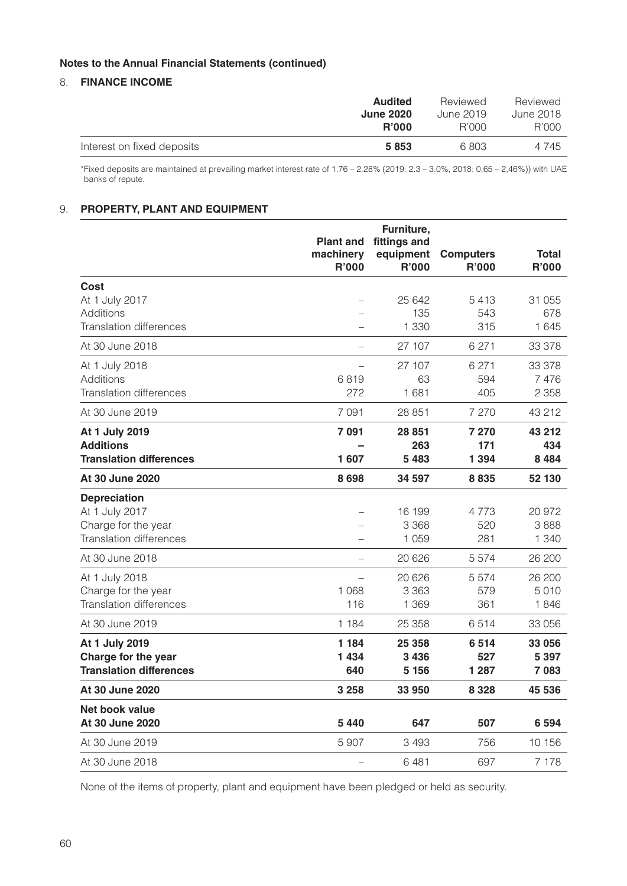### 8. **FINANCE INCOME**

|                            | <b>Audited</b>   | Reviewed     | Reviewed  |
|----------------------------|------------------|--------------|-----------|
|                            | <b>June 2020</b> | June 2019    | June 2018 |
|                            | R'000            | <b>R'000</b> | R'000     |
| Interest on fixed deposits | 5853             | 6803         | 4 745     |

\*Fixed deposits are maintained at prevailing market interest rate of 1.76 – 2.28% (2019: 2.3 – 3.0%, 2018: 0,65 – 2,46%)) with UAE banks of repute.

### 9. **PROPERTY, PLANT AND EQUIPMENT**

|                                |                           | Furniture,                |                                  |                       |
|--------------------------------|---------------------------|---------------------------|----------------------------------|-----------------------|
|                                | <b>Plant and</b>          | fittings and              |                                  |                       |
|                                | machinery<br><b>R'000</b> | equipment<br><b>R'000</b> | <b>Computers</b><br><b>R'000</b> | <b>Total</b><br>R'000 |
|                                |                           |                           |                                  |                       |
| Cost                           |                           |                           |                                  |                       |
| At 1 July 2017<br>Additions    | $\overline{\phantom{0}}$  | 25 642<br>135             | 5413<br>543                      | 31 055<br>678         |
| Translation differences        |                           | 1 3 3 0                   | 315                              | 1 6 4 5               |
| At 30 June 2018                |                           | 27 107                    | 6 271                            | 33 378                |
| At 1 July 2018                 | $\overline{\phantom{0}}$  | 27 107                    | 6 271                            | 33 378                |
| <b>Additions</b>               | 6819                      | 63                        | 594                              | 7476                  |
| <b>Translation differences</b> | 272                       | 1681                      | 405                              | 2 3 5 8               |
| At 30 June 2019                | 7 0 9 1                   | 28 851                    | 7 2 7 0                          | 43 212                |
| At 1 July 2019                 | 7 0 9 1                   | 28 851                    | 7 270                            | 43 212                |
| <b>Additions</b>               |                           | 263                       | 171                              | 434                   |
| <b>Translation differences</b> | 1607                      | 5 4 8 3                   | 1 3 9 4                          | 8 4 8 4               |
| At 30 June 2020                | 8698                      | 34 597                    | 8835                             | 52 130                |
| <b>Depreciation</b>            |                           |                           |                                  |                       |
| At 1 July 2017                 |                           | 16 199                    | 4773                             | 20 972                |
| Charge for the year            |                           | 3 3 6 8                   | 520                              | 3888                  |
| Translation differences        |                           | 1 0 5 9                   | 281                              | 1 340                 |
| At 30 June 2018                |                           | 20 6 26                   | 5574                             | 26 200                |
| At 1 July 2018                 | $\overline{\phantom{0}}$  | 20 6 26                   | 5574                             | 26 200                |
| Charge for the year            | 1 0 6 8                   | 3 3 6 3                   | 579                              | 5010                  |
| Translation differences        | 116                       | 1 3 6 9                   | 361                              | 1846                  |
| At 30 June 2019                | 1 1 8 4                   | 25 358                    | 6514                             | 33 056                |
| At 1 July 2019                 | 1 1 8 4                   | 25 358                    | 6514                             | 33 056                |
| Charge for the year            | 1 4 3 4                   | 3 4 3 6                   | 527                              | 5 3 9 7               |
| <b>Translation differences</b> | 640                       | 5 1 5 6                   | 1 2 8 7                          | 7 0 8 3               |
| At 30 June 2020                | 3 2 5 8                   | 33 950                    | 8 3 2 8                          | 45 536                |
| Net book value                 |                           |                           |                                  |                       |
| At 30 June 2020                | 5440                      | 647                       | 507                              | 6 5 9 4               |
| At 30 June 2019                | 5 9 0 7                   | 3 4 9 3                   | 756                              | 10 156                |
| At 30 June 2018                | $\overline{\phantom{0}}$  | 6481                      | 697                              | 7 178                 |

None of the items of property, plant and equipment have been pledged or held as security.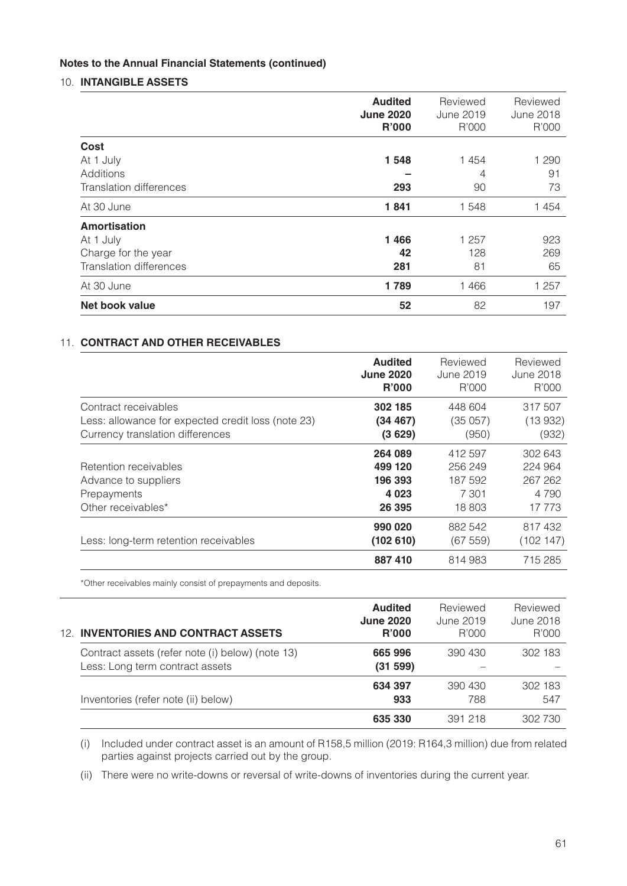# 10. **INTANGIBLE ASSETS**

|                                | <b>Audited</b><br><b>June 2020</b><br>R'000 | Reviewed<br>June 2019<br>R'000 | Reviewed<br>June 2018<br>R'000 |
|--------------------------------|---------------------------------------------|--------------------------------|--------------------------------|
| Cost                           |                                             |                                |                                |
| At 1 July                      | 1 5 4 8                                     | 1 4 5 4                        | 1 2 9 0                        |
| Additions                      |                                             | 4                              | 91                             |
| <b>Translation differences</b> | 293                                         | 90                             | 73                             |
| At 30 June                     | 1841                                        | 1548                           | 1454                           |
| Amortisation                   |                                             |                                |                                |
| At 1 July                      | 1466                                        | 1 257                          | 923                            |
| Charge for the year            | 42                                          | 128                            | 269                            |
| Translation differences        | 281                                         | 81                             | 65                             |
| At 30 June                     | 1789                                        | 1466                           | 1 257                          |
| Net book value                 | 52                                          | 82                             | 197                            |

# 11. **CONTRACT AND OTHER RECEIVABLES**

|                                                                                        | <b>Audited</b><br><b>June 2020</b><br><b>R'000</b> | Reviewed<br>June 2019<br>R'000 | Reviewed<br>June 2018<br>R'000 |
|----------------------------------------------------------------------------------------|----------------------------------------------------|--------------------------------|--------------------------------|
| Contract receivables                                                                   | 302 185                                            | 448 604                        | 317 507                        |
| Less: allowance for expected credit loss (note 23)<br>Currency translation differences | (34 467)<br>(3 629)                                | (35057)<br>(950)               | (13932)<br>(932)               |
|                                                                                        | 264 089                                            | 412 597                        | 302 643                        |
| Retention receivables                                                                  | 499 120                                            | 256 249                        | 224 964                        |
| Advance to suppliers                                                                   | 196 393                                            | 187 592                        | 267 262                        |
| Prepayments                                                                            | 4 0 2 3                                            | 7 301                          | 4 7 9 0                        |
| Other receivables*                                                                     | 26 395                                             | 18 803                         | 17 773                         |
|                                                                                        | 990 020                                            | 882 542                        | 817432                         |
| Less: long-term retention receivables                                                  | (102 610)                                          | (67559)                        | (102 147)                      |
|                                                                                        | 887 410                                            | 814 983                        | 715 285                        |

\*Other receivables mainly consist of prepayments and deposits.

| <b>12. INVENTORIES AND CONTRACT ASSETS</b>                                          | <b>Audited</b><br><b>June 2020</b><br>R'000 | Reviewed<br>June 2019<br>R'000 | Reviewed<br>June 2018<br>R'000 |
|-------------------------------------------------------------------------------------|---------------------------------------------|--------------------------------|--------------------------------|
| Contract assets (refer note (i) below) (note 13)<br>Less: Long term contract assets | 665 996<br>(31599)                          | 390 430                        | 302 183                        |
| Inventories (refer note (ii) below)                                                 | 634 397<br>933                              | 390 430<br>788                 | 302 183<br>547                 |
|                                                                                     | 635 330                                     | 391 218                        | 302 730                        |

(i) Included under contract asset is an amount of R158,5 million (2019: R164,3 million) due from related parties against projects carried out by the group.

(ii) There were no write-downs or reversal of write-downs of inventories during the current year.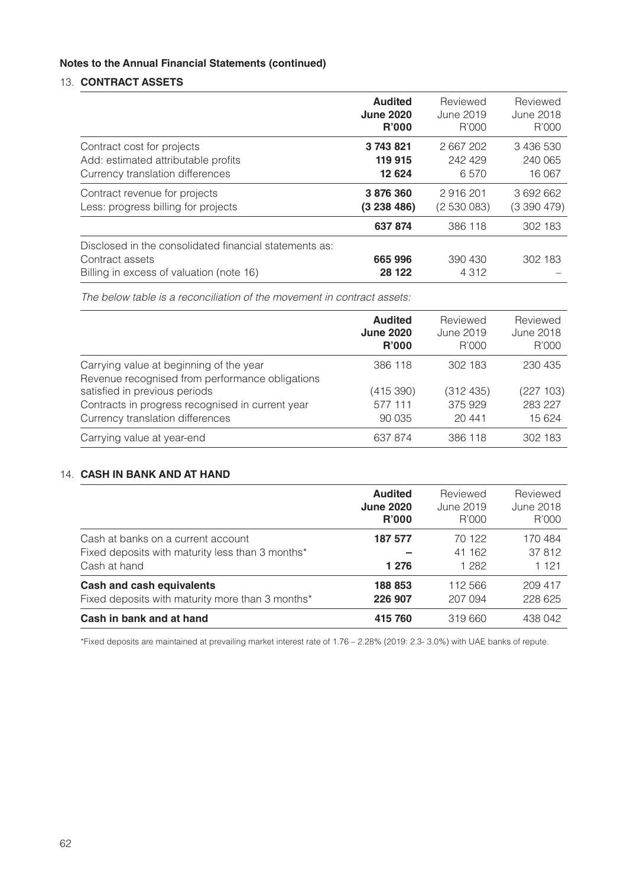# 13. **CONTRACT ASSETS**

|                                                                                                                       | <b>Audited</b>   | Reviewed           | Reviewed         |
|-----------------------------------------------------------------------------------------------------------------------|------------------|--------------------|------------------|
|                                                                                                                       | <b>June 2020</b> | June 2019          | <b>June 2018</b> |
|                                                                                                                       | <b>R'000</b>     | R'000              | R'000            |
| Contract cost for projects                                                                                            | 3743821          | 2667202            | 3 436 530        |
| Add: estimated attributable profits                                                                                   | 119 915          | 242 429            | 240 065          |
| Currency translation differences                                                                                      | 12 624           | 6570               | 16 067           |
| Contract revenue for projects                                                                                         | 3876360          | 2916201            | 3 692 662        |
| Less: progress billing for projects                                                                                   | (3238486)        | (2530083)          | (3390479)        |
|                                                                                                                       | 637 874          | 386 118            | 302 183          |
| Disclosed in the consolidated financial statements as:<br>Contract assets<br>Billing in excess of valuation (note 16) | 665996<br>28 122 | 390 430<br>4 3 1 2 | 302 183          |

*The below table is a reconciliation of the movement in contract assets:*

|                                                                                            | <b>Audited</b><br><b>June 2020</b><br><b>R'000</b> | Reviewed<br>June 2019<br>R'000 | Reviewed<br>June 2018<br>R'000 |
|--------------------------------------------------------------------------------------------|----------------------------------------------------|--------------------------------|--------------------------------|
| Carrying value at beginning of the year<br>Revenue recognised from performance obligations | 386 118                                            | 302 183                        | 230 435                        |
| satisfied in previous periods                                                              | (415 390)                                          | (312 435)                      | (227 103)                      |
| Contracts in progress recognised in current year                                           | 577 111                                            | 375929                         | 283 227                        |
| Currency translation differences                                                           | 90 035                                             | 20 441                         | 15 624                         |
| Carrying value at year-end                                                                 | 637 874                                            | 386 118                        | 302 183                        |

# 14. **CASH IN BANK AND AT HAND**

|                                                                                                        | <b>Audited</b>   | Reviewed                  | Reviewed                    |
|--------------------------------------------------------------------------------------------------------|------------------|---------------------------|-----------------------------|
|                                                                                                        | <b>June 2020</b> | June 2019                 | June 2018                   |
|                                                                                                        | <b>R'000</b>     | R'000                     | R'000                       |
| Cash at banks on a current account<br>Fixed deposits with maturity less than 3 months*<br>Cash at hand | 187 577<br>1 276 | 70 122<br>41 162<br>1 282 | 170 484<br>37812<br>1 1 2 1 |
| <b>Cash and cash equivalents</b>                                                                       | 188 853          | 112 566                   | 209 417                     |
| Fixed deposits with maturity more than 3 months*                                                       | 226 907          | 207 094                   | 228 625                     |
| Cash in bank and at hand                                                                               | 415 760          | 319 660                   | 438 042                     |

\*Fixed deposits are maintained at prevailing market interest rate of 1.76 – 2.28% (2019: 2.3- 3.0%) with UAE banks of repute.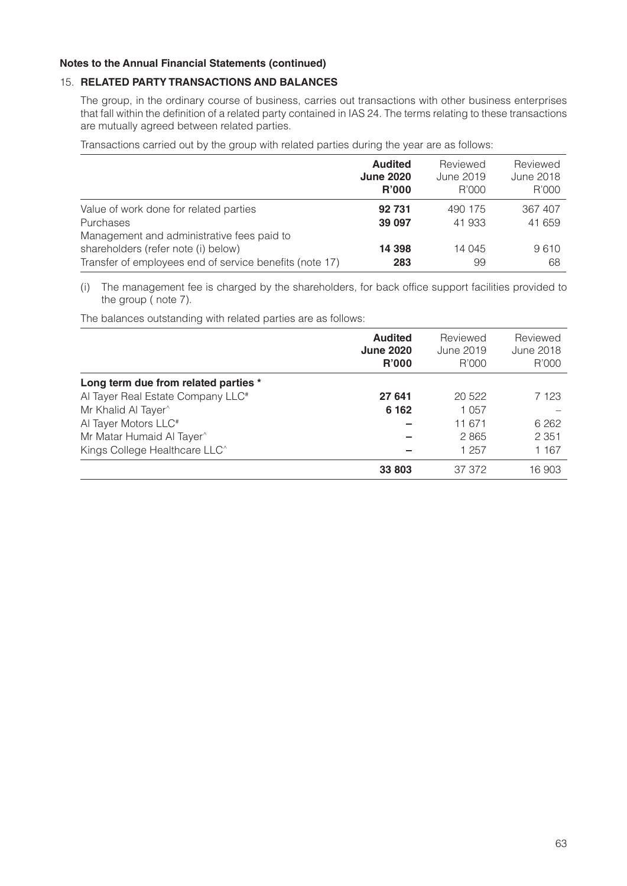# 15. **RELATED PARTY TRANSACTIONS AND BALANCES**

The group, in the ordinary course of business, carries out transactions with other business enterprises that fall within the definition of a related party contained in IAS 24. The terms relating to these transactions are mutually agreed between related parties.

Transactions carried out by the group with related parties during the year are as follows:

|                                                         | <b>Audited</b><br><b>June 2020</b><br><b>R'000</b> | Reviewed<br>June 2019<br>R'000 | Reviewed<br>June 2018<br>R'000 |
|---------------------------------------------------------|----------------------------------------------------|--------------------------------|--------------------------------|
| Value of work done for related parties                  | 92 731                                             | 490 175                        | 367 407                        |
| Purchases                                               | 39 097                                             | 41933                          | 41 659                         |
| Management and administrative fees paid to              |                                                    |                                |                                |
| shareholders (refer note (i) below)                     | 14 3 98                                            | 14 045                         | 9610                           |
| Transfer of employees end of service benefits (note 17) | 283                                                | 99                             | 68                             |

(i) The management fee is charged by the shareholders, for back office support facilities provided to the group ( note 7).

The balances outstanding with related parties are as follows:

|                                               | <b>Audited</b><br><b>June 2020</b><br><b>R'000</b> | Reviewed<br><b>June 2019</b><br>R'000 | Reviewed<br><b>June 2018</b><br>R'000 |
|-----------------------------------------------|----------------------------------------------------|---------------------------------------|---------------------------------------|
| Long term due from related parties *          |                                                    |                                       |                                       |
| Al Tayer Real Estate Company LLC <sup>#</sup> | 27 641                                             | 20 5 22                               | 7 123                                 |
| Mr Khalid Al Tayer <sup>^</sup>               | 6 1 6 2                                            | 1 0 5 7                               |                                       |
| Al Tayer Motors LLC <sup>#</sup>              |                                                    | 11 671                                | 6 2 6 2                               |
| Mr Matar Humaid Al Tayer^                     |                                                    | 2865                                  | 2 3 5 1                               |
| Kings College Healthcare LLC <sup>^</sup>     |                                                    | 1 257                                 | 1 167                                 |
|                                               | 33 803                                             | 37 37 2                               | 16 903                                |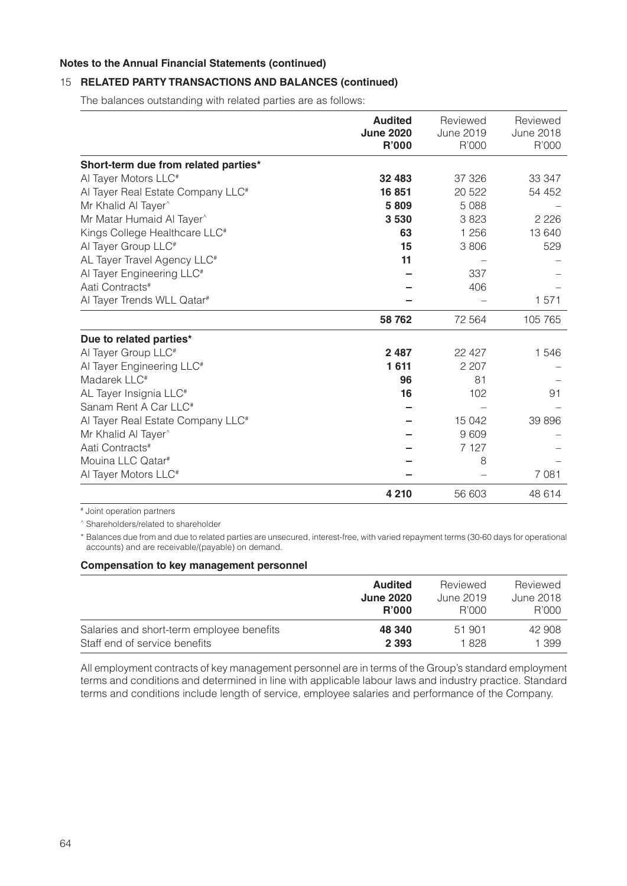### 15 **RELATED PARTY TRANSACTIONS AND BALANCES (continued)**

The balances outstanding with related parties are as follows:

|                                               | <b>Audited</b><br><b>June 2020</b><br><b>R'000</b> | Reviewed<br><b>June 2019</b><br>R'000 | Reviewed<br><b>June 2018</b><br>R'000 |
|-----------------------------------------------|----------------------------------------------------|---------------------------------------|---------------------------------------|
| Short-term due from related parties*          |                                                    |                                       |                                       |
| Al Tayer Motors LLC <sup>#</sup>              | 32 483                                             | 37 326                                | 33 347                                |
| Al Tayer Real Estate Company LLC <sup>#</sup> | 16851                                              | 20 5 22                               | 54 452                                |
| Mr Khalid Al Tayer <sup>^</sup>               | 5809                                               | 5088                                  |                                       |
| Mr Matar Humaid Al Tayer^                     | 3530                                               | 3823                                  | 2 2 2 6                               |
| Kings College Healthcare LLC <sup>#</sup>     | 63                                                 | 1 256                                 | 13 640                                |
| Al Tayer Group LLC <sup>#</sup>               | 15                                                 | 3 8 0 6                               | 529                                   |
| AL Tayer Travel Agency LLC <sup>#</sup>       | 11                                                 |                                       |                                       |
| Al Tayer Engineering LLC <sup>#</sup>         |                                                    | 337                                   |                                       |
| Aati Contracts <sup>#</sup>                   |                                                    | 406                                   |                                       |
| Al Tayer Trends WLL Qatar#                    |                                                    |                                       | 1571                                  |
|                                               | 58 762                                             | 72 5 64                               | 105 765                               |
| Due to related parties*                       |                                                    |                                       |                                       |
| Al Tayer Group LLC <sup>#</sup>               | 2 4 8 7                                            | 22 4 27                               | 1546                                  |
| Al Tayer Engineering LLC <sup>#</sup>         | 1611                                               | 2 2 0 7                               |                                       |
| Madarek LLC <sup>#</sup>                      | 96                                                 | 81                                    |                                       |
| AL Tayer Insignia LLC <sup>#</sup>            | 16                                                 | 102                                   | 91                                    |
| Sanam Rent A Car LLC <sup>#</sup>             |                                                    |                                       |                                       |
| Al Tayer Real Estate Company LLC#             |                                                    | 15 042                                | 39 896                                |
| Mr Khalid Al Tayer^                           |                                                    | 9609                                  |                                       |
| Aati Contracts <sup>#</sup>                   |                                                    | 7 1 2 7                               |                                       |
| Mouina LLC Qatar <sup>#</sup>                 |                                                    | 8                                     |                                       |
| Al Tayer Motors LLC <sup>#</sup>              |                                                    |                                       | 7 0 8 1                               |
|                                               | 4 2 1 0                                            | 56 603                                | 48 614                                |

# Joint operation partners

^ Shareholders/related to shareholder

\* Balances due from and due to related parties are unsecured, interest-free, with varied repayment terms (30-60 days for operational accounts) and are receivable/(payable) on demand.

#### **Compensation to key management personnel**

|                                           | <b>Audited</b>   | Reviewed  | Reviewed  |
|-------------------------------------------|------------------|-----------|-----------|
|                                           | <b>June 2020</b> | June 2019 | June 2018 |
|                                           | R'000            | R'000     | R'000     |
| Salaries and short-term employee benefits | 48 340           | 51 901    | 42 908    |
| Staff end of service benefits             | 2 3 9 3          | 1828      | 1 399     |

All employment contracts of key management personnel are in terms of the Group's standard employment terms and conditions and determined in line with applicable labour laws and industry practice. Standard terms and conditions include length of service, employee salaries and performance of the Company.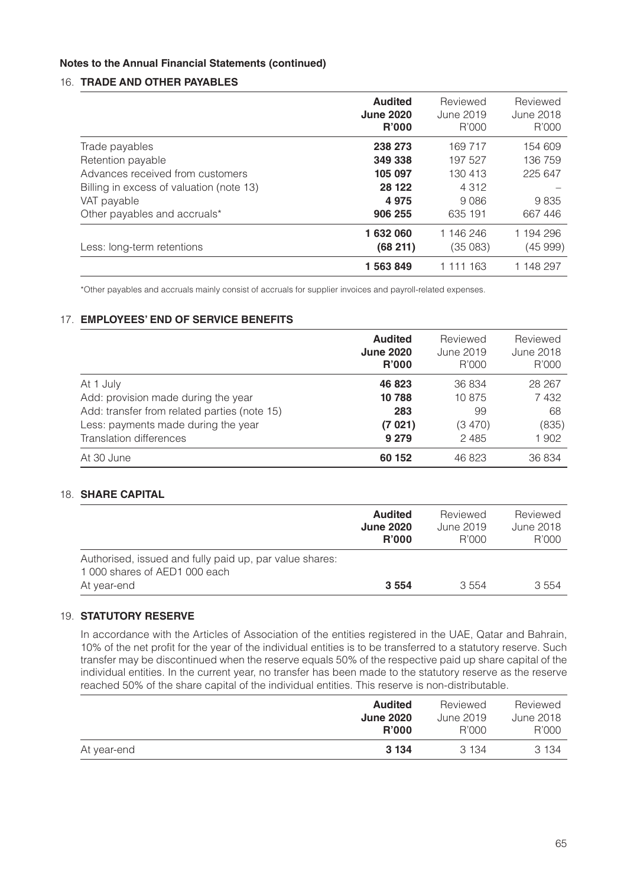### 16. **TRADE AND OTHER PAYABLES**

|                                          | <b>Audited</b><br><b>June 2020</b><br><b>R'000</b> | Reviewed<br>June 2019<br>R'000 | Reviewed<br>June 2018<br>R'000 |
|------------------------------------------|----------------------------------------------------|--------------------------------|--------------------------------|
| Trade payables                           | 238 273                                            | 169 717                        | 154 609                        |
| Retention payable                        | 349 338                                            | 197 527                        | 136 759                        |
| Advances received from customers         | 105 097                                            | 130 413                        | 225 647                        |
| Billing in excess of valuation (note 13) | 28 122                                             | 4 3 1 2                        |                                |
| VAT payable                              | 4975                                               | 9086                           | 9835                           |
| Other payables and accruals*             | 906 255                                            | 635 191                        | 667446                         |
|                                          | 1632060                                            | 1 146 246                      | 1 194 296                      |
| Less: long-term retentions               | (68 211)                                           | (35083)                        | (45999)                        |
|                                          | 1 563 849                                          | 1 111 163                      | 1 148 297                      |

\*Other payables and accruals mainly consist of accruals for supplier invoices and payroll-related expenses.

### 17. **EMPLOYEES' END OF SERVICE BENEFITS**

|                                              | <b>Audited</b>   | Reviewed  | Reviewed  |
|----------------------------------------------|------------------|-----------|-----------|
|                                              | <b>June 2020</b> | June 2019 | June 2018 |
|                                              | <b>R'000</b>     | R'000     | R'000     |
| At 1 July                                    | 46 823           | 36 834    | 28 267    |
| Add: provision made during the year          | 10788            | 10875     | 7 4 3 2   |
| Add: transfer from related parties (note 15) | 283              | 99        | 68        |
| Less: payments made during the year          | (7021)           | (3 470)   | (835)     |
| Translation differences                      | 9 2 7 9          | 2 4 8 5   | 1902      |
| At 30 June                                   | 60 152           | 46823     | 36 834    |

# 18. **SHARE CAPITAL**

|                                                                                                       | <b>Audited</b>   | Reviewed  | Reviewed  |
|-------------------------------------------------------------------------------------------------------|------------------|-----------|-----------|
|                                                                                                       | <b>June 2020</b> | June 2019 | June 2018 |
|                                                                                                       | <b>R'000</b>     | R'000     | R'000     |
| Authorised, issued and fully paid up, par value shares:<br>1000 shares of AED1000 each<br>At year-end | 3 5 5 4          | 3.554     | 3.554     |

### 19. **STATUTORY RESERVE**

In accordance with the Articles of Association of the entities registered in the UAE, Qatar and Bahrain, 10% of the net profit for the year of the individual entities is to be transferred to a statutory reserve. Such transfer may be discontinued when the reserve equals 50% of the respective paid up share capital of the individual entities. In the current year, no transfer has been made to the statutory reserve as the reserve reached 50% of the share capital of the individual entities. This reserve is non-distributable.

|             | <b>Audited</b>   | Reviewed  | Reviewed  |
|-------------|------------------|-----------|-----------|
|             | <b>June 2020</b> | June 2019 | June 2018 |
|             | <b>R'000</b>     | R'000     | R'000     |
| At year-end | 3 1 3 4          | 3 134     | 3 1 3 4   |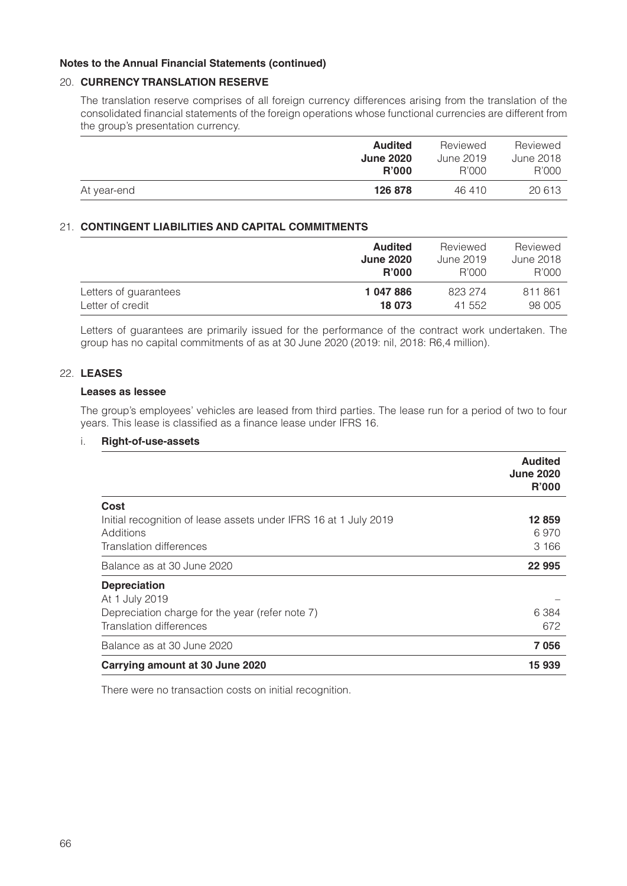### 20. **CURRENCY TRANSLATION RESERVE**

The translation reserve comprises of all foreign currency differences arising from the translation of the consolidated financial statements of the foreign operations whose functional currencies are different from the group's presentation currency.

|             | <b>Audited</b><br><b>June 2020</b> | Reviewed<br>June 2019 | Reviewed<br>June 2018 |
|-------------|------------------------------------|-----------------------|-----------------------|
|             | R'000                              | R'000                 | R'000                 |
| At year-end | 126 878                            | 46 410                | 20 613                |

### 21. **CONTINGENT LIABILITIES AND CAPITAL COMMITMENTS**

|                       | <b>Audited</b>   | Reviewed  | Reviewed  |
|-----------------------|------------------|-----------|-----------|
|                       | <b>June 2020</b> | June 2019 | June 2018 |
|                       | R'000            | R'000     | R'000     |
| Letters of guarantees | 1 047 886        | 823 274   | 811 861   |
| Letter of credit      | 18 073           | 41.552    | 98 005    |

Letters of guarantees are primarily issued for the performance of the contract work undertaken. The group has no capital commitments of as at 30 June 2020 (2019: nil, 2018: R6,4 million).

### 22. **LEASES**

### **Leases as lessee**

The group's employees' vehicles are leased from third parties. The lease run for a period of two to four years. This lease is classified as a finance lease under IFRS 16.

### i. **Right-of-use-assets**

|                                                                  | <b>Audited</b><br><b>June 2020</b><br><b>R'000</b> |
|------------------------------------------------------------------|----------------------------------------------------|
| Cost                                                             |                                                    |
| Initial recognition of lease assets under IFRS 16 at 1 July 2019 | 12 859                                             |
| Additions                                                        | 6970                                               |
| Translation differences                                          | 3 1 6 6                                            |
| Balance as at 30 June 2020                                       | 22 995                                             |
| <b>Depreciation</b>                                              |                                                    |
| At 1 July 2019                                                   |                                                    |
| Depreciation charge for the year (refer note 7)                  | 6 3 8 4                                            |
| Translation differences                                          | 672                                                |
| Balance as at 30 June 2020                                       | 7056                                               |
| Carrying amount at 30 June 2020                                  | 15 939                                             |

There were no transaction costs on initial recognition.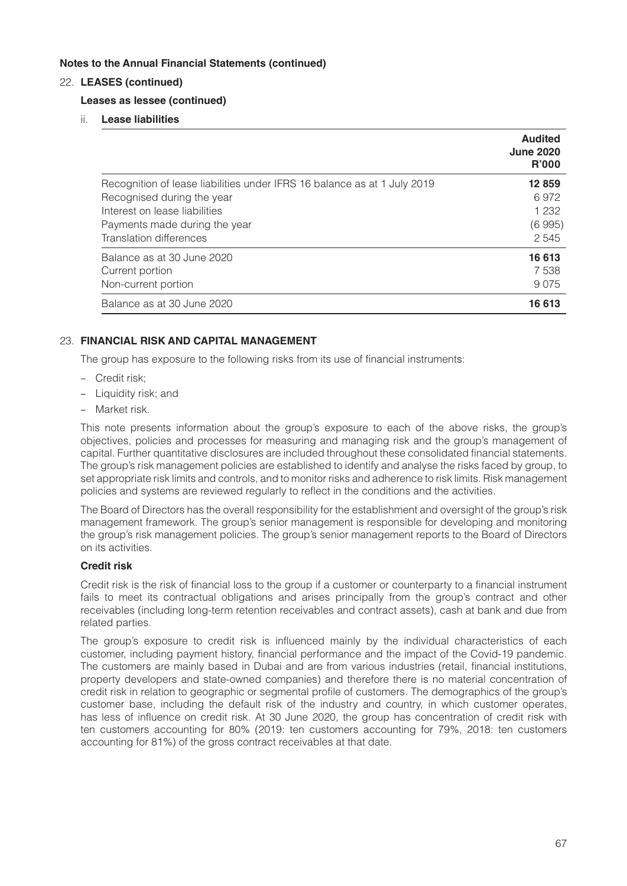### 22. **LEASES (continued)**

### **Leases as lessee (continued)**

ii. **Lease liabilities**

|                                                                          | <b>Audited</b><br><b>June 2020</b><br><b>R'000</b> |
|--------------------------------------------------------------------------|----------------------------------------------------|
| Recognition of lease liabilities under IFRS 16 balance as at 1 July 2019 | 12859                                              |
| Recognised during the year                                               | 6972                                               |
| Interest on lease liabilities                                            | 1 2 3 2                                            |
| Payments made during the year                                            | (6995)                                             |
| Translation differences                                                  | 2545                                               |
| Balance as at 30 June 2020                                               | 16 613                                             |
| Current portion                                                          | 7538                                               |
| Non-current portion                                                      | 9075                                               |
| Balance as at 30 June 2020                                               | 16 613                                             |

### 23. **FINANCIAL RISK AND CAPITAL MANAGEMENT**

The group has exposure to the following risks from its use of financial instruments:

- Credit risk;
- Liquidity risk; and
- Market risk.

This note presents information about the group's exposure to each of the above risks, the group's objectives, policies and processes for measuring and managing risk and the group's management of capital. Further quantitative disclosures are included throughout these consolidated financial statements. The group's risk management policies are established to identify and analyse the risks faced by group, to set appropriate risk limits and controls, and to monitor risks and adherence to risk limits. Risk management policies and systems are reviewed regularly to reflect in the conditions and the activities.

The Board of Directors has the overall responsibility for the establishment and oversight of the group's risk management framework. The group's senior management is responsible for developing and monitoring the group's risk management policies. The group's senior management reports to the Board of Directors on its activities.

### **Credit risk**

Credit risk is the risk of financial loss to the group if a customer or counterparty to a financial instrument fails to meet its contractual obligations and arises principally from the group's contract and other receivables (including long-term retention receivables and contract assets), cash at bank and due from related parties.

The group's exposure to credit risk is influenced mainly by the individual characteristics of each customer, including payment history, financial performance and the impact of the Covid-19 pandemic. The customers are mainly based in Dubai and are from various industries (retail, financial institutions, property developers and state-owned companies) and therefore there is no material concentration of credit risk in relation to geographic or segmental profile of customers. The demographics of the group's customer base, including the default risk of the industry and country, in which customer operates, has less of influence on credit risk. At 30 June 2020, the group has concentration of credit risk with ten customers accounting for 80% (2019: ten customers accounting for 79%, 2018: ten customers accounting for 81%) of the gross contract receivables at that date.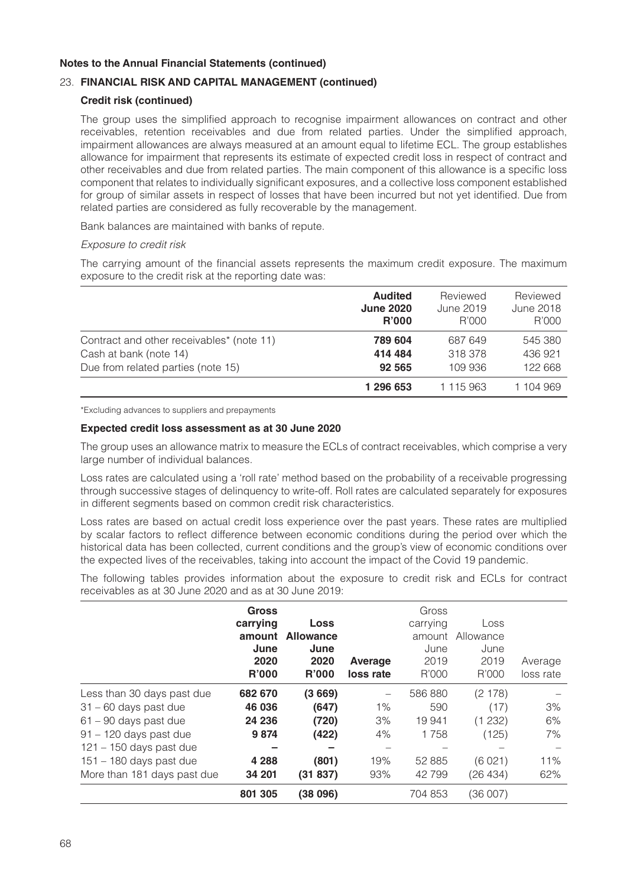### 23. **FINANCIAL RISK AND CAPITAL MANAGEMENT (continued)**

### **Credit risk (continued)**

The group uses the simplified approach to recognise impairment allowances on contract and other receivables, retention receivables and due from related parties. Under the simplified approach, impairment allowances are always measured at an amount equal to lifetime ECL. The group establishes allowance for impairment that represents its estimate of expected credit loss in respect of contract and other receivables and due from related parties. The main component of this allowance is a specific loss component that relates to individually significant exposures, and a collective loss component established for group of similar assets in respect of losses that have been incurred but not yet identified. Due from related parties are considered as fully recoverable by the management.

Bank balances are maintained with banks of repute.

#### *Exposure to credit risk*

The carrying amount of the financial assets represents the maximum credit exposure. The maximum exposure to the credit risk at the reporting date was:

|                                           | <b>Audited</b>   | Reviewed  | Reviewed  |
|-------------------------------------------|------------------|-----------|-----------|
|                                           | <b>June 2020</b> | June 2019 | June 2018 |
|                                           | <b>R'000</b>     | R'000     | R'000     |
| Contract and other receivables* (note 11) | 789 604          | 687 649   | 545 380   |
| Cash at bank (note 14)                    | 414 484          | 318 378   | 436 921   |
| Due from related parties (note 15)        | 92 565           | 109 936   | 122 668   |
|                                           | 1 296 653        | 1 115 963 | 1 104 969 |

\*Excluding advances to suppliers and prepayments

#### **Expected credit loss assessment as at 30 June 2020**

The group uses an allowance matrix to measure the ECLs of contract receivables, which comprise a very large number of individual balances.

Loss rates are calculated using a 'roll rate' method based on the probability of a receivable progressing through successive stages of delinquency to write-off. Roll rates are calculated separately for exposures in different segments based on common credit risk characteristics.

Loss rates are based on actual credit loss experience over the past years. These rates are multiplied by scalar factors to reflect difference between economic conditions during the period over which the historical data has been collected, current conditions and the group's view of economic conditions over the expected lives of the receivables, taking into account the impact of the Covid 19 pandemic.

The following tables provides information about the exposure to credit risk and ECLs for contract receivables as at 30 June 2020 and as at 30 June 2019:

|                                                                                                                                                                                                       | <b>Gross</b><br>carrying<br>amount<br>June<br>2020<br><b>R'000</b> | Loss<br><b>Allowance</b><br>June<br>2020<br>R'000     | Average<br>loss rate         | Gross<br>carrying<br>June<br>2019<br>R'000          | Loss<br>amount Allowance<br>June<br>2019<br>R'000       | Average<br>loss rate         |
|-------------------------------------------------------------------------------------------------------------------------------------------------------------------------------------------------------|--------------------------------------------------------------------|-------------------------------------------------------|------------------------------|-----------------------------------------------------|---------------------------------------------------------|------------------------------|
| Less than 30 days past due<br>$31 - 60$ days past due<br>$61 - 90$ days past due<br>$91 - 120$ days past due<br>$121 - 150$ days past due<br>$151 - 180$ days past due<br>More than 181 days past due | 682 670<br>46 036<br>24 236<br>9874<br>4 2 8 8<br>34 201           | (3669)<br>(647)<br>(720)<br>(422)<br>(801)<br>(31837) | 1%<br>3%<br>4%<br>19%<br>93% | 586 880<br>590<br>19 941<br>1758<br>52 885<br>42799 | (2178)<br>(17)<br>(1232)<br>(125)<br>(6021)<br>(26 434) | 3%<br>6%<br>7%<br>11%<br>62% |
|                                                                                                                                                                                                       | 801 305                                                            | (38096)                                               |                              | 704 853                                             | (36 007)                                                |                              |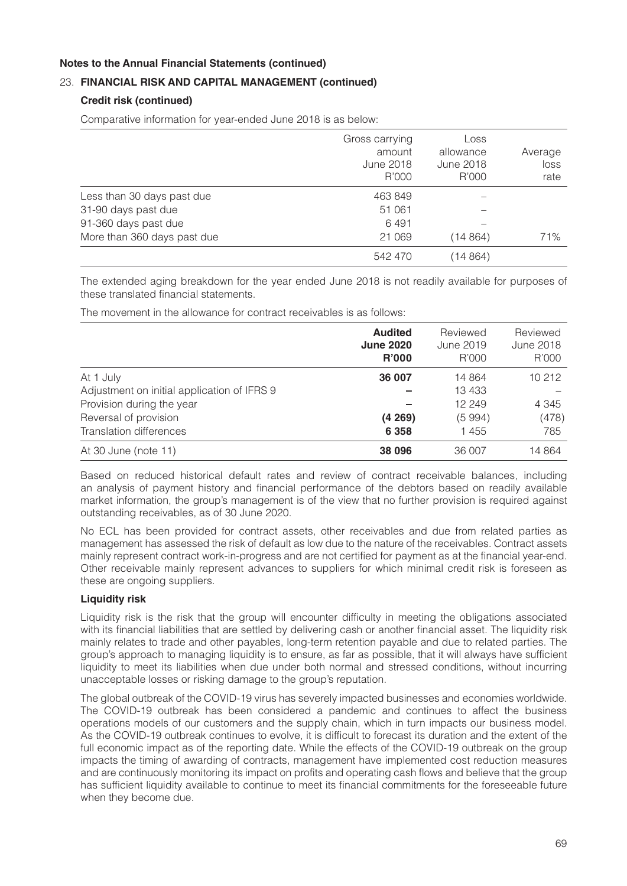### 23. **FINANCIAL RISK AND CAPITAL MANAGEMENT (continued)**

### **Credit risk (continued)**

Comparative information for year-ended June 2018 is as below:

|                             | Gross carrying<br>amount<br>June 2018<br>R'000 | Loss<br>allowance<br>June 2018<br>R'000 | Average<br>loss<br>rate |
|-----------------------------|------------------------------------------------|-----------------------------------------|-------------------------|
| Less than 30 days past due  | 463849                                         |                                         |                         |
| 31-90 days past due         | 51 061                                         |                                         |                         |
| 91-360 days past due        | 6491                                           |                                         |                         |
| More than 360 days past due | 21 069                                         | (14864)                                 | 71%                     |
|                             | 542 470                                        | (14864)                                 |                         |

The extended aging breakdown for the year ended June 2018 is not readily available for purposes of these translated financial statements.

The movement in the allowance for contract receivables is as follows:

|                                             | <b>Audited</b><br><b>June 2020</b><br><b>R'000</b> | Reviewed<br>June 2019<br>R'000 | Reviewed<br>June 2018<br>R'000 |
|---------------------------------------------|----------------------------------------------------|--------------------------------|--------------------------------|
| At 1 July                                   | 36 007                                             | 14 864                         | 10 212                         |
| Adjustment on initial application of IFRS 9 |                                                    | 13 4 33                        |                                |
| Provision during the year                   |                                                    | 12 249                         | 4 3 4 5                        |
| Reversal of provision                       | (4269)                                             | (5994)                         | (478)                          |
| Translation differences                     | 6 3 5 8                                            | 1455                           | 785                            |
| At 30 June (note 11)                        | 38 096                                             | 36 007                         | 14 864                         |

Based on reduced historical default rates and review of contract receivable balances, including an analysis of payment history and financial performance of the debtors based on readily available market information, the group's management is of the view that no further provision is required against outstanding receivables, as of 30 June 2020.

No ECL has been provided for contract assets, other receivables and due from related parties as management has assessed the risk of default as low due to the nature of the receivables. Contract assets mainly represent contract work-in-progress and are not certified for payment as at the financial year-end. Other receivable mainly represent advances to suppliers for which minimal credit risk is foreseen as these are ongoing suppliers.

### **Liquidity risk**

Liquidity risk is the risk that the group will encounter difficulty in meeting the obligations associated with its financial liabilities that are settled by delivering cash or another financial asset. The liquidity risk mainly relates to trade and other payables, long-term retention payable and due to related parties. The group's approach to managing liquidity is to ensure, as far as possible, that it will always have sufficient liquidity to meet its liabilities when due under both normal and stressed conditions, without incurring unacceptable losses or risking damage to the group's reputation.

The global outbreak of the COVID-19 virus has severely impacted businesses and economies worldwide. The COVID-19 outbreak has been considered a pandemic and continues to affect the business operations models of our customers and the supply chain, which in turn impacts our business model. As the COVID-19 outbreak continues to evolve, it is difficult to forecast its duration and the extent of the full economic impact as of the reporting date. While the effects of the COVID-19 outbreak on the group impacts the timing of awarding of contracts, management have implemented cost reduction measures and are continuously monitoring its impact on profits and operating cash flows and believe that the group has sufficient liquidity available to continue to meet its financial commitments for the foreseeable future when they become due.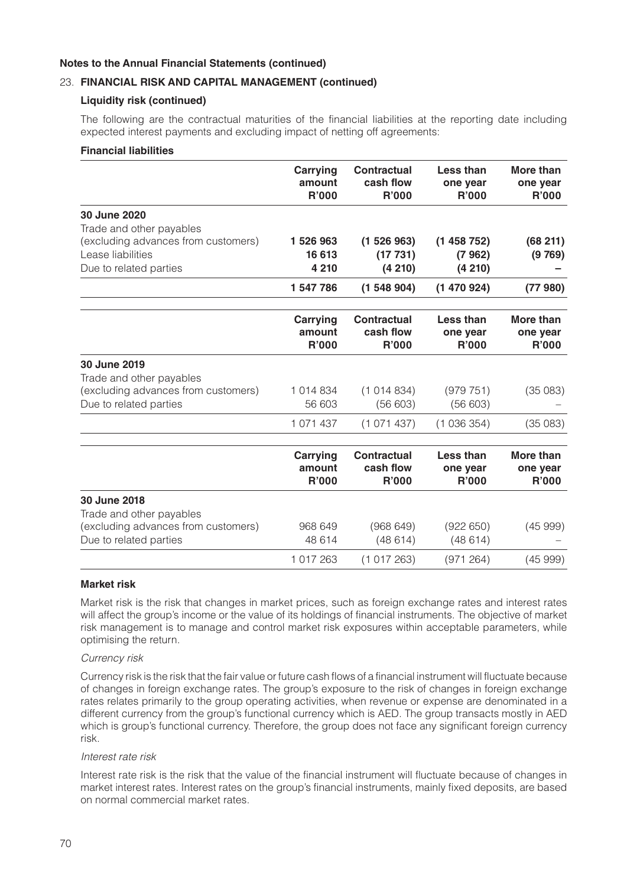### 23. **FINANCIAL RISK AND CAPITAL MANAGEMENT (continued)**

### **Liquidity risk (continued)**

The following are the contractual maturities of the financial liabilities at the reporting date including expected interest payments and excluding impact of netting off agreements:

### **Financial liabilities**

|                                     | <b>Carrying</b><br>amount<br><b>R'000</b> | <b>Contractual</b><br>cash flow<br><b>R'000</b> | Less than<br>one year<br><b>R'000</b> | <b>More than</b><br>one year<br><b>R'000</b> |
|-------------------------------------|-------------------------------------------|-------------------------------------------------|---------------------------------------|----------------------------------------------|
| 30 June 2020                        |                                           |                                                 |                                       |                                              |
| Trade and other payables            |                                           |                                                 |                                       |                                              |
| (excluding advances from customers) | 1 526 963                                 | (1526963)                                       | (1458752)                             | (68211)                                      |
| Lease liabilities                   | 16 613                                    | (17731)                                         | (7962)                                | (9769)                                       |
| Due to related parties              | 4 2 1 0                                   | (4210)                                          | (4210)                                |                                              |
|                                     | 1 547 786                                 | (1548904)                                       | (1470924)                             | (77980)                                      |
|                                     | <b>Carrying</b><br>amount<br>R'000        | <b>Contractual</b><br>cash flow<br>R'000        | Less than<br>one year<br><b>R'000</b> | More than<br>one year<br>R'000               |
| 30 June 2019                        |                                           |                                                 |                                       |                                              |
| Trade and other payables            |                                           |                                                 |                                       |                                              |
| (excluding advances from customers) | 1014834                                   | (1014834)                                       | (979751)                              | (35083)                                      |
| Due to related parties              | 56 603                                    | (56603)                                         | (56603)                               |                                              |
|                                     | 1071437                                   | (1071437)                                       | (1036354)                             | (35083)                                      |
|                                     | Carrying                                  | <b>Contractual</b>                              | Less than                             | More than                                    |
|                                     | amount<br><b>R'000</b>                    | cash flow<br>R'000                              | one year<br><b>R'000</b>              | one year<br><b>R'000</b>                     |
| 30 June 2018                        |                                           |                                                 |                                       |                                              |
| Trade and other payables            |                                           |                                                 |                                       |                                              |
| (excluding advances from customers) | 968 649                                   | (968649)                                        | (922650)                              | (45999)                                      |
| Due to related parties              | 48 614                                    | (48614)                                         | (48614)                               |                                              |
|                                     | 1017263                                   | (1017263)                                       | (971264)                              | (45999)                                      |

### **Market risk**

Market risk is the risk that changes in market prices, such as foreign exchange rates and interest rates will affect the group's income or the value of its holdings of financial instruments. The objective of market risk management is to manage and control market risk exposures within acceptable parameters, while optimising the return.

### *Currency risk*

Currency risk is the risk that the fair value or future cash flows of a financial instrument will fluctuate because of changes in foreign exchange rates. The group's exposure to the risk of changes in foreign exchange rates relates primarily to the group operating activities, when revenue or expense are denominated in a different currency from the group's functional currency which is AED. The group transacts mostly in AED which is group's functional currency. Therefore, the group does not face any significant foreign currency risk.

### *Interest rate risk*

Interest rate risk is the risk that the value of the financial instrument will fluctuate because of changes in market interest rates. Interest rates on the group's financial instruments, mainly fixed deposits, are based on normal commercial market rates.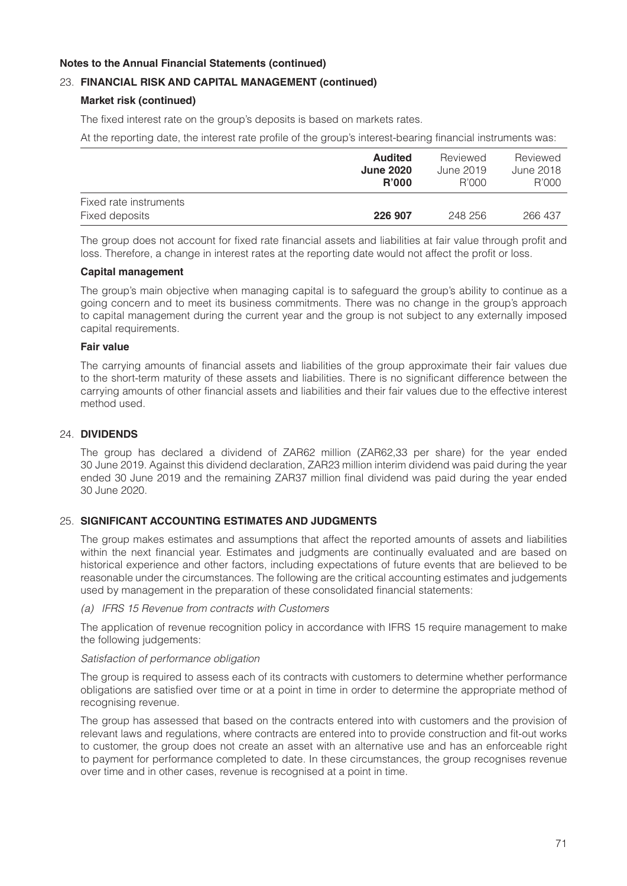# 23. **FINANCIAL RISK AND CAPITAL MANAGEMENT (continued)**

# **Market risk (continued)**

The fixed interest rate on the group's deposits is based on markets rates.

At the reporting date, the interest rate profile of the group's interest-bearing financial instruments was:

|                        | <b>Audited</b><br><b>June 2020</b><br><b>R'000</b> | Reviewed<br>June 2019<br>R'000 | Reviewed<br>June 2018<br>R'000 |
|------------------------|----------------------------------------------------|--------------------------------|--------------------------------|
| Fixed rate instruments |                                                    |                                |                                |
| Fixed deposits         | 226 907                                            | 248 256                        | 266 437                        |

The group does not account for fixed rate financial assets and liabilities at fair value through profit and loss. Therefore, a change in interest rates at the reporting date would not affect the profit or loss.

### **Capital management**

The group's main objective when managing capital is to safeguard the group's ability to continue as a going concern and to meet its business commitments. There was no change in the group's approach to capital management during the current year and the group is not subject to any externally imposed capital requirements.

### **Fair value**

The carrying amounts of financial assets and liabilities of the group approximate their fair values due to the short-term maturity of these assets and liabilities. There is no significant difference between the carrying amounts of other financial assets and liabilities and their fair values due to the effective interest method used.

# 24. **DIVIDENDS**

The group has declared a dividend of ZAR62 million (ZAR62,33 per share) for the year ended 30 June 2019. Against this dividend declaration, ZAR23 million interim dividend was paid during the year ended 30 June 2019 and the remaining ZAR37 million final dividend was paid during the year ended 30 June 2020.

# 25. **SIGNIFICANT ACCOUNTING ESTIMATES AND JUDGMENTS**

The group makes estimates and assumptions that affect the reported amounts of assets and liabilities within the next financial year. Estimates and judgments are continually evaluated and are based on historical experience and other factors, including expectations of future events that are believed to be reasonable under the circumstances. The following are the critical accounting estimates and judgements used by management in the preparation of these consolidated financial statements:

### *(a) IFRS 15 Revenue from contracts with Customers*

The application of revenue recognition policy in accordance with IFRS 15 require management to make the following judgements:

### *Satisfaction of performance obligation*

The group is required to assess each of its contracts with customers to determine whether performance obligations are satisfied over time or at a point in time in order to determine the appropriate method of recognising revenue.

The group has assessed that based on the contracts entered into with customers and the provision of relevant laws and regulations, where contracts are entered into to provide construction and fit-out works to customer, the group does not create an asset with an alternative use and has an enforceable right to payment for performance completed to date. In these circumstances, the group recognises revenue over time and in other cases, revenue is recognised at a point in time.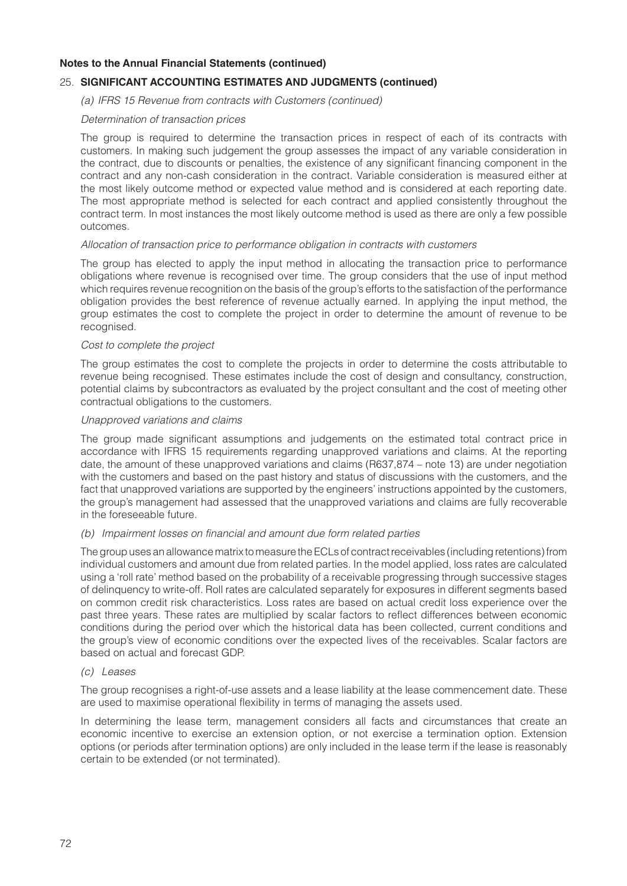# 25. **SIGNIFICANT ACCOUNTING ESTIMATES AND JUDGMENTS (continued)**

### *(a) IFRS 15 Revenue from contracts with Customers (continued)*

### *Determination of transaction prices*

The group is required to determine the transaction prices in respect of each of its contracts with customers. In making such judgement the group assesses the impact of any variable consideration in the contract, due to discounts or penalties, the existence of any significant financing component in the contract and any non-cash consideration in the contract. Variable consideration is measured either at the most likely outcome method or expected value method and is considered at each reporting date. The most appropriate method is selected for each contract and applied consistently throughout the contract term. In most instances the most likely outcome method is used as there are only a few possible outcomes.

### *Allocation of transaction price to performance obligation in contracts with customers*

The group has elected to apply the input method in allocating the transaction price to performance obligations where revenue is recognised over time. The group considers that the use of input method which requires revenue recognition on the basis of the group's efforts to the satisfaction of the performance obligation provides the best reference of revenue actually earned. In applying the input method, the group estimates the cost to complete the project in order to determine the amount of revenue to be recognised.

### *Cost to complete the project*

The group estimates the cost to complete the projects in order to determine the costs attributable to revenue being recognised. These estimates include the cost of design and consultancy, construction, potential claims by subcontractors as evaluated by the project consultant and the cost of meeting other contractual obligations to the customers.

### *Unapproved variations and claims*

The group made significant assumptions and judgements on the estimated total contract price in accordance with IFRS 15 requirements regarding unapproved variations and claims. At the reporting date, the amount of these unapproved variations and claims (R637,874 – note 13) are under negotiation with the customers and based on the past history and status of discussions with the customers, and the fact that unapproved variations are supported by the engineers' instructions appointed by the customers, the group's management had assessed that the unapproved variations and claims are fully recoverable in the foreseeable future.

# *(b) Impairment losses on financial and amount due form related parties*

The group uses an allowance matrix to measure the ECLs of contract receivables (including retentions) from individual customers and amount due from related parties. In the model applied, loss rates are calculated using a 'roll rate' method based on the probability of a receivable progressing through successive stages of delinquency to write-off. Roll rates are calculated separately for exposures in different segments based on common credit risk characteristics. Loss rates are based on actual credit loss experience over the past three years. These rates are multiplied by scalar factors to reflect differences between economic conditions during the period over which the historical data has been collected, current conditions and the group's view of economic conditions over the expected lives of the receivables. Scalar factors are based on actual and forecast GDP.

### *(c) Leases*

The group recognises a right-of-use assets and a lease liability at the lease commencement date. These are used to maximise operational flexibility in terms of managing the assets used.

In determining the lease term, management considers all facts and circumstances that create an economic incentive to exercise an extension option, or not exercise a termination option. Extension options (or periods after termination options) are only included in the lease term if the lease is reasonably certain to be extended (or not terminated).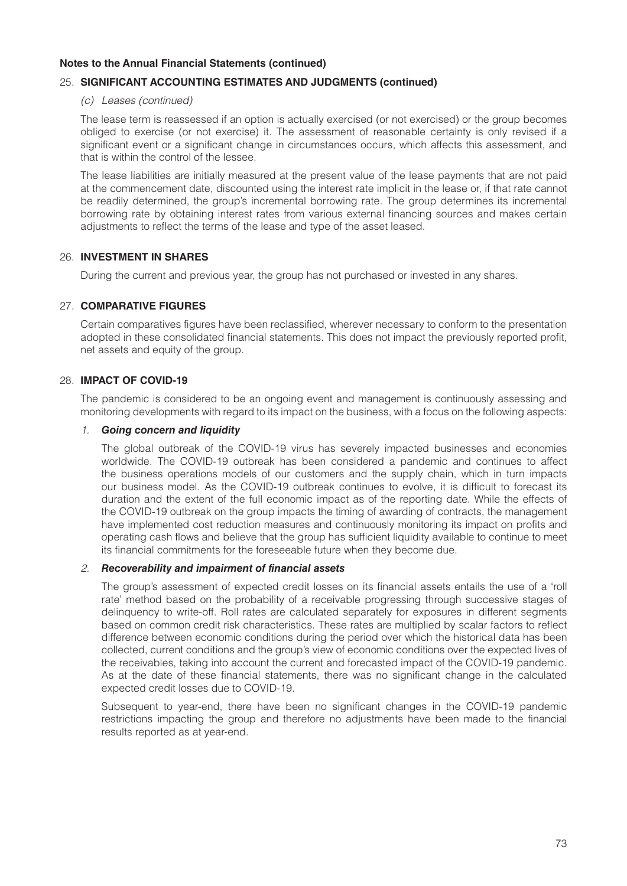### 25. **SIGNIFICANT ACCOUNTING ESTIMATES AND JUDGMENTS (continued)**

### *(c) Leases (continued)*

The lease term is reassessed if an option is actually exercised (or not exercised) or the group becomes obliged to exercise (or not exercise) it. The assessment of reasonable certainty is only revised if a significant event or a significant change in circumstances occurs, which affects this assessment, and that is within the control of the lessee.

The lease liabilities are initially measured at the present value of the lease payments that are not paid at the commencement date, discounted using the interest rate implicit in the lease or, if that rate cannot be readily determined, the group's incremental borrowing rate. The group determines its incremental borrowing rate by obtaining interest rates from various external financing sources and makes certain adjustments to reflect the terms of the lease and type of the asset leased.

### 26. **INVESTMENT IN SHARES**

During the current and previous year, the group has not purchased or invested in any shares.

### 27. **COMPARATIVE FIGURES**

Certain comparatives figures have been reclassified, wherever necessary to conform to the presentation adopted in these consolidated financial statements. This does not impact the previously reported profit, net assets and equity of the group.

### 28. **IMPACT OF COVID-19**

The pandemic is considered to be an ongoing event and management is continuously assessing and monitoring developments with regard to its impact on the business, with a focus on the following aspects:

### *1. Going concern and liquidity*

The global outbreak of the COVID-19 virus has severely impacted businesses and economies worldwide. The COVID-19 outbreak has been considered a pandemic and continues to affect the business operations models of our customers and the supply chain, which in turn impacts our business model. As the COVID-19 outbreak continues to evolve, it is difficult to forecast its duration and the extent of the full economic impact as of the reporting date. While the effects of the COVID-19 outbreak on the group impacts the timing of awarding of contracts, the management have implemented cost reduction measures and continuously monitoring its impact on profits and operating cash flows and believe that the group has sufficient liquidity available to continue to meet its financial commitments for the foreseeable future when they become due.

### *2. Recoverability and impairment of financial assets*

The group's assessment of expected credit losses on its financial assets entails the use of a 'roll rate' method based on the probability of a receivable progressing through successive stages of delinquency to write-off. Roll rates are calculated separately for exposures in different segments based on common credit risk characteristics. These rates are multiplied by scalar factors to reflect difference between economic conditions during the period over which the historical data has been collected, current conditions and the group's view of economic conditions over the expected lives of the receivables, taking into account the current and forecasted impact of the COVID-19 pandemic. As at the date of these financial statements, there was no significant change in the calculated expected credit losses due to COVID-19.

Subsequent to year-end, there have been no significant changes in the COVID-19 pandemic restrictions impacting the group and therefore no adjustments have been made to the financial results reported as at year-end.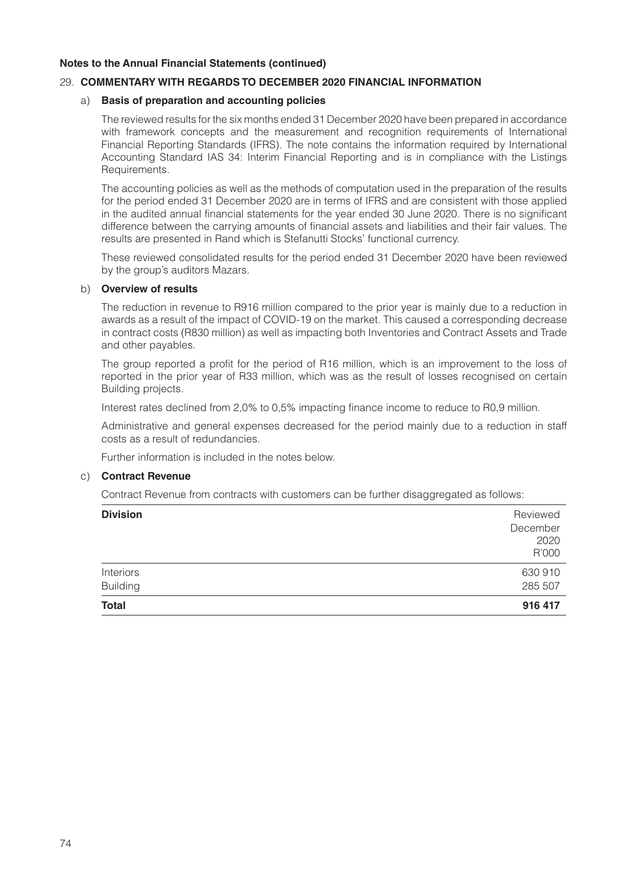### 29. **COMMENTARY WITH REGARDS TO DECEMBER 2020 FINANCIAL INFORMATION**

### a) **Basis of preparation and accounting policies**

The reviewed results for the six months ended 31 December 2020 have been prepared in accordance with framework concepts and the measurement and recognition requirements of International Financial Reporting Standards (IFRS). The note contains the information required by International Accounting Standard IAS 34: Interim Financial Reporting and is in compliance with the Listings Requirements.

The accounting policies as well as the methods of computation used in the preparation of the results for the period ended 31 December 2020 are in terms of IFRS and are consistent with those applied in the audited annual financial statements for the year ended 30 June 2020. There is no significant difference between the carrying amounts of financial assets and liabilities and their fair values. The results are presented in Rand which is Stefanutti Stocks' functional currency.

These reviewed consolidated results for the period ended 31 December 2020 have been reviewed by the group's auditors Mazars.

#### b) **Overview of results**

The reduction in revenue to R916 million compared to the prior year is mainly due to a reduction in awards as a result of the impact of COVID-19 on the market. This caused a corresponding decrease in contract costs (R830 million) as well as impacting both Inventories and Contract Assets and Trade and other payables.

The group reported a profit for the period of R16 million, which is an improvement to the loss of reported in the prior year of R33 million, which was as the result of losses recognised on certain Building projects.

Interest rates declined from 2,0% to 0,5% impacting finance income to reduce to R0,9 million.

Administrative and general expenses decreased for the period mainly due to a reduction in staff costs as a result of redundancies.

Further information is included in the notes below.

#### c) **Contract Revenue**

Contract Revenue from contracts with customers can be further disaggregated as follows:

| <b>Division</b> | Reviewed |
|-----------------|----------|
|                 | December |
|                 | 2020     |
|                 | R'000    |
| Interiors       | 630 910  |
| <b>Building</b> | 285 507  |
| <b>Total</b>    | 916 417  |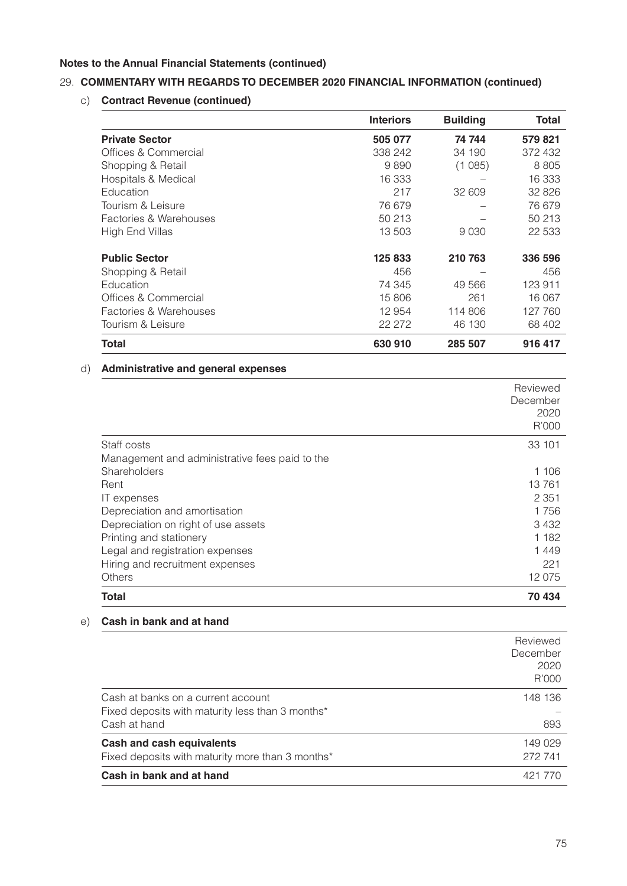# 29. **COMMENTARY WITH REGARDS TO DECEMBER 2020 FINANCIAL INFORMATION (continued)**

c) **Contract Revenue (continued)**

|                        | <b>Interiors</b> | <b>Building</b> | Total   |
|------------------------|------------------|-----------------|---------|
| <b>Private Sector</b>  | 505 077          | 74 744          | 579 821 |
| Offices & Commercial   | 338 242          | 34 190          | 372432  |
| Shopping & Retail      | 9890             | (1085)          | 8805    |
| Hospitals & Medical    | 16 333           |                 | 16 333  |
| Education              | 217              | 32 609          | 32 826  |
| Tourism & Leisure      | 76 679           |                 | 76679   |
| Factories & Warehouses | 50 213           |                 | 50 213  |
| High End Villas        | 13 503           | 9030            | 22 533  |
| <b>Public Sector</b>   | 125 833          | 210 763         | 336 596 |
| Shopping & Retail      | 456              |                 | 456     |
| Education              | 74 345           | 49 566          | 123 911 |
| Offices & Commercial   | 15 806           | 261             | 16 067  |
| Factories & Warehouses | 12 954           | 114 806         | 127 760 |
| Tourism & Leisure      | 22 27 2          | 46 130          | 68 402  |
| <b>Total</b>           | 630 910          | 285 507         | 916 417 |

# d) **Administrative and general expenses**

|                                                | Reviewed<br>December<br>2020<br>R'000 |
|------------------------------------------------|---------------------------------------|
| Staff costs                                    | 33 101                                |
| Management and administrative fees paid to the |                                       |
| Shareholders                                   | 1 106                                 |
| Rent                                           | 13761                                 |
| IT expenses                                    | 2 3 5 1                               |
| Depreciation and amortisation                  | 1756                                  |
| Depreciation on right of use assets            | 3432                                  |
| Printing and stationery                        | 1 182                                 |
| Legal and registration expenses                | 1449                                  |
| Hiring and recruitment expenses                | 221                                   |
| <b>Others</b>                                  | 12075                                 |
| <b>Total</b>                                   | 70 434                                |

# e) **Cash in bank and at hand**

|                                                  | Reviewed<br>December<br>2020<br>R'000 |
|--------------------------------------------------|---------------------------------------|
| Cash at banks on a current account               | 148 136                               |
| Fixed deposits with maturity less than 3 months* |                                       |
| Cash at hand                                     | 893                                   |
| <b>Cash and cash equivalents</b>                 | 149 029                               |
| Fixed deposits with maturity more than 3 months* | 272 741                               |
| Cash in bank and at hand                         | 421                                   |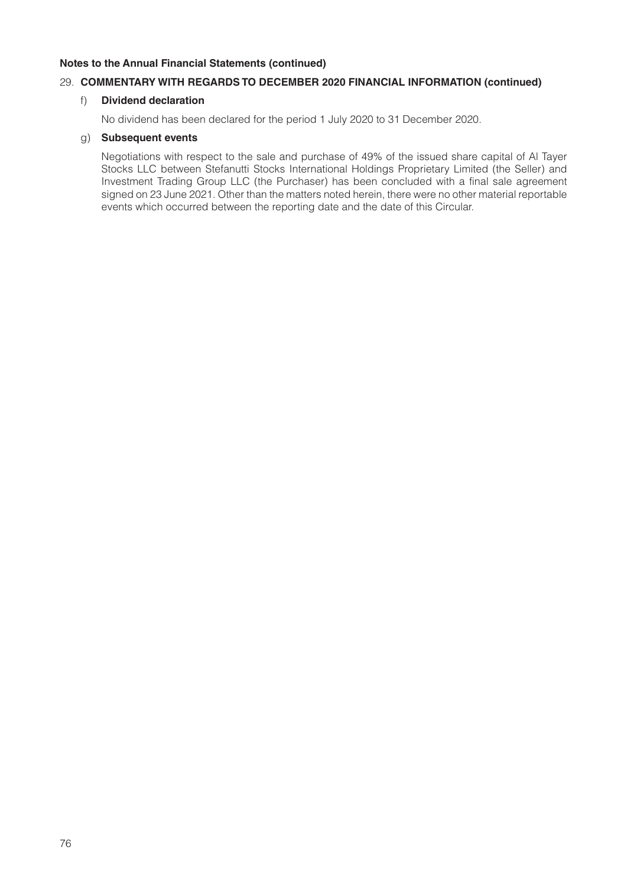# 29. **COMMENTARY WITH REGARDS TO DECEMBER 2020 FINANCIAL INFORMATION (continued)**

# f) **Dividend declaration**

No dividend has been declared for the period 1 July 2020 to 31 December 2020.

# g) **Subsequent events**

Negotiations with respect to the sale and purchase of 49% of the issued share capital of Al Tayer Stocks LLC between Stefanutti Stocks International Holdings Proprietary Limited (the Seller) and Investment Trading Group LLC (the Purchaser) has been concluded with a final sale agreement signed on 23 June 2021. Other than the matters noted herein, there were no other material reportable events which occurred between the reporting date and the date of this Circular.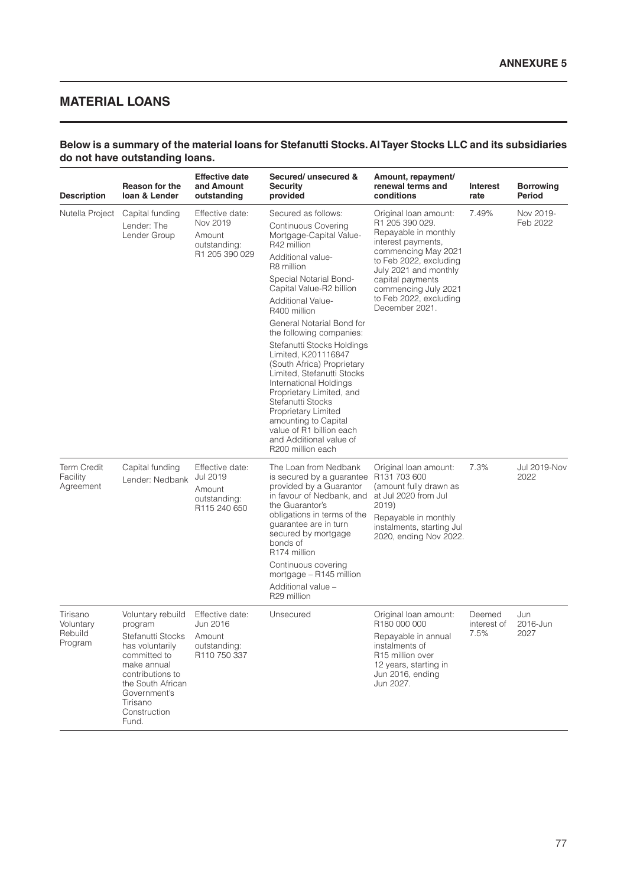# **MATERIAL LOANS**

### **Below is a summary of the material loans for Stefanutti Stocks. Al Tayer Stocks LLC and its subsidiaries do not have outstanding loans.**

| <b>Description</b>                          | Reason for the<br>loan & Lender                                                                                                                                                                   | <b>Effective date</b><br>and Amount<br>outstanding                      | Secured/ unsecured &<br><b>Security</b><br>provided                                                                                                                                                                                                                                                                                                                                                                                                                                                                                                                                                       | Amount, repayment/<br>renewal terms and<br>conditions                                                                                                                                                                                                    | Interest<br>rate              | <b>Borrowing</b><br>Period  |
|---------------------------------------------|---------------------------------------------------------------------------------------------------------------------------------------------------------------------------------------------------|-------------------------------------------------------------------------|-----------------------------------------------------------------------------------------------------------------------------------------------------------------------------------------------------------------------------------------------------------------------------------------------------------------------------------------------------------------------------------------------------------------------------------------------------------------------------------------------------------------------------------------------------------------------------------------------------------|----------------------------------------------------------------------------------------------------------------------------------------------------------------------------------------------------------------------------------------------------------|-------------------------------|-----------------------------|
| Nutella Project                             | Capital funding<br>Lender: The<br>Lender Group                                                                                                                                                    | Effective date:<br>Nov 2019<br>Amount<br>outstanding:<br>R1 205 390 029 | Secured as follows:<br>Continuous Covering<br>Mortgage-Capital Value-<br>R42 million<br>Additional value-<br>R8 million<br>Special Notarial Bond-<br>Capital Value-R2 billion<br><b>Additional Value-</b><br>R400 million<br>General Notarial Bond for<br>the following companies:<br>Stefanutti Stocks Holdings<br>Limited, K201116847<br>(South Africa) Proprietary<br>Limited, Stefanutti Stocks<br>International Holdings<br>Proprietary Limited, and<br>Stefanutti Stocks<br>Proprietary Limited<br>amounting to Capital<br>value of R1 billion each<br>and Additional value of<br>R200 million each | Original loan amount:<br>R1 205 390 029.<br>Repayable in monthly<br>interest payments,<br>commencing May 2021<br>to Feb 2022, excluding<br>July 2021 and monthly<br>capital payments<br>commencing July 2021<br>to Feb 2022, excluding<br>December 2021. | 7.49%                         | Nov 2019-<br>Feb 2022       |
| <b>Term Credit</b><br>Facility<br>Agreement | Capital funding<br>Lender: Nedbank                                                                                                                                                                | Effective date:<br>Jul 2019<br>Amount<br>outstanding:<br>R115 240 650   | The Loan from Nedbank<br>is secured by a guarantee R131 703 600<br>provided by a Guarantor<br>in favour of Nedbank, and<br>the Guarantor's<br>obligations in terms of the<br>guarantee are in turn<br>secured by mortgage<br>bonds of<br>R174 million<br>Continuous covering<br>mortgage - R145 million<br>Additional value -<br>R29 million                                                                                                                                                                                                                                                              | Original loan amount:<br>(amount fully drawn as<br>at Jul 2020 from Jul<br>2019)<br>Repayable in monthly<br>instalments, starting Jul<br>2020, ending Nov 2022.                                                                                          | 7.3%                          | <b>Jul 2019-Nov</b><br>2022 |
| Tirisano<br>Voluntary<br>Rebuild<br>Program | Voluntary rebuild<br>program<br>Stefanutti Stocks<br>has voluntarily<br>committed to<br>make annual<br>contributions to<br>the South African<br>Government's<br>Tirisano<br>Construction<br>Fund. | Effective date:<br>Jun 2016<br>Amount<br>outstanding:<br>R110 750 337   | Unsecured                                                                                                                                                                                                                                                                                                                                                                                                                                                                                                                                                                                                 | Original loan amount:<br>R180 000 000<br>Repayable in annual<br>instalments of<br>R15 million over<br>12 years, starting in<br>Jun 2016, ending<br>Jun 2027.                                                                                             | Deemed<br>interest of<br>7.5% | Jun<br>2016-Jun<br>2027     |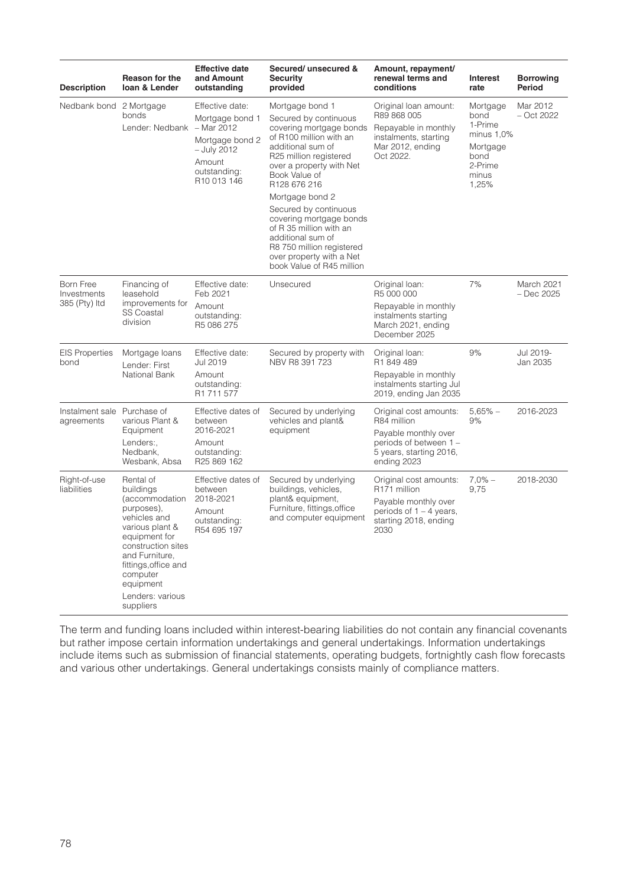| <b>Description</b>                        | Reason for the<br>loan & Lender                                                                                                                                                                                                      | <b>Effective date</b><br>and Amount<br>outstanding                                                                                      | Secured/ unsecured &<br><b>Security</b><br>provided                                                                                                                                                                           | Amount, repayment/<br>renewal terms and<br>conditions                                                                             | Interest<br>rate                                                                              | <b>Borrowing</b><br><b>Period</b> |
|-------------------------------------------|--------------------------------------------------------------------------------------------------------------------------------------------------------------------------------------------------------------------------------------|-----------------------------------------------------------------------------------------------------------------------------------------|-------------------------------------------------------------------------------------------------------------------------------------------------------------------------------------------------------------------------------|-----------------------------------------------------------------------------------------------------------------------------------|-----------------------------------------------------------------------------------------------|-----------------------------------|
| Nedbank bond 2 Mortgage                   | bonds<br>Lender: Nedbank                                                                                                                                                                                                             | Effective date:<br>Mortgage bond 1<br>- Mar 2012<br>Mortgage bond 2<br>- July 2012<br>Amount<br>outstanding:<br>R <sub>10</sub> 013 146 | Mortgage bond 1<br>Secured by continuous<br>covering mortgage bonds<br>of R100 million with an<br>additional sum of<br>R25 million registered<br>over a property with Net<br>Book Value of<br>R128 676 216<br>Mortgage bond 2 | Original loan amount:<br>R89 868 005<br>Repayable in monthly<br>instalments, starting<br>Mar 2012, ending<br>Oct 2022.            | Mortgage<br>bond<br>1-Prime<br>minus $1,0\%$<br>Mortgage<br>bond<br>2-Prime<br>minus<br>1,25% | Mar 2012<br>$-$ Oct 2022          |
|                                           |                                                                                                                                                                                                                                      |                                                                                                                                         | Secured by continuous<br>covering mortgage bonds<br>of R 35 million with an<br>additional sum of<br>R8 750 million registered<br>over property with a Net<br>book Value of R45 million                                        |                                                                                                                                   |                                                                                               |                                   |
| Born Free<br>Investments<br>385 (Pty) Itd | Financing of<br>leasehold<br>improvements for<br><b>SS Coastal</b><br>division                                                                                                                                                       | Effective date:<br>Feb 2021<br>Amount<br>outstanding:<br>R5 086 275                                                                     | Unsecured                                                                                                                                                                                                                     | Original loan:<br>R5 000 000<br>Repayable in monthly<br>instalments starting<br>March 2021, ending<br>December 2025               | 7%                                                                                            | March 2021<br>$-$ Dec 2025        |
| <b>EIS Properties</b><br>bond             | Mortgage loans<br>Lender: First<br>National Bank                                                                                                                                                                                     | Effective date:<br>Jul 2019<br>Amount<br>outstanding:<br>R1 711 577                                                                     | Secured by property with<br>NBV R8 391 723                                                                                                                                                                                    | Original loan:<br>R1 849 489<br>Repayable in monthly<br>instalments starting Jul<br>2019, ending Jan 2035                         | 9%                                                                                            | Jul 2019-<br>Jan 2035             |
| Instalment sale Purchase of<br>agreements | various Plant &<br>Equipment<br>Lenders:,<br>Nedbank,<br>Wesbank, Absa                                                                                                                                                               | Effective dates of<br>between<br>2016-2021<br>Amount<br>outstanding:<br>R25 869 162                                                     | Secured by underlying<br>vehicles and plant&<br>equipment                                                                                                                                                                     | Original cost amounts:<br>R84 million<br>Payable monthly over<br>periods of between 1 -<br>5 years, starting 2016,<br>ending 2023 | $5,65%$ -<br>9%                                                                               | 2016-2023                         |
| Right-of-use<br>liabilities               | Rental of<br>buildings<br>(accommodation<br>purposes),<br>vehicles and<br>various plant &<br>equipment for<br>construction sites<br>and Furniture.<br>fittings, office and<br>computer<br>equipment<br>Lenders: various<br>suppliers | Effective dates of<br>between<br>2018-2021<br>Amount<br>outstanding:<br>R54 695 197                                                     | Secured by underlying<br>buildings, vehicles,<br>plant& equipment,<br>Furniture, fittings, office<br>and computer equipment                                                                                                   | Original cost amounts:<br>R171 million<br>Payable monthly over<br>periods of $1 - 4$ years,<br>starting 2018, ending<br>2030      | $7,0%$ -<br>9,75                                                                              | 2018-2030                         |

The term and funding loans included within interest-bearing liabilities do not contain any financial covenants but rather impose certain information undertakings and general undertakings. Information undertakings include items such as submission of financial statements, operating budgets, fortnightly cash flow forecasts and various other undertakings. General undertakings consists mainly of compliance matters.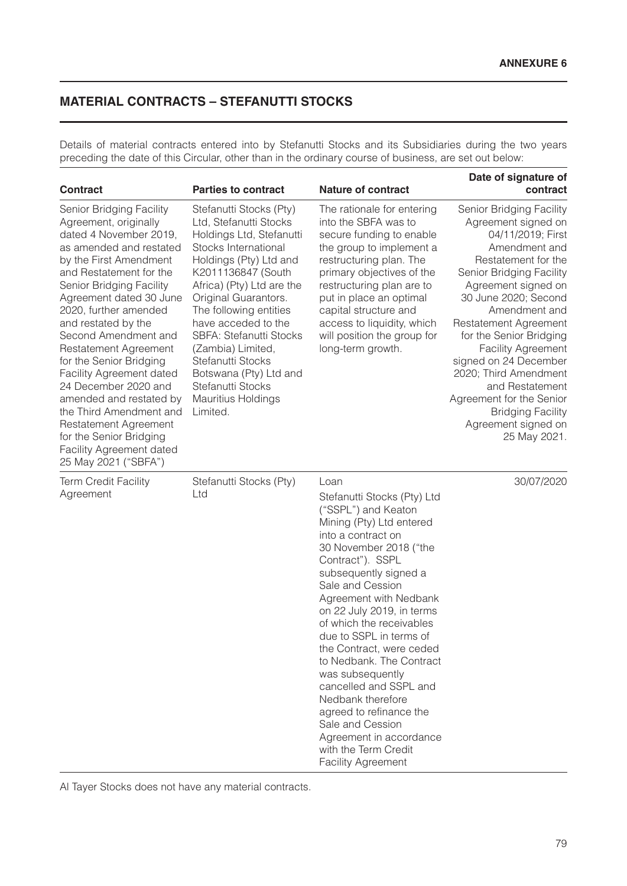# **MATERIAL CONTRACTS – STEFANUTTI STOCKS**

Details of material contracts entered into by Stefanutti Stocks and its Subsidiaries during the two years preceding the date of this Circular, other than in the ordinary course of business, are set out below:

| <b>Contract</b>                                                                                                                                                                                                                                                                                                                                                                                                                                                                                                                                                  | <b>Parties to contract</b>                                                                                                                                                                                                                                                                                                                                                                                               | <b>Nature of contract</b>                                                                                                                                                                                                                                                                                                                                                                                                                                                                                                                                                       | Date of signature of<br>contract                                                                                                                                                                                                                                                                                                                                                                                                                                     |
|------------------------------------------------------------------------------------------------------------------------------------------------------------------------------------------------------------------------------------------------------------------------------------------------------------------------------------------------------------------------------------------------------------------------------------------------------------------------------------------------------------------------------------------------------------------|--------------------------------------------------------------------------------------------------------------------------------------------------------------------------------------------------------------------------------------------------------------------------------------------------------------------------------------------------------------------------------------------------------------------------|---------------------------------------------------------------------------------------------------------------------------------------------------------------------------------------------------------------------------------------------------------------------------------------------------------------------------------------------------------------------------------------------------------------------------------------------------------------------------------------------------------------------------------------------------------------------------------|----------------------------------------------------------------------------------------------------------------------------------------------------------------------------------------------------------------------------------------------------------------------------------------------------------------------------------------------------------------------------------------------------------------------------------------------------------------------|
| Senior Bridging Facility<br>Agreement, originally<br>dated 4 November 2019,<br>as amended and restated<br>by the First Amendment<br>and Restatement for the<br>Senior Bridging Facility<br>Agreement dated 30 June<br>2020, further amended<br>and restated by the<br>Second Amendment and<br>Restatement Agreement<br>for the Senior Bridging<br>Facility Agreement dated<br>24 December 2020 and<br>amended and restated by<br>the Third Amendment and<br>Restatement Agreement<br>for the Senior Bridging<br>Facility Agreement dated<br>25 May 2021 ("SBFA") | Stefanutti Stocks (Pty)<br>Ltd, Stefanutti Stocks<br>Holdings Ltd, Stefanutti<br>Stocks International<br>Holdings (Pty) Ltd and<br>K2011136847 (South<br>Africa) (Pty) Ltd are the<br>Original Guarantors.<br>The following entities<br>have acceded to the<br>SBFA: Stefanutti Stocks<br>(Zambia) Limited,<br>Stefanutti Stocks<br>Botswana (Pty) Ltd and<br>Stefanutti Stocks<br><b>Mauritius Holdings</b><br>Limited. | The rationale for entering<br>into the SBFA was to<br>secure funding to enable<br>the group to implement a<br>restructuring plan. The<br>primary objectives of the<br>restructuring plan are to<br>put in place an optimal<br>capital structure and<br>access to liquidity, which<br>will position the group for<br>long-term growth.                                                                                                                                                                                                                                           | Senior Bridging Facility<br>Agreement signed on<br>04/11/2019; First<br>Amendment and<br>Restatement for the<br>Senior Bridging Facility<br>Agreement signed on<br>30 June 2020; Second<br>Amendment and<br><b>Restatement Agreement</b><br>for the Senior Bridging<br><b>Facility Agreement</b><br>signed on 24 December<br>2020; Third Amendment<br>and Restatement<br>Agreement for the Senior<br><b>Bridging Facility</b><br>Agreement signed on<br>25 May 2021. |
| <b>Term Credit Facility</b><br>Agreement                                                                                                                                                                                                                                                                                                                                                                                                                                                                                                                         | Stefanutti Stocks (Pty)<br>Ltd                                                                                                                                                                                                                                                                                                                                                                                           | Loan<br>Stefanutti Stocks (Pty) Ltd<br>("SSPL") and Keaton<br>Mining (Pty) Ltd entered<br>into a contract on<br>30 November 2018 ("the<br>Contract"). SSPL<br>subsequently signed a<br>Sale and Cession<br>Agreement with Nedbank<br>on 22 July 2019, in terms<br>of which the receivables<br>due to SSPL in terms of<br>the Contract, were ceded<br>to Nedbank. The Contract<br>was subsequently<br>cancelled and SSPL and<br>Nedbank therefore<br>agreed to refinance the<br>Sale and Cession<br>Agreement in accordance<br>with the Term Credit<br><b>Facility Agreement</b> | 30/07/2020                                                                                                                                                                                                                                                                                                                                                                                                                                                           |

Al Tayer Stocks does not have any material contracts.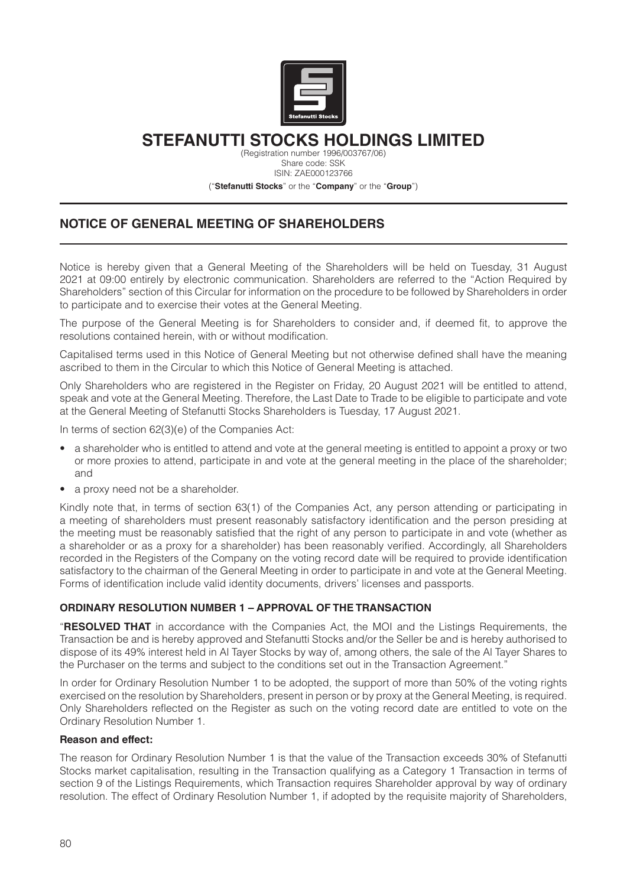

# **STEFANUTTI STOCKS HOLDINGS LIMITED**

(Registration number 1996/003767/06) Share code: SSK ISIN: ZAE000123766 ("**Stefanutti Stocks**" or the "**Company**" or the "**Group**")

# **NOTICE OF GENERAL MEETING OF SHAREHOLDERS**

Notice is hereby given that a General Meeting of the Shareholders will be held on Tuesday, 31 August 2021 at 09:00 entirely by electronic communication. Shareholders are referred to the "Action Required by Shareholders" section of this Circular for information on the procedure to be followed by Shareholders in order to participate and to exercise their votes at the General Meeting.

The purpose of the General Meeting is for Shareholders to consider and, if deemed fit, to approve the resolutions contained herein, with or without modification.

Capitalised terms used in this Notice of General Meeting but not otherwise defined shall have the meaning ascribed to them in the Circular to which this Notice of General Meeting is attached.

Only Shareholders who are registered in the Register on Friday, 20 August 2021 will be entitled to attend, speak and vote at the General Meeting. Therefore, the Last Date to Trade to be eligible to participate and vote at the General Meeting of Stefanutti Stocks Shareholders is Tuesday, 17 August 2021.

In terms of section 62(3)(e) of the Companies Act:

- a shareholder who is entitled to attend and vote at the general meeting is entitled to appoint a proxy or two or more proxies to attend, participate in and vote at the general meeting in the place of the shareholder; and
- a proxy need not be a shareholder.

Kindly note that, in terms of section 63(1) of the Companies Act, any person attending or participating in a meeting of shareholders must present reasonably satisfactory identification and the person presiding at the meeting must be reasonably satisfied that the right of any person to participate in and vote (whether as a shareholder or as a proxy for a shareholder) has been reasonably verified. Accordingly, all Shareholders recorded in the Registers of the Company on the voting record date will be required to provide identification satisfactory to the chairman of the General Meeting in order to participate in and vote at the General Meeting. Forms of identification include valid identity documents, drivers' licenses and passports.

# **ORDINARY RESOLUTION NUMBER 1 – APPROVAL OF THE TRANSACTION**

"**RESOLVED THAT** in accordance with the Companies Act, the MOI and the Listings Requirements, the Transaction be and is hereby approved and Stefanutti Stocks and/or the Seller be and is hereby authorised to dispose of its 49% interest held in Al Tayer Stocks by way of, among others, the sale of the Al Tayer Shares to the Purchaser on the terms and subject to the conditions set out in the Transaction Agreement."

In order for Ordinary Resolution Number 1 to be adopted, the support of more than 50% of the voting rights exercised on the resolution by Shareholders, present in person or by proxy at the General Meeting, is required. Only Shareholders reflected on the Register as such on the voting record date are entitled to vote on the Ordinary Resolution Number 1.

### **Reason and effect:**

The reason for Ordinary Resolution Number 1 is that the value of the Transaction exceeds 30% of Stefanutti Stocks market capitalisation, resulting in the Transaction qualifying as a Category 1 Transaction in terms of section 9 of the Listings Requirements, which Transaction requires Shareholder approval by way of ordinary resolution. The effect of Ordinary Resolution Number 1, if adopted by the requisite majority of Shareholders,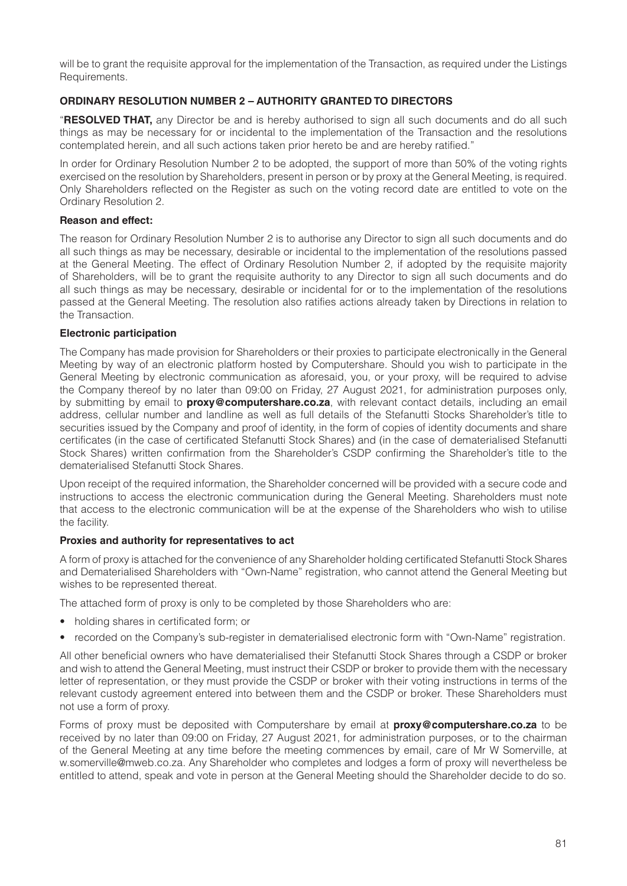will be to grant the requisite approval for the implementation of the Transaction, as required under the Listings Requirements.

# **ORDINARY RESOLUTION NUMBER 2 – AUTHORITY GRANTED TO DIRECTORS**

"**RESOLVED THAT,** any Director be and is hereby authorised to sign all such documents and do all such things as may be necessary for or incidental to the implementation of the Transaction and the resolutions contemplated herein, and all such actions taken prior hereto be and are hereby ratified."

In order for Ordinary Resolution Number 2 to be adopted, the support of more than 50% of the voting rights exercised on the resolution by Shareholders, present in person or by proxy at the General Meeting, is required. Only Shareholders reflected on the Register as such on the voting record date are entitled to vote on the Ordinary Resolution 2.

# **Reason and effect:**

The reason for Ordinary Resolution Number 2 is to authorise any Director to sign all such documents and do all such things as may be necessary, desirable or incidental to the implementation of the resolutions passed at the General Meeting. The effect of Ordinary Resolution Number 2, if adopted by the requisite majority of Shareholders, will be to grant the requisite authority to any Director to sign all such documents and do all such things as may be necessary, desirable or incidental for or to the implementation of the resolutions passed at the General Meeting. The resolution also ratifies actions already taken by Directions in relation to the Transaction.

# **Electronic participation**

The Company has made provision for Shareholders or their proxies to participate electronically in the General Meeting by way of an electronic platform hosted by Computershare. Should you wish to participate in the General Meeting by electronic communication as aforesaid, you, or your proxy, will be required to advise the Company thereof by no later than 09:00 on Friday, 27 August 2021, for administration purposes only, by submitting by email to **proxy@computershare.co.za**, with relevant contact details, including an email address, cellular number and landline as well as full details of the Stefanutti Stocks Shareholder's title to securities issued by the Company and proof of identity, in the form of copies of identity documents and share certificates (in the case of certificated Stefanutti Stock Shares) and (in the case of dematerialised Stefanutti Stock Shares) written confirmation from the Shareholder's CSDP confirming the Shareholder's title to the dematerialised Stefanutti Stock Shares.

Upon receipt of the required information, the Shareholder concerned will be provided with a secure code and instructions to access the electronic communication during the General Meeting. Shareholders must note that access to the electronic communication will be at the expense of the Shareholders who wish to utilise the facility.

# **Proxies and authority for representatives to act**

A form of proxy is attached for the convenience of any Shareholder holding certificated Stefanutti Stock Shares and Dematerialised Shareholders with "Own-Name" registration, who cannot attend the General Meeting but wishes to be represented thereat.

The attached form of proxy is only to be completed by those Shareholders who are:

- holding shares in certificated form; or
- recorded on the Company's sub-register in dematerialised electronic form with "Own-Name" registration.

All other beneficial owners who have dematerialised their Stefanutti Stock Shares through a CSDP or broker and wish to attend the General Meeting, must instruct their CSDP or broker to provide them with the necessary letter of representation, or they must provide the CSDP or broker with their voting instructions in terms of the relevant custody agreement entered into between them and the CSDP or broker. These Shareholders must not use a form of proxy.

Forms of proxy must be deposited with Computershare by email at **proxy@computershare.co.za** to be received by no later than 09:00 on Friday, 27 August 2021, for administration purposes, or to the chairman of the General Meeting at any time before the meeting commences by email, care of Mr W Somerville, at w.somerville@mweb.co.za. Any Shareholder who completes and lodges a form of proxy will nevertheless be entitled to attend, speak and vote in person at the General Meeting should the Shareholder decide to do so.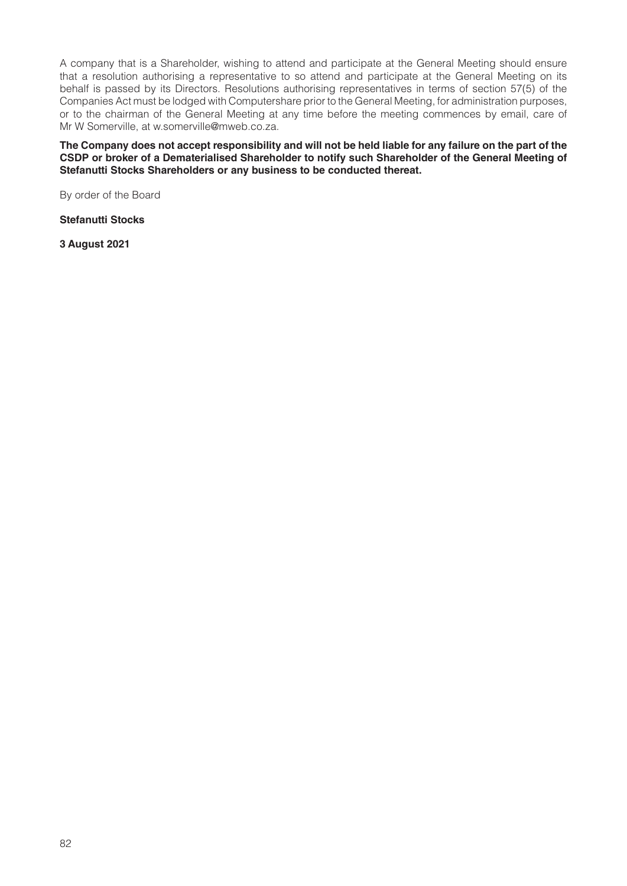A company that is a Shareholder, wishing to attend and participate at the General Meeting should ensure that a resolution authorising a representative to so attend and participate at the General Meeting on its behalf is passed by its Directors. Resolutions authorising representatives in terms of section 57(5) of the Companies Act must be lodged with Computershare prior to the General Meeting, for administration purposes, or to the chairman of the General Meeting at any time before the meeting commences by email, care of Mr W Somerville, at w.somerville@mweb.co.za.

**The Company does not accept responsibility and will not be held liable for any failure on the part of the CSDP or broker of a Dematerialised Shareholder to notify such Shareholder of the General Meeting of Stefanutti Stocks Shareholders or any business to be conducted thereat.**

By order of the Board

**Stefanutti Stocks**

**3 August 2021**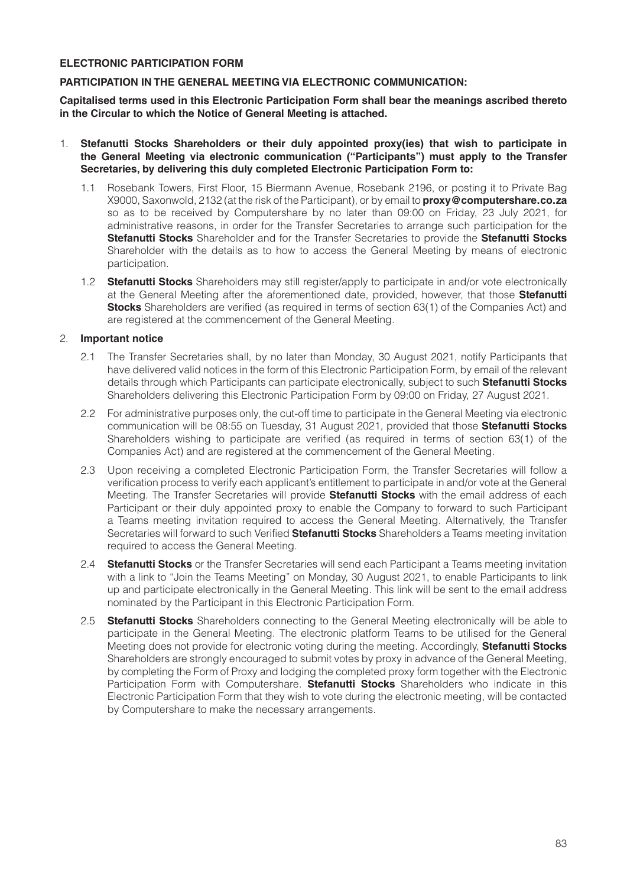### **ELECTRONIC PARTICIPATION FORM**

### **PARTICIPATION IN THE GENERAL MEETING VIA ELECTRONIC COMMUNICATION:**

**Capitalised terms used in this Electronic Participation Form shall bear the meanings ascribed thereto in the Circular to which the Notice of General Meeting is attached.**

- 1. **Stefanutti Stocks Shareholders or their duly appointed proxy(ies) that wish to participate in the General Meeting via electronic communication ("Participants") must apply to the Transfer Secretaries, by delivering this duly completed Electronic Participation Form to:**
	- 1.1 Rosebank Towers, First Floor, 15 Biermann Avenue, Rosebank 2196, or posting it to Private Bag X9000, Saxonwold, 2132 (at the risk of the Participant), or by email to **proxy@computershare.co.za** so as to be received by Computershare by no later than 09:00 on Friday, 23 July 2021, for administrative reasons, in order for the Transfer Secretaries to arrange such participation for the **Stefanutti Stocks** Shareholder and for the Transfer Secretaries to provide the **Stefanutti Stocks** Shareholder with the details as to how to access the General Meeting by means of electronic participation.
	- 1.2 **Stefanutti Stocks** Shareholders may still register/apply to participate in and/or vote electronically at the General Meeting after the aforementioned date, provided, however, that those **Stefanutti Stocks** Shareholders are verified (as required in terms of section 63(1) of the Companies Act) and are registered at the commencement of the General Meeting.

# 2. **Important notice**

- 2.1 The Transfer Secretaries shall, by no later than Monday, 30 August 2021, notify Participants that have delivered valid notices in the form of this Electronic Participation Form, by email of the relevant details through which Participants can participate electronically, subject to such **Stefanutti Stocks** Shareholders delivering this Electronic Participation Form by 09:00 on Friday, 27 August 2021.
- 2.2 For administrative purposes only, the cut-off time to participate in the General Meeting via electronic communication will be 08:55 on Tuesday, 31 August 2021, provided that those **Stefanutti Stocks** Shareholders wishing to participate are verified (as required in terms of section 63(1) of the Companies Act) and are registered at the commencement of the General Meeting.
- 2.3 Upon receiving a completed Electronic Participation Form, the Transfer Secretaries will follow a verification process to verify each applicant's entitlement to participate in and/or vote at the General Meeting. The Transfer Secretaries will provide **Stefanutti Stocks** with the email address of each Participant or their duly appointed proxy to enable the Company to forward to such Participant a Teams meeting invitation required to access the General Meeting. Alternatively, the Transfer Secretaries will forward to such Verified **Stefanutti Stocks** Shareholders a Teams meeting invitation required to access the General Meeting.
- 2.4 **Stefanutti Stocks** or the Transfer Secretaries will send each Participant a Teams meeting invitation with a link to "Join the Teams Meeting" on Monday, 30 August 2021, to enable Participants to link up and participate electronically in the General Meeting. This link will be sent to the email address nominated by the Participant in this Electronic Participation Form.
- 2.5 **Stefanutti Stocks** Shareholders connecting to the General Meeting electronically will be able to participate in the General Meeting. The electronic platform Teams to be utilised for the General Meeting does not provide for electronic voting during the meeting. Accordingly, **Stefanutti Stocks** Shareholders are strongly encouraged to submit votes by proxy in advance of the General Meeting, by completing the Form of Proxy and lodging the completed proxy form together with the Electronic Participation Form with Computershare. **Stefanutti Stocks** Shareholders who indicate in this Electronic Participation Form that they wish to vote during the electronic meeting, will be contacted by Computershare to make the necessary arrangements.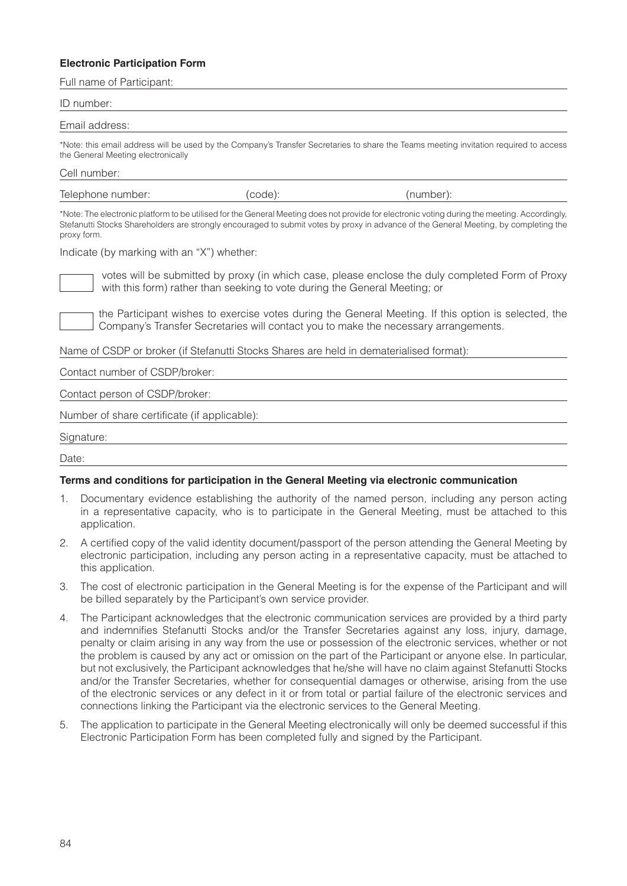# **Electronic Participation Form**

Full name of Participant:

### ID number:

### Email address:

\*Note: this email address will be used by the Company's Transfer Secretaries to share the Teams meeting invitation required to access the General Meeting electronically

#### Cell number:

Telephone number: (code): (number):

\*Note: The electronic platform to be utilised for the General Meeting does not provide for electronic voting during the meeting. Accordingly, Stefanutti Stocks Shareholders are strongly encouraged to submit votes by proxy in advance of the General Meeting, by completing the proxy form.

Indicate (by marking with an "X") whether:

 votes will be submitted by proxy (in which case, please enclose the duly completed Form of Proxy with this form) rather than seeking to vote during the General Meeting; or

 the Participant wishes to exercise votes during the General Meeting. If this option is selected, the Company's Transfer Secretaries will contact you to make the necessary arrangements.

Name of CSDP or broker (if Stefanutti Stocks Shares are held in dematerialised format):

Contact number of CSDP/broker:

Contact person of CSDP/broker:

Number of share certificate (if applicable):

Signature:

Date:

### **Terms and conditions for participation in the General Meeting via electronic communication**

- 1. Documentary evidence establishing the authority of the named person, including any person acting in a representative capacity, who is to participate in the General Meeting, must be attached to this application.
- 2. A certified copy of the valid identity document/passport of the person attending the General Meeting by electronic participation, including any person acting in a representative capacity, must be attached to this application.
- 3. The cost of electronic participation in the General Meeting is for the expense of the Participant and will be billed separately by the Participant's own service provider.
- 4. The Participant acknowledges that the electronic communication services are provided by a third party and indemnifies Stefanutti Stocks and/or the Transfer Secretaries against any loss, injury, damage, penalty or claim arising in any way from the use or possession of the electronic services, whether or not the problem is caused by any act or omission on the part of the Participant or anyone else. In particular, but not exclusively, the Participant acknowledges that he/she will have no claim against Stefanutti Stocks and/or the Transfer Secretaries, whether for consequential damages or otherwise, arising from the use of the electronic services or any defect in it or from total or partial failure of the electronic services and connections linking the Participant via the electronic services to the General Meeting.
- 5. The application to participate in the General Meeting electronically will only be deemed successful if this Electronic Participation Form has been completed fully and signed by the Participant.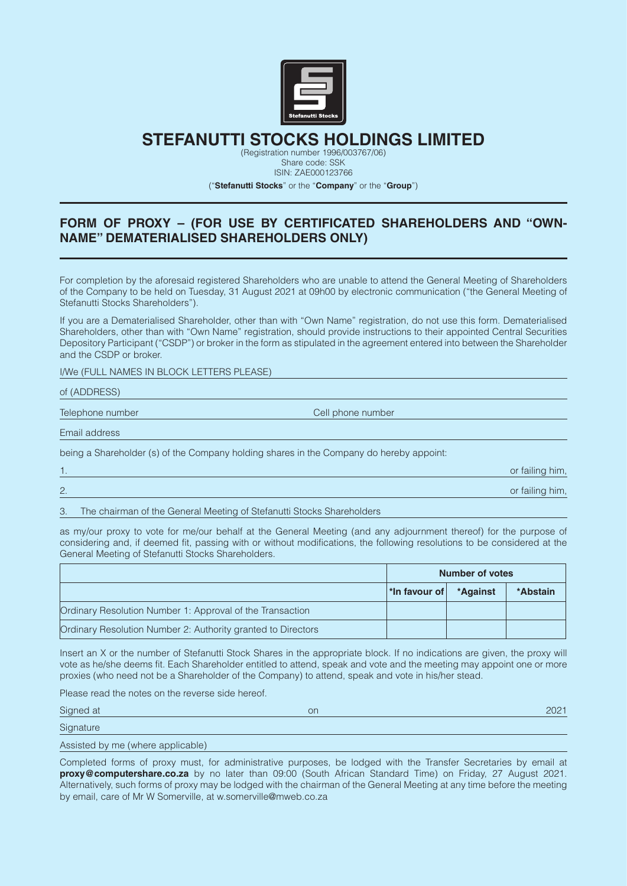

# **STEFANUTTI STOCKS HOLDINGS LIMITED**

(Registration number 1996/003767/06) Share code: SSK ISIN: ZAE000123766 ("**Stefanutti Stocks**" or the "**Company**" or the "**Group**")

# **FORM OF PROXY – (FOR USE BY CERTIFICATED SHAREHOLDERS AND "OWN-NAME" DEMATERIALISED SHAREHOLDERS ONLY)**

For completion by the aforesaid registered Shareholders who are unable to attend the General Meeting of Shareholders of the Company to be held on Tuesday, 31 August 2021 at 09h00 by electronic communication ("the General Meeting of Stefanutti Stocks Shareholders").

If you are a Dematerialised Shareholder, other than with "Own Name" registration, do not use this form. Dematerialised Shareholders, other than with "Own Name" registration, should provide instructions to their appointed Central Securities Depository Participant ("CSDP") or broker in the form as stipulated in the agreement entered into between the Shareholder and the CSDP or broker.

I/We (FULL NAMES IN BLOCK LETTERS PLEASE)

of (ADDRESS)

Telephone number and the contract of the Cell phone number Cell phone number

Email address

being a Shareholder (s) of the Company holding shares in the Company do hereby appoint:

1. or failing him,

2. or failing him,

3. The chairman of the General Meeting of Stefanutti Stocks Shareholders

as my/our proxy to vote for me/our behalf at the General Meeting (and any adjournment thereof) for the purpose of considering and, if deemed fit, passing with or without modifications, the following resolutions to be considered at the General Meeting of Stefanutti Stocks Shareholders.

|                                                              | Number of votes            |          |          |
|--------------------------------------------------------------|----------------------------|----------|----------|
|                                                              | $ \cdot $ in favour of $ $ | *Against | *Abstain |
| Ordinary Resolution Number 1: Approval of the Transaction    |                            |          |          |
| Ordinary Resolution Number 2: Authority granted to Directors |                            |          |          |

Insert an X or the number of Stefanutti Stock Shares in the appropriate block. If no indications are given, the proxy will vote as he/she deems fit. Each Shareholder entitled to attend, speak and vote and the meeting may appoint one or more proxies (who need not be a Shareholder of the Company) to attend, speak and vote in his/her stead.

Please read the notes on the reverse side hereof.

| Πr<br>$\cup$ | $202^{\circ}$ |
|--------------|---------------|
|              |               |
|              |               |

Assisted by me (where applicable)

Completed forms of proxy must, for administrative purposes, be lodged with the Transfer Secretaries by email at **proxy@computershare.co.za** by no later than 09:00 (South African Standard Time) on Friday, 27 August 2021. Alternatively, such forms of proxy may be lodged with the chairman of the General Meeting at any time before the meeting by email, care of Mr W Somerville, at w.somerville@mweb.co.za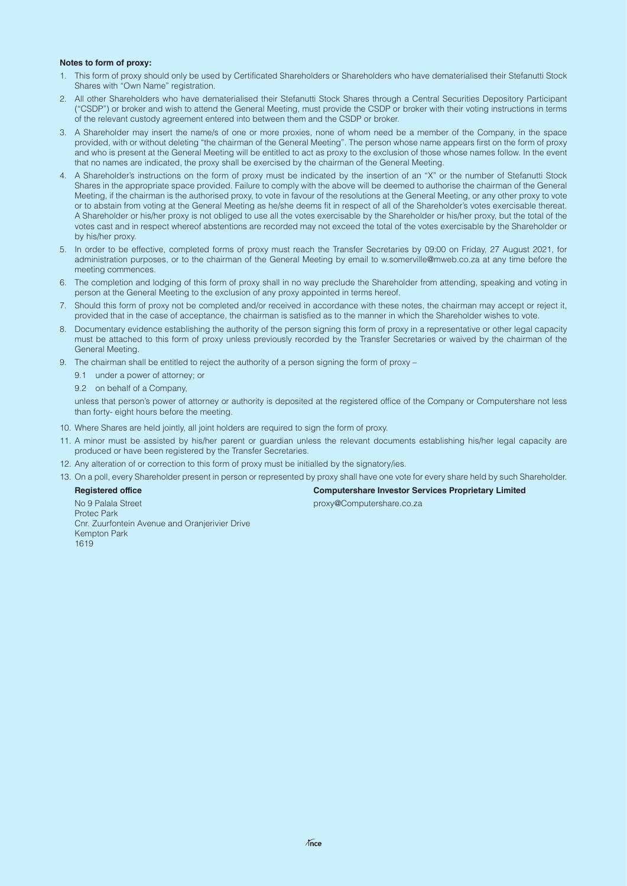#### **Notes to form of proxy:**

- 1. This form of proxy should only be used by Certificated Shareholders or Shareholders who have dematerialised their Stefanutti Stock Shares with "Own Name" registration.
- 2. All other Shareholders who have dematerialised their Stefanutti Stock Shares through a Central Securities Depository Participant ("CSDP") or broker and wish to attend the General Meeting, must provide the CSDP or broker with their voting instructions in terms of the relevant custody agreement entered into between them and the CSDP or broker.
- 3. A Shareholder may insert the name/s of one or more proxies, none of whom need be a member of the Company, in the space provided, with or without deleting "the chairman of the General Meeting". The person whose name appears first on the form of proxy and who is present at the General Meeting will be entitled to act as proxy to the exclusion of those whose names follow. In the event that no names are indicated, the proxy shall be exercised by the chairman of the General Meeting.
- 4. A Shareholder's instructions on the form of proxy must be indicated by the insertion of an "X" or the number of Stefanutti Stock Shares in the appropriate space provided. Failure to comply with the above will be deemed to authorise the chairman of the General Meeting, if the chairman is the authorised proxy, to vote in favour of the resolutions at the General Meeting, or any other proxy to vote or to abstain from voting at the General Meeting as he/she deems fit in respect of all of the Shareholder's votes exercisable thereat. A Shareholder or his/her proxy is not obliged to use all the votes exercisable by the Shareholder or his/her proxy, but the total of the votes cast and in respect whereof abstentions are recorded may not exceed the total of the votes exercisable by the Shareholder or by his/her proxy.
- 5. In order to be effective, completed forms of proxy must reach the Transfer Secretaries by 09:00 on Friday, 27 August 2021, for administration purposes, or to the chairman of the General Meeting by email to w.somerville@mweb.co.za at any time before the meeting commences.
- 6. The completion and lodging of this form of proxy shall in no way preclude the Shareholder from attending, speaking and voting in person at the General Meeting to the exclusion of any proxy appointed in terms hereof.
- 7. Should this form of proxy not be completed and/or received in accordance with these notes, the chairman may accept or reject it, provided that in the case of acceptance, the chairman is satisfied as to the manner in which the Shareholder wishes to vote.
- 8. Documentary evidence establishing the authority of the person signing this form of proxy in a representative or other legal capacity must be attached to this form of proxy unless previously recorded by the Transfer Secretaries or waived by the chairman of the General Meeting.
- 9. The chairman shall be entitled to reject the authority of a person signing the form of proxy
	- 9.1 under a power of attorney; or
	- 9.2 on behalf of a Company,

unless that person's power of attorney or authority is deposited at the registered office of the Company or Computershare not less than forty- eight hours before the meeting.

- 10. Where Shares are held jointly, all joint holders are required to sign the form of proxy.
- 11. A minor must be assisted by his/her parent or guardian unless the relevant documents establishing his/her legal capacity are produced or have been registered by the Transfer Secretaries.
- 12. Any alteration of or correction to this form of proxy must be initialled by the signatory/ies.

13. On a poll, every Shareholder present in person or represented by proxy shall have one vote for every share held by such Shareholder.

**Registered office Computershare Investor Services Proprietary Limited**

No 9 Palala Street proxy@Computershare.co.za Protec Park Cnr. Zuurfontein Avenue and Oranjerivier Drive Kempton Park 1619